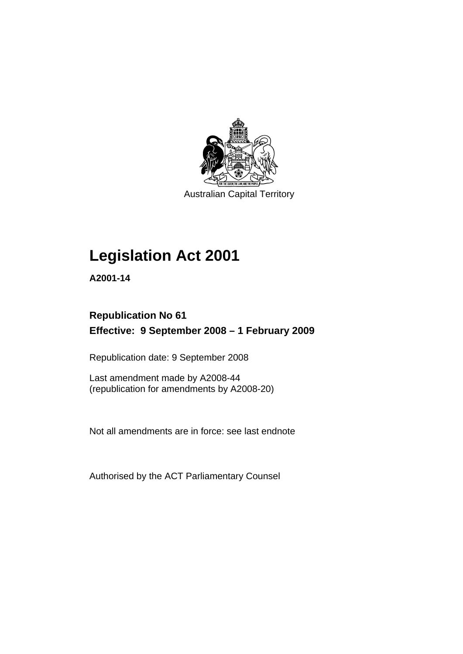

Australian Capital Territory

## **[Legislation Act 2001](#page-16-0)**

**A2001-14** 

## **Republication No 61 Effective: 9 September 2008 – 1 February 2009**

Republication date: 9 September 2008

Last amendment made by A2008-44 (republication for amendments by A2008-20)

Not all amendments are in force: see last endnote

Authorised by the ACT Parliamentary Counsel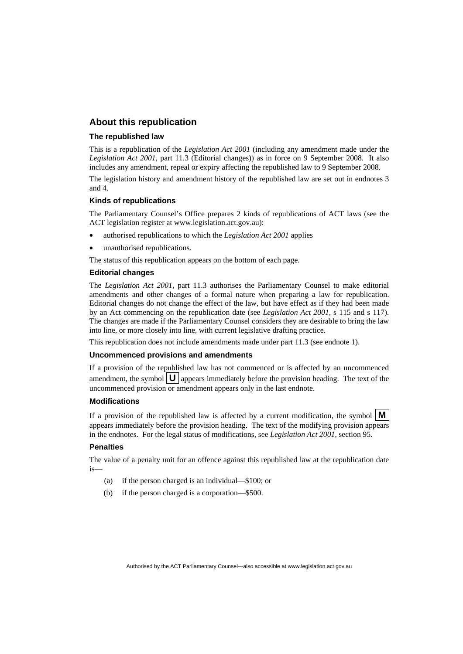## **About this republication**

#### **The republished law**

This is a republication of the *Legislation Act 2001* (including any amendment made under the *Legislation Act 2001*, part 11.3 (Editorial changes)) as in force on 9 September 2008*.* It also includes any amendment, repeal or expiry affecting the republished law to 9 September 2008.

The legislation history and amendment history of the republished law are set out in endnotes 3 and 4.

#### **Kinds of republications**

The Parliamentary Counsel's Office prepares 2 kinds of republications of ACT laws (see the ACT legislation register at www.legislation.act.gov.au):

- authorised republications to which the *Legislation Act 2001* applies
- unauthorised republications.

The status of this republication appears on the bottom of each page.

#### **Editorial changes**

The *Legislation Act 2001*, part 11.3 authorises the Parliamentary Counsel to make editorial amendments and other changes of a formal nature when preparing a law for republication. Editorial changes do not change the effect of the law, but have effect as if they had been made by an Act commencing on the republication date (see *Legislation Act 2001*, s 115 and s 117). The changes are made if the Parliamentary Counsel considers they are desirable to bring the law into line, or more closely into line, with current legislative drafting practice.

This republication does not include amendments made under part 11.3 (see endnote 1).

#### **Uncommenced provisions and amendments**

If a provision of the republished law has not commenced or is affected by an uncommenced amendment, the symbol  $\mathbf{U}$  appears immediately before the provision heading. The text of the uncommenced provision or amendment appears only in the last endnote.

#### **Modifications**

If a provision of the republished law is affected by a current modification, the symbol  $\mathbf{M}$ appears immediately before the provision heading. The text of the modifying provision appears in the endnotes. For the legal status of modifications, see *Legislation Act 2001*, section 95.

#### **Penalties**

The value of a penalty unit for an offence against this republished law at the republication date is—

- (a) if the person charged is an individual—\$100; or
- (b) if the person charged is a corporation—\$500.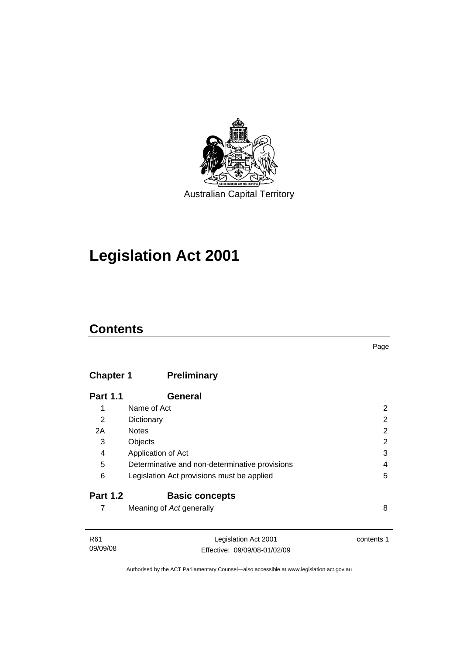

## **[Legislation Act 2001](#page-16-0)**

## **Contents**

## **Chapter 1 Preliminary**

| <b>Part 1.1</b> | General                                        |   |
|-----------------|------------------------------------------------|---|
| 1               | Name of Act                                    | 2 |
| 2               | Dictionary                                     | 2 |
| 2A              | <b>Notes</b>                                   | 2 |
| 3               | Objects                                        | 2 |
| 4               | Application of Act                             | 3 |
| 5               | Determinative and non-determinative provisions | 4 |
| 6               | Legislation Act provisions must be applied     | 5 |
| <b>Part 1.2</b> | <b>Basic concepts</b>                          |   |
|                 | Meaning of Act generally                       | 8 |

| R61      | Legislation Act 2001         | contents 1 |
|----------|------------------------------|------------|
|          |                              |            |
| 09/09/08 | Effective: 09/09/08-01/02/09 |            |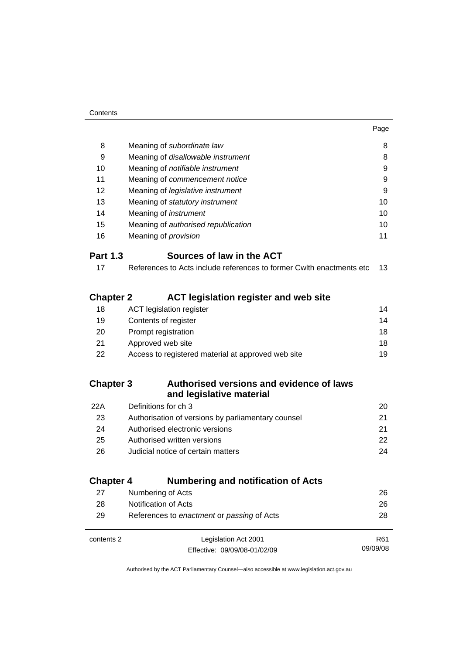| 8                | Meaning of subordinate law                                           | 8  |
|------------------|----------------------------------------------------------------------|----|
| 9                | Meaning of disallowable instrument                                   | 8  |
| 10               | Meaning of notifiable instrument                                     | 9  |
| 11               | Meaning of commencement notice                                       | 9  |
| 12               | Meaning of legislative instrument                                    | 9  |
| 13               | Meaning of statutory instrument                                      | 10 |
| 14               | Meaning of <i>instrument</i>                                         | 10 |
| 15               | Meaning of authorised republication                                  | 10 |
| 16               | Meaning of <i>provision</i>                                          | 11 |
| <b>Part 1.3</b>  | Sources of law in the ACT                                            |    |
| 17               | References to Acts include references to former Cwlth enactments etc | 13 |
| <b>Chapter 2</b> | <b>ACT legislation register and web site</b>                         |    |
| 18               | <b>ACT</b> legislation register                                      | 14 |
| 19               | Contents of register                                                 | 14 |
| 20               | Prompt registration                                                  | 18 |
| 21               | Approved web site                                                    | 18 |
| 22               | Access to registered material at approved web site                   | 19 |
|                  |                                                                      |    |
| Chanter 3        | Authorised versions and evidence of laws                             |    |

## **Chapter 3 Authorised versions and evidence of laws and legislative material**

| 22A | Definitions for ch 3                               | 20. |
|-----|----------------------------------------------------|-----|
| 23  | Authorisation of versions by parliamentary counsel | 21  |
| 24  | Authorised electronic versions                     | 21  |
| 25  | Authorised written versions                        | 22. |
| 26  | Judicial notice of certain matters                 | 24  |
|     |                                                    |     |

## **Chapter 4 Numbering and notification of Acts**

| 27         | Numbering of Acts                          | 26              |
|------------|--------------------------------------------|-----------------|
| 28         | Notification of Acts                       | 26              |
| 29         | References to enactment or passing of Acts | 28              |
|            |                                            |                 |
| contents 2 | Legislation Act 2001                       | R <sub>61</sub> |
|            | Effective: 09/09/08-01/02/09               | 09/09/08        |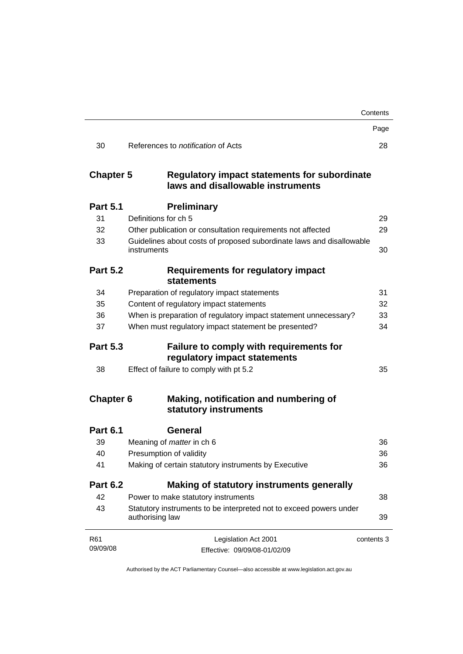|                                                                         | Contents                                                                                                                                                                                                                                                                                           |
|-------------------------------------------------------------------------|----------------------------------------------------------------------------------------------------------------------------------------------------------------------------------------------------------------------------------------------------------------------------------------------------|
|                                                                         | Page                                                                                                                                                                                                                                                                                               |
| References to <i>notification</i> of Acts                               | 28                                                                                                                                                                                                                                                                                                 |
| laws and disallowable instruments                                       |                                                                                                                                                                                                                                                                                                    |
| <b>Preliminary</b>                                                      |                                                                                                                                                                                                                                                                                                    |
| Definitions for ch 5                                                    | 29                                                                                                                                                                                                                                                                                                 |
| Other publication or consultation requirements not affected             | 29                                                                                                                                                                                                                                                                                                 |
| instruments                                                             | 30                                                                                                                                                                                                                                                                                                 |
| Requirements for regulatory impact<br>statements                        |                                                                                                                                                                                                                                                                                                    |
| Preparation of regulatory impact statements                             | 31                                                                                                                                                                                                                                                                                                 |
| Content of regulatory impact statements                                 | 32                                                                                                                                                                                                                                                                                                 |
| When is preparation of regulatory impact statement unnecessary?         | 33                                                                                                                                                                                                                                                                                                 |
| When must regulatory impact statement be presented?                     | 34                                                                                                                                                                                                                                                                                                 |
| Failure to comply with requirements for<br>regulatory impact statements |                                                                                                                                                                                                                                                                                                    |
| Effect of failure to comply with pt 5.2                                 | 35                                                                                                                                                                                                                                                                                                 |
| Making, notification and numbering of<br>statutory instruments          |                                                                                                                                                                                                                                                                                                    |
| General                                                                 |                                                                                                                                                                                                                                                                                                    |
| Meaning of <i>matter</i> in ch 6                                        | 36                                                                                                                                                                                                                                                                                                 |
| Presumption of validity                                                 | 36                                                                                                                                                                                                                                                                                                 |
| Making of certain statutory instruments by Executive                    | 36                                                                                                                                                                                                                                                                                                 |
| Making of statutory instruments generally                               |                                                                                                                                                                                                                                                                                                    |
| Power to make statutory instruments                                     | 38                                                                                                                                                                                                                                                                                                 |
| authorising law                                                         | 39                                                                                                                                                                                                                                                                                                 |
| Legislation Act 2001<br>Effective: 09/09/08-01/02/09                    | contents 3                                                                                                                                                                                                                                                                                         |
|                                                                         | <b>Chapter 5</b><br><b>Regulatory impact statements for subordinate</b><br>Guidelines about costs of proposed subordinate laws and disallowable<br><b>Part 5.2</b><br><b>Part 5.3</b><br><b>Chapter 6</b><br><b>Part 6.2</b><br>Statutory instruments to be interpreted not to exceed powers under |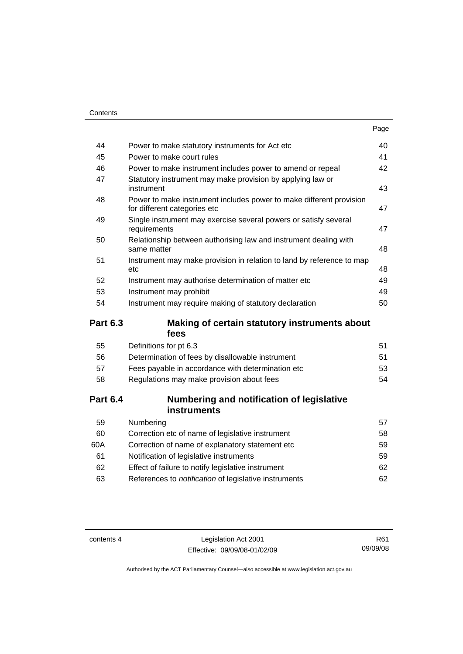|                 |                                                                                                     | Page |
|-----------------|-----------------------------------------------------------------------------------------------------|------|
| 44              | Power to make statutory instruments for Act etc                                                     | 40   |
| 45              | Power to make court rules                                                                           | 41   |
| 46              | Power to make instrument includes power to amend or repeal                                          | 42   |
| 47              | Statutory instrument may make provision by applying law or<br>instrument                            | 43   |
| 48              | Power to make instrument includes power to make different provision<br>for different categories etc | 47   |
| 49              | Single instrument may exercise several powers or satisfy several<br>requirements                    | 47   |
| 50              | Relationship between authorising law and instrument dealing with<br>same matter                     | 48   |
| 51              | Instrument may make provision in relation to land by reference to map<br>etc                        | 48   |
| 52              | Instrument may authorise determination of matter etc                                                | 49   |
| 53              | Instrument may prohibit                                                                             | 49   |
| 54              | Instrument may require making of statutory declaration                                              | 50   |
| <b>Part 6.3</b> | Making of certain statutory instruments about<br>fees                                               |      |
| 55              | Definitions for pt 6.3                                                                              | 51   |
| 56              | Determination of fees by disallowable instrument                                                    | 51   |
| 57              | Fees payable in accordance with determination etc                                                   | 53   |
| 58              | Regulations may make provision about fees                                                           | 54   |
| <b>Part 6.4</b> | Numbering and notification of legislative<br><b>instruments</b>                                     |      |
| 59              | Numbering                                                                                           | 57   |
| 60              | Correction etc of name of legislative instrument                                                    | 58   |
| 60A             | Correction of name of explanatory statement etc                                                     | 59   |
| 61              | Notification of legislative instruments                                                             | 59   |
| 62              | Effect of failure to notify legislative instrument                                                  | 62   |
| 63              |                                                                                                     |      |
|                 | References to notification of legislative instruments                                               | 62   |

contents 4 Legislation Act 2001 Effective: 09/09/08-01/02/09

R61 09/09/08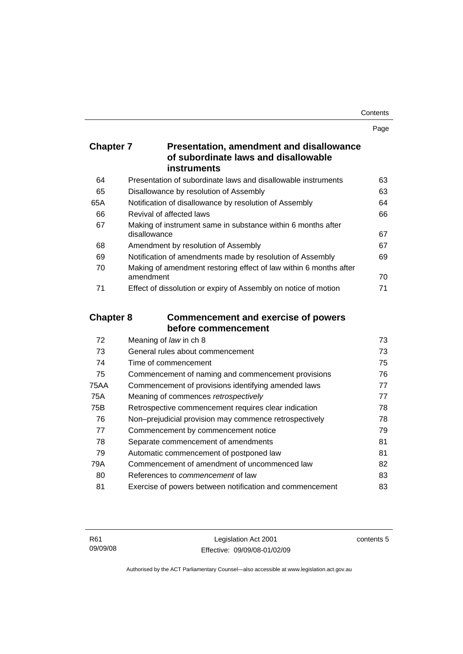Page

| <b>Chapter 7</b> | <b>Presentation, amendment and disallowance</b> |
|------------------|-------------------------------------------------|
|                  | of subordinate laws and disallowable            |
|                  | <b>instruments</b>                              |

| 64  | Presentation of subordinate laws and disallowable instruments     | 63 |
|-----|-------------------------------------------------------------------|----|
| 65  | Disallowance by resolution of Assembly                            | 63 |
| 65A | Notification of disallowance by resolution of Assembly            | 64 |
| 66  | Revival of affected laws                                          | 66 |
| 67  | Making of instrument same in substance within 6 months after      |    |
|     | disallowance                                                      | 67 |
| 68  | Amendment by resolution of Assembly                               | 67 |
| 69  | Notification of amendments made by resolution of Assembly         | 69 |
| 70  | Making of amendment restoring effect of law within 6 months after |    |
|     | amendment                                                         | 70 |
| 71  | Effect of dissolution or expiry of Assembly on notice of motion   | 71 |

## **Chapter 8 Commencement and exercise of powers before commencement**

| Meaning of law in ch 8                                   | 73 |
|----------------------------------------------------------|----|
| General rules about commencement                         | 73 |
| Time of commencement                                     | 75 |
| Commencement of naming and commencement provisions       | 76 |
| Commencement of provisions identifying amended laws      | 77 |
| Meaning of commences retrospectively                     | 77 |
| Retrospective commencement requires clear indication     | 78 |
| Non-prejudicial provision may commence retrospectively   | 78 |
| Commencement by commencement notice                      | 79 |
| Separate commencement of amendments                      | 81 |
| Automatic commencement of postponed law                  | 81 |
| Commencement of amendment of uncommenced law             | 82 |
| References to <i>commencement</i> of law                 | 83 |
| Exercise of powers between notification and commencement | 83 |
|                                                          |    |

contents 5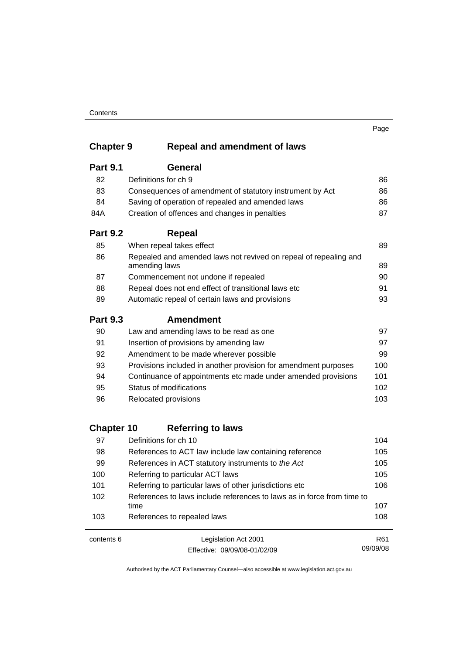#### **Contents**

## **Chapter 9 Repeal and amendment of laws**

| <b>Part 9.1</b> | General                                                                           |     |
|-----------------|-----------------------------------------------------------------------------------|-----|
| 82              | Definitions for ch 9                                                              | 86  |
| 83              | Consequences of amendment of statutory instrument by Act                          | 86  |
| 84              | Saving of operation of repealed and amended laws                                  | 86  |
| 84A             | Creation of offences and changes in penalties                                     | 87  |
| <b>Part 9.2</b> | Repeal                                                                            |     |
| 85              | When repeal takes effect                                                          | 89  |
| 86              | Repealed and amended laws not revived on repeal of repealing and<br>amending laws | 89  |
| 87              | Commencement not undone if repealed                                               | 90  |
| 88              | Repeal does not end effect of transitional laws etc                               | 91  |
| 89              | Automatic repeal of certain laws and provisions                                   | 93  |
| <b>Part 9.3</b> | <b>Amendment</b>                                                                  |     |
| 90              | Law and amending laws to be read as one                                           | 97  |
| 91              | Insertion of provisions by amending law                                           | 97  |
| 92              | Amendment to be made wherever possible                                            | 99  |
| 93              | Provisions included in another provision for amendment purposes                   | 100 |
| 94              | Continuance of appointments etc made under amended provisions                     | 101 |
| 95              | Status of modifications                                                           | 102 |
| 96              | Relocated provisions                                                              | 103 |

## **Chapter 10 Referring to laws**

| 97  | Definitions for ch 10                                                          | 104 |
|-----|--------------------------------------------------------------------------------|-----|
| 98  | References to ACT law include law containing reference                         | 105 |
| 99  | References in ACT statutory instruments to the Act                             | 105 |
| 100 | Referring to particular ACT laws                                               | 105 |
| 101 | Referring to particular laws of other jurisdictions etc                        | 106 |
| 102 | References to laws include references to laws as in force from time to<br>time | 107 |
| 103 | References to repealed laws                                                    | 108 |
|     |                                                                                |     |

contents 6 Legislation Act 2001 Effective: 09/09/08-01/02/09 R61 09/09/08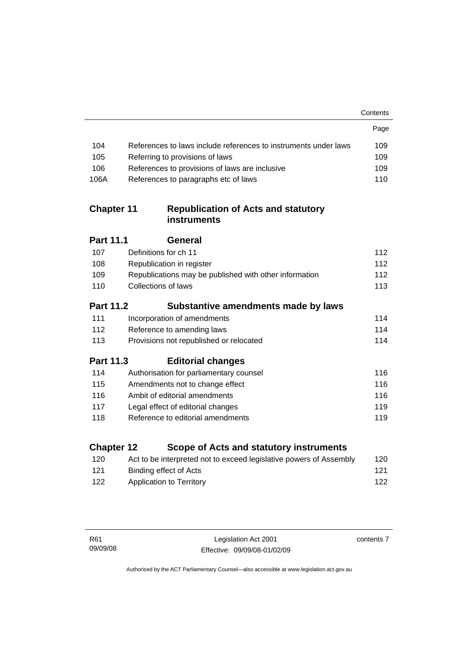|                   |                                                                    | Contents |
|-------------------|--------------------------------------------------------------------|----------|
|                   |                                                                    | Page     |
| 104               | References to laws include references to instruments under laws    | 109      |
| 105               | Referring to provisions of laws                                    | 109      |
| 106               | References to provisions of laws are inclusive                     | 109      |
| 106A              | References to paragraphs etc of laws                               | 110      |
| <b>Chapter 11</b> | <b>Republication of Acts and statutory</b><br><b>instruments</b>   |          |
| <b>Part 11.1</b>  | <b>General</b>                                                     |          |
| 107               | Definitions for ch 11                                              | 112      |
| 108               | Republication in register                                          | 112      |
| 109               | Republications may be published with other information             | 112      |
| 110               | <b>Collections of laws</b>                                         | 113      |
| <b>Part 11.2</b>  | Substantive amendments made by laws                                |          |
| 111               | Incorporation of amendments                                        | 114      |
| 112               | Reference to amending laws                                         | 114      |
| 113               | Provisions not republished or relocated                            | 114      |
| <b>Part 11.3</b>  | <b>Editorial changes</b>                                           |          |
| 114               | Authorisation for parliamentary counsel                            | 116      |
| 115               | Amendments not to change effect                                    | 116      |
| 116               | Ambit of editorial amendments                                      | 116      |
| 117               | Legal effect of editorial changes                                  | 119      |
| 118               | Reference to editorial amendments                                  | 119      |
| <b>Chapter 12</b> | Scope of Acts and statutory instruments                            |          |
| 120               | Act to be interpreted not to exceed legislative powers of Assembly | 120      |
| 121               | <b>Binding effect of Acts</b>                                      | 121      |
| 122               | <b>Application to Territory</b>                                    | 122      |
|                   |                                                                    |          |

contents 7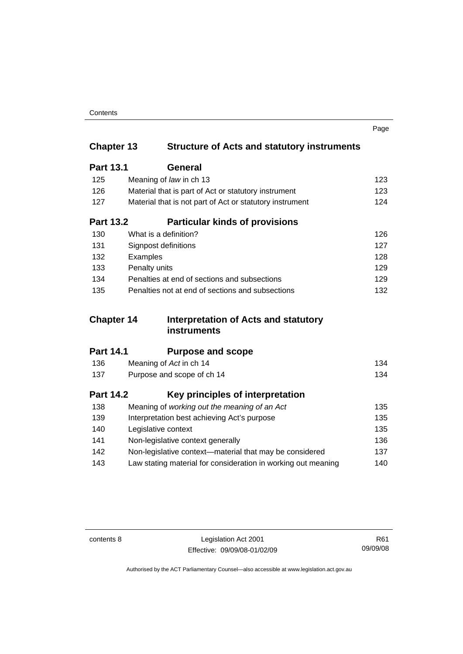| Contents |
|----------|
|----------|

|                   |                                                               | Page |
|-------------------|---------------------------------------------------------------|------|
| <b>Chapter 13</b> | <b>Structure of Acts and statutory instruments</b>            |      |
| <b>Part 13.1</b>  | General                                                       |      |
| 125               | Meaning of law in ch 13                                       | 123  |
| 126               | Material that is part of Act or statutory instrument          | 123  |
| 127               | Material that is not part of Act or statutory instrument      | 124  |
| <b>Part 13.2</b>  | <b>Particular kinds of provisions</b>                         |      |
| 130               | What is a definition?                                         | 126  |
| 131               | Signpost definitions                                          | 127  |
| 132               | Examples                                                      | 128  |
| 133               | Penalty units                                                 | 129  |
| 134               | Penalties at end of sections and subsections                  | 129  |
| 135               | Penalties not at end of sections and subsections              | 132  |
| <b>Chapter 14</b> | Interpretation of Acts and statutory                          |      |
|                   | <b>instruments</b>                                            |      |
| <b>Part 14.1</b>  | <b>Purpose and scope</b>                                      |      |
| 136               | Meaning of Act in ch 14                                       | 134  |
| 137               | Purpose and scope of ch 14                                    | 134  |
| <b>Part 14.2</b>  | Key principles of interpretation                              |      |
| 138               | Meaning of working out the meaning of an Act                  | 135  |
| 139               | Interpretation best achieving Act's purpose                   | 135  |
| 140               | Legislative context                                           | 135  |
| 141               | Non-legislative context generally                             | 136  |
| 142               | Non-legislative context-material that may be considered       | 137  |
| 143               | Law stating material for consideration in working out meaning | 140  |

contents 8 Legislation Act 2001 Effective: 09/09/08-01/02/09

R61 09/09/08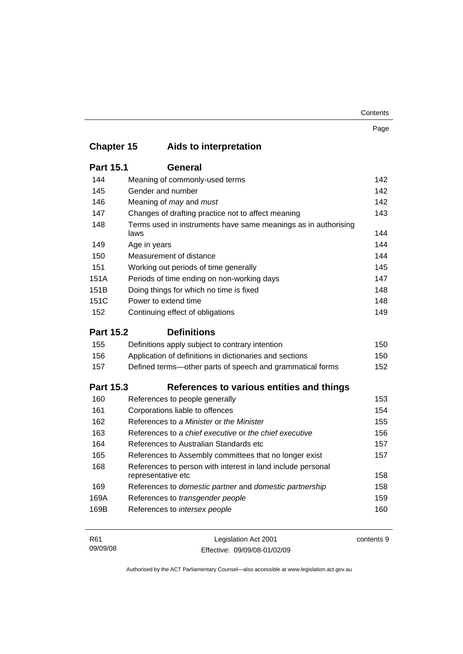| Contents |
|----------|
|----------|

|                   |                                                                                   | Page |
|-------------------|-----------------------------------------------------------------------------------|------|
| <b>Chapter 15</b> | Aids to interpretation                                                            |      |
| <b>Part 15.1</b>  | <b>General</b>                                                                    |      |
| 144               | Meaning of commonly-used terms                                                    | 142  |
| 145               | Gender and number                                                                 | 142  |
| 146               | Meaning of may and must                                                           | 142  |
| 147               | Changes of drafting practice not to affect meaning                                | 143  |
| 148               | Terms used in instruments have same meanings as in authorising<br>laws            | 144  |
| 149               | Age in years                                                                      | 144  |
| 150               | Measurement of distance                                                           | 144  |
| 151               | Working out periods of time generally                                             | 145  |
| 151A              | Periods of time ending on non-working days                                        | 147  |
| 151B              | Doing things for which no time is fixed                                           | 148  |
| 151C              | Power to extend time                                                              | 148  |
| 152               | Continuing effect of obligations                                                  | 149  |
| <b>Part 15.2</b>  | <b>Definitions</b>                                                                |      |
| 155               | Definitions apply subject to contrary intention                                   | 150  |
| 156               | Application of definitions in dictionaries and sections                           | 150  |
| 157               | Defined terms—other parts of speech and grammatical forms                         | 152  |
| <b>Part 15.3</b>  | References to various entities and things                                         |      |
| 160               | References to people generally                                                    | 153  |
| 161               | Corporations liable to offences                                                   | 154  |
| 162               | References to a Minister or the Minister                                          | 155  |
| 163               | References to a chief executive or the chief executive                            | 156  |
| 164               | References to Australian Standards etc                                            | 157  |
| 165               | References to Assembly committees that no longer exist                            | 157  |
| 168               | References to person with interest in land include personal<br>representative etc | 158  |
| 169               | References to domestic partner and domestic partnership                           | 158  |
| 169A              | References to transgender people                                                  | 159  |
| 169B              | References to intersex people                                                     | 160  |
|                   |                                                                                   |      |

| R61      | Legislation Act 2001         | contents 9 |
|----------|------------------------------|------------|
| 09/09/08 | Effective: 09/09/08-01/02/09 |            |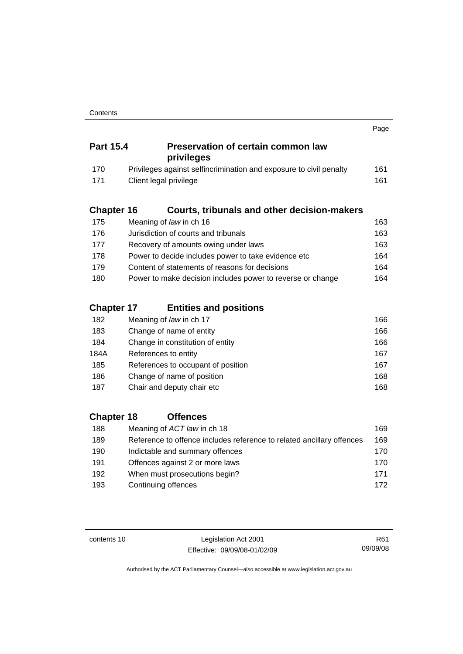|                   |                                                                       | Page |
|-------------------|-----------------------------------------------------------------------|------|
| <b>Part 15.4</b>  | <b>Preservation of certain common law</b><br>privileges               |      |
| 170               | Privileges against selfincrimination and exposure to civil penalty    | 161  |
| 171               | Client legal privilege                                                | 161  |
| <b>Chapter 16</b> | <b>Courts, tribunals and other decision-makers</b>                    |      |
| 175               | Meaning of law in ch 16                                               | 163  |
| 176               | Jurisdiction of courts and tribunals                                  | 163  |
| 177               | Recovery of amounts owing under laws                                  | 163  |
| 178               | Power to decide includes power to take evidence etc                   | 164  |
| 179               | Content of statements of reasons for decisions                        | 164  |
| 180               | Power to make decision includes power to reverse or change            | 164  |
| <b>Chapter 17</b> | <b>Entities and positions</b>                                         |      |
| 182               | Meaning of law in ch 17                                               | 166  |
| 183               | Change of name of entity                                              | 166  |
| 184               | Change in constitution of entity                                      | 166  |
| 184A              | References to entity                                                  | 167  |
| 185               | References to occupant of position                                    | 167  |
| 186               | Change of name of position                                            | 168  |
| 187               | Chair and deputy chair etc                                            | 168  |
| <b>Chapter 18</b> | <b>Offences</b>                                                       |      |
| 188               | Meaning of ACT law in ch 18                                           | 169  |
| 189               | Reference to offence includes reference to related ancillary offences | 169  |
| 190               | Indictable and summary offences                                       | 170  |

| 1 J V | mulclable and summary offerices | 1 I U |
|-------|---------------------------------|-------|
| 191   | Offences against 2 or more laws | 170   |
| 192   | When must prosecutions begin?   | 171   |
| 193   | Continuing offences             | 172   |
|       |                                 |       |

contents 10 Legislation Act 2001 Effective: 09/09/08-01/02/09

R61 09/09/08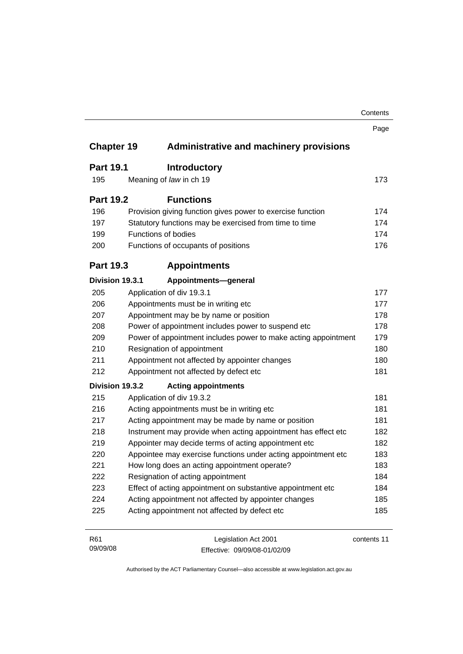|                   |                                                                | Contents    |
|-------------------|----------------------------------------------------------------|-------------|
|                   |                                                                | Page        |
| <b>Chapter 19</b> | <b>Administrative and machinery provisions</b>                 |             |
| <b>Part 19.1</b>  | <b>Introductory</b>                                            |             |
| 195               | Meaning of law in ch 19                                        | 173         |
| <b>Part 19.2</b>  | <b>Functions</b>                                               |             |
| 196               | Provision giving function gives power to exercise function     | 174         |
| 197               | Statutory functions may be exercised from time to time         | 174         |
| 199               | Functions of bodies                                            | 174         |
| 200               | Functions of occupants of positions                            | 176         |
| <b>Part 19.3</b>  | <b>Appointments</b>                                            |             |
| Division 19.3.1   | Appointments-general                                           |             |
| 205               | Application of div 19.3.1                                      | 177         |
| 206               | Appointments must be in writing etc                            | 177         |
| 207               | Appointment may be by name or position                         |             |
| 208               | Power of appointment includes power to suspend etc             | 178         |
| 209               | Power of appointment includes power to make acting appointment |             |
| 210               | Resignation of appointment                                     | 180         |
| 211               | Appointment not affected by appointer changes                  | 180         |
| 212               | Appointment not affected by defect etc                         | 181         |
| Division 19.3.2   | <b>Acting appointments</b>                                     |             |
| 215               | Application of div 19.3.2                                      | 181         |
| 216               | Acting appointments must be in writing etc                     | 181         |
| 217               | Acting appointment may be made by name or position             | 181         |
| 218               | Instrument may provide when acting appointment has effect etc  | 182         |
| 219               | Appointer may decide terms of acting appointment etc           | 182         |
| 220               | Appointee may exercise functions under acting appointment etc  | 183         |
| 221               | How long does an acting appointment operate?                   | 183         |
| 222               | Resignation of acting appointment                              | 184         |
| 223               | Effect of acting appointment on substantive appointment etc    | 184         |
| 224               | Acting appointment not affected by appointer changes           | 185         |
| 225               | Acting appointment not affected by defect etc                  | 185         |
| R61               | Legislation Act 2001                                           | contents 11 |

Effective: 09/09/08-01/02/09

09/09/08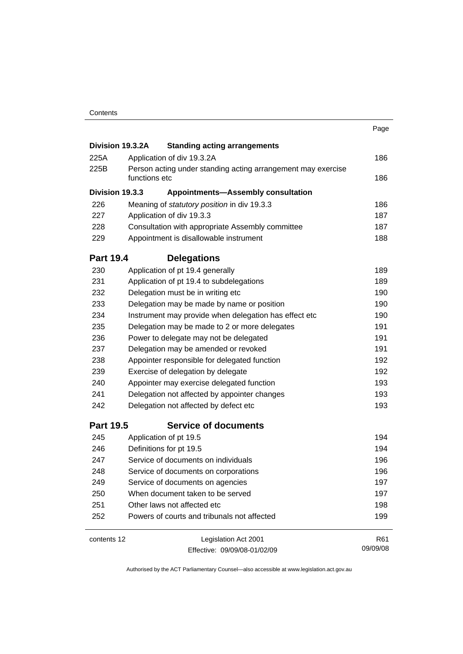|                  |                                                       |                                                                               | Page            |  |  |
|------------------|-------------------------------------------------------|-------------------------------------------------------------------------------|-----------------|--|--|
|                  | Division 19.3.2A                                      | <b>Standing acting arrangements</b>                                           |                 |  |  |
| 225A             |                                                       | Application of div 19.3.2A                                                    | 186             |  |  |
| 225B             |                                                       | Person acting under standing acting arrangement may exercise<br>functions etc |                 |  |  |
| Division 19.3.3  |                                                       | <b>Appointments-Assembly consultation</b>                                     |                 |  |  |
| 226              |                                                       | Meaning of statutory position in div 19.3.3                                   |                 |  |  |
| 227              |                                                       | Application of div 19.3.3                                                     |                 |  |  |
| 228              |                                                       | Consultation with appropriate Assembly committee                              |                 |  |  |
| 229              |                                                       | Appointment is disallowable instrument                                        |                 |  |  |
| <b>Part 19.4</b> |                                                       | <b>Delegations</b>                                                            |                 |  |  |
| 230              |                                                       | Application of pt 19.4 generally                                              |                 |  |  |
| 231              | Application of pt 19.4 to subdelegations              |                                                                               |                 |  |  |
| 232              |                                                       | Delegation must be in writing etc                                             |                 |  |  |
| 233              | Delegation may be made by name or position            |                                                                               |                 |  |  |
| 234              | Instrument may provide when delegation has effect etc |                                                                               |                 |  |  |
| 235              |                                                       | Delegation may be made to 2 or more delegates                                 |                 |  |  |
| 236              | Power to delegate may not be delegated                |                                                                               |                 |  |  |
| 237              | Delegation may be amended or revoked                  |                                                                               |                 |  |  |
| 238              | Appointer responsible for delegated function          |                                                                               |                 |  |  |
| 239              | Exercise of delegation by delegate                    |                                                                               |                 |  |  |
| 240              | Appointer may exercise delegated function             |                                                                               |                 |  |  |
| 241              | Delegation not affected by appointer changes          |                                                                               |                 |  |  |
| 242              |                                                       | Delegation not affected by defect etc                                         |                 |  |  |
| <b>Part 19.5</b> |                                                       | <b>Service of documents</b>                                                   |                 |  |  |
| 245              |                                                       | Application of pt 19.5                                                        | 194             |  |  |
| 246              |                                                       | Definitions for pt 19.5                                                       |                 |  |  |
| 247              |                                                       | Service of documents on individuals                                           | 196             |  |  |
| 248              |                                                       | Service of documents on corporations                                          |                 |  |  |
| 249              |                                                       | Service of documents on agencies                                              |                 |  |  |
| 250              |                                                       | When document taken to be served                                              |                 |  |  |
| 251              |                                                       | Other laws not affected etc                                                   |                 |  |  |
| 252              |                                                       | Powers of courts and tribunals not affected                                   | 199             |  |  |
| contents 12      |                                                       | Legislation Act 2001                                                          | R <sub>61</sub> |  |  |
|                  |                                                       | Effective: 09/09/08-01/02/09                                                  | 09/09/08        |  |  |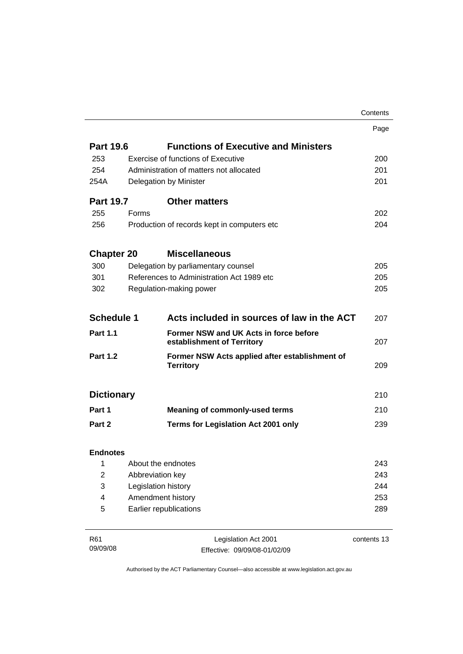|                          |                                         |                                                                      | Contents    |
|--------------------------|-----------------------------------------|----------------------------------------------------------------------|-------------|
|                          |                                         |                                                                      | Page        |
| <b>Part 19.6</b>         |                                         | <b>Functions of Executive and Ministers</b>                          |             |
| 253                      |                                         | Exercise of functions of Executive                                   | 200         |
| 254                      | Administration of matters not allocated |                                                                      |             |
| 254A                     | Delegation by Minister                  |                                                                      |             |
| <b>Part 19.7</b>         |                                         | <b>Other matters</b>                                                 |             |
| 255                      | Forms                                   |                                                                      | 202         |
| 256                      |                                         | Production of records kept in computers etc                          | 204         |
| <b>Chapter 20</b>        |                                         | <b>Miscellaneous</b>                                                 |             |
| 300                      |                                         | Delegation by parliamentary counsel                                  | 205         |
| 301                      |                                         | References to Administration Act 1989 etc                            | 205         |
| 302                      |                                         | Regulation-making power                                              | 205         |
| <b>Schedule 1</b>        |                                         | Acts included in sources of law in the ACT                           | 207         |
| <b>Part 1.1</b>          |                                         | Former NSW and UK Acts in force before<br>establishment of Territory | 207         |
| <b>Part 1.2</b>          |                                         | Former NSW Acts applied after establishment of<br><b>Territory</b>   | 209         |
| <b>Dictionary</b>        |                                         |                                                                      | 210         |
| Part 1                   |                                         | <b>Meaning of commonly-used terms</b>                                | 210         |
| Part 2                   |                                         | Terms for Legislation Act 2001 only                                  | 239         |
| <b>Endnotes</b>          |                                         |                                                                      |             |
| 1                        |                                         | About the endnotes                                                   | 243         |
| $\boldsymbol{2}$         | Abbreviation key                        |                                                                      | 243         |
| 3                        | Legislation history                     |                                                                      | 244         |
| $\overline{\mathcal{A}}$ | Amendment history                       |                                                                      |             |
| 5                        | Earlier republications                  |                                                                      |             |
| R61                      |                                         | Legislation Act 2001                                                 | contents 13 |

Effective: 09/09/08-01/02/09

Authorised by the ACT Parliamentary Counsel—also accessible at www.legislation.act.gov.au

09/09/08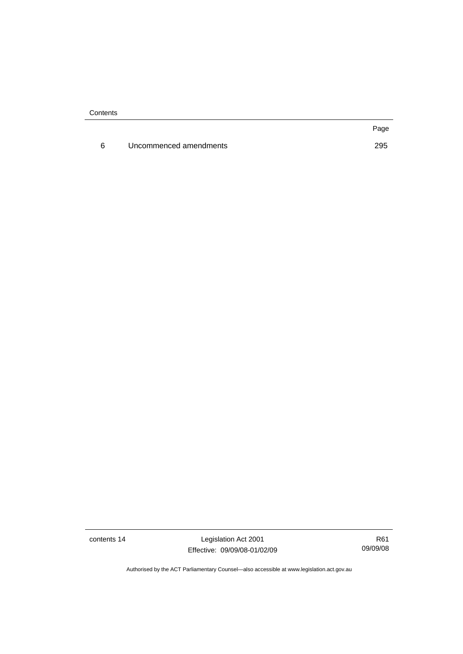**Contents** 

6 Uncommenced amendments [295](#page-310-0)

Page

contents 14 Legislation Act 2001 Effective: 09/09/08-01/02/09

R61 09/09/08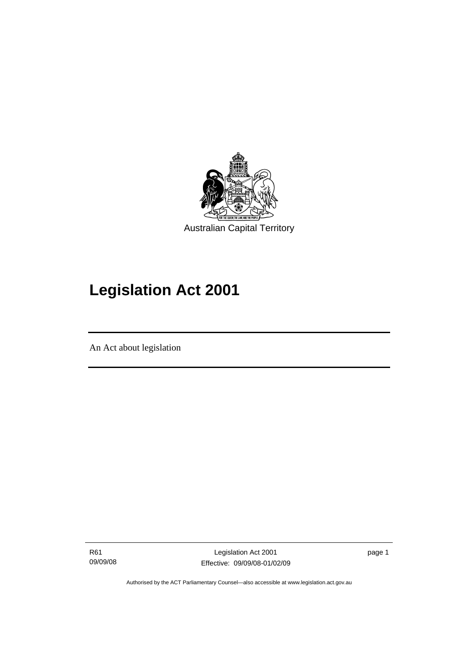<span id="page-16-0"></span>

# **Legislation Act 2001**

An Act about legislation

I

R61 09/09/08

Legislation Act 2001 Effective: 09/09/08-01/02/09 page 1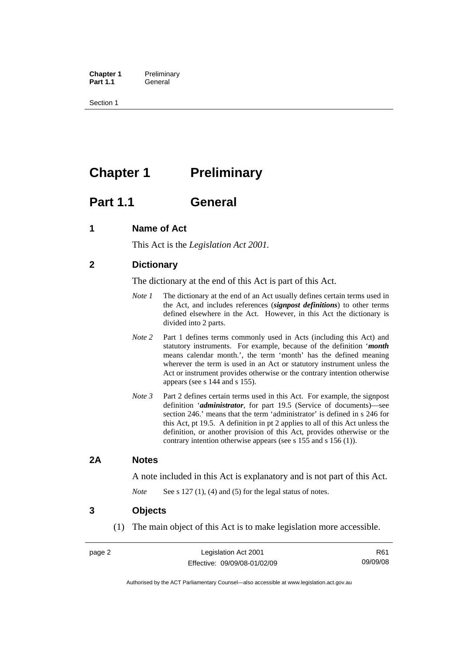<span id="page-17-0"></span>**Chapter 1** Preliminary<br>**Part 1.1** General General

Section 1

## **Chapter 1** Preliminary

## **Part 1.1 General**

## **1 Name of Act**

This Act is the *Legislation Act 2001.* 

## **2 Dictionary**

The dictionary at the end of this Act is part of this Act.

- *Note 1* The dictionary at the end of an Act usually defines certain terms used in the Act, and includes references (*signpost definitions*) to other terms defined elsewhere in the Act. However, in this Act the dictionary is divided into 2 parts.
- *Note* 2 Part 1 defines terms commonly used in Acts (including this Act) and statutory instruments. For example, because of the definition '*month* means calendar month.', the term 'month' has the defined meaning wherever the term is used in an Act or statutory instrument unless the Act or instrument provides otherwise or the contrary intention otherwise appears (see s 144 and s 155).
- *Note 3* Part 2 defines certain terms used in this Act. For example, the signpost definition '*administrator*, for part 19.5 (Service of documents)—see section 246.' means that the term 'administrator' is defined in s 246 for this Act, pt 19.5. A definition in pt 2 applies to all of this Act unless the definition, or another provision of this Act, provides otherwise or the contrary intention otherwise appears (see s 155 and s 156 (1)).

## **2A Notes**

A note included in this Act is explanatory and is not part of this Act.

*Note* See s 127 (1), (4) and (5) for the legal status of notes.

### **3 Objects**

(1) The main object of this Act is to make legislation more accessible.

R61 09/09/08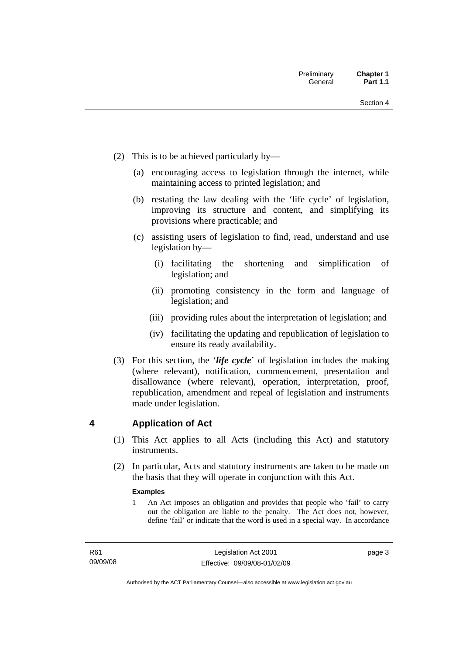- <span id="page-18-0"></span> (2) This is to be achieved particularly by—
	- (a) encouraging access to legislation through the internet, while maintaining access to printed legislation; and
	- (b) restating the law dealing with the 'life cycle' of legislation, improving its structure and content, and simplifying its provisions where practicable; and
	- (c) assisting users of legislation to find, read, understand and use legislation by—
		- (i) facilitating the shortening and simplification of legislation; and
		- (ii) promoting consistency in the form and language of legislation; and
		- (iii) providing rules about the interpretation of legislation; and
		- (iv) facilitating the updating and republication of legislation to ensure its ready availability.
- (3) For this section, the '*life cycle*' of legislation includes the making (where relevant), notification, commencement, presentation and disallowance (where relevant), operation, interpretation, proof, republication, amendment and repeal of legislation and instruments made under legislation.

## **4 Application of Act**

- (1) This Act applies to all Acts (including this Act) and statutory **instruments**
- (2) In particular, Acts and statutory instruments are taken to be made on the basis that they will operate in conjunction with this Act.

#### **Examples**

1 An Act imposes an obligation and provides that people who 'fail' to carry out the obligation are liable to the penalty. The Act does not, however, define 'fail' or indicate that the word is used in a special way. In accordance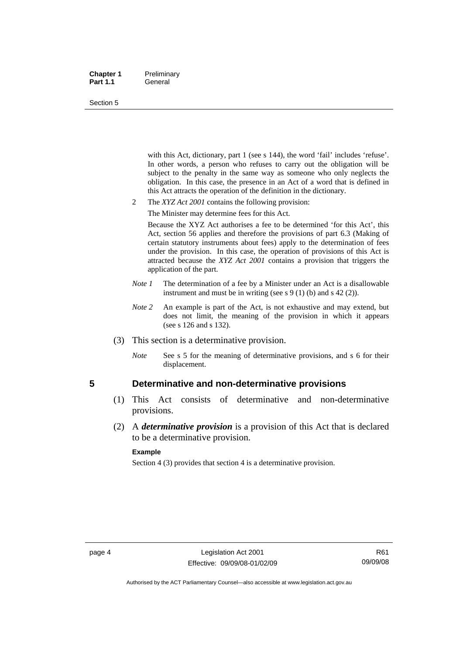#### <span id="page-19-0"></span>**Chapter 1** Preliminary Part 1.1 **General**

#### Section 5

with this Act, dictionary, part 1 (see s 144), the word 'fail' includes 'refuse'. In other words, a person who refuses to carry out the obligation will be subject to the penalty in the same way as someone who only neglects the obligation. In this case, the presence in an Act of a word that is defined in this Act attracts the operation of the definition in the dictionary.

- 2 The *XYZ Act 2001* contains the following provision:
	- The Minister may determine fees for this Act.

Because the XYZ Act authorises a fee to be determined 'for this Act', this Act, section 56 applies and therefore the provisions of part 6.3 (Making of certain statutory instruments about fees) apply to the determination of fees under the provision. In this case, the operation of provisions of this Act is attracted because the *XYZ Act 2001* contains a provision that triggers the application of the part.

- *Note 1* The determination of a fee by a Minister under an Act is a disallowable instrument and must be in writing (see s 9 (1) (b) and s 42 (2)).
- *Note* 2 An example is part of the Act, is not exhaustive and may extend, but does not limit, the meaning of the provision in which it appears (see s 126 and s 132).
- (3) This section is a determinative provision.
	- *Note* See s 5 for the meaning of determinative provisions, and s 6 for their displacement.

### **5 Determinative and non-determinative provisions**

- (1) This Act consists of determinative and non-determinative provisions.
- (2) A *determinative provision* is a provision of this Act that is declared to be a determinative provision.

#### **Example**

Section 4 (3) provides that section 4 is a determinative provision.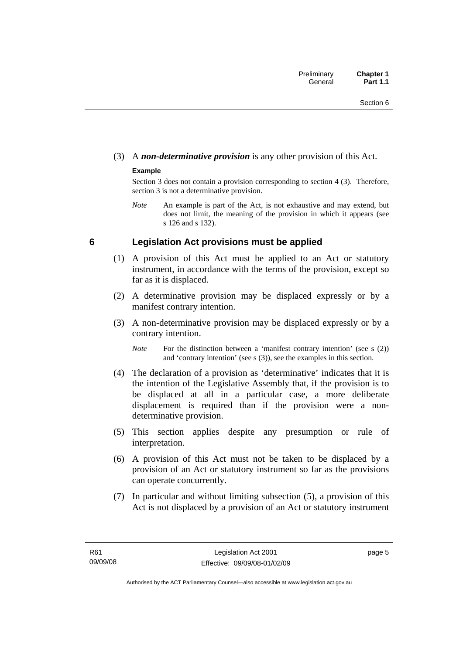## <span id="page-20-0"></span>(3) A *non-determinative provision* is any other provision of this Act.

### **Example**

Section 3 does not contain a provision corresponding to section 4 (3). Therefore, section 3 is not a determinative provision.

*Note* An example is part of the Act, is not exhaustive and may extend, but does not limit, the meaning of the provision in which it appears (see s 126 and s 132).

## **6 Legislation Act provisions must be applied**

- (1) A provision of this Act must be applied to an Act or statutory instrument, in accordance with the terms of the provision, except so far as it is displaced.
- (2) A determinative provision may be displaced expressly or by a manifest contrary intention.
- (3) A non-determinative provision may be displaced expressly or by a contrary intention.

*Note* For the distinction between a 'manifest contrary intention' (see s (2)) and 'contrary intention' (see s (3)), see the examples in this section.

- (4) The declaration of a provision as 'determinative' indicates that it is the intention of the Legislative Assembly that, if the provision is to be displaced at all in a particular case, a more deliberate displacement is required than if the provision were a nondeterminative provision.
- (5) This section applies despite any presumption or rule of interpretation.
- (6) A provision of this Act must not be taken to be displaced by a provision of an Act or statutory instrument so far as the provisions can operate concurrently.
- (7) In particular and without limiting subsection (5), a provision of this Act is not displaced by a provision of an Act or statutory instrument

page 5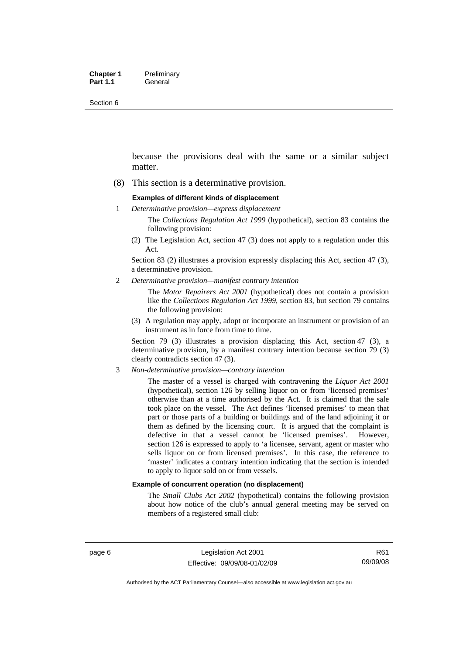Section 6

because the provisions deal with the same or a similar subject matter.

(8) This section is a determinative provision.

#### **Examples of different kinds of displacement**

1 *Determinative provision—express displacement*

The *Collections Regulation Act 1999* (hypothetical), section 83 contains the following provision:

(2) The Legislation Act, section 47 (3) does not apply to a regulation under this Act.

Section 83 (2) illustrates a provision expressly displacing this Act, section 47 (3), a determinative provision.

2 *Determinative provision—manifest contrary intention*

The *Motor Repairers Act 2001* (hypothetical) does not contain a provision like the *Collections Regulation Act 1999*, section 83, but section 79 contains the following provision:

(3) A regulation may apply, adopt or incorporate an instrument or provision of an instrument as in force from time to time.

Section 79 (3) illustrates a provision displacing this Act, section 47 (3), a determinative provision, by a manifest contrary intention because section 79 (3) clearly contradicts section 47 (3).

3 *Non-determinative provision—contrary intention*

The master of a vessel is charged with contravening the *Liquor Act 2001* (hypothetical), section 126 by selling liquor on or from 'licensed premises' otherwise than at a time authorised by the Act. It is claimed that the sale took place on the vessel. The Act defines 'licensed premises' to mean that part or those parts of a building or buildings and of the land adjoining it or them as defined by the licensing court. It is argued that the complaint is defective in that a vessel cannot be 'licensed premises'. However, section 126 is expressed to apply to 'a licensee, servant, agent or master who sells liquor on or from licensed premises'. In this case, the reference to 'master' indicates a contrary intention indicating that the section is intended to apply to liquor sold on or from vessels.

#### **Example of concurrent operation (no displacement)**

The *Small Clubs Act 2002* (hypothetical) contains the following provision about how notice of the club's annual general meeting may be served on members of a registered small club: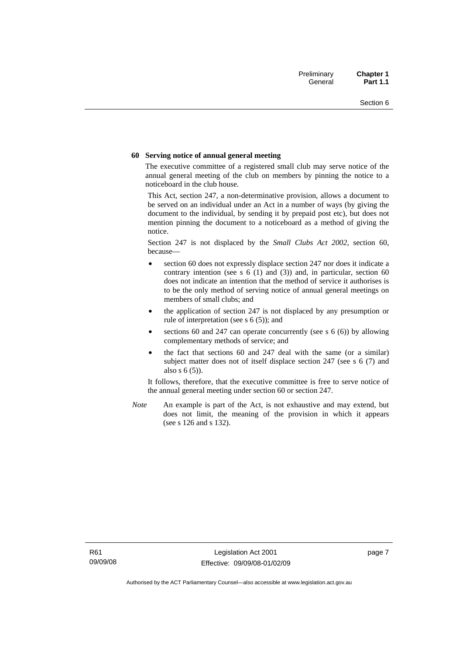#### **60 Serving notice of annual general meeting**

The executive committee of a registered small club may serve notice of the annual general meeting of the club on members by pinning the notice to a noticeboard in the club house.

This Act, section 247, a non-determinative provision, allows a document to be served on an individual under an Act in a number of ways (by giving the document to the individual, by sending it by prepaid post etc), but does not mention pinning the document to a noticeboard as a method of giving the notice.

Section 247 is not displaced by the *Small Clubs Act 2002*, section 60, because—

- section 60 does not expressly displace section 247 nor does it indicate a contrary intention (see s  $6(1)$  and  $(3)$ ) and, in particular, section  $60$ does not indicate an intention that the method of service it authorises is to be the only method of serving notice of annual general meetings on members of small clubs; and
- the application of section 247 is not displaced by any presumption or rule of interpretation (see s 6 (5)); and
- sections 60 and 247 can operate concurrently (see s  $6(6)$ ) by allowing complementary methods of service; and
- the fact that sections 60 and 247 deal with the same (or a similar) subject matter does not of itself displace section 247 (see s 6 (7) and also s 6 (5)).

It follows, therefore, that the executive committee is free to serve notice of the annual general meeting under section 60 or section 247.

*Note* An example is part of the Act, is not exhaustive and may extend, but does not limit, the meaning of the provision in which it appears (see s 126 and s 132).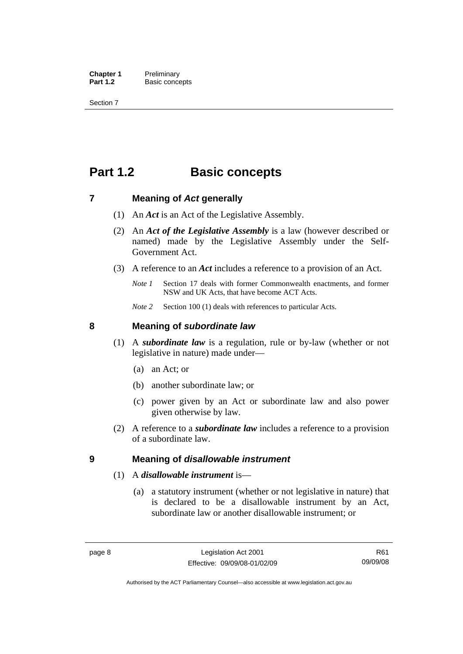<span id="page-23-0"></span>**Chapter 1** Preliminary<br>**Part 1.2** Basic conce **Basic concepts** 

Section 7

## **Part 1.2 Basic concepts**

### **7 Meaning of** *Act* **generally**

- (1) An *Act* is an Act of the Legislative Assembly.
- (2) An *Act of the Legislative Assembly* is a law (however described or named) made by the Legislative Assembly under the Self-Government Act.
- (3) A reference to an *Act* includes a reference to a provision of an Act.
	- *Note 1* Section 17 deals with former Commonwealth enactments, and former NSW and UK Acts, that have become ACT Acts.
	- *Note 2* Section 100 (1) deals with references to particular Acts.

### **8 Meaning of** *subordinate law*

- (1) A *subordinate law* is a regulation, rule or by-law (whether or not legislative in nature) made under—
	- (a) an Act; or
	- (b) another subordinate law; or
	- (c) power given by an Act or subordinate law and also power given otherwise by law.
- (2) A reference to a *subordinate law* includes a reference to a provision of a subordinate law.

### **9 Meaning of** *disallowable instrument*

### (1) A *disallowable instrument* is—

 (a) a statutory instrument (whether or not legislative in nature) that is declared to be a disallowable instrument by an Act, subordinate law or another disallowable instrument; or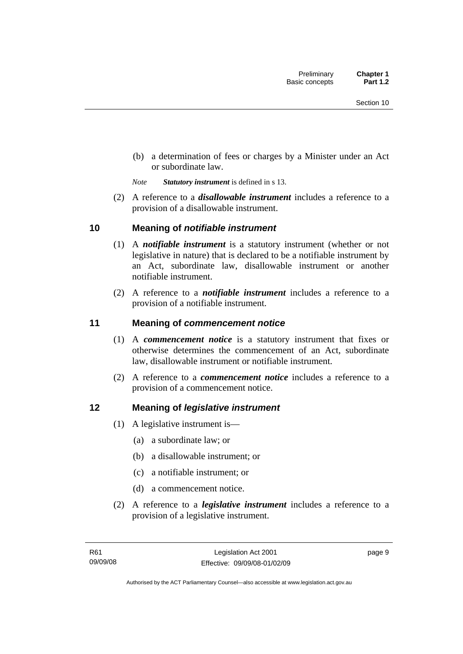<span id="page-24-0"></span> (b) a determination of fees or charges by a Minister under an Act or subordinate law.

*Note Statutory instrument* is defined in s 13.

 (2) A reference to a *disallowable instrument* includes a reference to a provision of a disallowable instrument.

## **10 Meaning of** *notifiable instrument*

- (1) A *notifiable instrument* is a statutory instrument (whether or not legislative in nature) that is declared to be a notifiable instrument by an Act, subordinate law, disallowable instrument or another notifiable instrument.
- (2) A reference to a *notifiable instrument* includes a reference to a provision of a notifiable instrument.

## **11 Meaning of** *commencement notice*

- (1) A *commencement notice* is a statutory instrument that fixes or otherwise determines the commencement of an Act, subordinate law, disallowable instrument or notifiable instrument.
- (2) A reference to a *commencement notice* includes a reference to a provision of a commencement notice.

## **12 Meaning of** *legislative instrument*

- (1) A legislative instrument is—
	- (a) a subordinate law; or
	- (b) a disallowable instrument; or
	- (c) a notifiable instrument; or
	- (d) a commencement notice.
- (2) A reference to a *legislative instrument* includes a reference to a provision of a legislative instrument.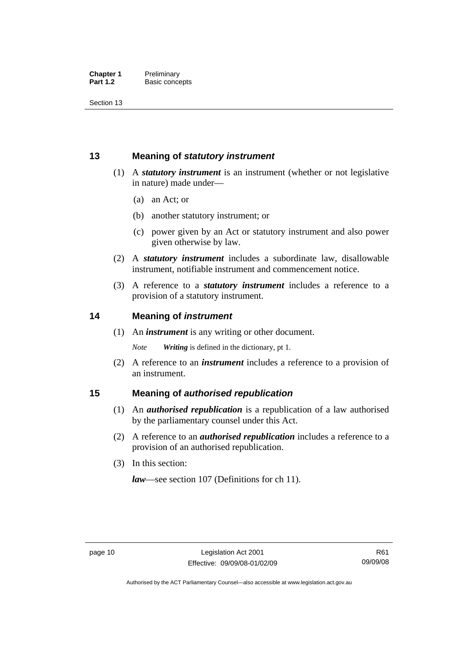<span id="page-25-0"></span>Section 13

## **13 Meaning of** *statutory instrument*

- (1) A *statutory instrument* is an instrument (whether or not legislative in nature) made under—
	- (a) an Act; or
	- (b) another statutory instrument; or
	- (c) power given by an Act or statutory instrument and also power given otherwise by law.
- (2) A *statutory instrument* includes a subordinate law, disallowable instrument, notifiable instrument and commencement notice.
- (3) A reference to a *statutory instrument* includes a reference to a provision of a statutory instrument.

## **14 Meaning of** *instrument*

(1) An *instrument* is any writing or other document.

*Note Writing* is defined in the dictionary, pt 1.

 (2) A reference to an *instrument* includes a reference to a provision of an instrument.

## **15 Meaning of** *authorised republication*

- (1) An *authorised republication* is a republication of a law authorised by the parliamentary counsel under this Act.
- (2) A reference to an *authorised republication* includes a reference to a provision of an authorised republication.
- (3) In this section:

*law*—see section 107 (Definitions for ch 11).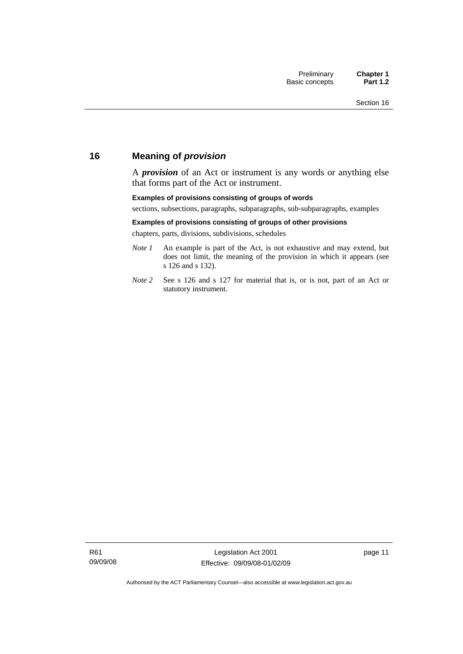## <span id="page-26-0"></span>**16 Meaning of** *provision*

A *provision* of an Act or instrument is any words or anything else that forms part of the Act or instrument.

#### **Examples of provisions consisting of groups of words**

sections, subsections, paragraphs, subparagraphs, sub-subparagraphs, examples

#### **Examples of provisions consisting of groups of other provisions**

chapters, parts, divisions, subdivisions, schedules

- *Note 1* An example is part of the Act, is not exhaustive and may extend, but does not limit, the meaning of the provision in which it appears (see s 126 and s 132).
- *Note 2* See s 126 and s 127 for material that is, or is not, part of an Act or statutory instrument.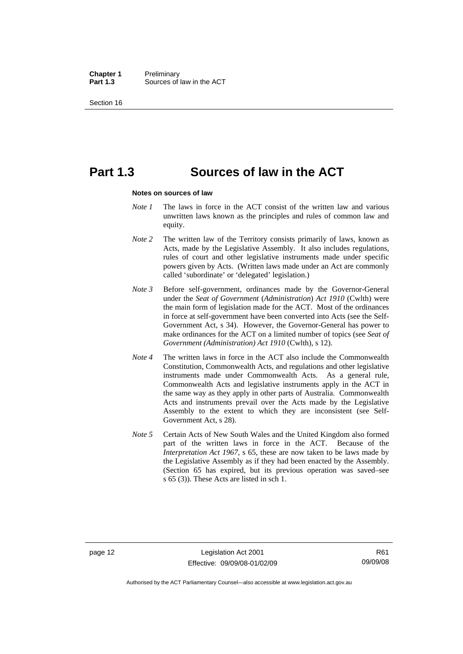**Chapter 1** Preliminary<br>**Part 1.3** Sources of Sources of law in the ACT

Section 16

## **Part 1.3 Sources of law in the ACT**

#### **Notes on sources of law**

- *Note 1* The laws in force in the ACT consist of the written law and various unwritten laws known as the principles and rules of common law and equity.
- *Note* 2 The written law of the Territory consists primarily of laws, known as Acts, made by the Legislative Assembly. It also includes regulations, rules of court and other legislative instruments made under specific powers given by Acts. (Written laws made under an Act are commonly called 'subordinate' or 'delegated' legislation.)
- *Note 3* Before self-government, ordinances made by the Governor-General under the *Seat of Government* (*Administration*) *Act 1910* (Cwlth) were the main form of legislation made for the ACT. Most of the ordinances in force at self-government have been converted into Acts (see the Self-Government Act, s 34). However, the Governor-General has power to make ordinances for the ACT on a limited number of topics (see *Seat of Government (Administration) Act 1910* (Cwlth), s 12).
- *Note 4* The written laws in force in the ACT also include the Commonwealth Constitution, Commonwealth Acts, and regulations and other legislative instruments made under Commonwealth Acts. As a general rule, Commonwealth Acts and legislative instruments apply in the ACT in the same way as they apply in other parts of Australia. Commonwealth Acts and instruments prevail over the Acts made by the Legislative Assembly to the extent to which they are inconsistent (see Self-Government Act, s 28).
- *Note 5* Certain Acts of New South Wales and the United Kingdom also formed part of the written laws in force in the ACT. Because of the *Interpretation Act 1967*, s 65, these are now taken to be laws made by the Legislative Assembly as if they had been enacted by the Assembly. (Section 65 has expired, but its previous operation was saved–see s 65 (3)). These Acts are listed in sch 1.

Authorised by the ACT Parliamentary Counsel—also accessible at www.legislation.act.gov.au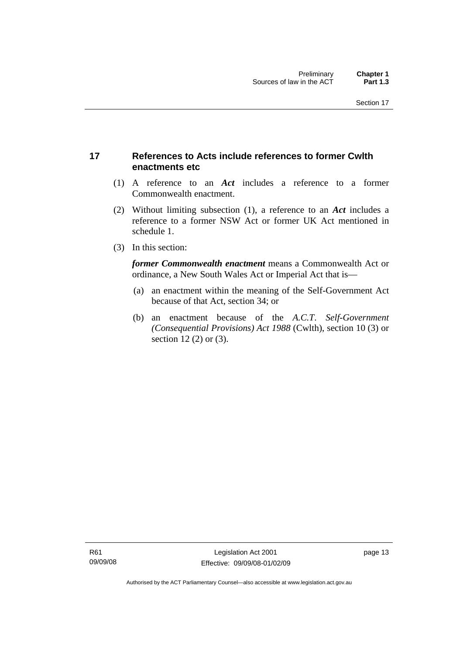## <span id="page-28-0"></span>**17 References to Acts include references to former Cwlth enactments etc**

- (1) A reference to an *Act* includes a reference to a former Commonwealth enactment.
- (2) Without limiting subsection (1), a reference to an *Act* includes a reference to a former NSW Act or former UK Act mentioned in schedule 1.
- (3) In this section:

*former Commonwealth enactment* means a Commonwealth Act or ordinance, a New South Wales Act or Imperial Act that is—

- (a) an enactment within the meaning of the Self-Government Act because of that Act, section 34; or
- (b) an enactment because of the *A.C.T*. *Self-Government (Consequential Provisions) Act 1988* (Cwlth), section 10 (3) or section 12 (2) or (3).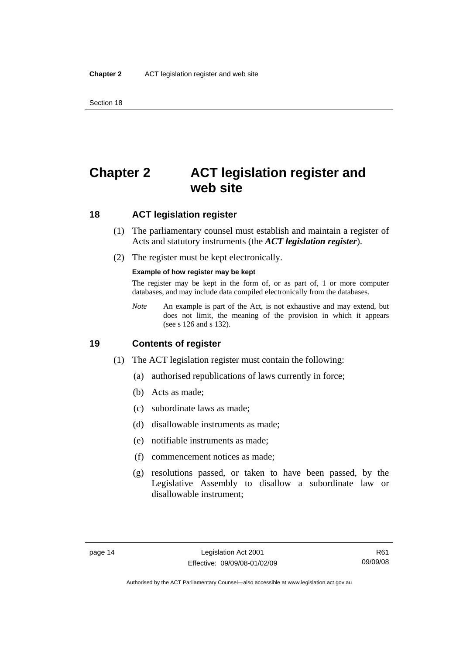<span id="page-29-0"></span>Section 18

## **Chapter 2 ACT legislation register and web site**

## **18 ACT legislation register**

- (1) The parliamentary counsel must establish and maintain a register of Acts and statutory instruments (the *ACT legislation register*).
- (2) The register must be kept electronically.

#### **Example of how register may be kept**

The register may be kept in the form of, or as part of, 1 or more computer databases, and may include data compiled electronically from the databases.

*Note* An example is part of the Act, is not exhaustive and may extend, but does not limit, the meaning of the provision in which it appears (see s 126 and s 132).

## **19 Contents of register**

- (1) The ACT legislation register must contain the following:
	- (a) authorised republications of laws currently in force;
	- (b) Acts as made;
	- (c) subordinate laws as made;
	- (d) disallowable instruments as made;
	- (e) notifiable instruments as made;
	- (f) commencement notices as made;
	- (g) resolutions passed, or taken to have been passed, by the Legislative Assembly to disallow a subordinate law or disallowable instrument;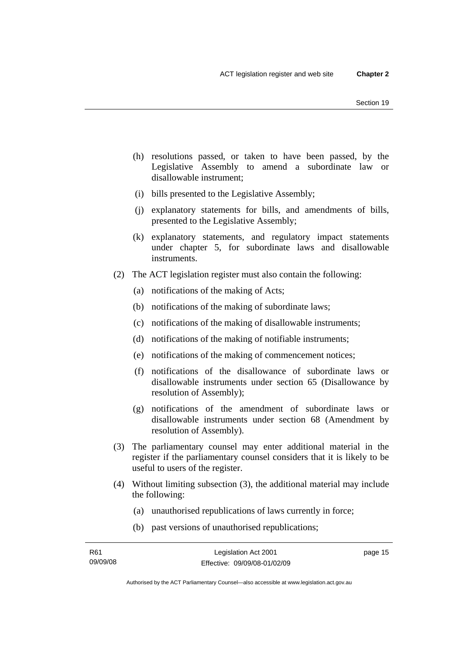- (h) resolutions passed, or taken to have been passed, by the Legislative Assembly to amend a subordinate law or disallowable instrument;
- (i) bills presented to the Legislative Assembly;
- (j) explanatory statements for bills, and amendments of bills, presented to the Legislative Assembly;
- (k) explanatory statements, and regulatory impact statements under chapter 5, for subordinate laws and disallowable instruments.
- (2) The ACT legislation register must also contain the following:
	- (a) notifications of the making of Acts;
	- (b) notifications of the making of subordinate laws;
	- (c) notifications of the making of disallowable instruments;
	- (d) notifications of the making of notifiable instruments;
	- (e) notifications of the making of commencement notices;
	- (f) notifications of the disallowance of subordinate laws or disallowable instruments under section 65 (Disallowance by resolution of Assembly);
	- (g) notifications of the amendment of subordinate laws or disallowable instruments under section 68 (Amendment by resolution of Assembly).
- (3) The parliamentary counsel may enter additional material in the register if the parliamentary counsel considers that it is likely to be useful to users of the register.
- (4) Without limiting subsection (3), the additional material may include the following:
	- (a) unauthorised republications of laws currently in force;
	- (b) past versions of unauthorised republications;

page 15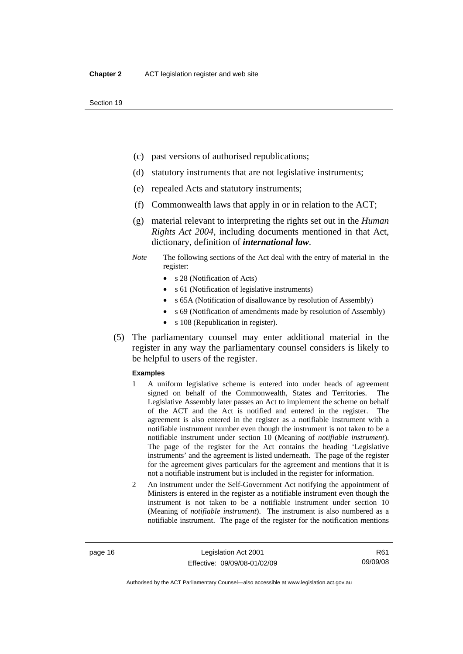- (c) past versions of authorised republications;
- (d) statutory instruments that are not legislative instruments;
- (e) repealed Acts and statutory instruments;
- (f) Commonwealth laws that apply in or in relation to the ACT;
- (g) material relevant to interpreting the rights set out in the *Human Rights Act 2004*, including documents mentioned in that Act, dictionary, definition of *international law*.
- *Note* The following sections of the Act deal with the entry of material in the register:
	- s 28 (Notification of Acts)
	- s 61 (Notification of legislative instruments)
	- s 65A (Notification of disallowance by resolution of Assembly)
	- s 69 (Notification of amendments made by resolution of Assembly)
	- s 108 (Republication in register).
- (5) The parliamentary counsel may enter additional material in the register in any way the parliamentary counsel considers is likely to be helpful to users of the register.

#### **Examples**

- 1 A uniform legislative scheme is entered into under heads of agreement signed on behalf of the Commonwealth, States and Territories. The Legislative Assembly later passes an Act to implement the scheme on behalf of the ACT and the Act is notified and entered in the register. The agreement is also entered in the register as a notifiable instrument with a notifiable instrument number even though the instrument is not taken to be a notifiable instrument under section 10 (Meaning of *notifiable instrument*). The page of the register for the Act contains the heading 'Legislative instruments' and the agreement is listed underneath. The page of the register for the agreement gives particulars for the agreement and mentions that it is not a notifiable instrument but is included in the register for information.
- 2 An instrument under the Self-Government Act notifying the appointment of Ministers is entered in the register as a notifiable instrument even though the instrument is not taken to be a notifiable instrument under section 10 (Meaning of *notifiable instrument*). The instrument is also numbered as a notifiable instrument. The page of the register for the notification mentions

R61 09/09/08

Authorised by the ACT Parliamentary Counsel—also accessible at www.legislation.act.gov.au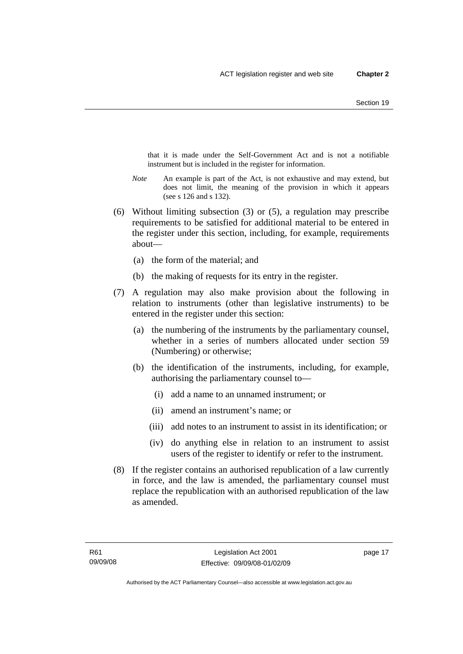that it is made under the Self-Government Act and is not a notifiable instrument but is included in the register for information.

- *Note* An example is part of the Act, is not exhaustive and may extend, but does not limit, the meaning of the provision in which it appears (see s 126 and s 132).
- (6) Without limiting subsection (3) or (5), a regulation may prescribe requirements to be satisfied for additional material to be entered in the register under this section, including, for example, requirements about—
	- (a) the form of the material; and
	- (b) the making of requests for its entry in the register.
- (7) A regulation may also make provision about the following in relation to instruments (other than legislative instruments) to be entered in the register under this section:
	- (a) the numbering of the instruments by the parliamentary counsel, whether in a series of numbers allocated under section 59 (Numbering) or otherwise;
	- (b) the identification of the instruments, including, for example, authorising the parliamentary counsel to—
		- (i) add a name to an unnamed instrument; or
		- (ii) amend an instrument's name; or
		- (iii) add notes to an instrument to assist in its identification; or
		- (iv) do anything else in relation to an instrument to assist users of the register to identify or refer to the instrument.
- (8) If the register contains an authorised republication of a law currently in force, and the law is amended, the parliamentary counsel must replace the republication with an authorised republication of the law as amended.

page 17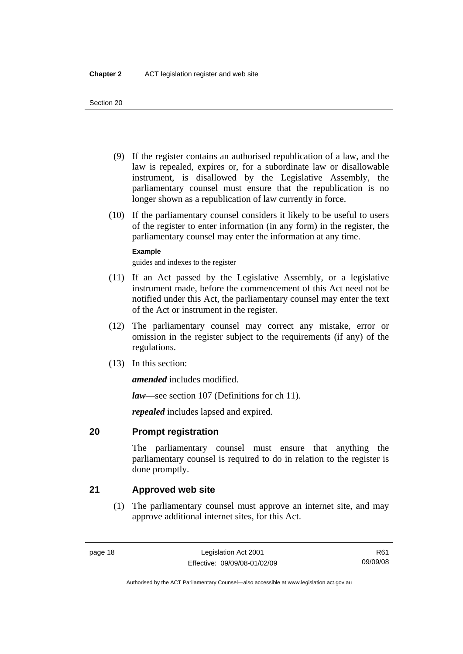- <span id="page-33-0"></span> (9) If the register contains an authorised republication of a law, and the law is repealed, expires or, for a subordinate law or disallowable instrument, is disallowed by the Legislative Assembly, the parliamentary counsel must ensure that the republication is no longer shown as a republication of law currently in force.
- (10) If the parliamentary counsel considers it likely to be useful to users of the register to enter information (in any form) in the register, the parliamentary counsel may enter the information at any time.

### **Example**

guides and indexes to the register

- (11) If an Act passed by the Legislative Assembly, or a legislative instrument made, before the commencement of this Act need not be notified under this Act, the parliamentary counsel may enter the text of the Act or instrument in the register.
- (12) The parliamentary counsel may correct any mistake, error or omission in the register subject to the requirements (if any) of the regulations.
- (13) In this section:

*amended* includes modified.

*law*—see section 107 (Definitions for ch 11).

*repealed* includes lapsed and expired.

## **20 Prompt registration**

The parliamentary counsel must ensure that anything the parliamentary counsel is required to do in relation to the register is done promptly.

## **21 Approved web site**

 (1) The parliamentary counsel must approve an internet site, and may approve additional internet sites, for this Act.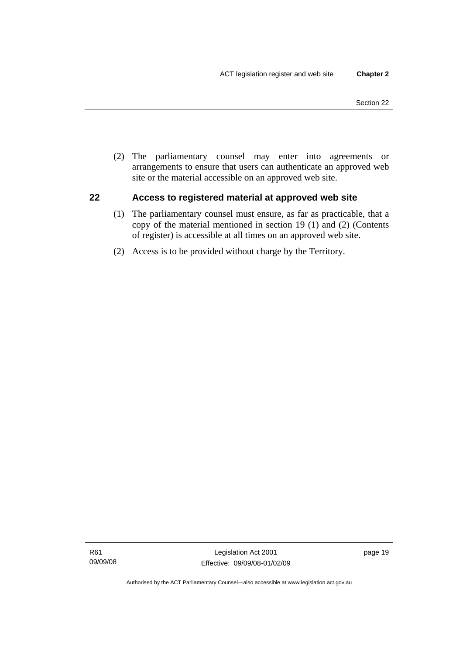<span id="page-34-0"></span> (2) The parliamentary counsel may enter into agreements or arrangements to ensure that users can authenticate an approved web site or the material accessible on an approved web site.

## **22 Access to registered material at approved web site**

- (1) The parliamentary counsel must ensure, as far as practicable, that a copy of the material mentioned in section 19 (1) and (2) (Contents of register) is accessible at all times on an approved web site.
- (2) Access is to be provided without charge by the Territory.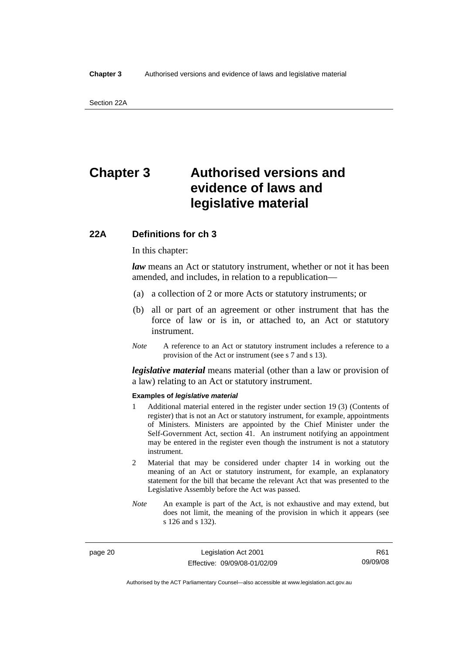## <span id="page-35-0"></span>**Chapter 3 Authorised versions and evidence of laws and legislative material**

## **22A Definitions for ch 3**

In this chapter:

*law* means an Act or statutory instrument, whether or not it has been amended, and includes, in relation to a republication—

- (a) a collection of 2 or more Acts or statutory instruments; or
- (b) all or part of an agreement or other instrument that has the force of law or is in, or attached to, an Act or statutory instrument.
- *Note* A reference to an Act or statutory instrument includes a reference to a provision of the Act or instrument (see s 7 and s 13).

*legislative material* means material (other than a law or provision of a law) relating to an Act or statutory instrument.

#### **Examples of** *legislative material*

- 1 Additional material entered in the register under section 19 (3) (Contents of register) that is not an Act or statutory instrument, for example, appointments of Ministers. Ministers are appointed by the Chief Minister under the Self-Government Act, section 41. An instrument notifying an appointment may be entered in the register even though the instrument is not a statutory instrument.
- 2 Material that may be considered under chapter 14 in working out the meaning of an Act or statutory instrument, for example, an explanatory statement for the bill that became the relevant Act that was presented to the Legislative Assembly before the Act was passed.
- *Note* An example is part of the Act, is not exhaustive and may extend, but does not limit, the meaning of the provision in which it appears (see s 126 and s 132).

page 20 Legislation Act 2001 Effective: 09/09/08-01/02/09

R61 09/09/08

Authorised by the ACT Parliamentary Counsel—also accessible at www.legislation.act.gov.au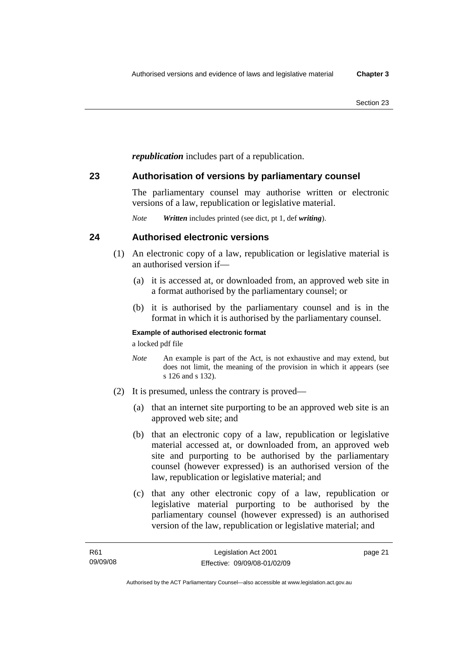*republication* includes part of a republication.

## **23 Authorisation of versions by parliamentary counsel**

The parliamentary counsel may authorise written or electronic versions of a law, republication or legislative material.

*Note Written* includes printed (see dict, pt 1, def *writing*).

## **24 Authorised electronic versions**

- (1) An electronic copy of a law, republication or legislative material is an authorised version if—
	- (a) it is accessed at, or downloaded from, an approved web site in a format authorised by the parliamentary counsel; or
	- (b) it is authorised by the parliamentary counsel and is in the format in which it is authorised by the parliamentary counsel.

#### **Example of authorised electronic format**

a locked pdf file

- *Note* An example is part of the Act, is not exhaustive and may extend, but does not limit, the meaning of the provision in which it appears (see s 126 and s 132).
- (2) It is presumed, unless the contrary is proved—
	- (a) that an internet site purporting to be an approved web site is an approved web site; and
	- (b) that an electronic copy of a law, republication or legislative material accessed at, or downloaded from, an approved web site and purporting to be authorised by the parliamentary counsel (however expressed) is an authorised version of the law, republication or legislative material; and
	- (c) that any other electronic copy of a law, republication or legislative material purporting to be authorised by the parliamentary counsel (however expressed) is an authorised version of the law, republication or legislative material; and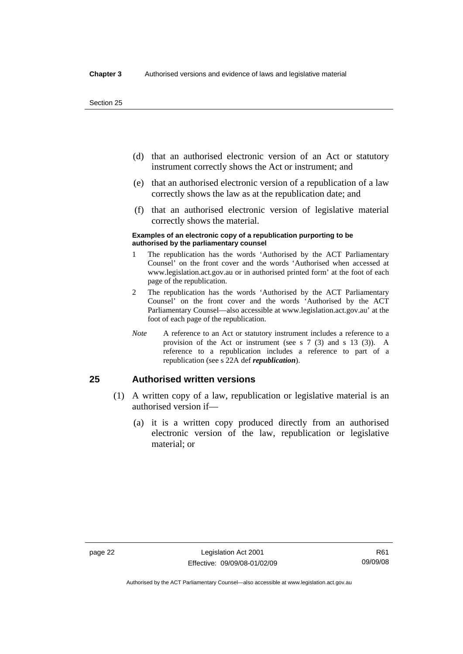- (d) that an authorised electronic version of an Act or statutory instrument correctly shows the Act or instrument; and
- (e) that an authorised electronic version of a republication of a law correctly shows the law as at the republication date; and
- (f) that an authorised electronic version of legislative material correctly shows the material.

#### **Examples of an electronic copy of a republication purporting to be authorised by the parliamentary counsel**

- 1 The republication has the words 'Authorised by the ACT Parliamentary Counsel' on the front cover and the words 'Authorised when accessed at www.legislation.act.gov.au or in authorised printed form' at the foot of each page of the republication.
- 2 The republication has the words 'Authorised by the ACT Parliamentary Counsel' on the front cover and the words 'Authorised by the ACT Parliamentary Counsel—also accessible at www.legislation.act.gov.au' at the foot of each page of the republication.
- *Note* A reference to an Act or statutory instrument includes a reference to a provision of the Act or instrument (see s 7 (3) and s 13 (3)). A reference to a republication includes a reference to part of a republication (see s 22A def *republication*).

## **25 Authorised written versions**

- (1) A written copy of a law, republication or legislative material is an authorised version if—
	- (a) it is a written copy produced directly from an authorised electronic version of the law, republication or legislative material; or

Authorised by the ACT Parliamentary Counsel—also accessible at www.legislation.act.gov.au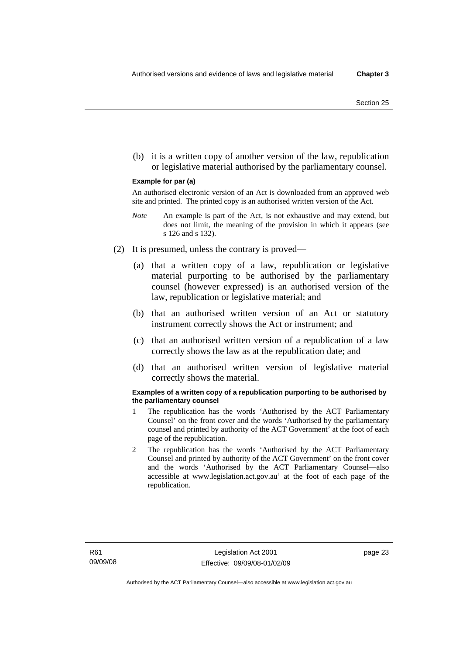(b) it is a written copy of another version of the law, republication or legislative material authorised by the parliamentary counsel.

#### **Example for par (a)**

An authorised electronic version of an Act is downloaded from an approved web site and printed. The printed copy is an authorised written version of the Act.

- *Note* An example is part of the Act, is not exhaustive and may extend, but does not limit, the meaning of the provision in which it appears (see s 126 and s 132).
- (2) It is presumed, unless the contrary is proved—
	- (a) that a written copy of a law, republication or legislative material purporting to be authorised by the parliamentary counsel (however expressed) is an authorised version of the law, republication or legislative material; and
	- (b) that an authorised written version of an Act or statutory instrument correctly shows the Act or instrument; and
	- (c) that an authorised written version of a republication of a law correctly shows the law as at the republication date; and
	- (d) that an authorised written version of legislative material correctly shows the material.

#### **Examples of a written copy of a republication purporting to be authorised by the parliamentary counsel**

- 1 The republication has the words 'Authorised by the ACT Parliamentary Counsel' on the front cover and the words 'Authorised by the parliamentary counsel and printed by authority of the ACT Government' at the foot of each page of the republication.
- 2 The republication has the words 'Authorised by the ACT Parliamentary Counsel and printed by authority of the ACT Government' on the front cover and the words 'Authorised by the ACT Parliamentary Counsel—also accessible at www.legislation.act.gov.au' at the foot of each page of the republication.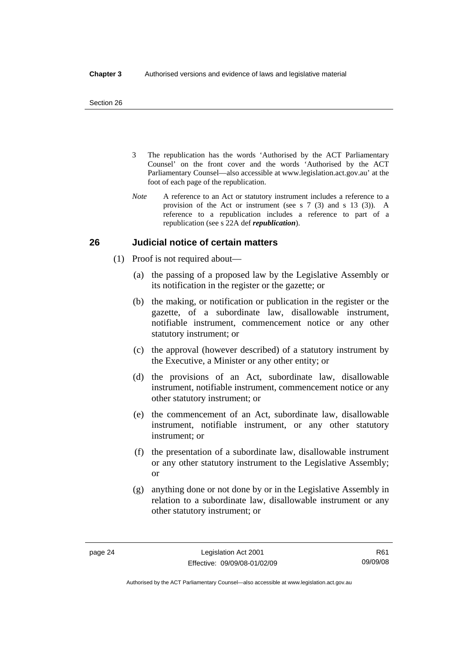- 3 The republication has the words 'Authorised by the ACT Parliamentary Counsel' on the front cover and the words 'Authorised by the ACT Parliamentary Counsel—also accessible at www.legislation.act.gov.au' at the foot of each page of the republication.
- *Note* A reference to an Act or statutory instrument includes a reference to a provision of the Act or instrument (see s 7 (3) and s 13 (3)). A reference to a republication includes a reference to part of a republication (see s 22A def *republication*).

## **26 Judicial notice of certain matters**

- (1) Proof is not required about—
	- (a) the passing of a proposed law by the Legislative Assembly or its notification in the register or the gazette; or
	- (b) the making, or notification or publication in the register or the gazette, of a subordinate law, disallowable instrument, notifiable instrument, commencement notice or any other statutory instrument; or
	- (c) the approval (however described) of a statutory instrument by the Executive, a Minister or any other entity; or
	- (d) the provisions of an Act, subordinate law, disallowable instrument, notifiable instrument, commencement notice or any other statutory instrument; or
	- (e) the commencement of an Act, subordinate law, disallowable instrument, notifiable instrument, or any other statutory instrument; or
	- (f) the presentation of a subordinate law, disallowable instrument or any other statutory instrument to the Legislative Assembly; or
	- (g) anything done or not done by or in the Legislative Assembly in relation to a subordinate law, disallowable instrument or any other statutory instrument; or

R61 09/09/08

Authorised by the ACT Parliamentary Counsel—also accessible at www.legislation.act.gov.au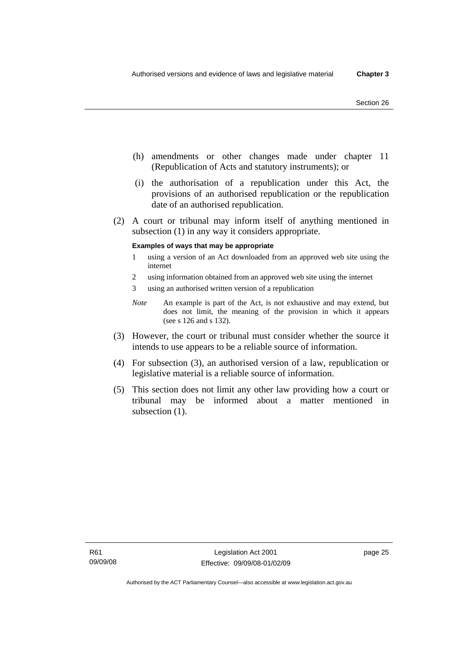- (h) amendments or other changes made under chapter 11 (Republication of Acts and statutory instruments); or
- (i) the authorisation of a republication under this Act, the provisions of an authorised republication or the republication date of an authorised republication.
- (2) A court or tribunal may inform itself of anything mentioned in subsection (1) in any way it considers appropriate.

#### **Examples of ways that may be appropriate**

- 1 using a version of an Act downloaded from an approved web site using the internet
- 2 using information obtained from an approved web site using the internet
- 3 using an authorised written version of a republication
- *Note* An example is part of the Act, is not exhaustive and may extend, but does not limit, the meaning of the provision in which it appears (see s 126 and s 132).
- (3) However, the court or tribunal must consider whether the source it intends to use appears to be a reliable source of information.
- (4) For subsection (3), an authorised version of a law, republication or legislative material is a reliable source of information.
- (5) This section does not limit any other law providing how a court or tribunal may be informed about a matter mentioned in subsection  $(1)$ .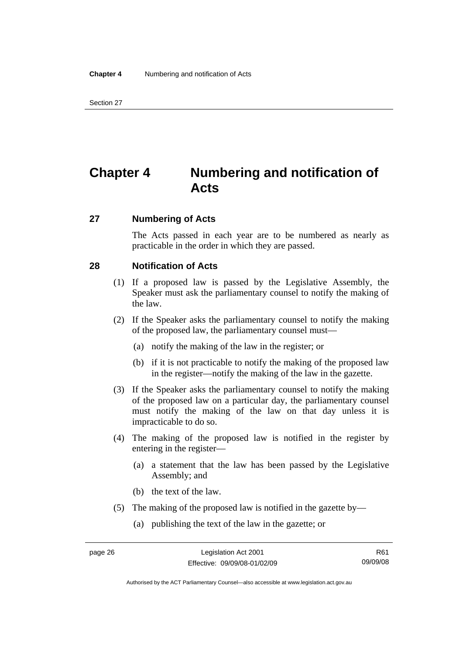## **Chapter 4 Numbering and notification of Acts**

#### **27 Numbering of Acts**

The Acts passed in each year are to be numbered as nearly as practicable in the order in which they are passed.

## **28 Notification of Acts**

- (1) If a proposed law is passed by the Legislative Assembly, the Speaker must ask the parliamentary counsel to notify the making of the law.
- (2) If the Speaker asks the parliamentary counsel to notify the making of the proposed law, the parliamentary counsel must—
	- (a) notify the making of the law in the register; or
	- (b) if it is not practicable to notify the making of the proposed law in the register—notify the making of the law in the gazette.
- (3) If the Speaker asks the parliamentary counsel to notify the making of the proposed law on a particular day, the parliamentary counsel must notify the making of the law on that day unless it is impracticable to do so.
- (4) The making of the proposed law is notified in the register by entering in the register—
	- (a) a statement that the law has been passed by the Legislative Assembly; and
	- (b) the text of the law.
- (5) The making of the proposed law is notified in the gazette by—
	- (a) publishing the text of the law in the gazette; or

Authorised by the ACT Parliamentary Counsel—also accessible at www.legislation.act.gov.au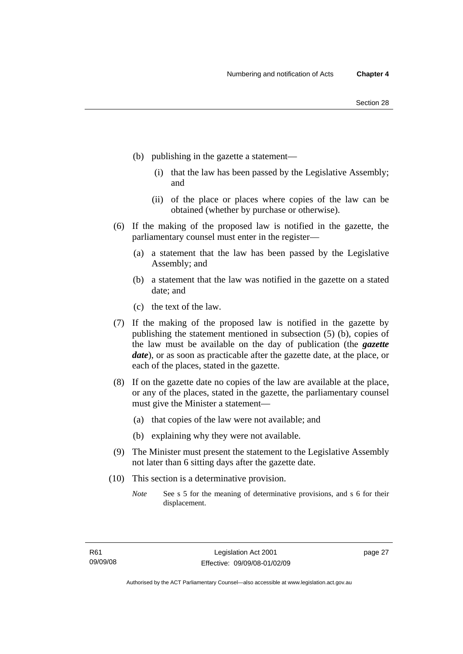- (b) publishing in the gazette a statement—
	- (i) that the law has been passed by the Legislative Assembly; and
	- (ii) of the place or places where copies of the law can be obtained (whether by purchase or otherwise).
- (6) If the making of the proposed law is notified in the gazette, the parliamentary counsel must enter in the register—
	- (a) a statement that the law has been passed by the Legislative Assembly; and
	- (b) a statement that the law was notified in the gazette on a stated date; and
	- (c) the text of the law.
- (7) If the making of the proposed law is notified in the gazette by publishing the statement mentioned in subsection (5) (b), copies of the law must be available on the day of publication (the *gazette date*), or as soon as practicable after the gazette date, at the place, or each of the places, stated in the gazette.
- (8) If on the gazette date no copies of the law are available at the place, or any of the places, stated in the gazette, the parliamentary counsel must give the Minister a statement—
	- (a) that copies of the law were not available; and
	- (b) explaining why they were not available.
- (9) The Minister must present the statement to the Legislative Assembly not later than 6 sitting days after the gazette date.
- (10) This section is a determinative provision.
	- *Note* See s 5 for the meaning of determinative provisions, and s 6 for their displacement.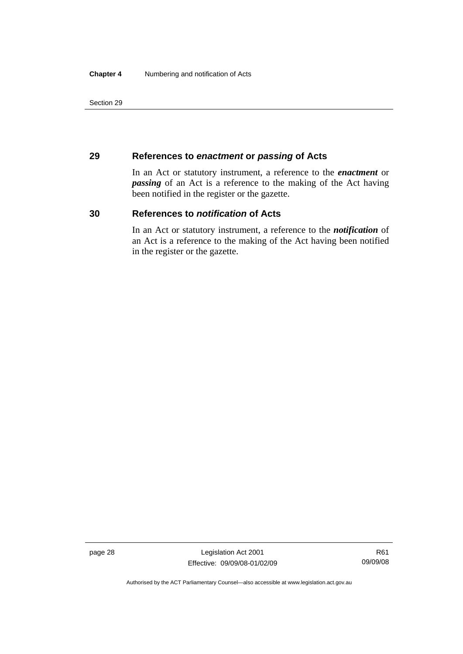## **29 References to** *enactment* **or** *passing* **of Acts**

In an Act or statutory instrument, a reference to the *enactment* or *passing* of an Act is a reference to the making of the Act having been notified in the register or the gazette.

## **30 References to** *notification* **of Acts**

In an Act or statutory instrument, a reference to the *notification* of an Act is a reference to the making of the Act having been notified in the register or the gazette.

page 28 Legislation Act 2001 Effective: 09/09/08-01/02/09

Authorised by the ACT Parliamentary Counsel—also accessible at www.legislation.act.gov.au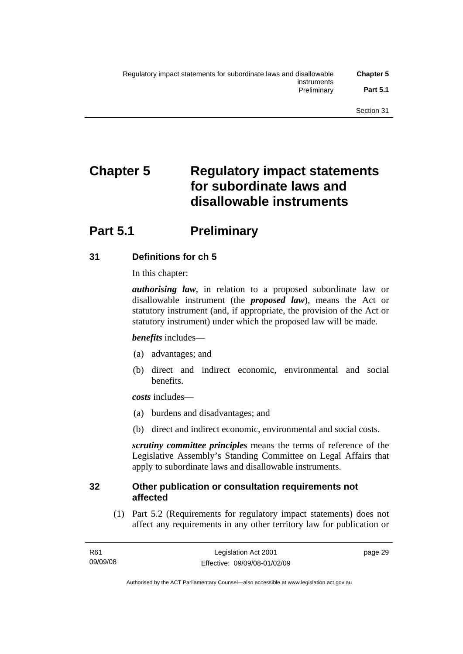# **Chapter 5 Regulatory impact statements for subordinate laws and disallowable instruments**

## **Part 5.1** Preliminary

## **31 Definitions for ch 5**

In this chapter:

*authorising law*, in relation to a proposed subordinate law or disallowable instrument (the *proposed law*), means the Act or statutory instrument (and, if appropriate, the provision of the Act or statutory instrument) under which the proposed law will be made.

## *benefits* includes—

- (a) advantages; and
- (b) direct and indirect economic, environmental and social benefits.

*costs* includes—

- (a) burdens and disadvantages; and
- (b) direct and indirect economic, environmental and social costs.

*scrutiny committee principles* means the terms of reference of the Legislative Assembly's Standing Committee on Legal Affairs that apply to subordinate laws and disallowable instruments.

## **32 Other publication or consultation requirements not affected**

 (1) Part 5.2 (Requirements for regulatory impact statements) does not affect any requirements in any other territory law for publication or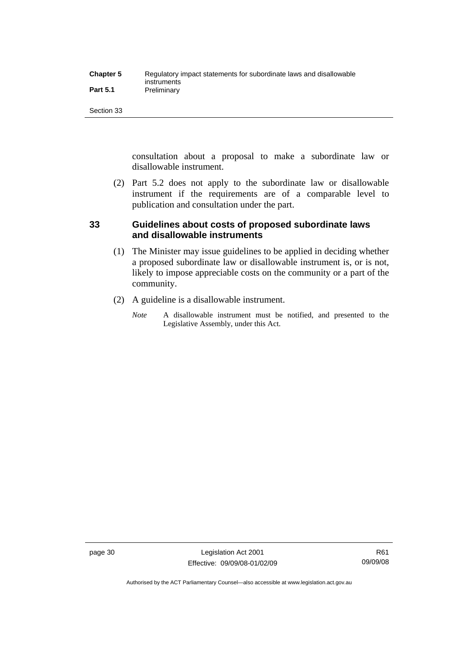| <b>Chapter 5</b> | Regulatory impact statements for subordinate laws and disallowable |
|------------------|--------------------------------------------------------------------|
|                  | instruments                                                        |
| <b>Part 5.1</b>  | Preliminary                                                        |

consultation about a proposal to make a subordinate law or disallowable instrument.

 (2) Part 5.2 does not apply to the subordinate law or disallowable instrument if the requirements are of a comparable level to publication and consultation under the part.

## **33 Guidelines about costs of proposed subordinate laws and disallowable instruments**

- (1) The Minister may issue guidelines to be applied in deciding whether a proposed subordinate law or disallowable instrument is, or is not, likely to impose appreciable costs on the community or a part of the community.
- (2) A guideline is a disallowable instrument.
	- *Note* A disallowable instrument must be notified, and presented to the Legislative Assembly, under this Act.

page 30 Legislation Act 2001 Effective: 09/09/08-01/02/09

Authorised by the ACT Parliamentary Counsel—also accessible at www.legislation.act.gov.au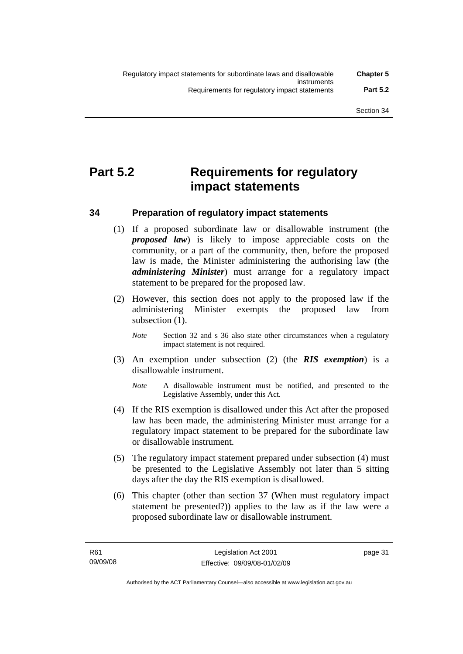## **Part 5.2 Requirements for regulatory impact statements**

## **34 Preparation of regulatory impact statements**

- (1) If a proposed subordinate law or disallowable instrument (the *proposed law*) is likely to impose appreciable costs on the community, or a part of the community, then, before the proposed law is made, the Minister administering the authorising law (the *administering Minister*) must arrange for a regulatory impact statement to be prepared for the proposed law.
- (2) However, this section does not apply to the proposed law if the administering Minister exempts the proposed law from subsection (1).
	- *Note* Section 32 and s 36 also state other circumstances when a regulatory impact statement is not required.
- (3) An exemption under subsection (2) (the *RIS exemption*) is a disallowable instrument.
	- *Note* A disallowable instrument must be notified, and presented to the Legislative Assembly, under this Act.
- (4) If the RIS exemption is disallowed under this Act after the proposed law has been made, the administering Minister must arrange for a regulatory impact statement to be prepared for the subordinate law or disallowable instrument.
- (5) The regulatory impact statement prepared under subsection (4) must be presented to the Legislative Assembly not later than 5 sitting days after the day the RIS exemption is disallowed.
- (6) This chapter (other than section 37 (When must regulatory impact statement be presented?)) applies to the law as if the law were a proposed subordinate law or disallowable instrument.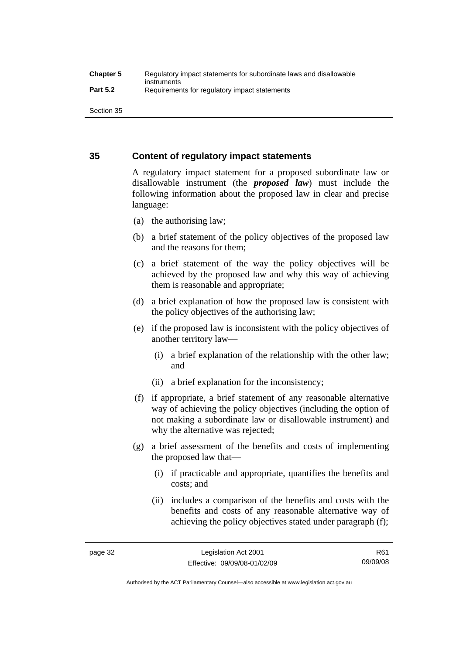## **35 Content of regulatory impact statements**

A regulatory impact statement for a proposed subordinate law or disallowable instrument (the *proposed law*) must include the following information about the proposed law in clear and precise language:

- (a) the authorising law;
- (b) a brief statement of the policy objectives of the proposed law and the reasons for them;
- (c) a brief statement of the way the policy objectives will be achieved by the proposed law and why this way of achieving them is reasonable and appropriate;
- (d) a brief explanation of how the proposed law is consistent with the policy objectives of the authorising law;
- (e) if the proposed law is inconsistent with the policy objectives of another territory law—
	- (i) a brief explanation of the relationship with the other law; and
	- (ii) a brief explanation for the inconsistency;
- (f) if appropriate, a brief statement of any reasonable alternative way of achieving the policy objectives (including the option of not making a subordinate law or disallowable instrument) and why the alternative was rejected;
- (g) a brief assessment of the benefits and costs of implementing the proposed law that—
	- (i) if practicable and appropriate, quantifies the benefits and costs; and
	- (ii) includes a comparison of the benefits and costs with the benefits and costs of any reasonable alternative way of achieving the policy objectives stated under paragraph (f);

Authorised by the ACT Parliamentary Counsel—also accessible at www.legislation.act.gov.au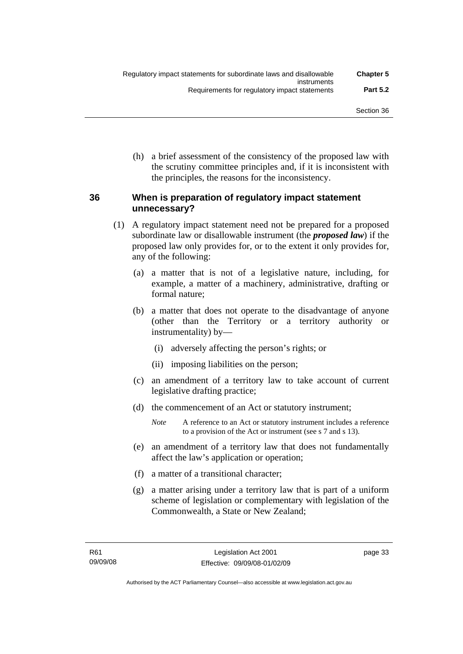(h) a brief assessment of the consistency of the proposed law with the scrutiny committee principles and, if it is inconsistent with the principles, the reasons for the inconsistency.

## **36 When is preparation of regulatory impact statement unnecessary?**

- (1) A regulatory impact statement need not be prepared for a proposed subordinate law or disallowable instrument (the *proposed law*) if the proposed law only provides for, or to the extent it only provides for, any of the following:
	- (a) a matter that is not of a legislative nature, including, for example, a matter of a machinery, administrative, drafting or formal nature;
	- (b) a matter that does not operate to the disadvantage of anyone (other than the Territory or a territory authority or instrumentality) by—
		- (i) adversely affecting the person's rights; or
		- (ii) imposing liabilities on the person;
	- (c) an amendment of a territory law to take account of current legislative drafting practice;
	- (d) the commencement of an Act or statutory instrument;
		- *Note* A reference to an Act or statutory instrument includes a reference to a provision of the Act or instrument (see s 7 and s 13).
	- (e) an amendment of a territory law that does not fundamentally affect the law's application or operation;
	- (f) a matter of a transitional character;
	- (g) a matter arising under a territory law that is part of a uniform scheme of legislation or complementary with legislation of the Commonwealth, a State or New Zealand;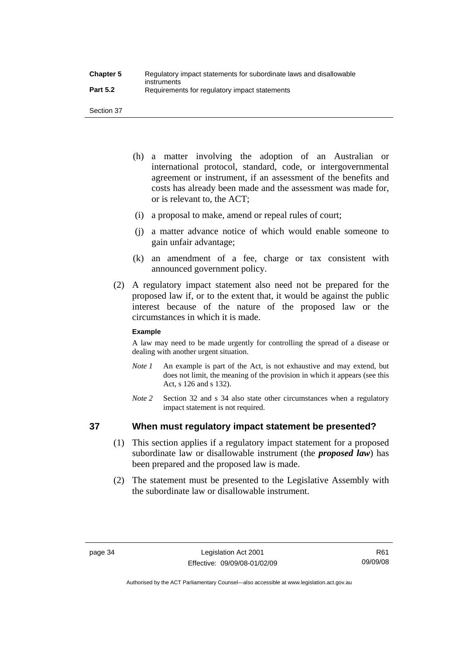- (h) a matter involving the adoption of an Australian or international protocol, standard, code, or intergovernmental agreement or instrument, if an assessment of the benefits and costs has already been made and the assessment was made for, or is relevant to, the ACT;
- (i) a proposal to make, amend or repeal rules of court;
- (j) a matter advance notice of which would enable someone to gain unfair advantage;
- (k) an amendment of a fee, charge or tax consistent with announced government policy.
- (2) A regulatory impact statement also need not be prepared for the proposed law if, or to the extent that, it would be against the public interest because of the nature of the proposed law or the circumstances in which it is made.

#### **Example**

A law may need to be made urgently for controlling the spread of a disease or dealing with another urgent situation.

- *Note 1* An example is part of the Act, is not exhaustive and may extend, but does not limit, the meaning of the provision in which it appears (see this Act, s 126 and s 132).
- *Note* 2 Section 32 and s 34 also state other circumstances when a regulatory impact statement is not required.

## **37 When must regulatory impact statement be presented?**

- (1) This section applies if a regulatory impact statement for a proposed subordinate law or disallowable instrument (the *proposed law*) has been prepared and the proposed law is made.
- (2) The statement must be presented to the Legislative Assembly with the subordinate law or disallowable instrument.

R61 09/09/08

Authorised by the ACT Parliamentary Counsel—also accessible at www.legislation.act.gov.au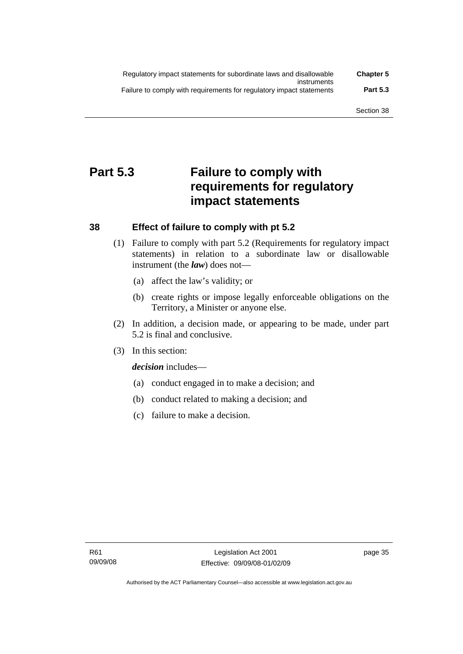| Regulatory impact statements for subordinate laws and disallowable   | <b>Chapter 5</b> |
|----------------------------------------------------------------------|------------------|
| instruments                                                          |                  |
| Failure to comply with requirements for regulatory impact statements | <b>Part 5.3</b>  |

## **Part 5.3 Failure to comply with requirements for regulatory impact statements**

## **38 Effect of failure to comply with pt 5.2**

- (1) Failure to comply with part 5.2 (Requirements for regulatory impact statements) in relation to a subordinate law or disallowable instrument (the *law*) does not—
	- (a) affect the law's validity; or
	- (b) create rights or impose legally enforceable obligations on the Territory, a Minister or anyone else.
- (2) In addition, a decision made, or appearing to be made, under part 5.2 is final and conclusive.
- (3) In this section:

*decision* includes—

- (a) conduct engaged in to make a decision; and
- (b) conduct related to making a decision; and
- (c) failure to make a decision.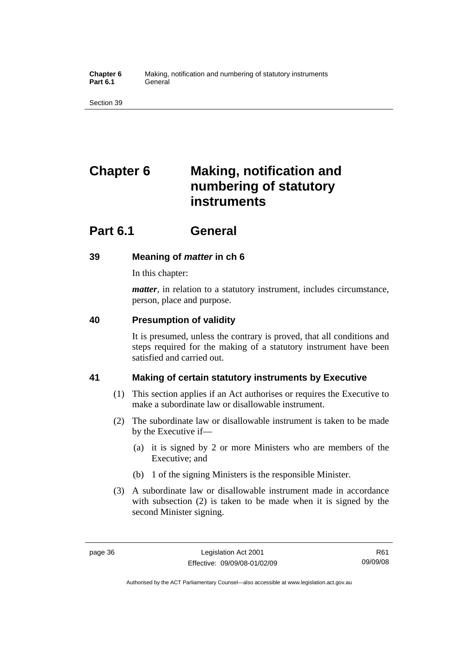**Chapter 6** Making, notification and numbering of statutory instruments Part 6.1 **General** 

Section 39

# **Chapter 6 Making, notification and numbering of statutory instruments**

## **Part 6.1 General**

## **39 Meaning of** *matter* **in ch 6**

In this chapter:

*matter*, in relation to a statutory instrument, includes circumstance, person, place and purpose.

## **40 Presumption of validity**

It is presumed, unless the contrary is proved, that all conditions and steps required for the making of a statutory instrument have been satisfied and carried out.

## **41 Making of certain statutory instruments by Executive**

- (1) This section applies if an Act authorises or requires the Executive to make a subordinate law or disallowable instrument.
- (2) The subordinate law or disallowable instrument is taken to be made by the Executive if—
	- (a) it is signed by 2 or more Ministers who are members of the Executive; and
	- (b) 1 of the signing Ministers is the responsible Minister.
- (3) A subordinate law or disallowable instrument made in accordance with subsection (2) is taken to be made when it is signed by the second Minister signing.

R61 09/09/08

Authorised by the ACT Parliamentary Counsel—also accessible at www.legislation.act.gov.au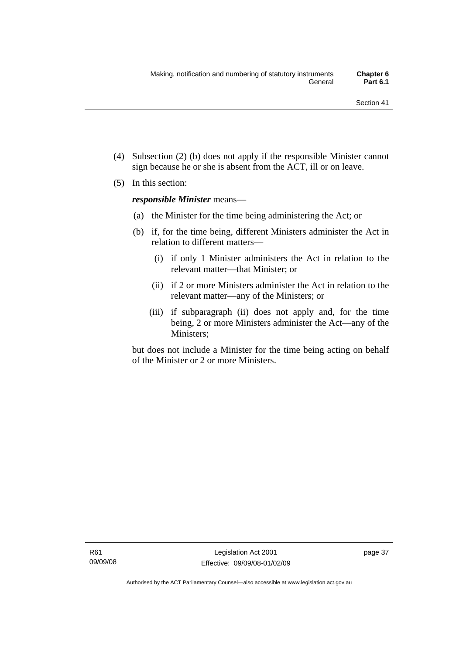- (4) Subsection (2) (b) does not apply if the responsible Minister cannot sign because he or she is absent from the ACT, ill or on leave.
- (5) In this section:

*responsible Minister* means—

- (a) the Minister for the time being administering the Act; or
- (b) if, for the time being, different Ministers administer the Act in relation to different matters—
	- (i) if only 1 Minister administers the Act in relation to the relevant matter—that Minister; or
	- (ii) if 2 or more Ministers administer the Act in relation to the relevant matter—any of the Ministers; or
	- (iii) if subparagraph (ii) does not apply and, for the time being, 2 or more Ministers administer the Act—any of the Ministers;

but does not include a Minister for the time being acting on behalf of the Minister or 2 or more Ministers.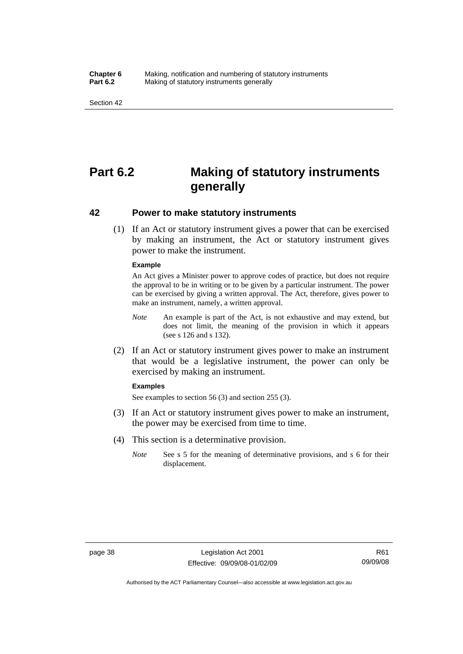#### **Chapter 6** Making, notification and numbering of statutory instruments<br>**Part 6.2** Making of statutory instruments generally **Making of statutory instruments generally**

Section 42

## **Part 6.2 Making of statutory instruments generally**

### **42 Power to make statutory instruments**

 (1) If an Act or statutory instrument gives a power that can be exercised by making an instrument, the Act or statutory instrument gives power to make the instrument.

#### **Example**

An Act gives a Minister power to approve codes of practice, but does not require the approval to be in writing or to be given by a particular instrument. The power can be exercised by giving a written approval. The Act, therefore, gives power to make an instrument, namely, a written approval.

- *Note* An example is part of the Act, is not exhaustive and may extend, but does not limit, the meaning of the provision in which it appears (see s 126 and s 132).
- (2) If an Act or statutory instrument gives power to make an instrument that would be a legislative instrument, the power can only be exercised by making an instrument.

#### **Examples**

See examples to section 56 (3) and section 255 (3).

- (3) If an Act or statutory instrument gives power to make an instrument, the power may be exercised from time to time.
- (4) This section is a determinative provision.
	- *Note* See s 5 for the meaning of determinative provisions, and s 6 for their displacement.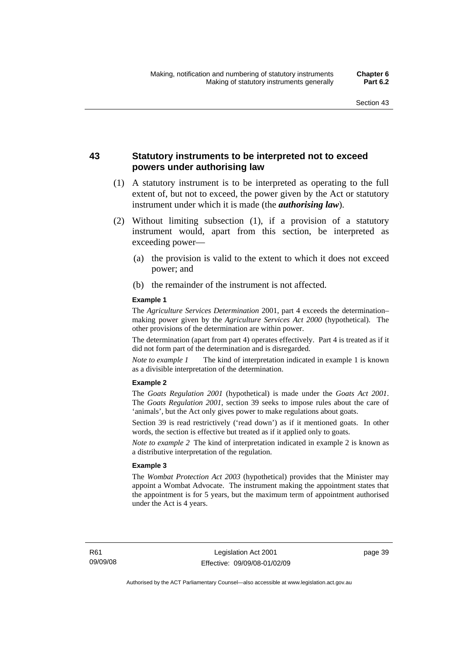## **43 Statutory instruments to be interpreted not to exceed powers under authorising law**

- (1) A statutory instrument is to be interpreted as operating to the full extent of, but not to exceed, the power given by the Act or statutory instrument under which it is made (the *authorising law*).
- (2) Without limiting subsection (1), if a provision of a statutory instrument would, apart from this section, be interpreted as exceeding power—
	- (a) the provision is valid to the extent to which it does not exceed power; and
	- (b) the remainder of the instrument is not affected.

#### **Example 1**

The *Agriculture Services Determination* 2001, part 4 exceeds the determination– making power given by the *Agriculture Services Act 2000* (hypothetical). The other provisions of the determination are within power.

The determination (apart from part 4) operates effectively. Part 4 is treated as if it did not form part of the determination and is disregarded.

*Note to example 1* The kind of interpretation indicated in example 1 is known as a divisible interpretation of the determination.

#### **Example 2**

The *Goats Regulation 2001* (hypothetical) is made under the *Goats Act 2001*. The *Goats Regulation 2001*, section 39 seeks to impose rules about the care of 'animals', but the Act only gives power to make regulations about goats.

Section 39 is read restrictively ('read down') as if it mentioned goats. In other words, the section is effective but treated as if it applied only to goats.

*Note to example 2* The kind of interpretation indicated in example 2 is known as a distributive interpretation of the regulation.

#### **Example 3**

The *Wombat Protection Act 2003* (hypothetical) provides that the Minister may appoint a Wombat Advocate. The instrument making the appointment states that the appointment is for 5 years, but the maximum term of appointment authorised under the Act is 4 years.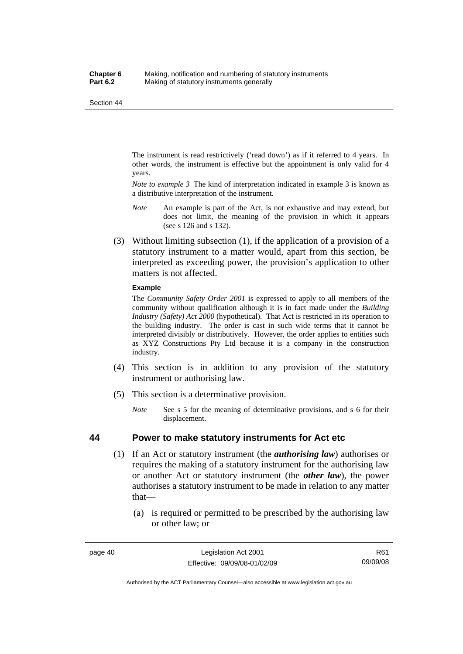The instrument is read restrictively ('read down') as if it referred to 4 years. In other words, the instrument is effective but the appointment is only valid for 4 years.

*Note to example 3* The kind of interpretation indicated in example 3 is known as a distributive interpretation of the instrument.

- *Note* An example is part of the Act, is not exhaustive and may extend, but does not limit, the meaning of the provision in which it appears (see s 126 and s 132).
- (3) Without limiting subsection (1), if the application of a provision of a statutory instrument to a matter would, apart from this section, be interpreted as exceeding power, the provision's application to other matters is not affected.

#### **Example**

The *Community Safety Order 2001* is expressed to apply to all members of the community without qualification although it is in fact made under the *Building Industry (Safety) Act 2000* (hypothetical). That Act is restricted in its operation to the building industry. The order is cast in such wide terms that it cannot be interpreted divisibly or distributively. However, the order applies to entities such as XYZ Constructions Pty Ltd because it is a company in the construction industry.

- (4) This section is in addition to any provision of the statutory instrument or authorising law.
- (5) This section is a determinative provision.
	- *Note* See s 5 for the meaning of determinative provisions, and s 6 for their displacement.

#### **44 Power to make statutory instruments for Act etc**

- (1) If an Act or statutory instrument (the *authorising law*) authorises or requires the making of a statutory instrument for the authorising law or another Act or statutory instrument (the *other law*), the power authorises a statutory instrument to be made in relation to any matter that—
	- (a) is required or permitted to be prescribed by the authorising law or other law; or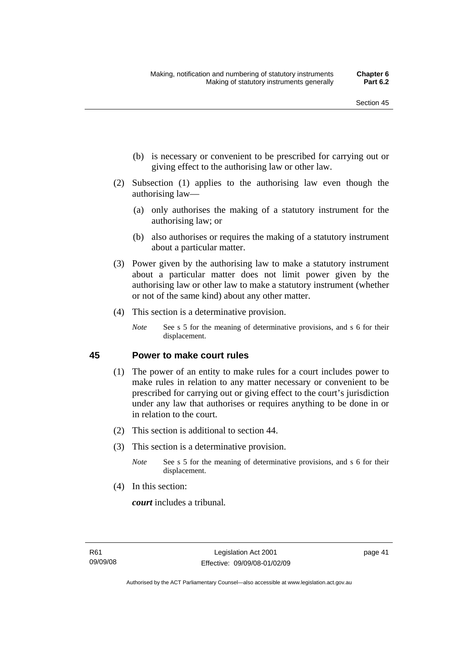- (b) is necessary or convenient to be prescribed for carrying out or giving effect to the authorising law or other law.
- (2) Subsection (1) applies to the authorising law even though the authorising law—
	- (a) only authorises the making of a statutory instrument for the authorising law; or
	- (b) also authorises or requires the making of a statutory instrument about a particular matter.
- (3) Power given by the authorising law to make a statutory instrument about a particular matter does not limit power given by the authorising law or other law to make a statutory instrument (whether or not of the same kind) about any other matter.
- (4) This section is a determinative provision.
	- *Note* See s 5 for the meaning of determinative provisions, and s 6 for their displacement.

#### **45 Power to make court rules**

- (1) The power of an entity to make rules for a court includes power to make rules in relation to any matter necessary or convenient to be prescribed for carrying out or giving effect to the court's jurisdiction under any law that authorises or requires anything to be done in or in relation to the court.
- (2) This section is additional to section 44.
- (3) This section is a determinative provision.
	- *Note* See s 5 for the meaning of determinative provisions, and s 6 for their displacement.
- (4) In this section:

*court* includes a tribunal*.*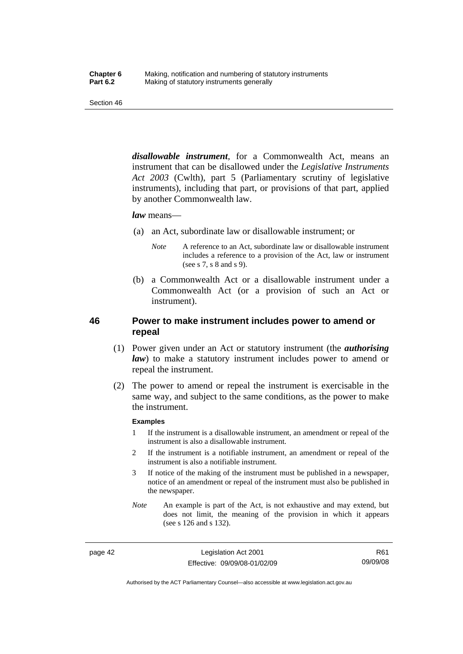*disallowable instrument*, for a Commonwealth Act, means an instrument that can be disallowed under the *Legislative Instruments Act 2003* (Cwlth), part 5 (Parliamentary scrutiny of legislative instruments), including that part, or provisions of that part, applied by another Commonwealth law.

#### *law* means—

- (a) an Act, subordinate law or disallowable instrument; or
	- *Note* A reference to an Act, subordinate law or disallowable instrument includes a reference to a provision of the Act, law or instrument (see s 7, s 8 and s 9).
- (b) a Commonwealth Act or a disallowable instrument under a Commonwealth Act (or a provision of such an Act or instrument).

## **46 Power to make instrument includes power to amend or repeal**

- (1) Power given under an Act or statutory instrument (the *authorising law*) to make a statutory instrument includes power to amend or repeal the instrument.
- (2) The power to amend or repeal the instrument is exercisable in the same way, and subject to the same conditions, as the power to make the instrument.

#### **Examples**

- 1 If the instrument is a disallowable instrument, an amendment or repeal of the instrument is also a disallowable instrument.
- 2 If the instrument is a notifiable instrument, an amendment or repeal of the instrument is also a notifiable instrument.
- 3 If notice of the making of the instrument must be published in a newspaper, notice of an amendment or repeal of the instrument must also be published in the newspaper.
- *Note* An example is part of the Act, is not exhaustive and may extend, but does not limit, the meaning of the provision in which it appears (see s 126 and s 132).

page 42 Legislation Act 2001 Effective: 09/09/08-01/02/09

R61 09/09/08

Authorised by the ACT Parliamentary Counsel—also accessible at www.legislation.act.gov.au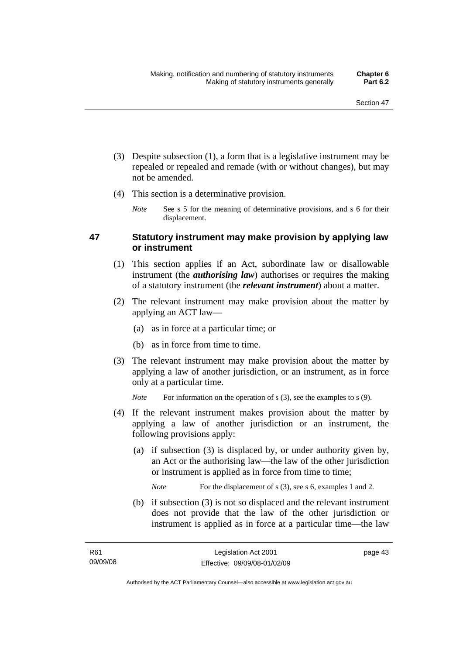- (3) Despite subsection (1), a form that is a legislative instrument may be repealed or repealed and remade (with or without changes), but may not be amended.
- (4) This section is a determinative provision.
	- *Note* See s 5 for the meaning of determinative provisions, and s 6 for their displacement.

## **47 Statutory instrument may make provision by applying law or instrument**

- (1) This section applies if an Act, subordinate law or disallowable instrument (the *authorising law*) authorises or requires the making of a statutory instrument (the *relevant instrument*) about a matter.
- (2) The relevant instrument may make provision about the matter by applying an ACT law—
	- (a) as in force at a particular time; or
	- (b) as in force from time to time.
- (3) The relevant instrument may make provision about the matter by applying a law of another jurisdiction, or an instrument, as in force only at a particular time.

*Note* For information on the operation of s (3), see the examples to s (9).

- (4) If the relevant instrument makes provision about the matter by applying a law of another jurisdiction or an instrument, the following provisions apply:
	- (a) if subsection (3) is displaced by, or under authority given by, an Act or the authorising law—the law of the other jurisdiction or instrument is applied as in force from time to time;

*Note* For the displacement of s (3), see s 6, examples 1 and 2.

 (b) if subsection (3) is not so displaced and the relevant instrument does not provide that the law of the other jurisdiction or instrument is applied as in force at a particular time—the law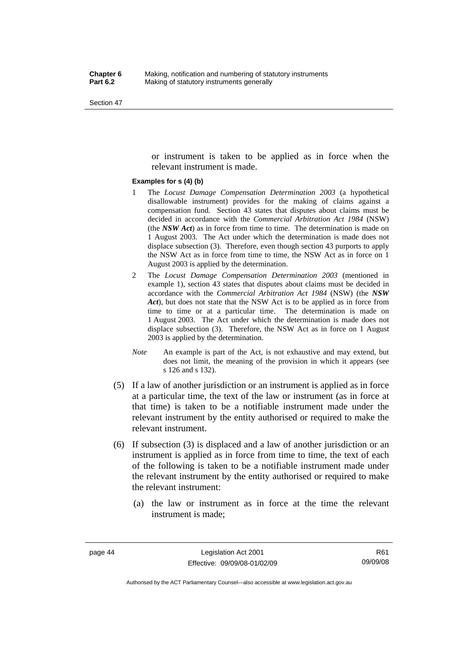or instrument is taken to be applied as in force when the relevant instrument is made.

#### **Examples for s (4) (b)**

- 1 The *Locust Damage Compensation Determination 2003* (a hypothetical disallowable instrument) provides for the making of claims against a compensation fund. Section 43 states that disputes about claims must be decided in accordance with the *Commercial Arbitration Act 1984* (NSW) (the *NSW Act*) as in force from time to time. The determination is made on 1 August 2003. The Act under which the determination is made does not displace subsection (3). Therefore, even though section 43 purports to apply the NSW Act as in force from time to time, the NSW Act as in force on 1 August 2003 is applied by the determination.
- 2 The *Locust Damage Compensation Determination 2003* (mentioned in example 1), section 43 states that disputes about claims must be decided in accordance with the *Commercial Arbitration Act 1984* (NSW) (the *NSW Act*), but does not state that the NSW Act is to be applied as in force from time to time or at a particular time. The determination is made on 1 August 2003. The Act under which the determination is made does not displace subsection (3). Therefore, the NSW Act as in force on 1 August 2003 is applied by the determination.
- *Note* An example is part of the Act, is not exhaustive and may extend, but does not limit, the meaning of the provision in which it appears (see s 126 and s 132).
- (5) If a law of another jurisdiction or an instrument is applied as in force at a particular time, the text of the law or instrument (as in force at that time) is taken to be a notifiable instrument made under the relevant instrument by the entity authorised or required to make the relevant instrument.
- (6) If subsection (3) is displaced and a law of another jurisdiction or an instrument is applied as in force from time to time, the text of each of the following is taken to be a notifiable instrument made under the relevant instrument by the entity authorised or required to make the relevant instrument:
	- (a) the law or instrument as in force at the time the relevant instrument is made;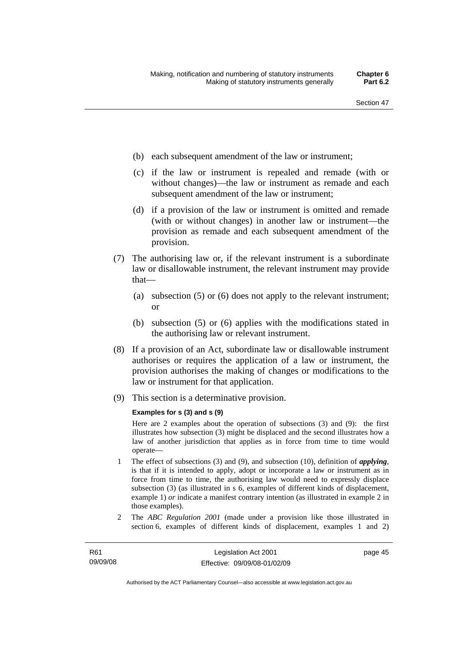- (b) each subsequent amendment of the law or instrument;
- (c) if the law or instrument is repealed and remade (with or without changes)—the law or instrument as remade and each subsequent amendment of the law or instrument;
- (d) if a provision of the law or instrument is omitted and remade (with or without changes) in another law or instrument—the provision as remade and each subsequent amendment of the provision.
- (7) The authorising law or, if the relevant instrument is a subordinate law or disallowable instrument, the relevant instrument may provide that—
	- (a) subsection (5) or (6) does not apply to the relevant instrument; or
	- (b) subsection (5) or (6) applies with the modifications stated in the authorising law or relevant instrument.
- (8) If a provision of an Act, subordinate law or disallowable instrument authorises or requires the application of a law or instrument, the provision authorises the making of changes or modifications to the law or instrument for that application.
- (9) This section is a determinative provision.

#### **Examples for s (3) and s (9)**

Here are 2 examples about the operation of subsections (3) and (9): the first illustrates how subsection (3) might be displaced and the second illustrates how a law of another jurisdiction that applies as in force from time to time would operate—

- 1 The effect of subsections (3) and (9), and subsection (10), definition of *applying*, is that if it is intended to apply, adopt or incorporate a law or instrument as in force from time to time, the authorising law would need to expressly displace subsection (3) (as illustrated in s 6, examples of different kinds of displacement, example 1) *or* indicate a manifest contrary intention (as illustrated in example 2 in those examples).
- 2 The *ABC Regulation 2001* (made under a provision like those illustrated in section 6, examples of different kinds of displacement, examples 1 and 2)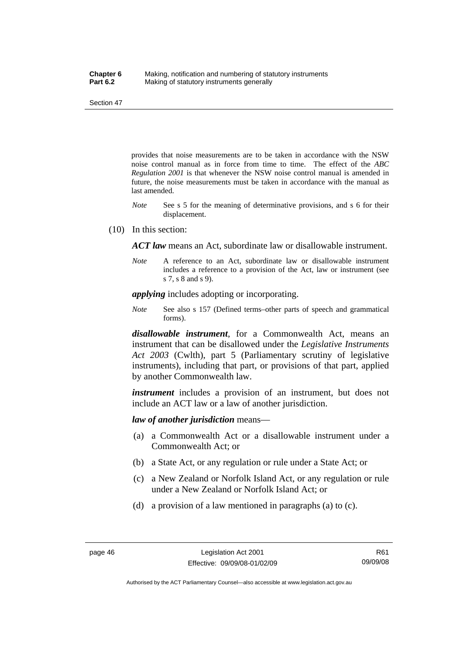provides that noise measurements are to be taken in accordance with the NSW noise control manual as in force from time to time. The effect of the *ABC Regulation 2001* is that whenever the NSW noise control manual is amended in future, the noise measurements must be taken in accordance with the manual as last amended.

- *Note* See s 5 for the meaning of determinative provisions, and s 6 for their displacement.
- (10) In this section:

*ACT law* means an Act, subordinate law or disallowable instrument.

*Note* A reference to an Act, subordinate law or disallowable instrument includes a reference to a provision of the Act, law or instrument (see s 7, s 8 and s 9).

*applying* includes adopting or incorporating.

*Note* See also s 157 (Defined terms–other parts of speech and grammatical forms).

*disallowable instrument*, for a Commonwealth Act, means an instrument that can be disallowed under the *Legislative Instruments Act 2003* (Cwlth), part 5 (Parliamentary scrutiny of legislative instruments), including that part, or provisions of that part, applied by another Commonwealth law.

*instrument* includes a provision of an instrument, but does not include an ACT law or a law of another jurisdiction.

*law of another jurisdiction* means—

- (a) a Commonwealth Act or a disallowable instrument under a Commonwealth Act; or
- (b) a State Act, or any regulation or rule under a State Act; or
- (c) a New Zealand or Norfolk Island Act, or any regulation or rule under a New Zealand or Norfolk Island Act; or
- (d) a provision of a law mentioned in paragraphs (a) to (c).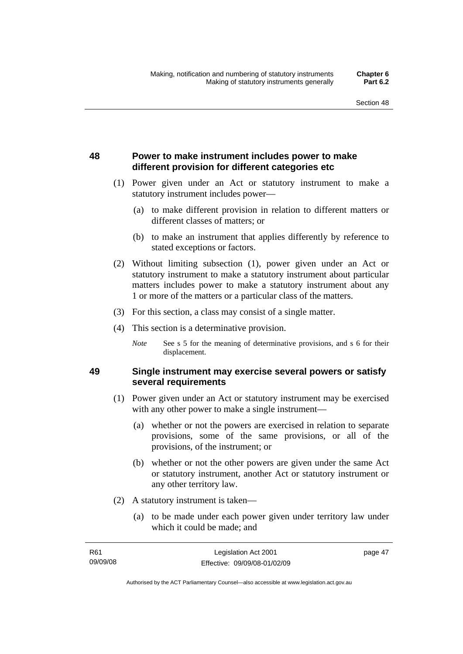## **48 Power to make instrument includes power to make different provision for different categories etc**

- (1) Power given under an Act or statutory instrument to make a statutory instrument includes power—
	- (a) to make different provision in relation to different matters or different classes of matters; or
	- (b) to make an instrument that applies differently by reference to stated exceptions or factors.
- (2) Without limiting subsection (1), power given under an Act or statutory instrument to make a statutory instrument about particular matters includes power to make a statutory instrument about any 1 or more of the matters or a particular class of the matters.
- (3) For this section, a class may consist of a single matter.
- (4) This section is a determinative provision.
	- *Note* See s 5 for the meaning of determinative provisions, and s 6 for their displacement.

## **49 Single instrument may exercise several powers or satisfy several requirements**

- (1) Power given under an Act or statutory instrument may be exercised with any other power to make a single instrument—
	- (a) whether or not the powers are exercised in relation to separate provisions, some of the same provisions, or all of the provisions, of the instrument; or
	- (b) whether or not the other powers are given under the same Act or statutory instrument, another Act or statutory instrument or any other territory law.
- (2) A statutory instrument is taken—
	- (a) to be made under each power given under territory law under which it could be made; and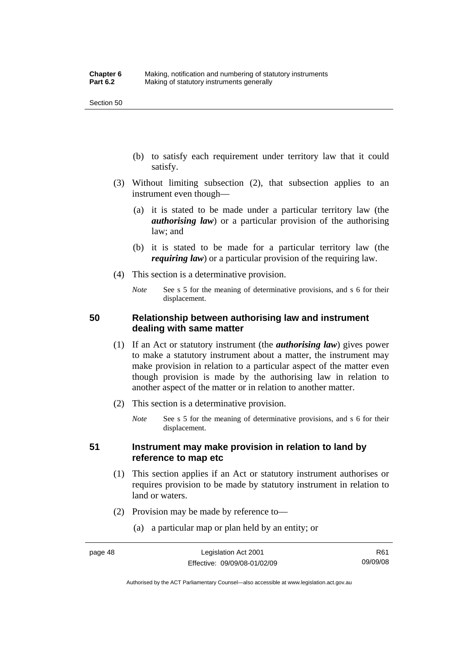- (b) to satisfy each requirement under territory law that it could satisfy.
- (3) Without limiting subsection (2), that subsection applies to an instrument even though—
	- (a) it is stated to be made under a particular territory law (the *authorising law*) or a particular provision of the authorising law; and
	- (b) it is stated to be made for a particular territory law (the *requiring law*) or a particular provision of the requiring law.
- (4) This section is a determinative provision.
	- *Note* See s 5 for the meaning of determinative provisions, and s 6 for their displacement.

## **50 Relationship between authorising law and instrument dealing with same matter**

- (1) If an Act or statutory instrument (the *authorising law*) gives power to make a statutory instrument about a matter, the instrument may make provision in relation to a particular aspect of the matter even though provision is made by the authorising law in relation to another aspect of the matter or in relation to another matter.
- (2) This section is a determinative provision.
	- *Note* See s 5 for the meaning of determinative provisions, and s 6 for their displacement.

## **51 Instrument may make provision in relation to land by reference to map etc**

- (1) This section applies if an Act or statutory instrument authorises or requires provision to be made by statutory instrument in relation to land or waters.
- (2) Provision may be made by reference to—
	- (a) a particular map or plan held by an entity; or

Authorised by the ACT Parliamentary Counsel—also accessible at www.legislation.act.gov.au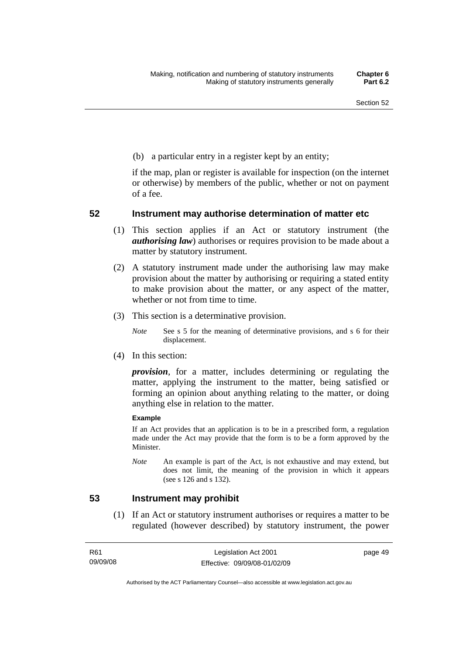(b) a particular entry in a register kept by an entity;

if the map, plan or register is available for inspection (on the internet or otherwise) by members of the public, whether or not on payment of a fee.

## **52 Instrument may authorise determination of matter etc**

- (1) This section applies if an Act or statutory instrument (the *authorising law*) authorises or requires provision to be made about a matter by statutory instrument.
- (2) A statutory instrument made under the authorising law may make provision about the matter by authorising or requiring a stated entity to make provision about the matter, or any aspect of the matter, whether or not from time to time.
- (3) This section is a determinative provision.
	- *Note* See s 5 for the meaning of determinative provisions, and s 6 for their displacement.
- (4) In this section:

*provision*, for a matter, includes determining or regulating the matter, applying the instrument to the matter, being satisfied or forming an opinion about anything relating to the matter, or doing anything else in relation to the matter.

#### **Example**

If an Act provides that an application is to be in a prescribed form, a regulation made under the Act may provide that the form is to be a form approved by the Minister.

*Note* An example is part of the Act, is not exhaustive and may extend, but does not limit, the meaning of the provision in which it appears (see s 126 and s 132).

### **53 Instrument may prohibit**

 (1) If an Act or statutory instrument authorises or requires a matter to be regulated (however described) by statutory instrument, the power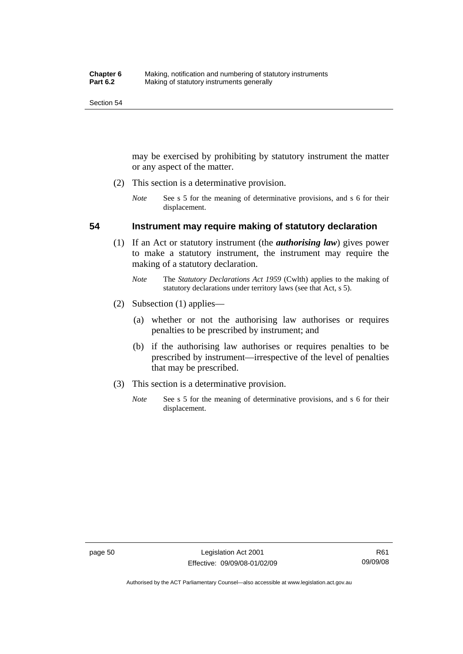may be exercised by prohibiting by statutory instrument the matter or any aspect of the matter.

- (2) This section is a determinative provision.
	- *Note* See s 5 for the meaning of determinative provisions, and s 6 for their displacement.

### **54 Instrument may require making of statutory declaration**

- (1) If an Act or statutory instrument (the *authorising law*) gives power to make a statutory instrument, the instrument may require the making of a statutory declaration.
	- *Note* The *Statutory Declarations Act 1959* (Cwlth) applies to the making of statutory declarations under territory laws (see that Act, s 5).
- (2) Subsection (1) applies—
	- (a) whether or not the authorising law authorises or requires penalties to be prescribed by instrument; and
	- (b) if the authorising law authorises or requires penalties to be prescribed by instrument—irrespective of the level of penalties that may be prescribed.
- (3) This section is a determinative provision.
	- *Note* See s 5 for the meaning of determinative provisions, and s 6 for their displacement.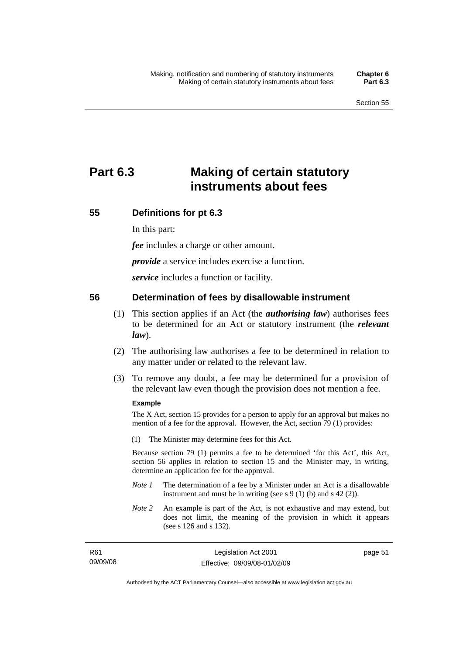# **Part 6.3 Making of certain statutory instruments about fees**

## **55 Definitions for pt 6.3**

In this part:

*fee* includes a charge or other amount.

*provide* a service includes exercise a function.

*service* includes a function or facility.

## **56 Determination of fees by disallowable instrument**

- (1) This section applies if an Act (the *authorising law*) authorises fees to be determined for an Act or statutory instrument (the *relevant law*).
- (2) The authorising law authorises a fee to be determined in relation to any matter under or related to the relevant law.
- (3) To remove any doubt, a fee may be determined for a provision of the relevant law even though the provision does not mention a fee.

#### **Example**

The X Act, section 15 provides for a person to apply for an approval but makes no mention of a fee for the approval. However, the Act, section 79 (1) provides:

(1) The Minister may determine fees for this Act.

Because section 79 (1) permits a fee to be determined 'for this Act', this Act, section 56 applies in relation to section 15 and the Minister may, in writing, determine an application fee for the approval.

- *Note 1* The determination of a fee by a Minister under an Act is a disallowable instrument and must be in writing (see s 9 (1) (b) and s 42 (2)).
- *Note 2* An example is part of the Act, is not exhaustive and may extend, but does not limit, the meaning of the provision in which it appears (see s 126 and s 132).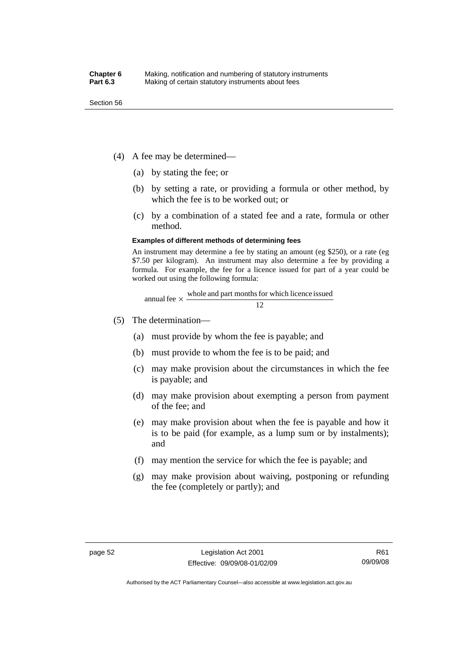- (4) A fee may be determined—
	- (a) by stating the fee; or
	- (b) by setting a rate, or providing a formula or other method, by which the fee is to be worked out; or
	- (c) by a combination of a stated fee and a rate, formula or other method.

#### **Examples of different methods of determining fees**

An instrument may determine a fee by stating an amount (eg \$250), or a rate (eg \$7.50 per kilogram). An instrument may also determine a fee by providing a formula. For example, the fee for a licence issued for part of a year could be worked out using the following formula:

annual fee 
$$
\times
$$
  $\frac{\text{whole and part months for which licence issued}}{12}$ 

- (5) The determination—
	- (a) must provide by whom the fee is payable; and
	- (b) must provide to whom the fee is to be paid; and
	- (c) may make provision about the circumstances in which the fee is payable; and
	- (d) may make provision about exempting a person from payment of the fee; and
	- (e) may make provision about when the fee is payable and how it is to be paid (for example, as a lump sum or by instalments); and
	- (f) may mention the service for which the fee is payable; and
	- (g) may make provision about waiving, postponing or refunding the fee (completely or partly); and

Authorised by the ACT Parliamentary Counsel—also accessible at www.legislation.act.gov.au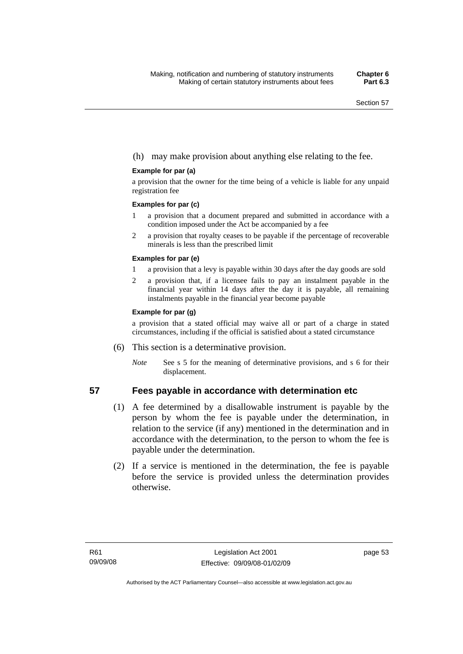### (h) may make provision about anything else relating to the fee.

#### **Example for par (a)**

a provision that the owner for the time being of a vehicle is liable for any unpaid registration fee

#### **Examples for par (c)**

- 1 a provision that a document prepared and submitted in accordance with a condition imposed under the Act be accompanied by a fee
- 2 a provision that royalty ceases to be payable if the percentage of recoverable minerals is less than the prescribed limit

#### **Examples for par (e)**

- 1 a provision that a levy is payable within 30 days after the day goods are sold
- 2 a provision that, if a licensee fails to pay an instalment payable in the financial year within 14 days after the day it is payable, all remaining instalments payable in the financial year become payable

#### **Example for par (g)**

a provision that a stated official may waive all or part of a charge in stated circumstances, including if the official is satisfied about a stated circumstance

- (6) This section is a determinative provision.
	- *Note* See s 5 for the meaning of determinative provisions, and s 6 for their displacement.

### **57 Fees payable in accordance with determination etc**

- (1) A fee determined by a disallowable instrument is payable by the person by whom the fee is payable under the determination, in relation to the service (if any) mentioned in the determination and in accordance with the determination, to the person to whom the fee is payable under the determination.
- (2) If a service is mentioned in the determination, the fee is payable before the service is provided unless the determination provides otherwise.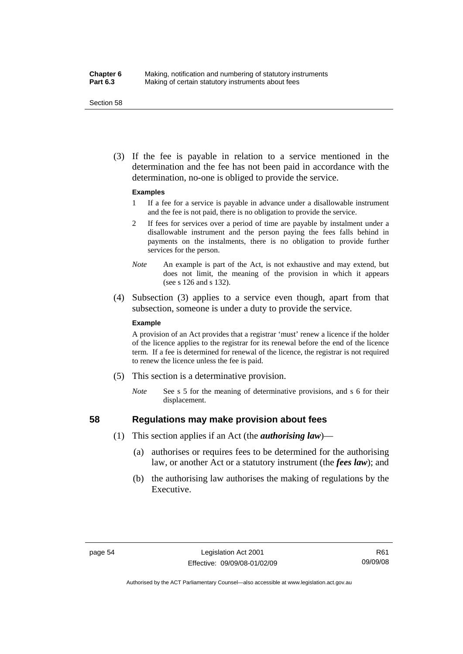#### **Chapter 6** Making, notification and numbering of statutory instruments<br>**Part 6.3** Making of certain statutory instruments about fees Making of certain statutory instruments about fees

Section 58

 (3) If the fee is payable in relation to a service mentioned in the determination and the fee has not been paid in accordance with the determination, no-one is obliged to provide the service.

#### **Examples**

- 1 If a fee for a service is payable in advance under a disallowable instrument and the fee is not paid, there is no obligation to provide the service.
- 2 If fees for services over a period of time are payable by instalment under a disallowable instrument and the person paying the fees falls behind in payments on the instalments, there is no obligation to provide further services for the person.
- *Note* An example is part of the Act, is not exhaustive and may extend, but does not limit, the meaning of the provision in which it appears (see s 126 and s 132).
- (4) Subsection (3) applies to a service even though, apart from that subsection, someone is under a duty to provide the service.

#### **Example**

A provision of an Act provides that a registrar 'must' renew a licence if the holder of the licence applies to the registrar for its renewal before the end of the licence term. If a fee is determined for renewal of the licence, the registrar is not required to renew the licence unless the fee is paid.

- (5) This section is a determinative provision.
	- *Note* See s 5 for the meaning of determinative provisions, and s 6 for their displacement.

#### **58 Regulations may make provision about fees**

- (1) This section applies if an Act (the *authorising law*)—
	- (a) authorises or requires fees to be determined for the authorising law, or another Act or a statutory instrument (the *fees law*); and
	- (b) the authorising law authorises the making of regulations by the Executive.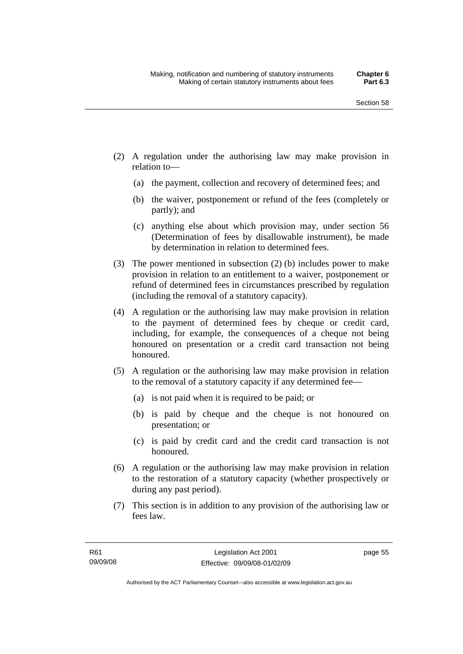- (2) A regulation under the authorising law may make provision in relation to—
	- (a) the payment, collection and recovery of determined fees; and
	- (b) the waiver, postponement or refund of the fees (completely or partly); and
	- (c) anything else about which provision may, under section 56 (Determination of fees by disallowable instrument), be made by determination in relation to determined fees.
- (3) The power mentioned in subsection (2) (b) includes power to make provision in relation to an entitlement to a waiver, postponement or refund of determined fees in circumstances prescribed by regulation (including the removal of a statutory capacity).
- (4) A regulation or the authorising law may make provision in relation to the payment of determined fees by cheque or credit card, including, for example, the consequences of a cheque not being honoured on presentation or a credit card transaction not being honoured.
- (5) A regulation or the authorising law may make provision in relation to the removal of a statutory capacity if any determined fee—
	- (a) is not paid when it is required to be paid; or
	- (b) is paid by cheque and the cheque is not honoured on presentation; or
	- (c) is paid by credit card and the credit card transaction is not honoured.
- (6) A regulation or the authorising law may make provision in relation to the restoration of a statutory capacity (whether prospectively or during any past period).
- (7) This section is in addition to any provision of the authorising law or fees law.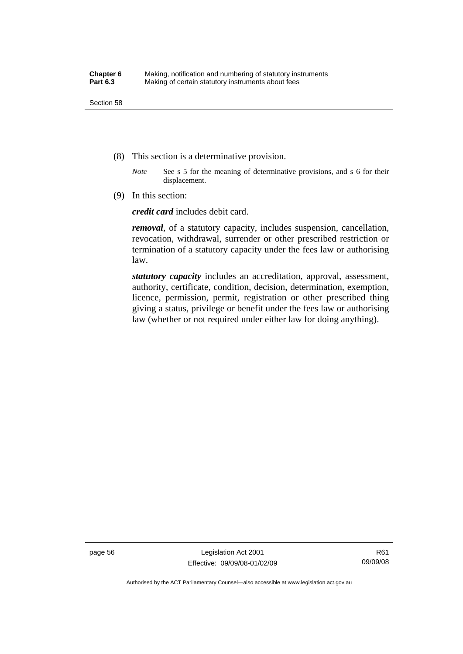- (8) This section is a determinative provision.
	- *Note* See s 5 for the meaning of determinative provisions, and s 6 for their displacement.
- (9) In this section:

*credit card* includes debit card.

*removal*, of a statutory capacity, includes suspension, cancellation, revocation, withdrawal, surrender or other prescribed restriction or termination of a statutory capacity under the fees law or authorising law.

*statutory capacity* includes an accreditation, approval, assessment, authority, certificate, condition, decision, determination, exemption, licence, permission, permit, registration or other prescribed thing giving a status, privilege or benefit under the fees law or authorising law (whether or not required under either law for doing anything).

page 56 Legislation Act 2001 Effective: 09/09/08-01/02/09

Authorised by the ACT Parliamentary Counsel—also accessible at www.legislation.act.gov.au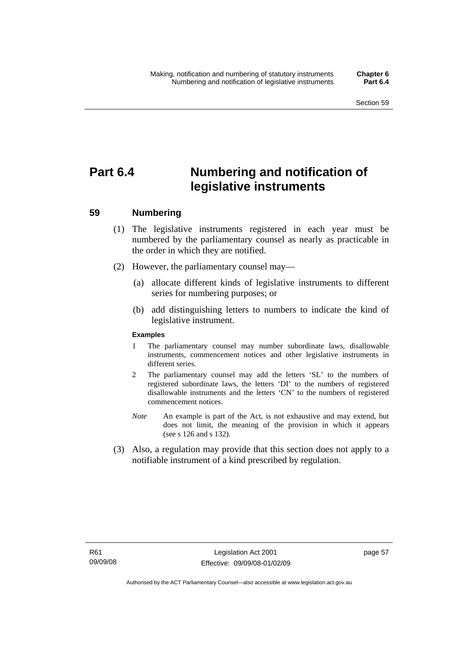# **Part 6.4 Numbering and notification of legislative instruments**

## **59 Numbering**

- (1) The legislative instruments registered in each year must be numbered by the parliamentary counsel as nearly as practicable in the order in which they are notified.
- (2) However, the parliamentary counsel may—
	- (a) allocate different kinds of legislative instruments to different series for numbering purposes; or
	- (b) add distinguishing letters to numbers to indicate the kind of legislative instrument.

#### **Examples**

- 1 The parliamentary counsel may number subordinate laws, disallowable instruments, commencement notices and other legislative instruments in different series.
- 2 The parliamentary counsel may add the letters 'SL' to the numbers of registered subordinate laws, the letters 'DI' to the numbers of registered disallowable instruments and the letters 'CN' to the numbers of registered commencement notices.
- *Note* An example is part of the Act, is not exhaustive and may extend, but does not limit, the meaning of the provision in which it appears (see s 126 and s 132).
- (3) Also, a regulation may provide that this section does not apply to a notifiable instrument of a kind prescribed by regulation.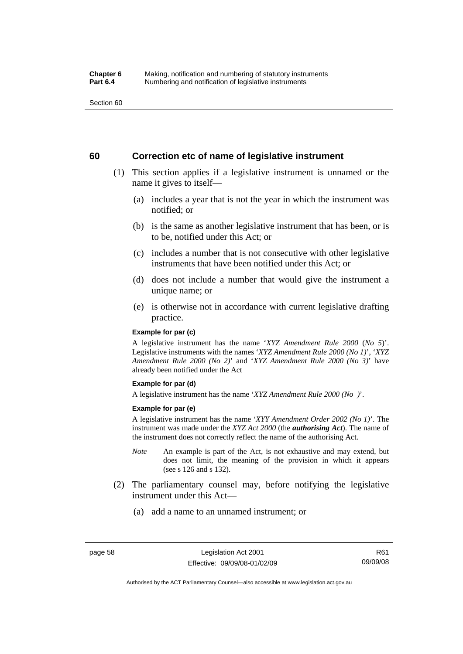Section 60

## **60 Correction etc of name of legislative instrument**

- (1) This section applies if a legislative instrument is unnamed or the name it gives to itself—
	- (a) includes a year that is not the year in which the instrument was notified; or
	- (b) is the same as another legislative instrument that has been, or is to be, notified under this Act; or
	- (c) includes a number that is not consecutive with other legislative instruments that have been notified under this Act; or
	- (d) does not include a number that would give the instrument a unique name; or
	- (e) is otherwise not in accordance with current legislative drafting practice.

#### **Example for par (c)**

A legislative instrument has the name '*XYZ Amendment Rule 2000* (*No 5*)'. Legislative instruments with the names '*XYZ Amendment Rule 2000 (No 1)*', '*XYZ Amendment Rule 2000 (No 2)*' and '*XYZ Amendment Rule 2000 (No 3)*' have already been notified under the Act

#### **Example for par (d)**

A legislative instrument has the name '*XYZ Amendment Rule 2000 (No )*'.

#### **Example for par (e)**

A legislative instrument has the name '*XYY Amendment Order 2002 (No 1)*'. The instrument was made under the *XYZ Act 2000* (the *authorising Act*). The name of the instrument does not correctly reflect the name of the authorising Act.

- *Note* An example is part of the Act, is not exhaustive and may extend, but does not limit, the meaning of the provision in which it appears (see s 126 and s 132).
- (2) The parliamentary counsel may, before notifying the legislative instrument under this Act—
	- (a) add a name to an unnamed instrument; or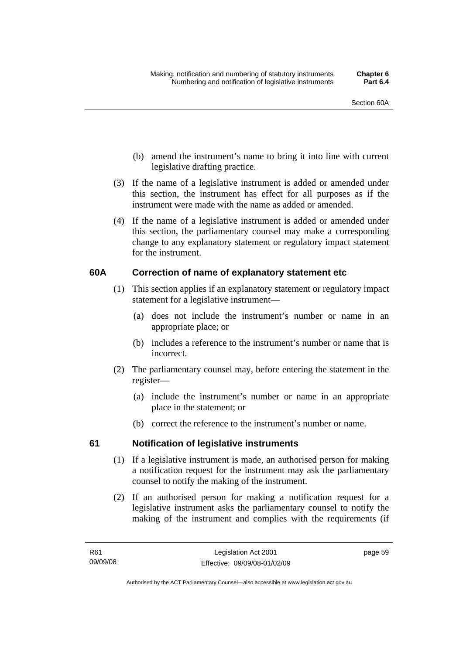- (b) amend the instrument's name to bring it into line with current legislative drafting practice.
- (3) If the name of a legislative instrument is added or amended under this section, the instrument has effect for all purposes as if the instrument were made with the name as added or amended.
- (4) If the name of a legislative instrument is added or amended under this section, the parliamentary counsel may make a corresponding change to any explanatory statement or regulatory impact statement for the instrument.

## **60A Correction of name of explanatory statement etc**

- (1) This section applies if an explanatory statement or regulatory impact statement for a legislative instrument—
	- (a) does not include the instrument's number or name in an appropriate place; or
	- (b) includes a reference to the instrument's number or name that is incorrect.
- (2) The parliamentary counsel may, before entering the statement in the register—
	- (a) include the instrument's number or name in an appropriate place in the statement; or
	- (b) correct the reference to the instrument's number or name.

## **61 Notification of legislative instruments**

- (1) If a legislative instrument is made, an authorised person for making a notification request for the instrument may ask the parliamentary counsel to notify the making of the instrument.
- (2) If an authorised person for making a notification request for a legislative instrument asks the parliamentary counsel to notify the making of the instrument and complies with the requirements (if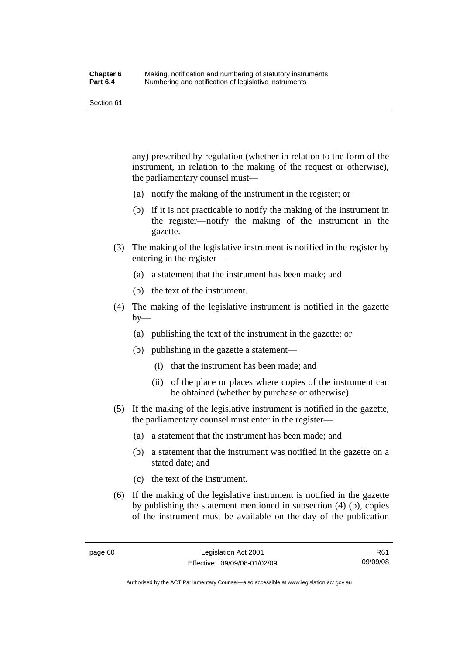Section 61

any) prescribed by regulation (whether in relation to the form of the instrument, in relation to the making of the request or otherwise), the parliamentary counsel must—

- (a) notify the making of the instrument in the register; or
- (b) if it is not practicable to notify the making of the instrument in the register—notify the making of the instrument in the gazette.
- (3) The making of the legislative instrument is notified in the register by entering in the register—
	- (a) a statement that the instrument has been made; and
	- (b) the text of the instrument.
- (4) The making of the legislative instrument is notified in the gazette  $by-$ 
	- (a) publishing the text of the instrument in the gazette; or
	- (b) publishing in the gazette a statement—
		- (i) that the instrument has been made; and
		- (ii) of the place or places where copies of the instrument can be obtained (whether by purchase or otherwise).
- (5) If the making of the legislative instrument is notified in the gazette, the parliamentary counsel must enter in the register—
	- (a) a statement that the instrument has been made; and
	- (b) a statement that the instrument was notified in the gazette on a stated date; and
	- (c) the text of the instrument.
- (6) If the making of the legislative instrument is notified in the gazette by publishing the statement mentioned in subsection (4) (b), copies of the instrument must be available on the day of the publication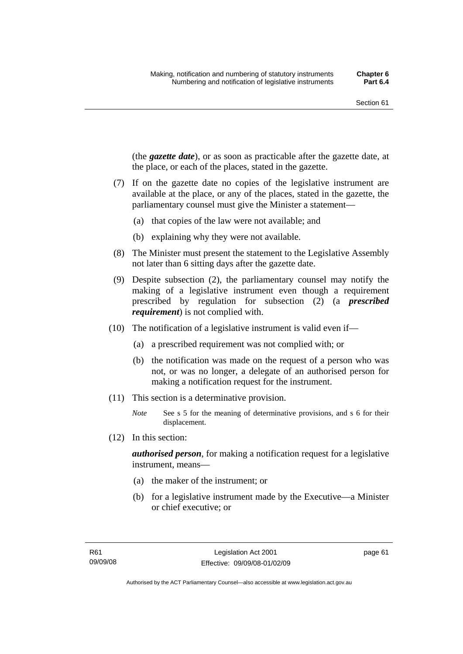(the *gazette date*), or as soon as practicable after the gazette date, at the place, or each of the places, stated in the gazette.

- (7) If on the gazette date no copies of the legislative instrument are available at the place, or any of the places, stated in the gazette, the parliamentary counsel must give the Minister a statement—
	- (a) that copies of the law were not available; and
	- (b) explaining why they were not available.
- (8) The Minister must present the statement to the Legislative Assembly not later than 6 sitting days after the gazette date.
- (9) Despite subsection (2), the parliamentary counsel may notify the making of a legislative instrument even though a requirement prescribed by regulation for subsection (2) (a *prescribed requirement*) is not complied with.
- (10) The notification of a legislative instrument is valid even if—
	- (a) a prescribed requirement was not complied with; or
	- (b) the notification was made on the request of a person who was not, or was no longer, a delegate of an authorised person for making a notification request for the instrument.
- (11) This section is a determinative provision.
	- *Note* See s 5 for the meaning of determinative provisions, and s 6 for their displacement.
- (12) In this section:

*authorised person*, for making a notification request for a legislative instrument, means—

- (a) the maker of the instrument; or
- (b) for a legislative instrument made by the Executive—a Minister or chief executive; or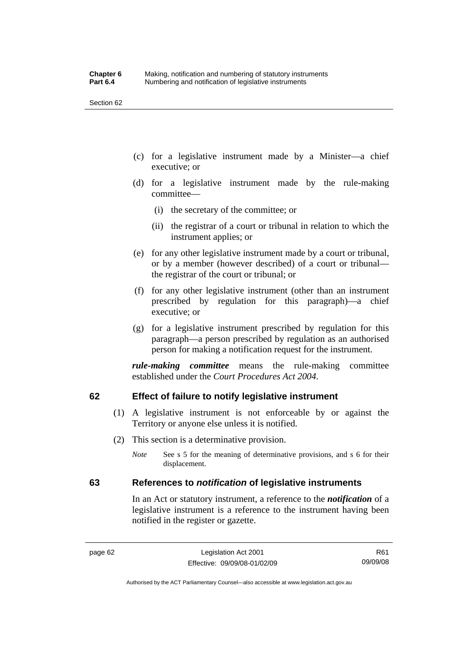Section 62

- (c) for a legislative instrument made by a Minister—a chief executive; or
- (d) for a legislative instrument made by the rule-making committee—
	- (i) the secretary of the committee; or
	- (ii) the registrar of a court or tribunal in relation to which the instrument applies; or
- (e) for any other legislative instrument made by a court or tribunal, or by a member (however described) of a court or tribunal the registrar of the court or tribunal; or
- (f) for any other legislative instrument (other than an instrument prescribed by regulation for this paragraph)—a chief executive; or
- (g) for a legislative instrument prescribed by regulation for this paragraph—a person prescribed by regulation as an authorised person for making a notification request for the instrument.

*rule-making committee* means the rule-making committee established under the *Court Procedures Act 2004*.

## **62 Effect of failure to notify legislative instrument**

- (1) A legislative instrument is not enforceable by or against the Territory or anyone else unless it is notified.
- (2) This section is a determinative provision.
	- *Note* See s 5 for the meaning of determinative provisions, and s 6 for their displacement.

## **63 References to** *notification* **of legislative instruments**

In an Act or statutory instrument, a reference to the *notification* of a legislative instrument is a reference to the instrument having been notified in the register or gazette.

R61 09/09/08

Authorised by the ACT Parliamentary Counsel—also accessible at www.legislation.act.gov.au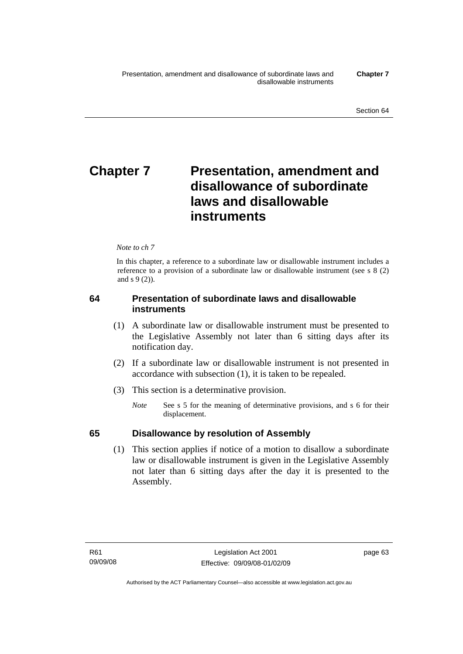# **Chapter 7** Presentation, amendment and **disallowance of subordinate laws and disallowable instruments**

### *Note to ch 7*

In this chapter, a reference to a subordinate law or disallowable instrument includes a reference to a provision of a subordinate law or disallowable instrument (see s 8 (2) and s 9 (2)).

## **64 Presentation of subordinate laws and disallowable instruments**

- (1) A subordinate law or disallowable instrument must be presented to the Legislative Assembly not later than 6 sitting days after its notification day.
- (2) If a subordinate law or disallowable instrument is not presented in accordance with subsection (1), it is taken to be repealed.
- (3) This section is a determinative provision.
	- *Note* See s 5 for the meaning of determinative provisions, and s 6 for their displacement.

## **65 Disallowance by resolution of Assembly**

 (1) This section applies if notice of a motion to disallow a subordinate law or disallowable instrument is given in the Legislative Assembly not later than 6 sitting days after the day it is presented to the Assembly.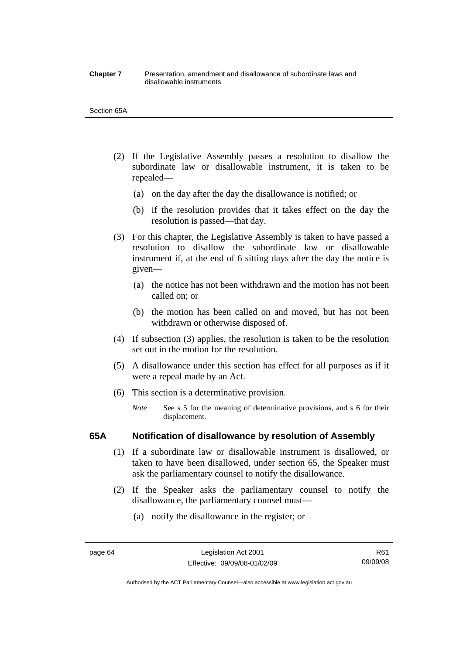#### **Chapter 7** Presentation, amendment and disallowance of subordinate laws and disallowable instruments

#### Section 65A

- (2) If the Legislative Assembly passes a resolution to disallow the subordinate law or disallowable instrument, it is taken to be repealed—
	- (a) on the day after the day the disallowance is notified; or
	- (b) if the resolution provides that it takes effect on the day the resolution is passed—that day.
- (3) For this chapter, the Legislative Assembly is taken to have passed a resolution to disallow the subordinate law or disallowable instrument if, at the end of 6 sitting days after the day the notice is given—
	- (a) the notice has not been withdrawn and the motion has not been called on; or
	- (b) the motion has been called on and moved, but has not been withdrawn or otherwise disposed of.
- (4) If subsection (3) applies, the resolution is taken to be the resolution set out in the motion for the resolution.
- (5) A disallowance under this section has effect for all purposes as if it were a repeal made by an Act.
- (6) This section is a determinative provision.
	- *Note* See s 5 for the meaning of determinative provisions, and s 6 for their displacement.

## **65A Notification of disallowance by resolution of Assembly**

- (1) If a subordinate law or disallowable instrument is disallowed, or taken to have been disallowed, under section 65, the Speaker must ask the parliamentary counsel to notify the disallowance.
- (2) If the Speaker asks the parliamentary counsel to notify the disallowance, the parliamentary counsel must—
	- (a) notify the disallowance in the register; or

Authorised by the ACT Parliamentary Counsel—also accessible at www.legislation.act.gov.au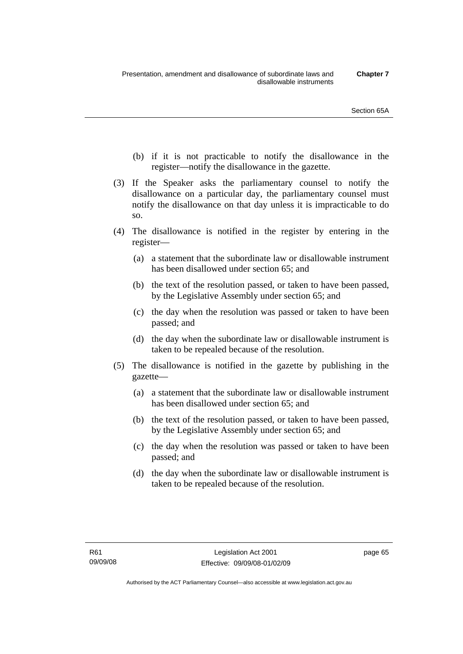- (b) if it is not practicable to notify the disallowance in the register—notify the disallowance in the gazette.
- (3) If the Speaker asks the parliamentary counsel to notify the disallowance on a particular day, the parliamentary counsel must notify the disallowance on that day unless it is impracticable to do so.
- (4) The disallowance is notified in the register by entering in the register—
	- (a) a statement that the subordinate law or disallowable instrument has been disallowed under section 65; and
	- (b) the text of the resolution passed, or taken to have been passed, by the Legislative Assembly under section 65; and
	- (c) the day when the resolution was passed or taken to have been passed; and
	- (d) the day when the subordinate law or disallowable instrument is taken to be repealed because of the resolution.
- (5) The disallowance is notified in the gazette by publishing in the gazette—
	- (a) a statement that the subordinate law or disallowable instrument has been disallowed under section 65; and
	- (b) the text of the resolution passed, or taken to have been passed, by the Legislative Assembly under section 65; and
	- (c) the day when the resolution was passed or taken to have been passed; and
	- (d) the day when the subordinate law or disallowable instrument is taken to be repealed because of the resolution.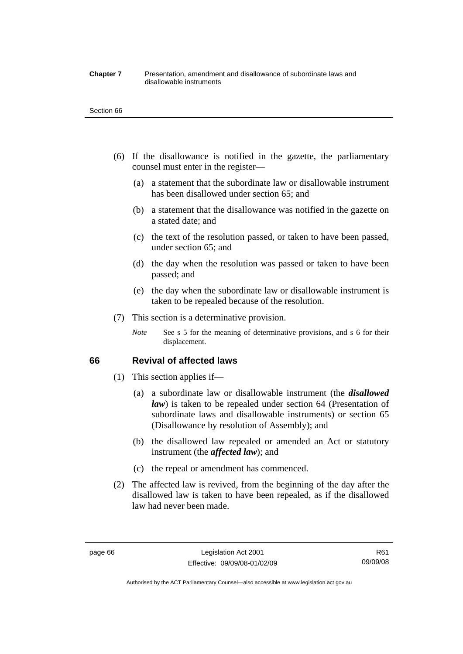#### **Chapter 7** Presentation, amendment and disallowance of subordinate laws and disallowable instruments

#### Section 66

- (6) If the disallowance is notified in the gazette, the parliamentary counsel must enter in the register—
	- (a) a statement that the subordinate law or disallowable instrument has been disallowed under section 65; and
	- (b) a statement that the disallowance was notified in the gazette on a stated date; and
	- (c) the text of the resolution passed, or taken to have been passed, under section 65; and
	- (d) the day when the resolution was passed or taken to have been passed; and
	- (e) the day when the subordinate law or disallowable instrument is taken to be repealed because of the resolution.
- (7) This section is a determinative provision.
	- *Note* See s 5 for the meaning of determinative provisions, and s 6 for their displacement.

## **66 Revival of affected laws**

- (1) This section applies if—
	- (a) a subordinate law or disallowable instrument (the *disallowed law*) is taken to be repealed under section 64 (Presentation of subordinate laws and disallowable instruments) or section 65 (Disallowance by resolution of Assembly); and
	- (b) the disallowed law repealed or amended an Act or statutory instrument (the *affected law*); and
	- (c) the repeal or amendment has commenced.
- (2) The affected law is revived, from the beginning of the day after the disallowed law is taken to have been repealed, as if the disallowed law had never been made.

R61 09/09/08

Authorised by the ACT Parliamentary Counsel—also accessible at www.legislation.act.gov.au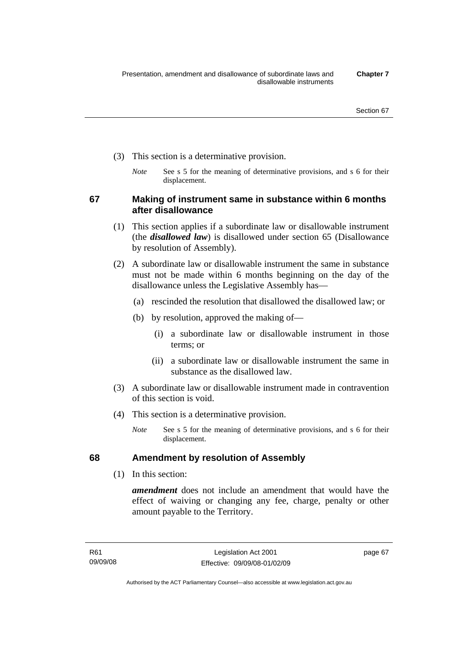- (3) This section is a determinative provision.
	- *Note* See s 5 for the meaning of determinative provisions, and s 6 for their displacement.

**67 Making of instrument same in substance within 6 months after disallowance** 

- (1) This section applies if a subordinate law or disallowable instrument (the *disallowed law*) is disallowed under section 65 (Disallowance by resolution of Assembly).
- (2) A subordinate law or disallowable instrument the same in substance must not be made within 6 months beginning on the day of the disallowance unless the Legislative Assembly has—
	- (a) rescinded the resolution that disallowed the disallowed law; or
	- (b) by resolution, approved the making of—
		- (i) a subordinate law or disallowable instrument in those terms; or
		- (ii) a subordinate law or disallowable instrument the same in substance as the disallowed law.
- (3) A subordinate law or disallowable instrument made in contravention of this section is void.
- (4) This section is a determinative provision.
	- *Note* See s 5 for the meaning of determinative provisions, and s 6 for their displacement.

## **68 Amendment by resolution of Assembly**

(1) In this section:

*amendment* does not include an amendment that would have the effect of waiving or changing any fee, charge, penalty or other amount payable to the Territory.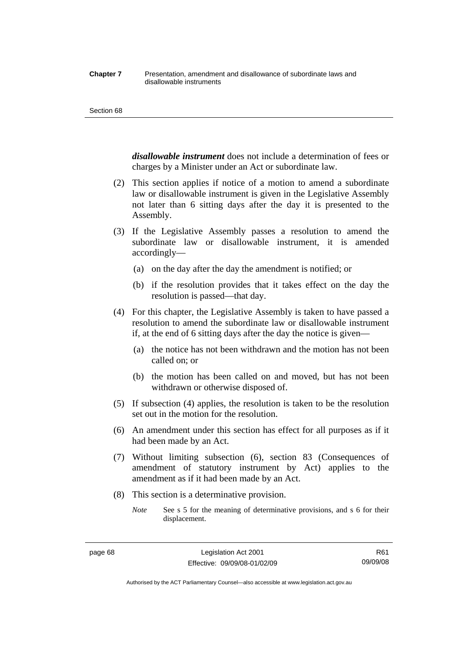#### **Chapter 7** Presentation, amendment and disallowance of subordinate laws and disallowable instruments

#### Section 68

*disallowable instrument* does not include a determination of fees or charges by a Minister under an Act or subordinate law.

- (2) This section applies if notice of a motion to amend a subordinate law or disallowable instrument is given in the Legislative Assembly not later than 6 sitting days after the day it is presented to the Assembly.
- (3) If the Legislative Assembly passes a resolution to amend the subordinate law or disallowable instrument, it is amended accordingly—
	- (a) on the day after the day the amendment is notified; or
	- (b) if the resolution provides that it takes effect on the day the resolution is passed—that day.
- (4) For this chapter, the Legislative Assembly is taken to have passed a resolution to amend the subordinate law or disallowable instrument if, at the end of 6 sitting days after the day the notice is given—
	- (a) the notice has not been withdrawn and the motion has not been called on; or
	- (b) the motion has been called on and moved, but has not been withdrawn or otherwise disposed of.
- (5) If subsection (4) applies, the resolution is taken to be the resolution set out in the motion for the resolution.
- (6) An amendment under this section has effect for all purposes as if it had been made by an Act.
- (7) Without limiting subsection (6), section 83 (Consequences of amendment of statutory instrument by Act) applies to the amendment as if it had been made by an Act.
- (8) This section is a determinative provision.
	- *Note* See s 5 for the meaning of determinative provisions, and s 6 for their displacement.

R61 09/09/08

Authorised by the ACT Parliamentary Counsel—also accessible at www.legislation.act.gov.au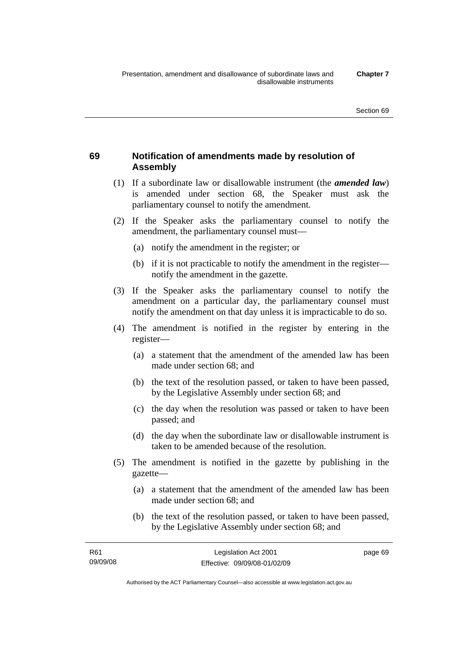# **69 Notification of amendments made by resolution of Assembly**

- (1) If a subordinate law or disallowable instrument (the *amended law*) is amended under section 68, the Speaker must ask the parliamentary counsel to notify the amendment.
- (2) If the Speaker asks the parliamentary counsel to notify the amendment, the parliamentary counsel must—
	- (a) notify the amendment in the register; or
	- (b) if it is not practicable to notify the amendment in the register notify the amendment in the gazette.
- (3) If the Speaker asks the parliamentary counsel to notify the amendment on a particular day, the parliamentary counsel must notify the amendment on that day unless it is impracticable to do so.
- (4) The amendment is notified in the register by entering in the register—
	- (a) a statement that the amendment of the amended law has been made under section 68; and
	- (b) the text of the resolution passed, or taken to have been passed, by the Legislative Assembly under section 68; and
	- (c) the day when the resolution was passed or taken to have been passed; and
	- (d) the day when the subordinate law or disallowable instrument is taken to be amended because of the resolution.
- (5) The amendment is notified in the gazette by publishing in the gazette—
	- (a) a statement that the amendment of the amended law has been made under section 68; and
	- (b) the text of the resolution passed, or taken to have been passed, by the Legislative Assembly under section 68; and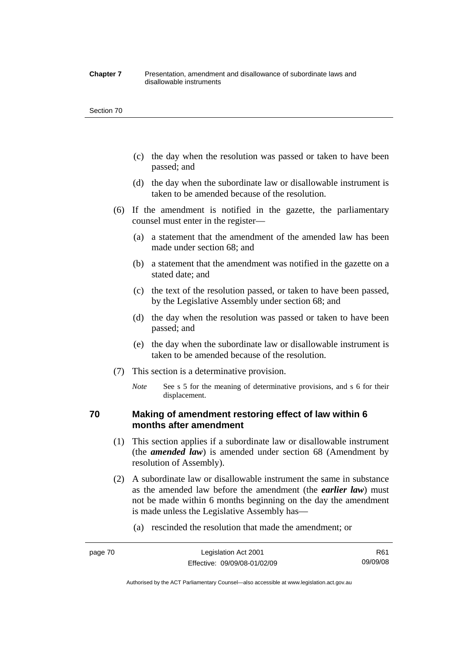#### **Chapter 7** Presentation, amendment and disallowance of subordinate laws and disallowable instruments

#### Section 70

- (c) the day when the resolution was passed or taken to have been passed; and
- (d) the day when the subordinate law or disallowable instrument is taken to be amended because of the resolution.
- (6) If the amendment is notified in the gazette, the parliamentary counsel must enter in the register—
	- (a) a statement that the amendment of the amended law has been made under section 68; and
	- (b) a statement that the amendment was notified in the gazette on a stated date; and
	- (c) the text of the resolution passed, or taken to have been passed, by the Legislative Assembly under section 68; and
	- (d) the day when the resolution was passed or taken to have been passed; and
	- (e) the day when the subordinate law or disallowable instrument is taken to be amended because of the resolution.
- (7) This section is a determinative provision.
	- *Note* See s 5 for the meaning of determinative provisions, and s 6 for their displacement.

## **70 Making of amendment restoring effect of law within 6 months after amendment**

- (1) This section applies if a subordinate law or disallowable instrument (the *amended law*) is amended under section 68 (Amendment by resolution of Assembly).
- (2) A subordinate law or disallowable instrument the same in substance as the amended law before the amendment (the *earlier law*) must not be made within 6 months beginning on the day the amendment is made unless the Legislative Assembly has—
	- (a) rescinded the resolution that made the amendment; or

Authorised by the ACT Parliamentary Counsel—also accessible at www.legislation.act.gov.au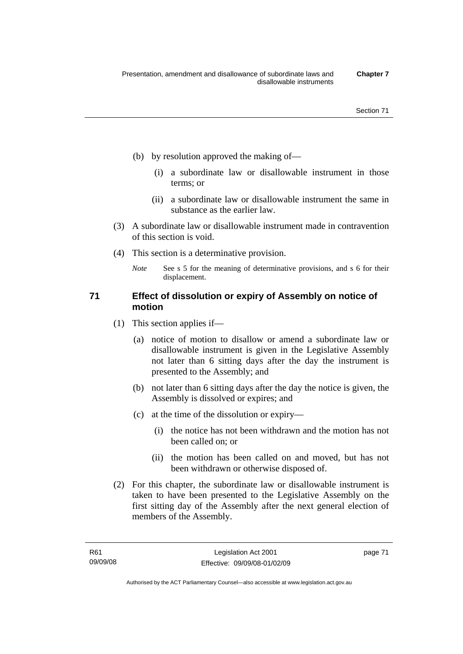- (b) by resolution approved the making of—
	- (i) a subordinate law or disallowable instrument in those terms; or
	- (ii) a subordinate law or disallowable instrument the same in substance as the earlier law.
- (3) A subordinate law or disallowable instrument made in contravention of this section is void.
- (4) This section is a determinative provision.
	- *Note* See s 5 for the meaning of determinative provisions, and s 6 for their displacement.

## **71 Effect of dissolution or expiry of Assembly on notice of motion**

- (1) This section applies if—
	- (a) notice of motion to disallow or amend a subordinate law or disallowable instrument is given in the Legislative Assembly not later than 6 sitting days after the day the instrument is presented to the Assembly; and
	- (b) not later than 6 sitting days after the day the notice is given, the Assembly is dissolved or expires; and
	- (c) at the time of the dissolution or expiry—
		- (i) the notice has not been withdrawn and the motion has not been called on; or
		- (ii) the motion has been called on and moved, but has not been withdrawn or otherwise disposed of.
- (2) For this chapter, the subordinate law or disallowable instrument is taken to have been presented to the Legislative Assembly on the first sitting day of the Assembly after the next general election of members of the Assembly.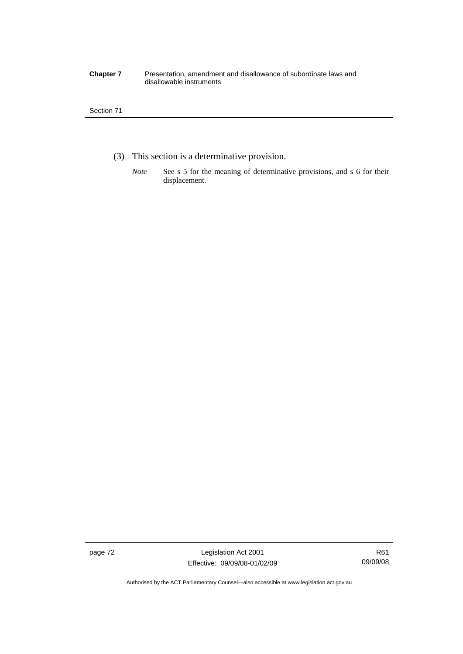#### **Chapter 7** Presentation, amendment and disallowance of subordinate laws and disallowable instruments

#### Section 71

- (3) This section is a determinative provision.
	- *Note* See s 5 for the meaning of determinative provisions, and s 6 for their displacement.

page 72 Legislation Act 2001 Effective: 09/09/08-01/02/09

Authorised by the ACT Parliamentary Counsel—also accessible at www.legislation.act.gov.au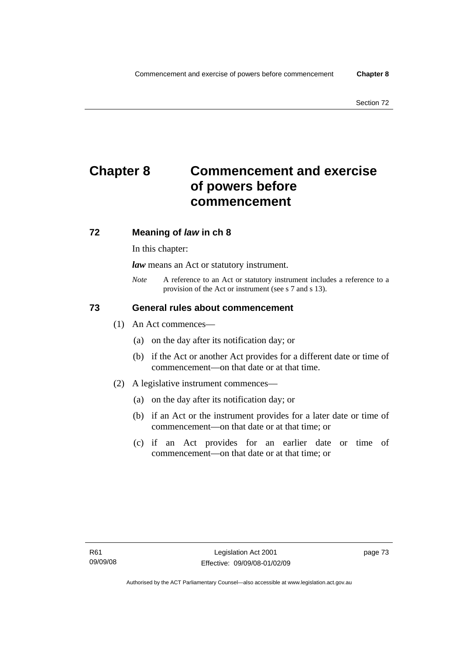# **Chapter 8 Commencement and exercise of powers before commencement**

## **72 Meaning of** *law* **in ch 8**

In this chapter:

*law* means an Act or statutory instrument.

*Note* A reference to an Act or statutory instrument includes a reference to a provision of the Act or instrument (see s 7 and s 13).

## **73 General rules about commencement**

- (1) An Act commences—
	- (a) on the day after its notification day; or
	- (b) if the Act or another Act provides for a different date or time of commencement—on that date or at that time.
- (2) A legislative instrument commences—
	- (a) on the day after its notification day; or
	- (b) if an Act or the instrument provides for a later date or time of commencement—on that date or at that time; or
	- (c) if an Act provides for an earlier date or time of commencement—on that date or at that time; or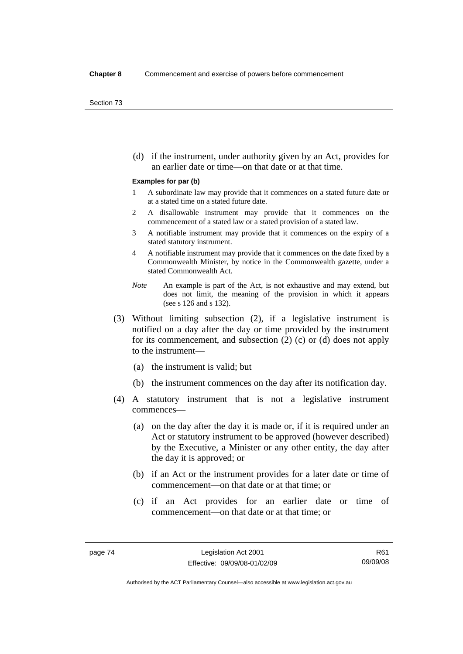(d) if the instrument, under authority given by an Act, provides for an earlier date or time—on that date or at that time.

#### **Examples for par (b)**

- 1 A subordinate law may provide that it commences on a stated future date or at a stated time on a stated future date.
- 2 A disallowable instrument may provide that it commences on the commencement of a stated law or a stated provision of a stated law.
- 3 A notifiable instrument may provide that it commences on the expiry of a stated statutory instrument.
- 4 A notifiable instrument may provide that it commences on the date fixed by a Commonwealth Minister, by notice in the Commonwealth gazette, under a stated Commonwealth Act.
- *Note* An example is part of the Act, is not exhaustive and may extend, but does not limit, the meaning of the provision in which it appears (see s 126 and s 132).
- (3) Without limiting subsection (2), if a legislative instrument is notified on a day after the day or time provided by the instrument for its commencement, and subsection (2) (c) or (d) does not apply to the instrument—
	- (a) the instrument is valid; but
	- (b) the instrument commences on the day after its notification day.
- (4) A statutory instrument that is not a legislative instrument commences—
	- (a) on the day after the day it is made or, if it is required under an Act or statutory instrument to be approved (however described) by the Executive, a Minister or any other entity, the day after the day it is approved; or
	- (b) if an Act or the instrument provides for a later date or time of commencement—on that date or at that time; or
	- (c) if an Act provides for an earlier date or time of commencement—on that date or at that time; or

R61 09/09/08

Authorised by the ACT Parliamentary Counsel—also accessible at www.legislation.act.gov.au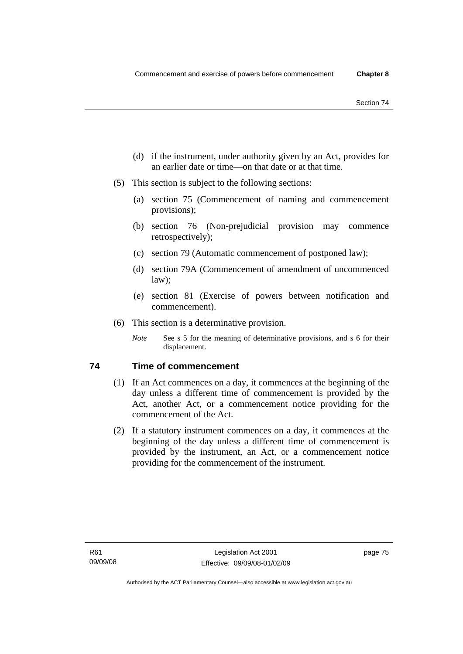- (d) if the instrument, under authority given by an Act, provides for an earlier date or time—on that date or at that time.
- (5) This section is subject to the following sections:
	- (a) section 75 (Commencement of naming and commencement provisions);
	- (b) section 76 (Non-prejudicial provision may commence retrospectively);
	- (c) section 79 (Automatic commencement of postponed law);
	- (d) section 79A (Commencement of amendment of uncommenced law);
	- (e) section 81 (Exercise of powers between notification and commencement).
- (6) This section is a determinative provision.
	- *Note* See s 5 for the meaning of determinative provisions, and s 6 for their displacement.

## **74 Time of commencement**

- (1) If an Act commences on a day, it commences at the beginning of the day unless a different time of commencement is provided by the Act, another Act, or a commencement notice providing for the commencement of the Act.
- (2) If a statutory instrument commences on a day, it commences at the beginning of the day unless a different time of commencement is provided by the instrument, an Act, or a commencement notice providing for the commencement of the instrument.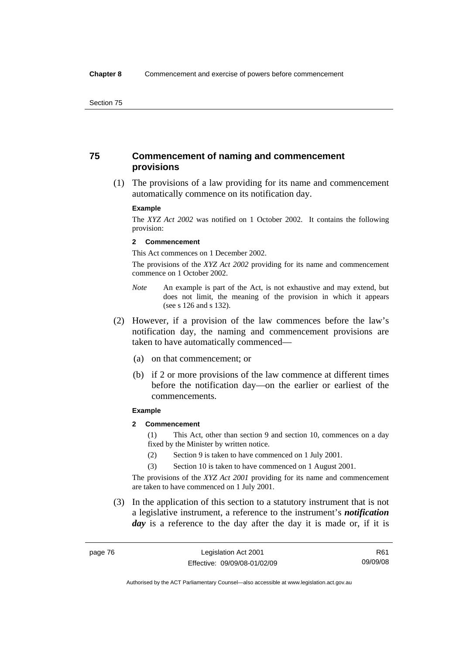## **75 Commencement of naming and commencement provisions**

 (1) The provisions of a law providing for its name and commencement automatically commence on its notification day.

#### **Example**

The *XYZ Act 2002* was notified on 1 October 2002. It contains the following provision:

#### **2 Commencement**

This Act commences on 1 December 2002.

The provisions of the *XYZ Act 2002* providing for its name and commencement commence on 1 October 2002.

- *Note* An example is part of the Act, is not exhaustive and may extend, but does not limit, the meaning of the provision in which it appears (see s 126 and s 132).
- (2) However, if a provision of the law commences before the law's notification day, the naming and commencement provisions are taken to have automatically commenced—
	- (a) on that commencement; or
	- (b) if 2 or more provisions of the law commence at different times before the notification day—on the earlier or earliest of the commencements.

#### **Example**

## **2 Commencement**

(1) This Act, other than section 9 and section 10, commences on a day fixed by the Minister by written notice.

- (2) Section 9 is taken to have commenced on 1 July 2001.
- (3) Section 10 is taken to have commenced on 1 August 2001.

The provisions of the *XYZ Act 2001* providing for its name and commencement are taken to have commenced on 1 July 2001.

 (3) In the application of this section to a statutory instrument that is not a legislative instrument, a reference to the instrument's *notification*  day is a reference to the day after the day it is made or, if it is

Authorised by the ACT Parliamentary Counsel—also accessible at www.legislation.act.gov.au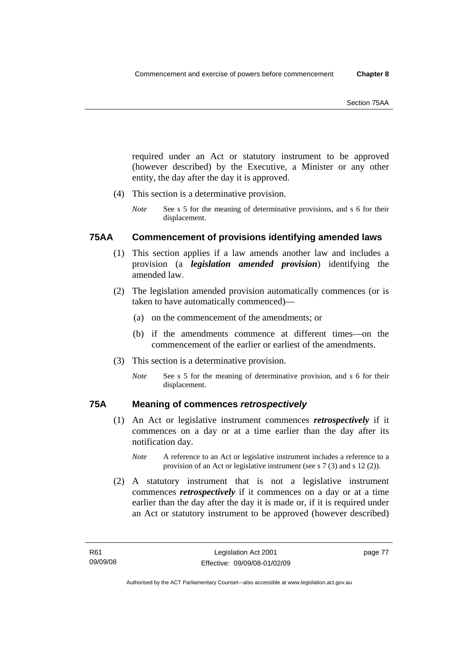required under an Act or statutory instrument to be approved (however described) by the Executive, a Minister or any other entity, the day after the day it is approved.

- (4) This section is a determinative provision.
	- *Note* See s 5 for the meaning of determinative provisions, and s 6 for their displacement.

## **75AA Commencement of provisions identifying amended laws**

- (1) This section applies if a law amends another law and includes a provision (a *legislation amended provision*) identifying the amended law.
- (2) The legislation amended provision automatically commences (or is taken to have automatically commenced)—
	- (a) on the commencement of the amendments; or
	- (b) if the amendments commence at different times—on the commencement of the earlier or earliest of the amendments.
- (3) This section is a determinative provision.
	- *Note* See s 5 for the meaning of determinative provision, and s 6 for their displacement.

## **75A Meaning of commences** *retrospectively*

- (1) An Act or legislative instrument commences *retrospectively* if it commences on a day or at a time earlier than the day after its notification day.
	- *Note* A reference to an Act or legislative instrument includes a reference to a provision of an Act or legislative instrument (see s 7 (3) and s 12 (2)).
- (2) A statutory instrument that is not a legislative instrument commences *retrospectively* if it commences on a day or at a time earlier than the day after the day it is made or, if it is required under an Act or statutory instrument to be approved (however described)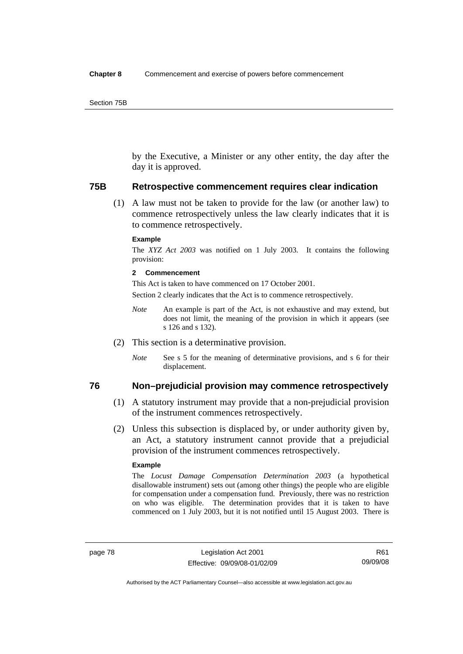by the Executive, a Minister or any other entity, the day after the day it is approved.

### **75B Retrospective commencement requires clear indication**

 (1) A law must not be taken to provide for the law (or another law) to commence retrospectively unless the law clearly indicates that it is to commence retrospectively.

#### **Example**

The *XYZ Act 2003* was notified on 1 July 2003. It contains the following provision:

#### **2 Commencement**

This Act is taken to have commenced on 17 October 2001.

Section 2 clearly indicates that the Act is to commence retrospectively.

- *Note* An example is part of the Act, is not exhaustive and may extend, but does not limit, the meaning of the provision in which it appears (see s 126 and s 132).
- (2) This section is a determinative provision.
	- *Note* See s 5 for the meaning of determinative provisions, and s 6 for their displacement.

## **76 Non–prejudicial provision may commence retrospectively**

- (1) A statutory instrument may provide that a non-prejudicial provision of the instrument commences retrospectively.
- (2) Unless this subsection is displaced by, or under authority given by, an Act, a statutory instrument cannot provide that a prejudicial provision of the instrument commences retrospectively.

#### **Example**

The *Locust Damage Compensation Determination 2003* (a hypothetical disallowable instrument) sets out (among other things) the people who are eligible for compensation under a compensation fund. Previously, there was no restriction on who was eligible. The determination provides that it is taken to have commenced on 1 July 2003, but it is not notified until 15 August 2003. There is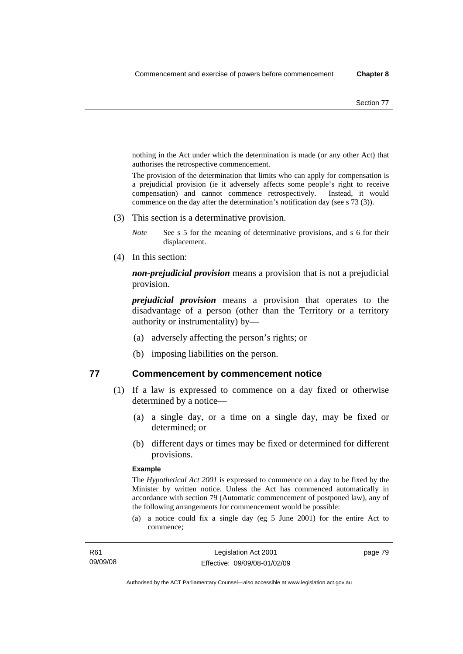nothing in the Act under which the determination is made (or any other Act) that authorises the retrospective commencement.

The provision of the determination that limits who can apply for compensation is a prejudicial provision (ie it adversely affects some people's right to receive compensation) and cannot commence retrospectively. Instead, it would commence on the day after the determination's notification day (see s 73 (3)).

(3) This section is a determinative provision.

*Note* See s 5 for the meaning of determinative provisions, and s 6 for their displacement.

(4) In this section:

*non-prejudicial provision* means a provision that is not a prejudicial provision.

*prejudicial provision* means a provision that operates to the disadvantage of a person (other than the Territory or a territory authority or instrumentality) by—

- (a) adversely affecting the person's rights; or
- (b) imposing liabilities on the person.

## **77 Commencement by commencement notice**

- (1) If a law is expressed to commence on a day fixed or otherwise determined by a notice—
	- (a) a single day, or a time on a single day, may be fixed or determined; or
	- (b) different days or times may be fixed or determined for different provisions.

#### **Example**

The *Hypothetical Act 2001* is expressed to commence on a day to be fixed by the Minister by written notice. Unless the Act has commenced automatically in accordance with section 79 (Automatic commencement of postponed law), any of the following arrangements for commencement would be possible:

(a) a notice could fix a single day (eg 5 June 2001) for the entire Act to commence;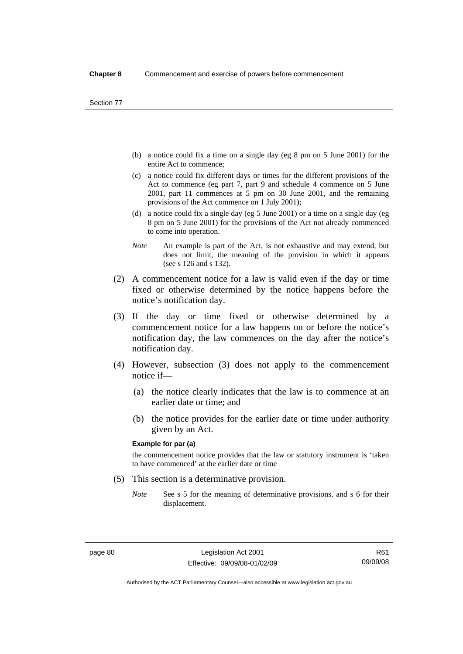- (b) a notice could fix a time on a single day (eg 8 pm on 5 June 2001) for the entire Act to commence;
- (c) a notice could fix different days or times for the different provisions of the Act to commence (eg part 7, part 9 and schedule 4 commence on 5 June 2001, part 11 commences at 5 pm on 30 June 2001, and the remaining provisions of the Act commence on 1 July 2001);
- (d) a notice could fix a single day (eg 5 June 2001) or a time on a single day (eg 8 pm on 5 June 2001) for the provisions of the Act not already commenced to come into operation.
- *Note* An example is part of the Act, is not exhaustive and may extend, but does not limit, the meaning of the provision in which it appears (see s 126 and s 132).
- (2) A commencement notice for a law is valid even if the day or time fixed or otherwise determined by the notice happens before the notice's notification day.
- (3) If the day or time fixed or otherwise determined by a commencement notice for a law happens on or before the notice's notification day, the law commences on the day after the notice's notification day.
- (4) However, subsection (3) does not apply to the commencement notice if—
	- (a) the notice clearly indicates that the law is to commence at an earlier date or time; and
	- (b) the notice provides for the earlier date or time under authority given by an Act.

#### **Example for par (a)**

the commencement notice provides that the law or statutory instrument is 'taken to have commenced' at the earlier date or time

- (5) This section is a determinative provision.
	- *Note* See s 5 for the meaning of determinative provisions, and s 6 for their displacement.

R61 09/09/08

Authorised by the ACT Parliamentary Counsel—also accessible at www.legislation.act.gov.au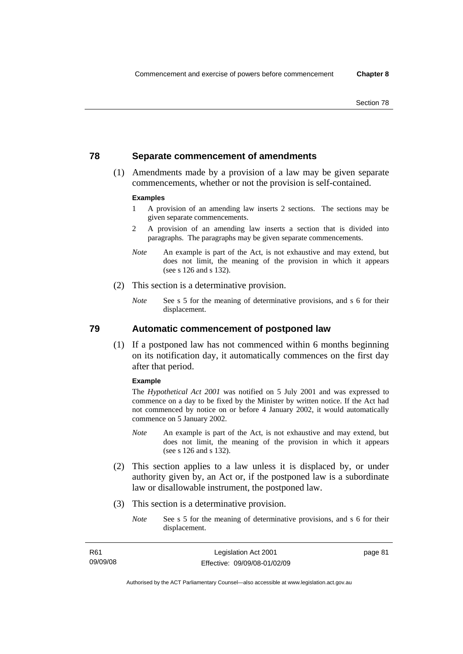## **78 Separate commencement of amendments**

 (1) Amendments made by a provision of a law may be given separate commencements, whether or not the provision is self-contained.

#### **Examples**

- 1 A provision of an amending law inserts 2 sections. The sections may be given separate commencements.
- 2 A provision of an amending law inserts a section that is divided into paragraphs. The paragraphs may be given separate commencements.
- *Note* An example is part of the Act, is not exhaustive and may extend, but does not limit, the meaning of the provision in which it appears (see s 126 and s 132).
- (2) This section is a determinative provision.
	- *Note* See s 5 for the meaning of determinative provisions, and s 6 for their displacement.

**79 Automatic commencement of postponed law** 

 (1) If a postponed law has not commenced within 6 months beginning on its notification day, it automatically commences on the first day after that period.

#### **Example**

The *Hypothetical Act 2001* was notified on 5 July 2001 and was expressed to commence on a day to be fixed by the Minister by written notice. If the Act had not commenced by notice on or before 4 January 2002, it would automatically commence on 5 January 2002.

- *Note* An example is part of the Act, is not exhaustive and may extend, but does not limit, the meaning of the provision in which it appears (see s 126 and s 132).
- (2) This section applies to a law unless it is displaced by, or under authority given by, an Act or, if the postponed law is a subordinate law or disallowable instrument, the postponed law.
- (3) This section is a determinative provision.
	- *Note* See s 5 for the meaning of determinative provisions, and s 6 for their displacement.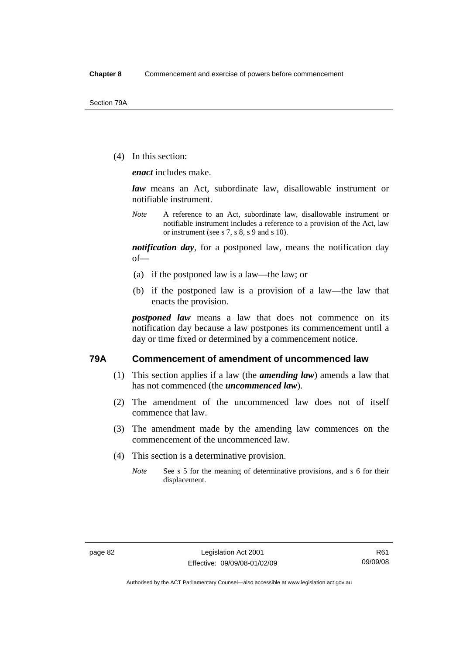(4) In this section:

*enact* includes make.

*law* means an Act, subordinate law, disallowable instrument or notifiable instrument.

*Note* A reference to an Act, subordinate law, disallowable instrument or notifiable instrument includes a reference to a provision of the Act, law or instrument (see s 7, s 8, s 9 and s 10).

*notification day*, for a postponed law, means the notification day of—

- (a) if the postponed law is a law—the law; or
- (b) if the postponed law is a provision of a law—the law that enacts the provision.

*postponed law* means a law that does not commence on its notification day because a law postpones its commencement until a day or time fixed or determined by a commencement notice.

## **79A Commencement of amendment of uncommenced law**

- (1) This section applies if a law (the *amending law*) amends a law that has not commenced (the *uncommenced law*).
- (2) The amendment of the uncommenced law does not of itself commence that law.
- (3) The amendment made by the amending law commences on the commencement of the uncommenced law.
- (4) This section is a determinative provision.
	- *Note* See s 5 for the meaning of determinative provisions, and s 6 for their displacement.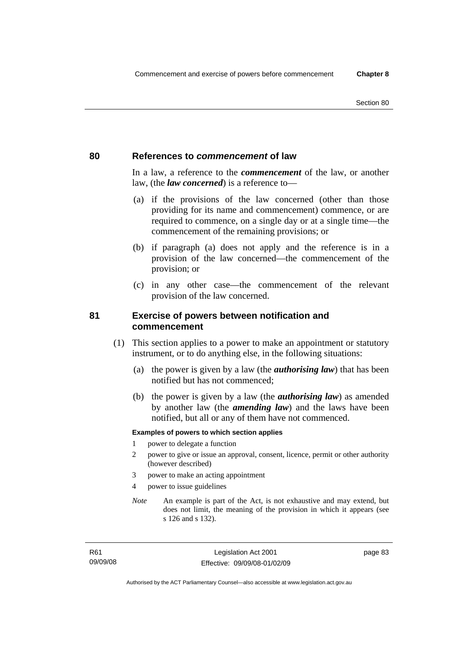## **80 References to** *commencement* **of law**

In a law, a reference to the *commencement* of the law, or another law, (the *law concerned*) is a reference to—

- (a) if the provisions of the law concerned (other than those providing for its name and commencement) commence, or are required to commence, on a single day or at a single time—the commencement of the remaining provisions; or
- (b) if paragraph (a) does not apply and the reference is in a provision of the law concerned—the commencement of the provision; or
- (c) in any other case—the commencement of the relevant provision of the law concerned.

## **81 Exercise of powers between notification and commencement**

- (1) This section applies to a power to make an appointment or statutory instrument, or to do anything else, in the following situations:
	- (a) the power is given by a law (the *authorising law*) that has been notified but has not commenced;
	- (b) the power is given by a law (the *authorising law*) as amended by another law (the *amending law*) and the laws have been notified, but all or any of them have not commenced.

#### **Examples of powers to which section applies**

- 1 power to delegate a function
- 2 power to give or issue an approval, consent, licence, permit or other authority (however described)
- 3 power to make an acting appointment
- 4 power to issue guidelines
- *Note* An example is part of the Act, is not exhaustive and may extend, but does not limit, the meaning of the provision in which it appears (see s 126 and s 132).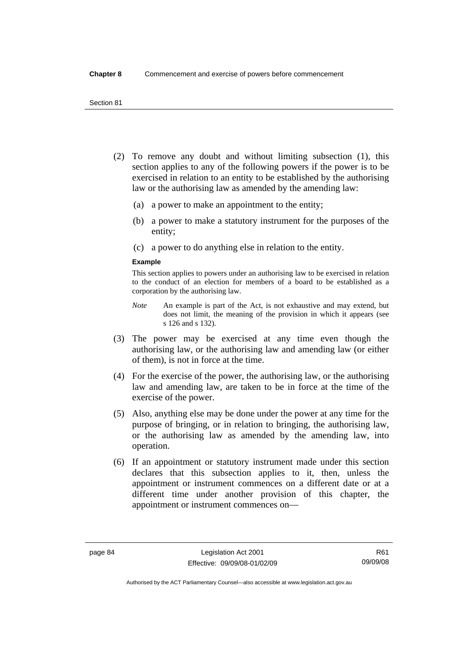- (2) To remove any doubt and without limiting subsection (1), this section applies to any of the following powers if the power is to be exercised in relation to an entity to be established by the authorising law or the authorising law as amended by the amending law:
	- (a) a power to make an appointment to the entity;
	- (b) a power to make a statutory instrument for the purposes of the entity;
	- (c) a power to do anything else in relation to the entity.

#### **Example**

This section applies to powers under an authorising law to be exercised in relation to the conduct of an election for members of a board to be established as a corporation by the authorising law.

- *Note* An example is part of the Act, is not exhaustive and may extend, but does not limit, the meaning of the provision in which it appears (see s 126 and s 132).
- (3) The power may be exercised at any time even though the authorising law, or the authorising law and amending law (or either of them), is not in force at the time.
- (4) For the exercise of the power, the authorising law, or the authorising law and amending law, are taken to be in force at the time of the exercise of the power.
- (5) Also, anything else may be done under the power at any time for the purpose of bringing, or in relation to bringing, the authorising law, or the authorising law as amended by the amending law, into operation.
- (6) If an appointment or statutory instrument made under this section declares that this subsection applies to it, then, unless the appointment or instrument commences on a different date or at a different time under another provision of this chapter, the appointment or instrument commences on—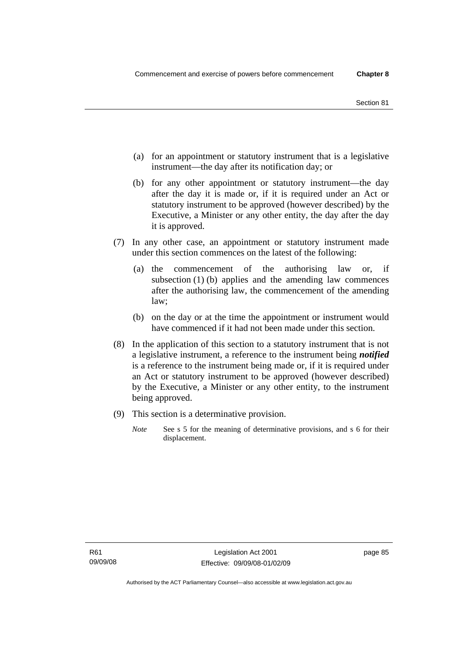- (a) for an appointment or statutory instrument that is a legislative instrument—the day after its notification day; or
- (b) for any other appointment or statutory instrument—the day after the day it is made or, if it is required under an Act or statutory instrument to be approved (however described) by the Executive, a Minister or any other entity, the day after the day it is approved.
- (7) In any other case, an appointment or statutory instrument made under this section commences on the latest of the following:
	- (a) the commencement of the authorising law or, if subsection (1) (b) applies and the amending law commences after the authorising law, the commencement of the amending law;
	- (b) on the day or at the time the appointment or instrument would have commenced if it had not been made under this section.
- (8) In the application of this section to a statutory instrument that is not a legislative instrument, a reference to the instrument being *notified*  is a reference to the instrument being made or, if it is required under an Act or statutory instrument to be approved (however described) by the Executive, a Minister or any other entity, to the instrument being approved.
- (9) This section is a determinative provision.
	- *Note* See s 5 for the meaning of determinative provisions, and s 6 for their displacement.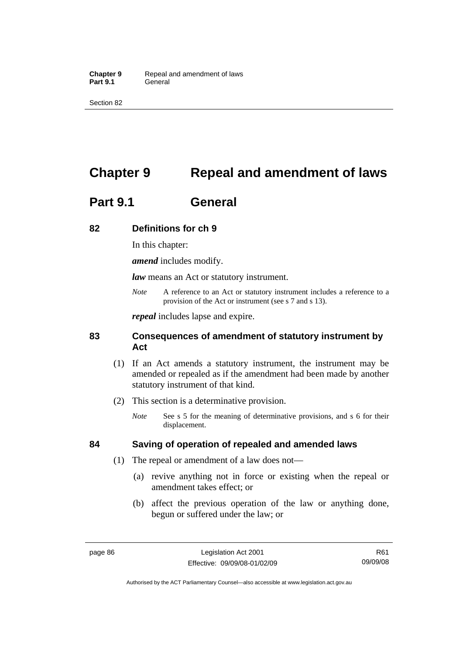Section 82

# **Chapter 9 Repeal and amendment of laws**

# **Part 9.1 General**

## **82 Definitions for ch 9**

In this chapter:

*amend* includes modify.

*law* means an Act or statutory instrument.

*Note* A reference to an Act or statutory instrument includes a reference to a provision of the Act or instrument (see s 7 and s 13).

*repeal* includes lapse and expire.

## **83 Consequences of amendment of statutory instrument by Act**

- (1) If an Act amends a statutory instrument, the instrument may be amended or repealed as if the amendment had been made by another statutory instrument of that kind.
- (2) This section is a determinative provision.
	- *Note* See s 5 for the meaning of determinative provisions, and s 6 for their displacement.

## **84 Saving of operation of repealed and amended laws**

- (1) The repeal or amendment of a law does not—
	- (a) revive anything not in force or existing when the repeal or amendment takes effect; or
	- (b) affect the previous operation of the law or anything done, begun or suffered under the law; or

R61 09/09/08

Authorised by the ACT Parliamentary Counsel—also accessible at www.legislation.act.gov.au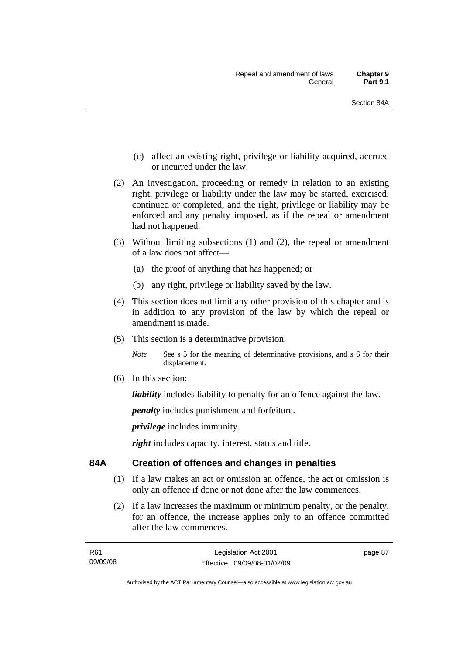- (c) affect an existing right, privilege or liability acquired, accrued or incurred under the law.
- (2) An investigation, proceeding or remedy in relation to an existing right, privilege or liability under the law may be started, exercised, continued or completed, and the right, privilege or liability may be enforced and any penalty imposed, as if the repeal or amendment had not happened.
- (3) Without limiting subsections (1) and (2), the repeal or amendment of a law does not affect—
	- (a) the proof of anything that has happened; or
	- (b) any right, privilege or liability saved by the law.
- (4) This section does not limit any other provision of this chapter and is in addition to any provision of the law by which the repeal or amendment is made.
- (5) This section is a determinative provision.

*Note* See s 5 for the meaning of determinative provisions, and s 6 for their displacement.

(6) In this section:

*liability* includes liability to penalty for an offence against the law.

*penalty* includes punishment and forfeiture.

*privilege* includes immunity.

*right* includes capacity, interest, status and title.

## **84A Creation of offences and changes in penalties**

- (1) If a law makes an act or omission an offence, the act or omission is only an offence if done or not done after the law commences.
- (2) If a law increases the maximum or minimum penalty, or the penalty, for an offence, the increase applies only to an offence committed after the law commences.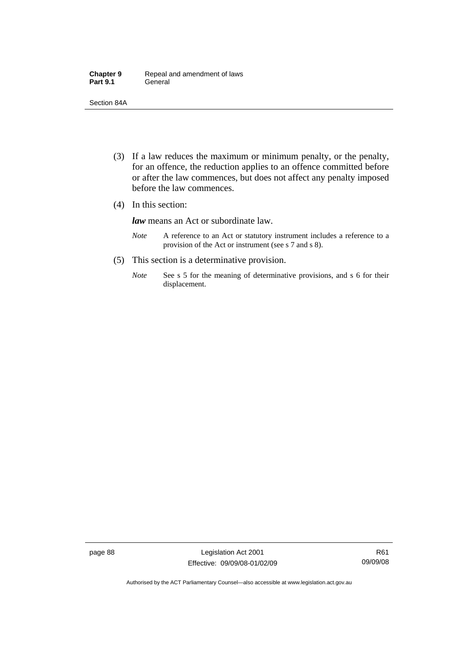| <b>Chapter 9</b> | Repeal and amendment of laws |
|------------------|------------------------------|
| <b>Part 9.1</b>  | General                      |

Section 84A

- (3) If a law reduces the maximum or minimum penalty, or the penalty, for an offence, the reduction applies to an offence committed before or after the law commences, but does not affect any penalty imposed before the law commences.
- (4) In this section:

*law* means an Act or subordinate law.

- *Note* A reference to an Act or statutory instrument includes a reference to a provision of the Act or instrument (see s 7 and s 8).
- (5) This section is a determinative provision.
	- *Note* See s 5 for the meaning of determinative provisions, and s 6 for their displacement.

page 88 Legislation Act 2001 Effective: 09/09/08-01/02/09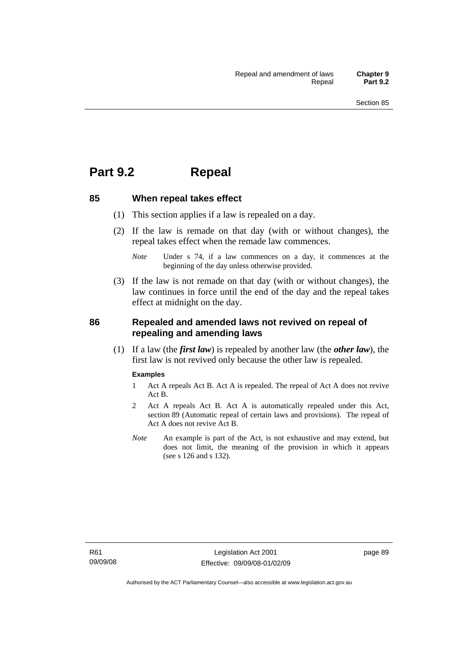# **Part 9.2 Repeal**

## **85 When repeal takes effect**

- (1) This section applies if a law is repealed on a day.
- (2) If the law is remade on that day (with or without changes), the repeal takes effect when the remade law commences.

 (3) If the law is not remade on that day (with or without changes), the law continues in force until the end of the day and the repeal takes effect at midnight on the day.

## **86 Repealed and amended laws not revived on repeal of repealing and amending laws**

 (1) If a law (the *first law*) is repealed by another law (the *other law*), the first law is not revived only because the other law is repealed.

#### **Examples**

- 1 Act A repeals Act B. Act A is repealed. The repeal of Act A does not revive Act B.
- 2 Act A repeals Act B. Act A is automatically repealed under this Act, section 89 (Automatic repeal of certain laws and provisions). The repeal of Act A does not revive Act B.
- *Note* An example is part of the Act, is not exhaustive and may extend, but does not limit, the meaning of the provision in which it appears (see s 126 and s 132).

*Note* Under s 74, if a law commences on a day, it commences at the beginning of the day unless otherwise provided.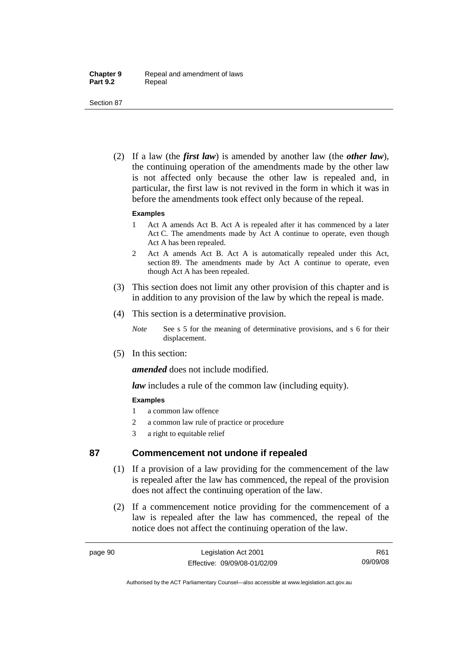Section 87

 (2) If a law (the *first law*) is amended by another law (the *other law*), the continuing operation of the amendments made by the other law is not affected only because the other law is repealed and, in particular, the first law is not revived in the form in which it was in before the amendments took effect only because of the repeal.

#### **Examples**

- 1 Act A amends Act B. Act A is repealed after it has commenced by a later Act C. The amendments made by Act A continue to operate, even though Act A has been repealed.
- 2 Act A amends Act B. Act A is automatically repealed under this Act, section 89. The amendments made by Act A continue to operate, even though Act A has been repealed.
- (3) This section does not limit any other provision of this chapter and is in addition to any provision of the law by which the repeal is made.
- (4) This section is a determinative provision.
	- *Note* See s 5 for the meaning of determinative provisions, and s 6 for their displacement.
- (5) In this section:

*amended* does not include modified.

*law* includes a rule of the common law (including equity).

## **Examples**

- 1 a common law offence
- 2 a common law rule of practice or procedure
- 3 a right to equitable relief

## **87 Commencement not undone if repealed**

- (1) If a provision of a law providing for the commencement of the law is repealed after the law has commenced, the repeal of the provision does not affect the continuing operation of the law.
- (2) If a commencement notice providing for the commencement of a law is repealed after the law has commenced, the repeal of the notice does not affect the continuing operation of the law.

R61 09/09/08

Authorised by the ACT Parliamentary Counsel—also accessible at www.legislation.act.gov.au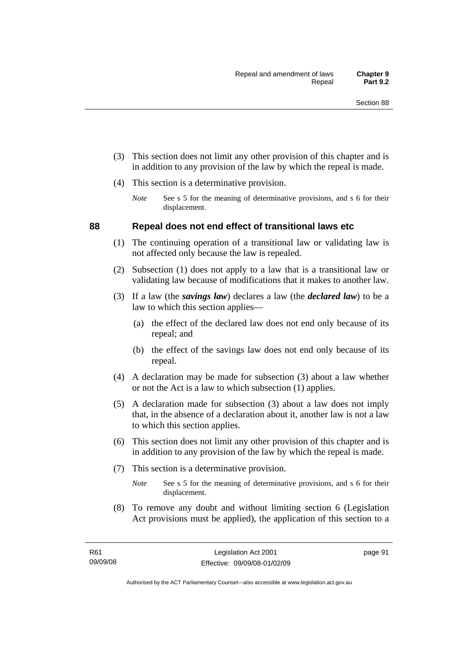- (3) This section does not limit any other provision of this chapter and is in addition to any provision of the law by which the repeal is made.
- (4) This section is a determinative provision.
	- *Note* See s 5 for the meaning of determinative provisions, and s 6 for their displacement.

## **88 Repeal does not end effect of transitional laws etc**

- (1) The continuing operation of a transitional law or validating law is not affected only because the law is repealed.
- (2) Subsection (1) does not apply to a law that is a transitional law or validating law because of modifications that it makes to another law.
- (3) If a law (the *savings law*) declares a law (the *declared law*) to be a law to which this section applies—
	- (a) the effect of the declared law does not end only because of its repeal; and
	- (b) the effect of the savings law does not end only because of its repeal.
- (4) A declaration may be made for subsection (3) about a law whether or not the Act is a law to which subsection (1) applies.
- (5) A declaration made for subsection (3) about a law does not imply that, in the absence of a declaration about it, another law is not a law to which this section applies.
- (6) This section does not limit any other provision of this chapter and is in addition to any provision of the law by which the repeal is made.
- (7) This section is a determinative provision.
	- *Note* See s 5 for the meaning of determinative provisions, and s 6 for their displacement.
- (8) To remove any doubt and without limiting section 6 (Legislation Act provisions must be applied), the application of this section to a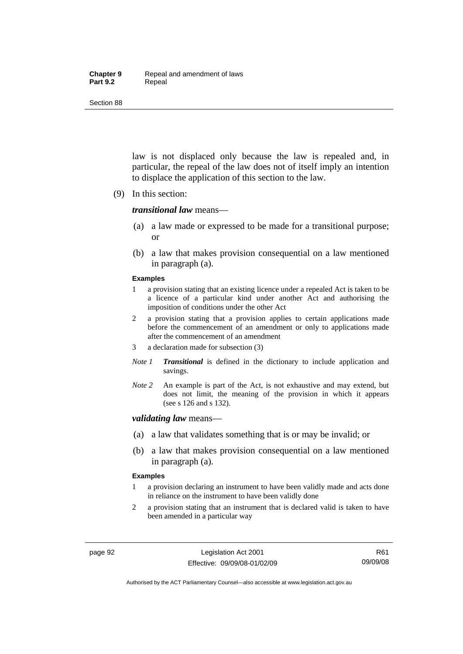#### **Chapter 9** Repeal and amendment of laws Part 9.2 **Repeal**

Section 88

law is not displaced only because the law is repealed and, in particular, the repeal of the law does not of itself imply an intention to displace the application of this section to the law.

(9) In this section:

#### *transitional law* means—

- (a) a law made or expressed to be made for a transitional purpose; or
- (b) a law that makes provision consequential on a law mentioned in paragraph (a).

#### **Examples**

- 1 a provision stating that an existing licence under a repealed Act is taken to be a licence of a particular kind under another Act and authorising the imposition of conditions under the other Act
- 2 a provision stating that a provision applies to certain applications made before the commencement of an amendment or only to applications made after the commencement of an amendment
- 3 a declaration made for subsection (3)
- *Note 1 Transitional* is defined in the dictionary to include application and savings.
- *Note 2* An example is part of the Act, is not exhaustive and may extend, but does not limit, the meaning of the provision in which it appears (see s 126 and s 132).

#### *validating law* means—

- (a) a law that validates something that is or may be invalid; or
- (b) a law that makes provision consequential on a law mentioned in paragraph (a).

#### **Examples**

- 1 a provision declaring an instrument to have been validly made and acts done in reliance on the instrument to have been validly done
- 2 a provision stating that an instrument that is declared valid is taken to have been amended in a particular way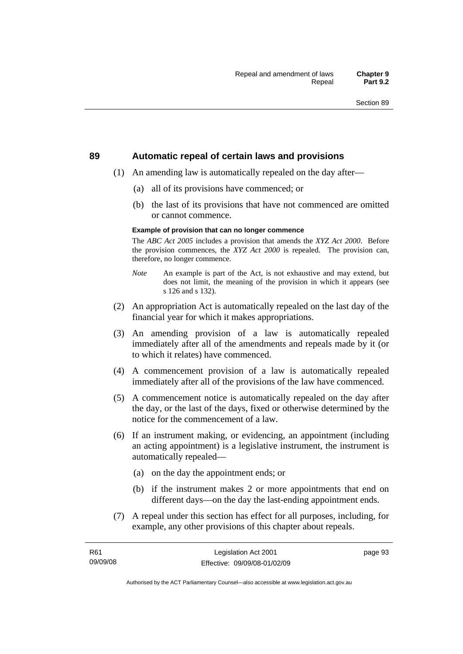#### **89 Automatic repeal of certain laws and provisions**

- (1) An amending law is automatically repealed on the day after—
	- (a) all of its provisions have commenced; or
	- (b) the last of its provisions that have not commenced are omitted or cannot commence.

#### **Example of provision that can no longer commence**

The *ABC Act 2005* includes a provision that amends the *XYZ Act 2000*. Before the provision commences, the *XYZ Act 2000* is repealed. The provision can, therefore, no longer commence.

- *Note* An example is part of the Act, is not exhaustive and may extend, but does not limit, the meaning of the provision in which it appears (see s 126 and s 132).
- (2) An appropriation Act is automatically repealed on the last day of the financial year for which it makes appropriations.
- (3) An amending provision of a law is automatically repealed immediately after all of the amendments and repeals made by it (or to which it relates) have commenced.
- (4) A commencement provision of a law is automatically repealed immediately after all of the provisions of the law have commenced.
- (5) A commencement notice is automatically repealed on the day after the day, or the last of the days, fixed or otherwise determined by the notice for the commencement of a law.
- (6) If an instrument making, or evidencing, an appointment (including an acting appointment) is a legislative instrument, the instrument is automatically repealed—
	- (a) on the day the appointment ends; or
	- (b) if the instrument makes 2 or more appointments that end on different days—on the day the last-ending appointment ends.
- (7) A repeal under this section has effect for all purposes, including, for example, any other provisions of this chapter about repeals.

page 93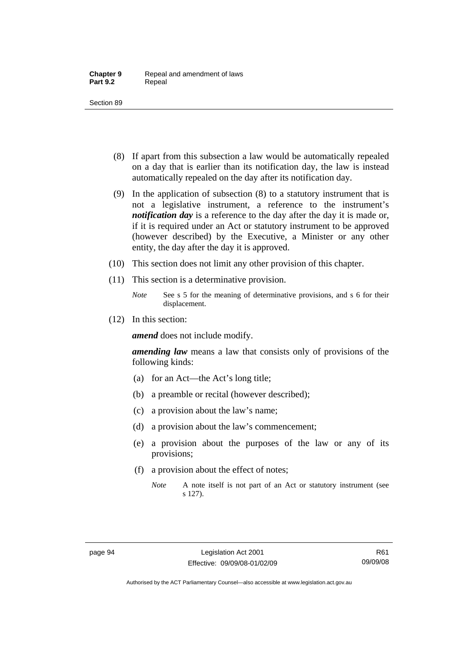- (8) If apart from this subsection a law would be automatically repealed on a day that is earlier than its notification day, the law is instead automatically repealed on the day after its notification day.
- (9) In the application of subsection (8) to a statutory instrument that is not a legislative instrument, a reference to the instrument's *notification day* is a reference to the day after the day it is made or, if it is required under an Act or statutory instrument to be approved (however described) by the Executive, a Minister or any other entity, the day after the day it is approved.
- (10) This section does not limit any other provision of this chapter.
- (11) This section is a determinative provision.
	- *Note* See s 5 for the meaning of determinative provisions, and s 6 for their displacement.
- (12) In this section:

*amend* does not include modify.

*amending law* means a law that consists only of provisions of the following kinds:

- (a) for an Act—the Act's long title;
- (b) a preamble or recital (however described);
- (c) a provision about the law's name;
- (d) a provision about the law's commencement;
- (e) a provision about the purposes of the law or any of its provisions;
- (f) a provision about the effect of notes;
	- *Note* A note itself is not part of an Act or statutory instrument (see s 127).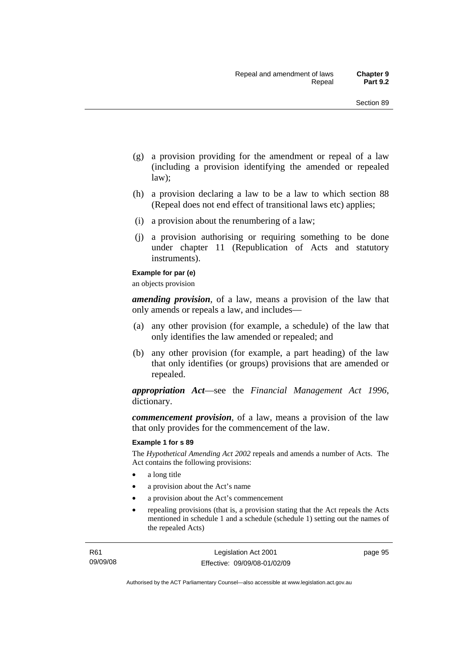- (g) a provision providing for the amendment or repeal of a law (including a provision identifying the amended or repealed law);
- (h) a provision declaring a law to be a law to which section 88 (Repeal does not end effect of transitional laws etc) applies;
- (i) a provision about the renumbering of a law;
- (j) a provision authorising or requiring something to be done under chapter 11 (Republication of Acts and statutory instruments).

#### **Example for par (e)**

an objects provision

*amending provision*, of a law, means a provision of the law that only amends or repeals a law, and includes—

- (a) any other provision (for example, a schedule) of the law that only identifies the law amended or repealed; and
- (b) any other provision (for example, a part heading) of the law that only identifies (or groups) provisions that are amended or repealed.

*appropriation Act*—see the *Financial Management Act 1996*, dictionary.

*commencement provision*, of a law, means a provision of the law that only provides for the commencement of the law.

#### **Example 1 for s 89**

The *Hypothetical Amending Act 2002* repeals and amends a number of Acts. The Act contains the following provisions:

- a long title
- a provision about the Act's name
- a provision about the Act's commencement
- repealing provisions (that is, a provision stating that the Act repeals the Acts mentioned in schedule 1 and a schedule (schedule 1) setting out the names of the repealed Acts)

page 95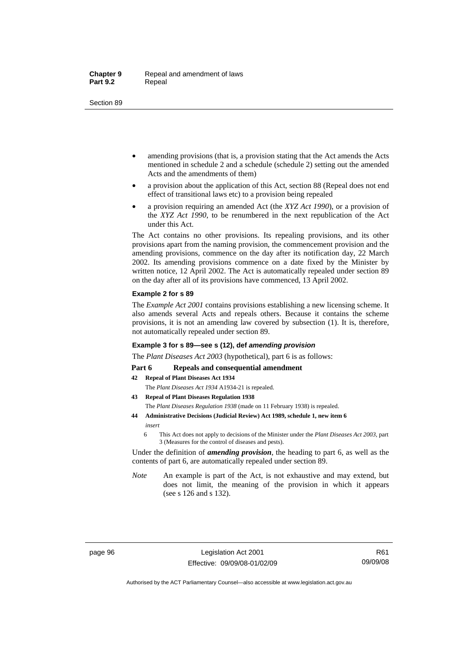- amending provisions (that is, a provision stating that the Act amends the Acts mentioned in schedule 2 and a schedule (schedule 2) setting out the amended Acts and the amendments of them)
- a provision about the application of this Act, section 88 (Repeal does not end effect of transitional laws etc) to a provision being repealed
- a provision requiring an amended Act (the *XYZ Act 1990*), or a provision of the *XYZ Act 1990*, to be renumbered in the next republication of the Act under this Act.

The Act contains no other provisions. Its repealing provisions, and its other provisions apart from the naming provision, the commencement provision and the amending provisions, commence on the day after its notification day, 22 March 2002. Its amending provisions commence on a date fixed by the Minister by written notice, 12 April 2002. The Act is automatically repealed under section 89 on the day after all of its provisions have commenced, 13 April 2002.

#### **Example 2 for s 89**

The *Example Act 2001* contains provisions establishing a new licensing scheme. It also amends several Acts and repeals others. Because it contains the scheme provisions, it is not an amending law covered by subsection (1). It is, therefore, not automatically repealed under section 89.

#### **Example 3 for s 89—see s (12), def** *amending provision*

The *Plant Diseases Act 2003* (hypothetical), part 6 is as follows:

#### Part 6 Repeals and consequential amendment

- **42 Repeal of Plant Diseases Act 1934**
	- The *Plant Diseases Act 1934* A1934-21 is repealed.
- **43 Repeal of Plant Diseases Regulation 1938** The *Plant Diseases Regulation 1938* (made on 11 February 1938) is repealed.
- **44 Administrative Decisions (Judicial Review) Act 1989, schedule 1, new item 6**  *insert* 
	- 6 This Act does not apply to decisions of the Minister under the *Plant Diseases Act 2003*, part 3 (Measures for the control of diseases and pests).

Under the definition of *amending provision*, the heading to part 6, as well as the contents of part 6, are automatically repealed under section 89.

*Note* An example is part of the Act, is not exhaustive and may extend, but does not limit, the meaning of the provision in which it appears (see s 126 and s 132).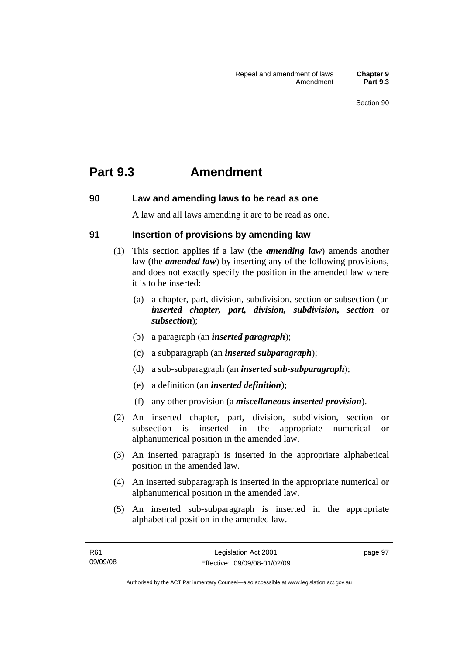## **Part 9.3 Amendment**

## **90 Law and amending laws to be read as one**

A law and all laws amending it are to be read as one.

## **91 Insertion of provisions by amending law**

- (1) This section applies if a law (the *amending law*) amends another law (the *amended law*) by inserting any of the following provisions, and does not exactly specify the position in the amended law where it is to be inserted:
	- (a) a chapter, part, division, subdivision, section or subsection (an *inserted chapter, part, division, subdivision, section* or *subsection*);
	- (b) a paragraph (an *inserted paragraph*);
	- (c) a subparagraph (an *inserted subparagraph*);
	- (d) a sub-subparagraph (an *inserted sub-subparagraph*);
	- (e) a definition (an *inserted definition*);
	- (f) any other provision (a *miscellaneous inserted provision*).
- (2) An inserted chapter, part, division, subdivision, section or subsection is inserted in the appropriate numerical or alphanumerical position in the amended law.
- (3) An inserted paragraph is inserted in the appropriate alphabetical position in the amended law.
- (4) An inserted subparagraph is inserted in the appropriate numerical or alphanumerical position in the amended law.
- (5) An inserted sub-subparagraph is inserted in the appropriate alphabetical position in the amended law.

page 97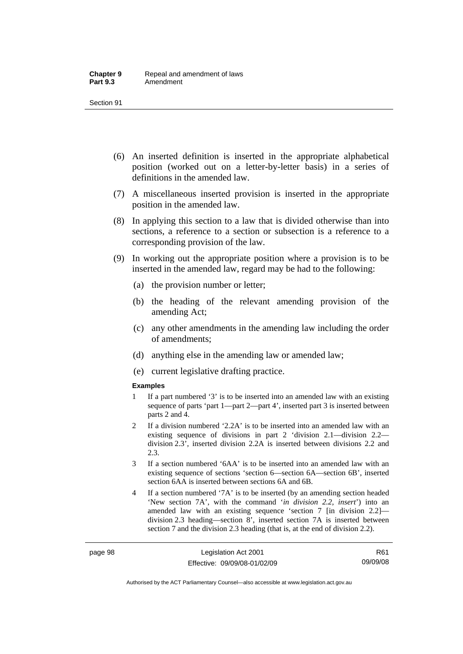- (6) An inserted definition is inserted in the appropriate alphabetical position (worked out on a letter-by-letter basis) in a series of definitions in the amended law.
- (7) A miscellaneous inserted provision is inserted in the appropriate position in the amended law.
- (8) In applying this section to a law that is divided otherwise than into sections, a reference to a section or subsection is a reference to a corresponding provision of the law.
- (9) In working out the appropriate position where a provision is to be inserted in the amended law, regard may be had to the following:
	- (a) the provision number or letter;
	- (b) the heading of the relevant amending provision of the amending Act;
	- (c) any other amendments in the amending law including the order of amendments;
	- (d) anything else in the amending law or amended law;
	- (e) current legislative drafting practice.

#### **Examples**

- 1 If a part numbered '3' is to be inserted into an amended law with an existing sequence of parts 'part 1—part 2—part 4', inserted part 3 is inserted between parts 2 and 4.
- 2 If a division numbered '2.2A' is to be inserted into an amended law with an existing sequence of divisions in part 2 'division 2.1—division 2.2 division 2.3', inserted division 2.2A is inserted between divisions 2.2 and 2.3.
- 3 If a section numbered '6AA' is to be inserted into an amended law with an existing sequence of sections 'section 6—section 6A—section 6B', inserted section 6AA is inserted between sections 6A and 6B.
- 4 If a section numbered '7A' is to be inserted (by an amending section headed 'New section 7A', with the command '*in division 2.2, insert*') into an amended law with an existing sequence 'section 7 [in division 2.2] division 2.3 heading—section 8', inserted section 7A is inserted between section 7 and the division 2.3 heading (that is, at the end of division 2.2).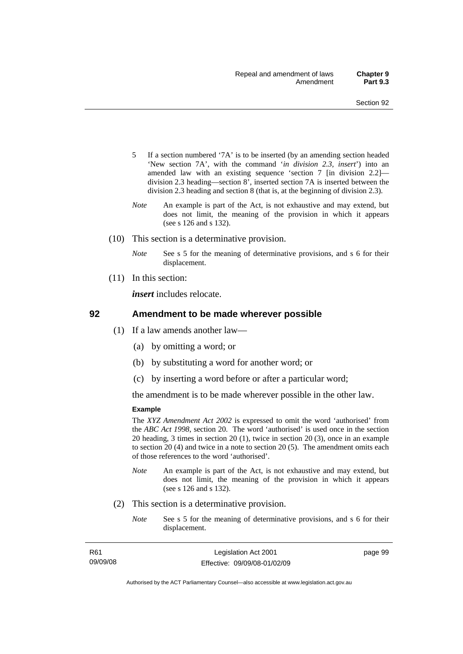- 5 If a section numbered '7A' is to be inserted (by an amending section headed 'New section 7A', with the command '*in division 2.3, insert*') into an amended law with an existing sequence 'section 7 [in division 2.2] division 2.3 heading—section 8', inserted section 7A is inserted between the division 2.3 heading and section 8 (that is, at the beginning of division 2.3).
- *Note* An example is part of the Act, is not exhaustive and may extend, but does not limit, the meaning of the provision in which it appears (see s 126 and s 132).
- (10) This section is a determinative provision.
	- *Note* See s 5 for the meaning of determinative provisions, and s 6 for their displacement.
- (11) In this section:

*insert* includes relocate.

#### **92 Amendment to be made wherever possible**

- (1) If a law amends another law—
	- (a) by omitting a word; or
	- (b) by substituting a word for another word; or
	- (c) by inserting a word before or after a particular word;

the amendment is to be made wherever possible in the other law.

#### **Example**

The *XYZ Amendment Act 2002* is expressed to omit the word 'authorised' from the *ABC Act 1998*, section 20. The word 'authorised' is used once in the section 20 heading, 3 times in section 20 (1), twice in section 20 (3), once in an example to section 20 (4) and twice in a note to section 20 (5). The amendment omits each of those references to the word 'authorised'.

- *Note* An example is part of the Act, is not exhaustive and may extend, but does not limit, the meaning of the provision in which it appears (see s 126 and s 132).
- (2) This section is a determinative provision.
	- *Note* See s 5 for the meaning of determinative provisions, and s 6 for their displacement.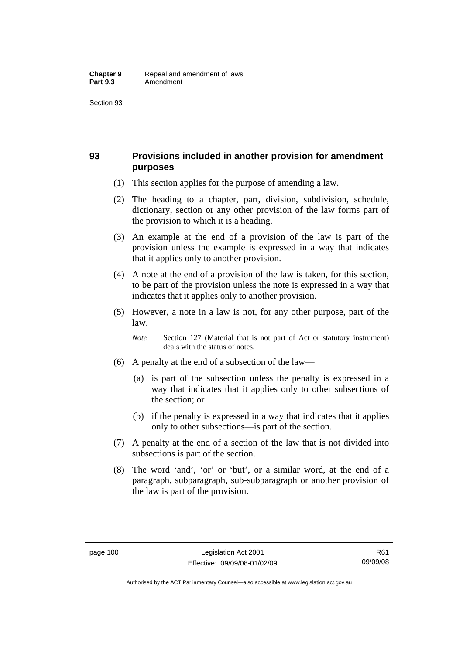## **93 Provisions included in another provision for amendment purposes**

- (1) This section applies for the purpose of amending a law.
- (2) The heading to a chapter, part, division, subdivision, schedule, dictionary, section or any other provision of the law forms part of the provision to which it is a heading.
- (3) An example at the end of a provision of the law is part of the provision unless the example is expressed in a way that indicates that it applies only to another provision.
- (4) A note at the end of a provision of the law is taken, for this section, to be part of the provision unless the note is expressed in a way that indicates that it applies only to another provision.
- (5) However, a note in a law is not, for any other purpose, part of the law.

*Note* Section 127 (Material that is not part of Act or statutory instrument) deals with the status of notes.

- (6) A penalty at the end of a subsection of the law—
	- (a) is part of the subsection unless the penalty is expressed in a way that indicates that it applies only to other subsections of the section; or
	- (b) if the penalty is expressed in a way that indicates that it applies only to other subsections—is part of the section.
- (7) A penalty at the end of a section of the law that is not divided into subsections is part of the section.
- (8) The word 'and', 'or' or 'but', or a similar word, at the end of a paragraph, subparagraph, sub-subparagraph or another provision of the law is part of the provision.

Authorised by the ACT Parliamentary Counsel—also accessible at www.legislation.act.gov.au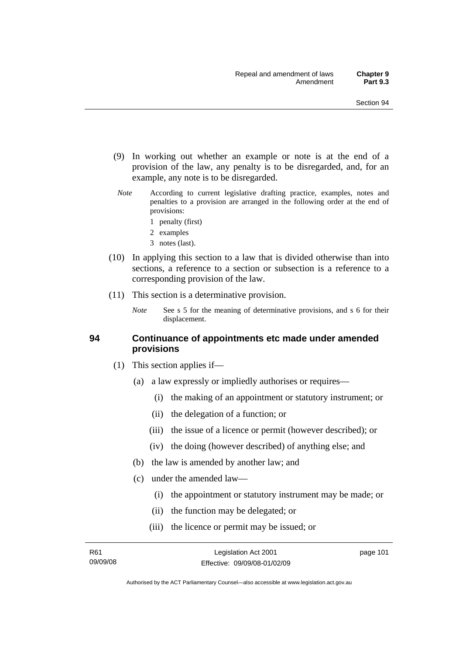- (9) In working out whether an example or note is at the end of a provision of the law, any penalty is to be disregarded, and, for an example, any note is to be disregarded.
- *Note* According to current legislative drafting practice, examples, notes and penalties to a provision are arranged in the following order at the end of provisions:
	- 1 penalty (first)
	- 2 examples
	- 3 notes (last).
- (10) In applying this section to a law that is divided otherwise than into sections, a reference to a section or subsection is a reference to a corresponding provision of the law.
- (11) This section is a determinative provision.
	- *Note* See s 5 for the meaning of determinative provisions, and s 6 for their displacement.

#### **94 Continuance of appointments etc made under amended provisions**

- (1) This section applies if—
	- (a) a law expressly or impliedly authorises or requires—
		- (i) the making of an appointment or statutory instrument; or
		- (ii) the delegation of a function; or
		- (iii) the issue of a licence or permit (however described); or
		- (iv) the doing (however described) of anything else; and
	- (b) the law is amended by another law; and
	- (c) under the amended law—
		- (i) the appointment or statutory instrument may be made; or
		- (ii) the function may be delegated; or
		- (iii) the licence or permit may be issued; or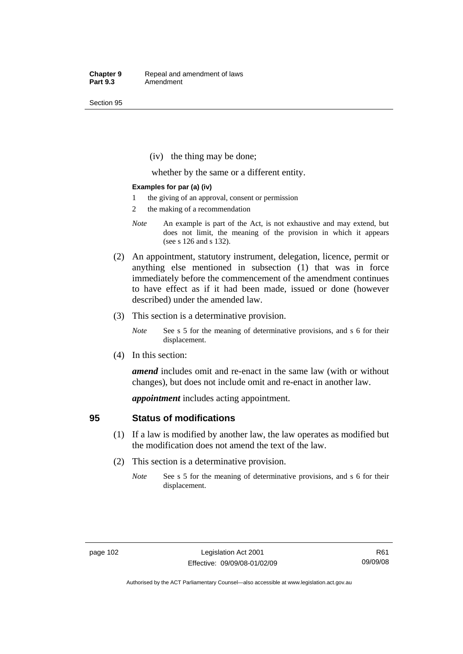(iv) the thing may be done;

whether by the same or a different entity.

#### **Examples for par (a) (iv)**

- 1 the giving of an approval, consent or permission
- 2 the making of a recommendation
- *Note* An example is part of the Act, is not exhaustive and may extend, but does not limit, the meaning of the provision in which it appears (see s 126 and s 132).
- (2) An appointment, statutory instrument, delegation, licence, permit or anything else mentioned in subsection (1) that was in force immediately before the commencement of the amendment continues to have effect as if it had been made, issued or done (however described) under the amended law.
- (3) This section is a determinative provision.
	- *Note* See s 5 for the meaning of determinative provisions, and s 6 for their displacement.
- (4) In this section:

*amend* includes omit and re-enact in the same law (with or without changes), but does not include omit and re-enact in another law.

*appointment* includes acting appointment.

#### **95 Status of modifications**

- (1) If a law is modified by another law, the law operates as modified but the modification does not amend the text of the law.
- (2) This section is a determinative provision.
	- *Note* See s 5 for the meaning of determinative provisions, and s 6 for their displacement.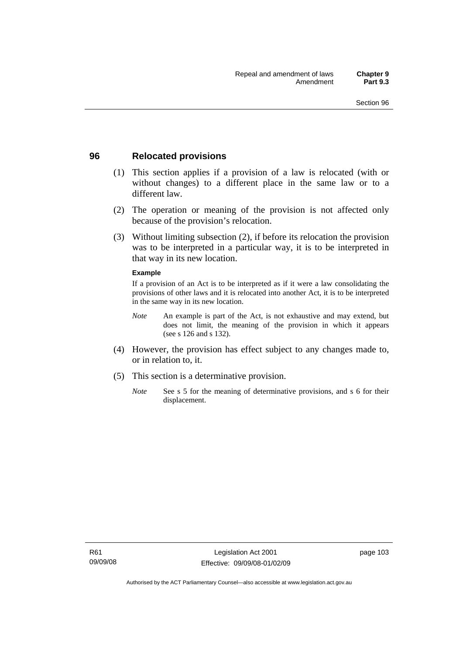### **96 Relocated provisions**

- (1) This section applies if a provision of a law is relocated (with or without changes) to a different place in the same law or to a different law.
- (2) The operation or meaning of the provision is not affected only because of the provision's relocation.
- (3) Without limiting subsection (2), if before its relocation the provision was to be interpreted in a particular way, it is to be interpreted in that way in its new location.

#### **Example**

If a provision of an Act is to be interpreted as if it were a law consolidating the provisions of other laws and it is relocated into another Act, it is to be interpreted in the same way in its new location.

- *Note* An example is part of the Act, is not exhaustive and may extend, but does not limit, the meaning of the provision in which it appears (see s 126 and s 132).
- (4) However, the provision has effect subject to any changes made to, or in relation to, it.
- (5) This section is a determinative provision.
	- *Note* See s 5 for the meaning of determinative provisions, and s 6 for their displacement.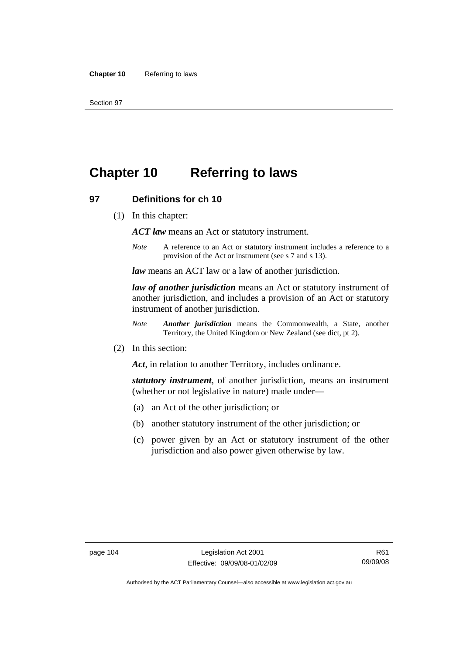# **Chapter 10 Referring to laws**

#### **97 Definitions for ch 10**

(1) In this chapter:

*ACT law* means an Act or statutory instrument.

*Note* A reference to an Act or statutory instrument includes a reference to a provision of the Act or instrument (see s 7 and s 13).

*law* means an ACT law or a law of another jurisdiction.

*law of another jurisdiction* means an Act or statutory instrument of another jurisdiction, and includes a provision of an Act or statutory instrument of another jurisdiction.

- *Note Another jurisdiction* means the Commonwealth, a State, another Territory, the United Kingdom or New Zealand (see dict, pt 2).
- (2) In this section:

*Act*, in relation to another Territory, includes ordinance.

*statutory instrument*, of another jurisdiction, means an instrument (whether or not legislative in nature) made under—

- (a) an Act of the other jurisdiction; or
- (b) another statutory instrument of the other jurisdiction; or
- (c) power given by an Act or statutory instrument of the other jurisdiction and also power given otherwise by law.

R61 09/09/08

Authorised by the ACT Parliamentary Counsel—also accessible at www.legislation.act.gov.au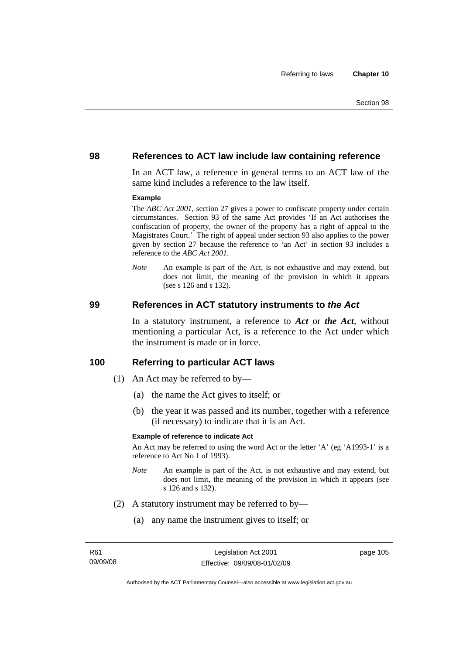#### **98 References to ACT law include law containing reference**

In an ACT law, a reference in general terms to an ACT law of the same kind includes a reference to the law itself.

#### **Example**

The *ABC Act 2001*, section 27 gives a power to confiscate property under certain circumstances. Section 93 of the same Act provides 'If an Act authorises the confiscation of property, the owner of the property has a right of appeal to the Magistrates Court.' The right of appeal under section 93 also applies to the power given by section 27 because the reference to 'an Act' in section 93 includes a reference to the *ABC Act 2001*.

*Note* An example is part of the Act, is not exhaustive and may extend, but does not limit, the meaning of the provision in which it appears (see s 126 and s 132).

#### **99 References in ACT statutory instruments to** *the Act*

In a statutory instrument, a reference to *Act* or *the Act*, without mentioning a particular Act, is a reference to the Act under which the instrument is made or in force.

#### **100 Referring to particular ACT laws**

- (1) An Act may be referred to by—
	- (a) the name the Act gives to itself; or
	- (b) the year it was passed and its number, together with a reference (if necessary) to indicate that it is an Act.

#### **Example of reference to indicate Act**

An Act may be referred to using the word Act or the letter 'A' (eg 'A1993-1' is a reference to Act No 1 of 1993).

- *Note* An example is part of the Act, is not exhaustive and may extend, but does not limit, the meaning of the provision in which it appears (see s 126 and s 132).
- (2) A statutory instrument may be referred to by—
	- (a) any name the instrument gives to itself; or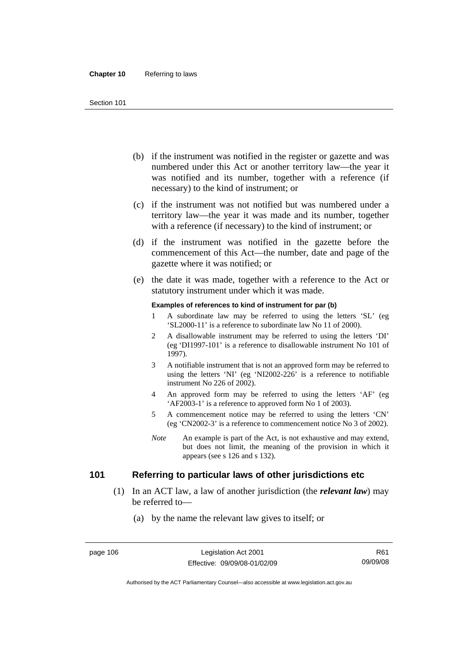- (b) if the instrument was notified in the register or gazette and was numbered under this Act or another territory law—the year it was notified and its number, together with a reference (if necessary) to the kind of instrument; or
- (c) if the instrument was not notified but was numbered under a territory law—the year it was made and its number, together with a reference (if necessary) to the kind of instrument; or
- (d) if the instrument was notified in the gazette before the commencement of this Act—the number, date and page of the gazette where it was notified; or
- (e) the date it was made, together with a reference to the Act or statutory instrument under which it was made.

#### **Examples of references to kind of instrument for par (b)**

- 1 A subordinate law may be referred to using the letters 'SL' (eg 'SL2000-11' is a reference to subordinate law No 11 of 2000).
- 2 A disallowable instrument may be referred to using the letters 'DI' (eg 'DI1997-101' is a reference to disallowable instrument No 101 of 1997).
- 3 A notifiable instrument that is not an approved form may be referred to using the letters 'NI' (eg 'NI2002-226' is a reference to notifiable instrument No 226 of 2002).
- 4 An approved form may be referred to using the letters 'AF' (eg 'AF2003-1' is a reference to approved form No 1 of 2003).
- 5 A commencement notice may be referred to using the letters 'CN' (eg 'CN2002-3' is a reference to commencement notice No 3 of 2002).
- *Note* An example is part of the Act, is not exhaustive and may extend, but does not limit, the meaning of the provision in which it appears (see s 126 and s 132).

## **101 Referring to particular laws of other jurisdictions etc**

- (1) In an ACT law, a law of another jurisdiction (the *relevant law*) may be referred to—
	- (a) by the name the relevant law gives to itself; or

Authorised by the ACT Parliamentary Counsel—also accessible at www.legislation.act.gov.au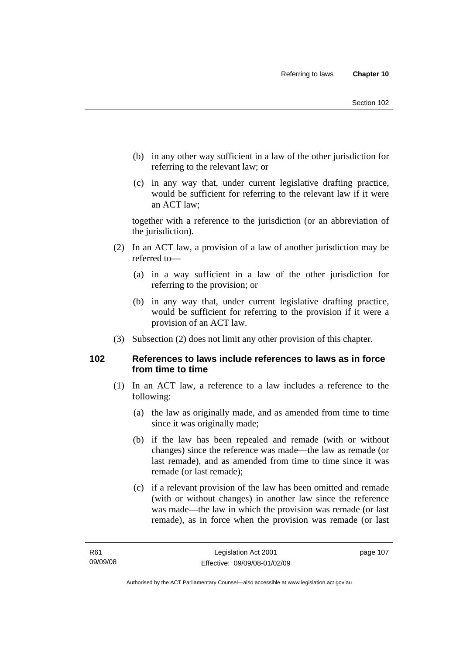- (b) in any other way sufficient in a law of the other jurisdiction for referring to the relevant law; or
- (c) in any way that, under current legislative drafting practice, would be sufficient for referring to the relevant law if it were an ACT law;

together with a reference to the jurisdiction (or an abbreviation of the jurisdiction).

- (2) In an ACT law, a provision of a law of another jurisdiction may be referred to—
	- (a) in a way sufficient in a law of the other jurisdiction for referring to the provision; or
	- (b) in any way that, under current legislative drafting practice, would be sufficient for referring to the provision if it were a provision of an ACT law.
- (3) Subsection (2) does not limit any other provision of this chapter.

## **102 References to laws include references to laws as in force from time to time**

- (1) In an ACT law, a reference to a law includes a reference to the following:
	- (a) the law as originally made, and as amended from time to time since it was originally made;
	- (b) if the law has been repealed and remade (with or without changes) since the reference was made—the law as remade (or last remade), and as amended from time to time since it was remade (or last remade);
	- (c) if a relevant provision of the law has been omitted and remade (with or without changes) in another law since the reference was made—the law in which the provision was remade (or last remade), as in force when the provision was remade (or last

page 107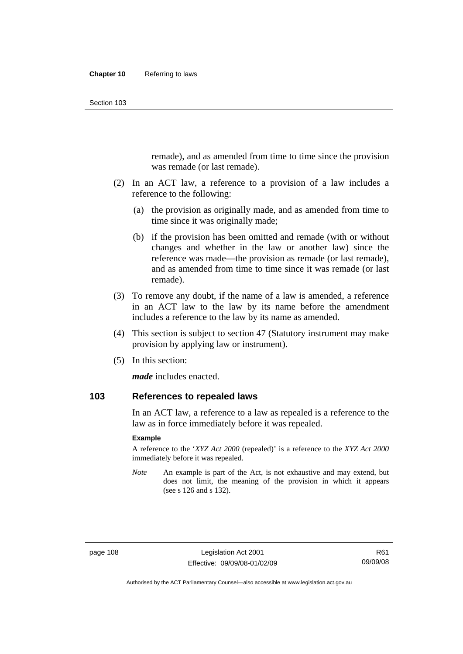remade), and as amended from time to time since the provision was remade (or last remade).

- (2) In an ACT law, a reference to a provision of a law includes a reference to the following:
	- (a) the provision as originally made, and as amended from time to time since it was originally made;
	- (b) if the provision has been omitted and remade (with or without changes and whether in the law or another law) since the reference was made—the provision as remade (or last remade), and as amended from time to time since it was remade (or last remade).
- (3) To remove any doubt, if the name of a law is amended, a reference in an ACT law to the law by its name before the amendment includes a reference to the law by its name as amended.
- (4) This section is subject to section 47 (Statutory instrument may make provision by applying law or instrument).
- (5) In this section:

*made* includes enacted.

## **103 References to repealed laws**

In an ACT law, a reference to a law as repealed is a reference to the law as in force immediately before it was repealed.

#### **Example**

A reference to the '*XYZ Act 2000* (repealed)' is a reference to the *XYZ Act 2000* immediately before it was repealed.

*Note* An example is part of the Act, is not exhaustive and may extend, but does not limit, the meaning of the provision in which it appears (see s 126 and s 132).

Authorised by the ACT Parliamentary Counsel—also accessible at www.legislation.act.gov.au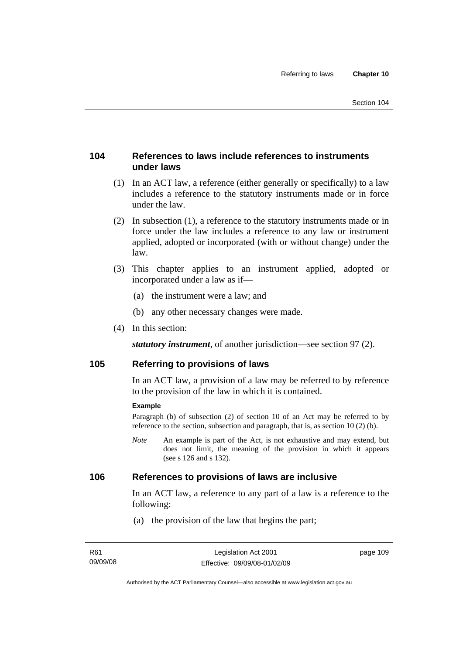## **104 References to laws include references to instruments under laws**

- (1) In an ACT law, a reference (either generally or specifically) to a law includes a reference to the statutory instruments made or in force under the law.
- (2) In subsection (1), a reference to the statutory instruments made or in force under the law includes a reference to any law or instrument applied, adopted or incorporated (with or without change) under the law.
- (3) This chapter applies to an instrument applied, adopted or incorporated under a law as if—
	- (a) the instrument were a law; and
	- (b) any other necessary changes were made.
- (4) In this section:

*statutory instrument*, of another jurisdiction—see section 97 (2).

## **105 Referring to provisions of laws**

In an ACT law, a provision of a law may be referred to by reference to the provision of the law in which it is contained.

#### **Example**

Paragraph (b) of subsection (2) of section 10 of an Act may be referred to by reference to the section, subsection and paragraph, that is, as section 10 (2) (b).

*Note* An example is part of the Act, is not exhaustive and may extend, but does not limit, the meaning of the provision in which it appears (see s 126 and s 132).

#### **106 References to provisions of laws are inclusive**

In an ACT law, a reference to any part of a law is a reference to the following:

(a) the provision of the law that begins the part;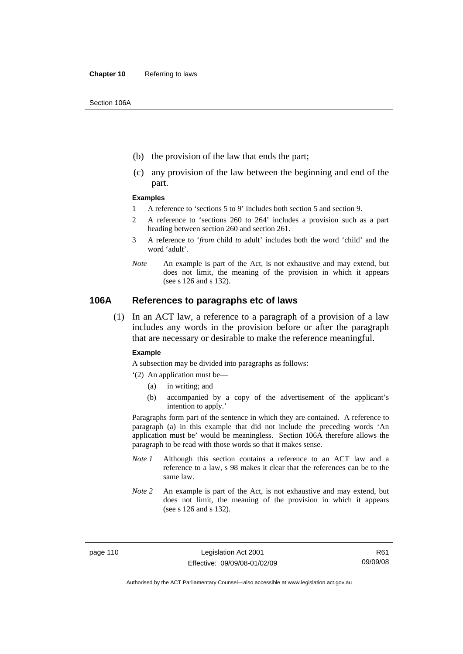- (b) the provision of the law that ends the part;
- (c) any provision of the law between the beginning and end of the part.

#### **Examples**

- 1 A reference to 'sections 5 to 9' includes both section 5 and section 9.
- 2 A reference to 'sections 260 to 264' includes a provision such as a part heading between section 260 and section 261.
- 3 A reference to '*from* child *to* adult' includes both the word 'child' and the word 'adult'.
- *Note* An example is part of the Act, is not exhaustive and may extend, but does not limit, the meaning of the provision in which it appears (see s 126 and s 132).

#### **106A References to paragraphs etc of laws**

 (1) In an ACT law, a reference to a paragraph of a provision of a law includes any words in the provision before or after the paragraph that are necessary or desirable to make the reference meaningful.

#### **Example**

A subsection may be divided into paragraphs as follows:

- '(2) An application must be—
	- (a) in writing; and
	- (b) accompanied by a copy of the advertisement of the applicant's intention to apply.'

Paragraphs form part of the sentence in which they are contained. A reference to paragraph (a) in this example that did not include the preceding words 'An application must be' would be meaningless. Section 106A therefore allows the paragraph to be read with those words so that it makes sense.

- *Note 1* Although this section contains a reference to an ACT law and a reference to a law, s 98 makes it clear that the references can be to the same law.
- *Note 2* An example is part of the Act, is not exhaustive and may extend, but does not limit, the meaning of the provision in which it appears (see s 126 and s 132).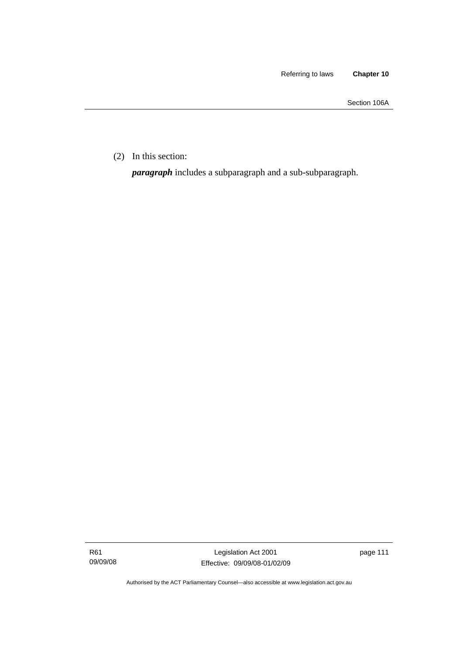Section 106A

(2) In this section:

*paragraph* includes a subparagraph and a sub-subparagraph.

Authorised by the ACT Parliamentary Counsel—also accessible at www.legislation.act.gov.au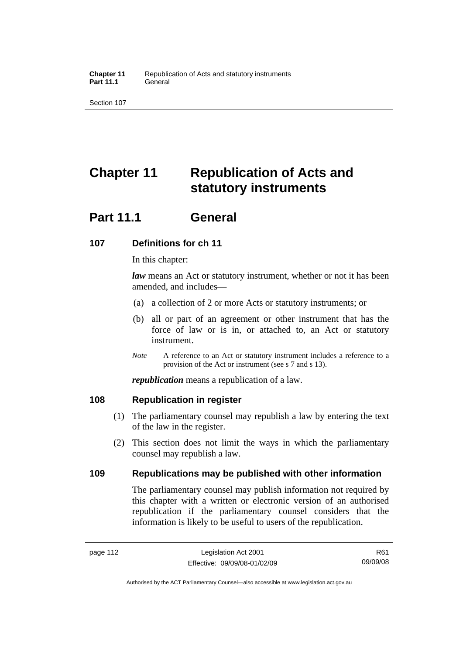# **Chapter 11 Republication of Acts and statutory instruments**

## **Part 11.1 General**

## **107 Definitions for ch 11**

In this chapter:

*law* means an Act or statutory instrument, whether or not it has been amended, and includes—

- (a) a collection of 2 or more Acts or statutory instruments; or
- (b) all or part of an agreement or other instrument that has the force of law or is in, or attached to, an Act or statutory instrument.
- *Note* A reference to an Act or statutory instrument includes a reference to a provision of the Act or instrument (see s 7 and s 13).

*republication* means a republication of a law.

## **108 Republication in register**

- (1) The parliamentary counsel may republish a law by entering the text of the law in the register.
- (2) This section does not limit the ways in which the parliamentary counsel may republish a law.

## **109 Republications may be published with other information**

The parliamentary counsel may publish information not required by this chapter with a written or electronic version of an authorised republication if the parliamentary counsel considers that the information is likely to be useful to users of the republication.

R61 09/09/08

Authorised by the ACT Parliamentary Counsel—also accessible at www.legislation.act.gov.au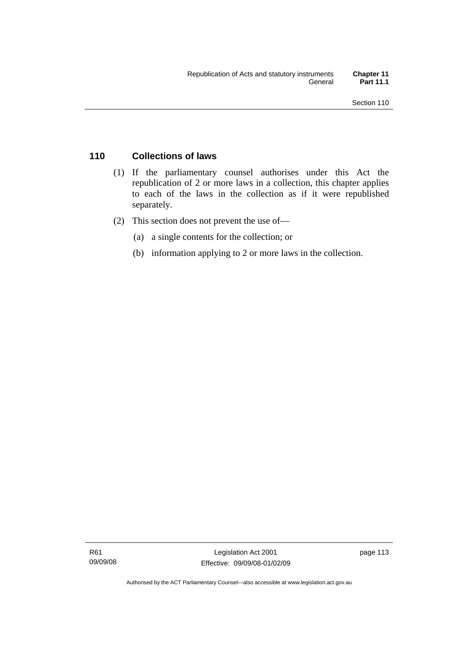## **110 Collections of laws**

- (1) If the parliamentary counsel authorises under this Act the republication of 2 or more laws in a collection, this chapter applies to each of the laws in the collection as if it were republished separately.
- (2) This section does not prevent the use of—
	- (a) a single contents for the collection; or
	- (b) information applying to 2 or more laws in the collection.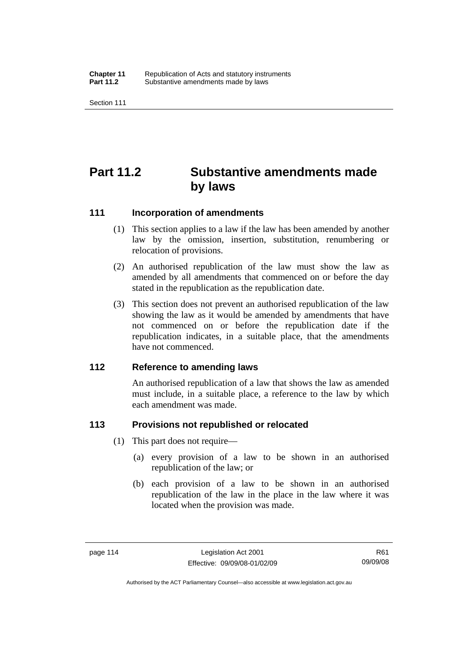# **Part 11.2 Substantive amendments made by laws**

#### **111 Incorporation of amendments**

- (1) This section applies to a law if the law has been amended by another law by the omission, insertion, substitution, renumbering or relocation of provisions.
- (2) An authorised republication of the law must show the law as amended by all amendments that commenced on or before the day stated in the republication as the republication date.
- (3) This section does not prevent an authorised republication of the law showing the law as it would be amended by amendments that have not commenced on or before the republication date if the republication indicates, in a suitable place, that the amendments have not commenced.

#### **112 Reference to amending laws**

An authorised republication of a law that shows the law as amended must include, in a suitable place, a reference to the law by which each amendment was made.

## **113 Provisions not republished or relocated**

- (1) This part does not require—
	- (a) every provision of a law to be shown in an authorised republication of the law; or
	- (b) each provision of a law to be shown in an authorised republication of the law in the place in the law where it was located when the provision was made.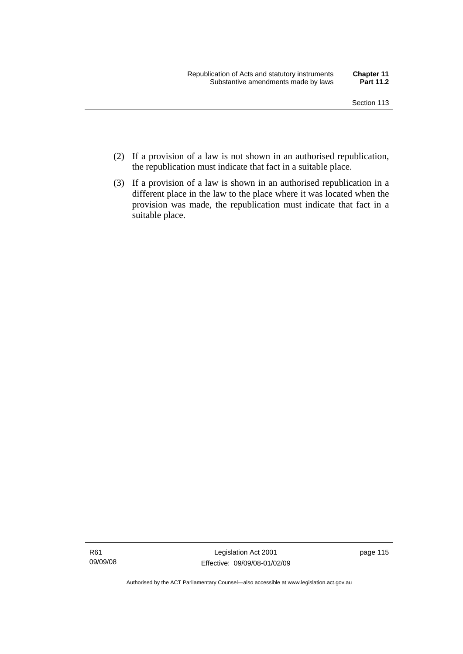- (2) If a provision of a law is not shown in an authorised republication, the republication must indicate that fact in a suitable place.
- (3) If a provision of a law is shown in an authorised republication in a different place in the law to the place where it was located when the provision was made, the republication must indicate that fact in a suitable place.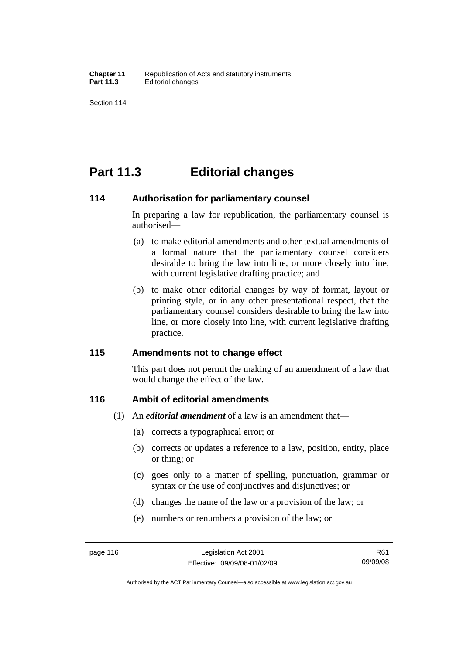## **Part 11.3 Editorial changes**

#### **114 Authorisation for parliamentary counsel**

In preparing a law for republication, the parliamentary counsel is authorised—

- (a) to make editorial amendments and other textual amendments of a formal nature that the parliamentary counsel considers desirable to bring the law into line, or more closely into line, with current legislative drafting practice; and
- (b) to make other editorial changes by way of format, layout or printing style, or in any other presentational respect, that the parliamentary counsel considers desirable to bring the law into line, or more closely into line, with current legislative drafting practice.

## **115 Amendments not to change effect**

This part does not permit the making of an amendment of a law that would change the effect of the law.

## **116 Ambit of editorial amendments**

- (1) An *editorial amendment* of a law is an amendment that—
	- (a) corrects a typographical error; or
	- (b) corrects or updates a reference to a law, position, entity, place or thing; or
	- (c) goes only to a matter of spelling, punctuation, grammar or syntax or the use of conjunctives and disjunctives; or
	- (d) changes the name of the law or a provision of the law; or
	- (e) numbers or renumbers a provision of the law; or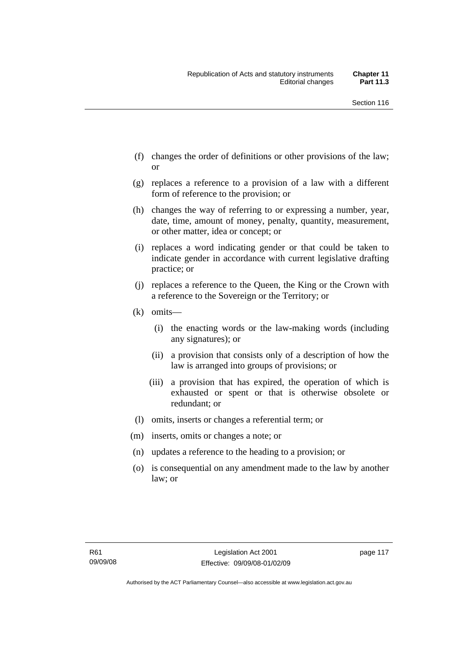- (f) changes the order of definitions or other provisions of the law; or
- (g) replaces a reference to a provision of a law with a different form of reference to the provision; or
- (h) changes the way of referring to or expressing a number, year, date, time, amount of money, penalty, quantity, measurement, or other matter, idea or concept; or
- (i) replaces a word indicating gender or that could be taken to indicate gender in accordance with current legislative drafting practice; or
- (j) replaces a reference to the Queen, the King or the Crown with a reference to the Sovereign or the Territory; or
- (k) omits—
	- (i) the enacting words or the law-making words (including any signatures); or
	- (ii) a provision that consists only of a description of how the law is arranged into groups of provisions; or
	- (iii) a provision that has expired, the operation of which is exhausted or spent or that is otherwise obsolete or redundant; or
- (l) omits, inserts or changes a referential term; or
- (m) inserts, omits or changes a note; or
- (n) updates a reference to the heading to a provision; or
- (o) is consequential on any amendment made to the law by another law; or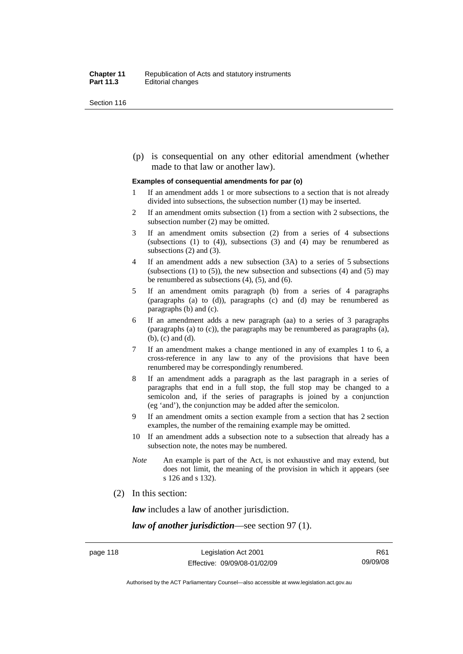(p) is consequential on any other editorial amendment (whether made to that law or another law).

#### **Examples of consequential amendments for par (o)**

- 1 If an amendment adds 1 or more subsections to a section that is not already divided into subsections, the subsection number (1) may be inserted.
- 2 If an amendment omits subsection (1) from a section with 2 subsections, the subsection number (2) may be omitted.
- 3 If an amendment omits subsection (2) from a series of 4 subsections (subsections  $(1)$  to  $(4)$ ), subsections  $(3)$  and  $(4)$  may be renumbered as subsections (2) and (3).
- 4 If an amendment adds a new subsection (3A) to a series of 5 subsections (subsections  $(1)$  to  $(5)$ ), the new subsection and subsections  $(4)$  and  $(5)$  may be renumbered as subsections (4), (5), and (6).
- 5 If an amendment omits paragraph (b) from a series of 4 paragraphs (paragraphs (a) to (d)), paragraphs (c) and (d) may be renumbered as paragraphs (b) and (c).
- 6 If an amendment adds a new paragraph (aa) to a series of 3 paragraphs (paragraphs (a) to (c)), the paragraphs may be renumbered as paragraphs (a), (b), (c) and (d).
- 7 If an amendment makes a change mentioned in any of examples 1 to 6, a cross-reference in any law to any of the provisions that have been renumbered may be correspondingly renumbered.
- 8 If an amendment adds a paragraph as the last paragraph in a series of paragraphs that end in a full stop, the full stop may be changed to a semicolon and, if the series of paragraphs is joined by a conjunction (eg 'and'), the conjunction may be added after the semicolon.
- 9 If an amendment omits a section example from a section that has 2 section examples, the number of the remaining example may be omitted.
- 10 If an amendment adds a subsection note to a subsection that already has a subsection note, the notes may be numbered.
- *Note* An example is part of the Act, is not exhaustive and may extend, but does not limit, the meaning of the provision in which it appears (see s 126 and s 132).
- (2) In this section:

*law* includes a law of another jurisdiction.

*law of another jurisdiction*—see section 97 (1).

Authorised by the ACT Parliamentary Counsel—also accessible at www.legislation.act.gov.au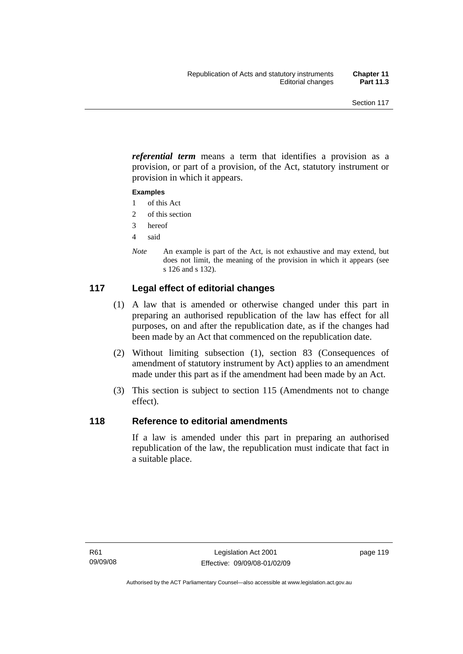*referential term* means a term that identifies a provision as a provision, or part of a provision, of the Act, statutory instrument or provision in which it appears.

#### **Examples**

- 1 of this Act
- 2 of this section
- 3 hereof
- 4 said
- *Note* An example is part of the Act, is not exhaustive and may extend, but does not limit, the meaning of the provision in which it appears (see s 126 and s 132).

## **117 Legal effect of editorial changes**

- (1) A law that is amended or otherwise changed under this part in preparing an authorised republication of the law has effect for all purposes, on and after the republication date, as if the changes had been made by an Act that commenced on the republication date.
- (2) Without limiting subsection (1), section 83 (Consequences of amendment of statutory instrument by Act) applies to an amendment made under this part as if the amendment had been made by an Act.
- (3) This section is subject to section 115 (Amendments not to change effect).

## **118 Reference to editorial amendments**

If a law is amended under this part in preparing an authorised republication of the law, the republication must indicate that fact in a suitable place.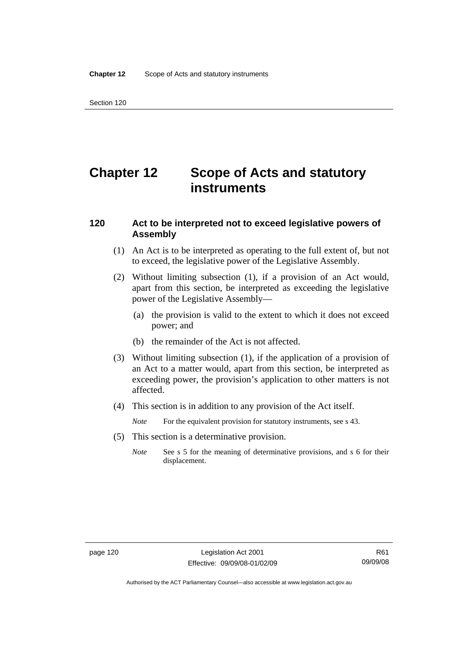# **Chapter 12 Scope of Acts and statutory instruments**

### **120 Act to be interpreted not to exceed legislative powers of Assembly**

- (1) An Act is to be interpreted as operating to the full extent of, but not to exceed, the legislative power of the Legislative Assembly.
- (2) Without limiting subsection (1), if a provision of an Act would, apart from this section, be interpreted as exceeding the legislative power of the Legislative Assembly—
	- (a) the provision is valid to the extent to which it does not exceed power; and
	- (b) the remainder of the Act is not affected.
- (3) Without limiting subsection (1), if the application of a provision of an Act to a matter would, apart from this section, be interpreted as exceeding power, the provision's application to other matters is not affected.
- (4) This section is in addition to any provision of the Act itself.
	- *Note* For the equivalent provision for statutory instruments, see s 43.
- (5) This section is a determinative provision.
	- *Note* See s 5 for the meaning of determinative provisions, and s 6 for their displacement.

Authorised by the ACT Parliamentary Counsel—also accessible at www.legislation.act.gov.au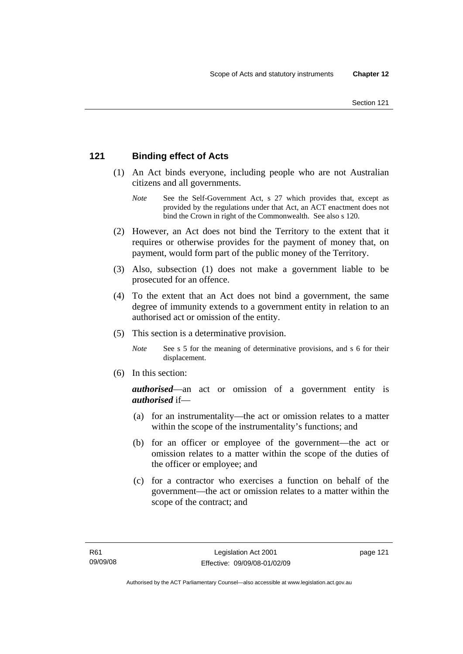## **121 Binding effect of Acts**

- (1) An Act binds everyone, including people who are not Australian citizens and all governments.
	- *Note* See the Self-Government Act, s 27 which provides that, except as provided by the regulations under that Act, an ACT enactment does not bind the Crown in right of the Commonwealth. See also s 120.
- (2) However, an Act does not bind the Territory to the extent that it requires or otherwise provides for the payment of money that, on payment, would form part of the public money of the Territory.
- (3) Also, subsection (1) does not make a government liable to be prosecuted for an offence.
- (4) To the extent that an Act does not bind a government, the same degree of immunity extends to a government entity in relation to an authorised act or omission of the entity.
- (5) This section is a determinative provision.
	- *Note* See s 5 for the meaning of determinative provisions, and s 6 for their displacement.
- (6) In this section:

*authorised*—an act or omission of a government entity is *authorised* if—

- (a) for an instrumentality—the act or omission relates to a matter within the scope of the instrumentality's functions; and
- (b) for an officer or employee of the government—the act or omission relates to a matter within the scope of the duties of the officer or employee; and
- (c) for a contractor who exercises a function on behalf of the government—the act or omission relates to a matter within the scope of the contract; and

page 121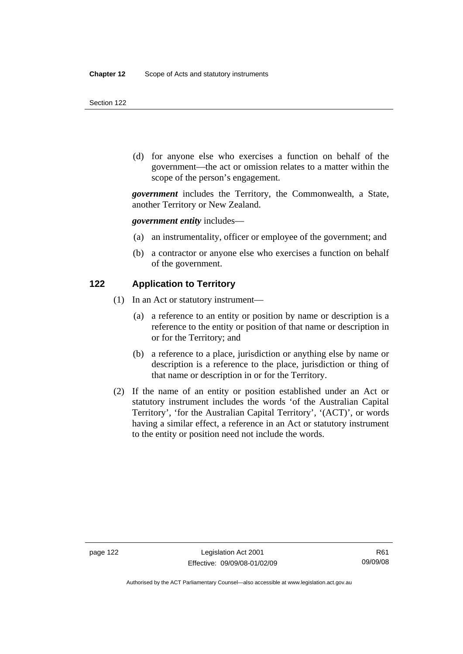(d) for anyone else who exercises a function on behalf of the government—the act or omission relates to a matter within the scope of the person's engagement.

*government* includes the Territory, the Commonwealth, a State, another Territory or New Zealand.

*government entity* includes—

- (a) an instrumentality, officer or employee of the government; and
- (b) a contractor or anyone else who exercises a function on behalf of the government.

#### **122 Application to Territory**

- (1) In an Act or statutory instrument—
	- (a) a reference to an entity or position by name or description is a reference to the entity or position of that name or description in or for the Territory; and
	- (b) a reference to a place, jurisdiction or anything else by name or description is a reference to the place, jurisdiction or thing of that name or description in or for the Territory.
- (2) If the name of an entity or position established under an Act or statutory instrument includes the words 'of the Australian Capital Territory', 'for the Australian Capital Territory', '(ACT)', or words having a similar effect, a reference in an Act or statutory instrument to the entity or position need not include the words.

Authorised by the ACT Parliamentary Counsel—also accessible at www.legislation.act.gov.au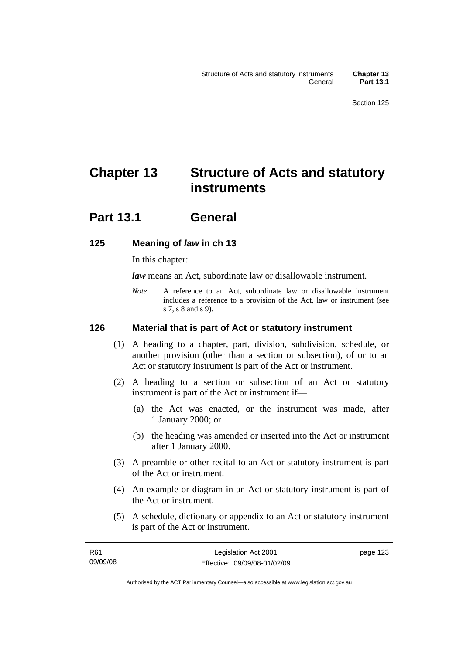# **Chapter 13 Structure of Acts and statutory instruments**

## **Part 13.1 General**

## **125 Meaning of** *law* **in ch 13**

In this chapter:

*law* means an Act, subordinate law or disallowable instrument.

*Note* A reference to an Act, subordinate law or disallowable instrument includes a reference to a provision of the Act, law or instrument (see s 7, s 8 and s 9).

## **126 Material that is part of Act or statutory instrument**

- (1) A heading to a chapter, part, division, subdivision, schedule, or another provision (other than a section or subsection), of or to an Act or statutory instrument is part of the Act or instrument.
- (2) A heading to a section or subsection of an Act or statutory instrument is part of the Act or instrument if—
	- (a) the Act was enacted, or the instrument was made, after 1 January 2000; or
	- (b) the heading was amended or inserted into the Act or instrument after 1 January 2000.
- (3) A preamble or other recital to an Act or statutory instrument is part of the Act or instrument.
- (4) An example or diagram in an Act or statutory instrument is part of the Act or instrument.
- (5) A schedule, dictionary or appendix to an Act or statutory instrument is part of the Act or instrument.

page 123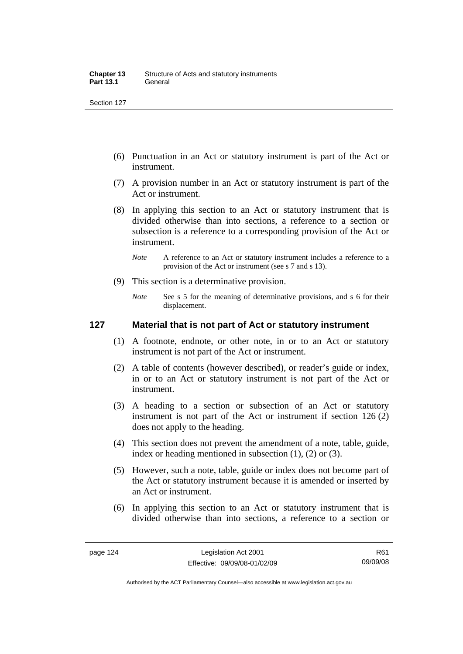- (6) Punctuation in an Act or statutory instrument is part of the Act or instrument.
- (7) A provision number in an Act or statutory instrument is part of the Act or instrument.
- (8) In applying this section to an Act or statutory instrument that is divided otherwise than into sections, a reference to a section or subsection is a reference to a corresponding provision of the Act or instrument.
	- *Note* A reference to an Act or statutory instrument includes a reference to a provision of the Act or instrument (see s 7 and s 13).
- (9) This section is a determinative provision.
	- *Note* See s 5 for the meaning of determinative provisions, and s 6 for their displacement.

### **127 Material that is not part of Act or statutory instrument**

- (1) A footnote, endnote, or other note, in or to an Act or statutory instrument is not part of the Act or instrument.
- (2) A table of contents (however described), or reader's guide or index, in or to an Act or statutory instrument is not part of the Act or instrument.
- (3) A heading to a section or subsection of an Act or statutory instrument is not part of the Act or instrument if section 126 (2) does not apply to the heading.
- (4) This section does not prevent the amendment of a note, table, guide, index or heading mentioned in subsection (1), (2) or (3).
- (5) However, such a note, table, guide or index does not become part of the Act or statutory instrument because it is amended or inserted by an Act or instrument.
- (6) In applying this section to an Act or statutory instrument that is divided otherwise than into sections, a reference to a section or

R61 09/09/08

Authorised by the ACT Parliamentary Counsel—also accessible at www.legislation.act.gov.au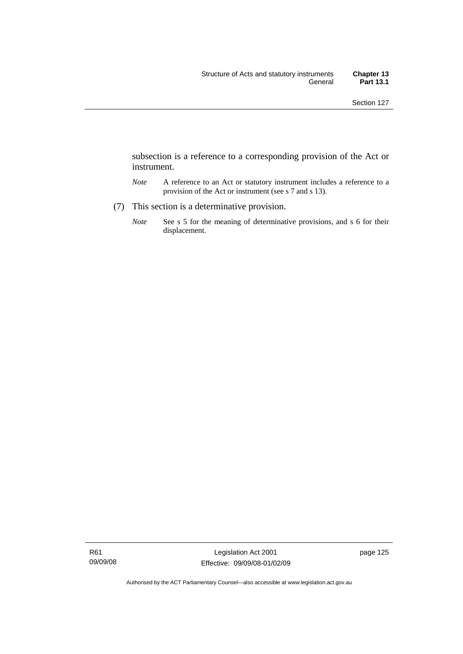subsection is a reference to a corresponding provision of the Act or instrument.

- *Note* A reference to an Act or statutory instrument includes a reference to a provision of the Act or instrument (see s 7 and s 13).
- (7) This section is a determinative provision.
	- *Note* See s 5 for the meaning of determinative provisions, and s 6 for their displacement.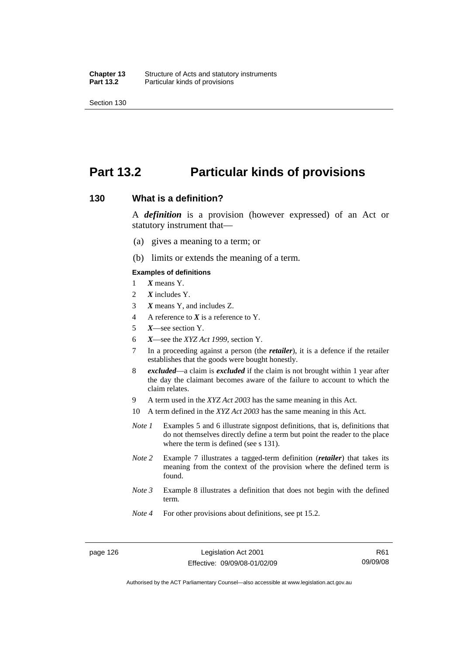## **Part 13.2 Particular kinds of provisions**

#### **130 What is a definition?**

A *definition* is a provision (however expressed) of an Act or statutory instrument that—

- (a) gives a meaning to a term; or
- (b) limits or extends the meaning of a term.

#### **Examples of definitions**

- 1 *X* means Y.
- 2 *X* includes Y.
- 3 *X* means Y, and includes Z.
- 4 A reference to *X* is a reference to Y.
- 5 *X*—see section Y.
- 6 *X*—see the *XYZ Act 1999*, section Y.
- 7 In a proceeding against a person (the *retailer*), it is a defence if the retailer establishes that the goods were bought honestly.
- 8 *excluded*—a claim is *excluded* if the claim is not brought within 1 year after the day the claimant becomes aware of the failure to account to which the claim relates.
- 9 A term used in the *XYZ Act 2003* has the same meaning in this Act.
- 10 A term defined in the *XYZ Act 2003* has the same meaning in this Act.
- *Note 1* Examples 5 and 6 illustrate signpost definitions, that is, definitions that do not themselves directly define a term but point the reader to the place where the term is defined (see s 131).
- *Note 2* Example 7 illustrates a tagged-term definition (*retailer*) that takes its meaning from the context of the provision where the defined term is found.
- *Note 3* Example 8 illustrates a definition that does not begin with the defined term.
- *Note 4* For other provisions about definitions, see pt 15.2.

Authorised by the ACT Parliamentary Counsel—also accessible at www.legislation.act.gov.au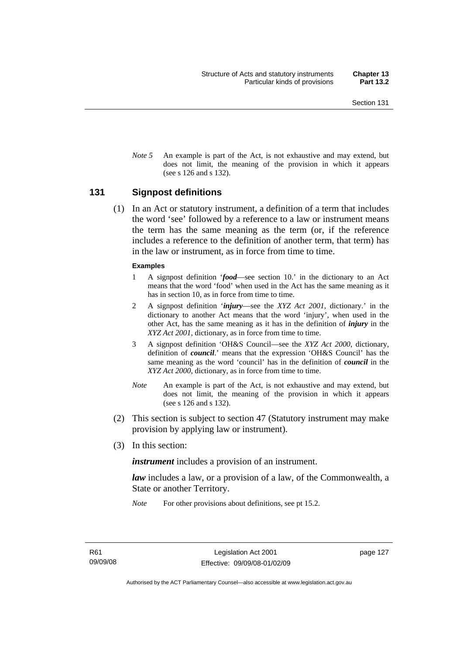*Note* 5 An example is part of the Act, is not exhaustive and may extend, but does not limit, the meaning of the provision in which it appears (see s 126 and s 132).

#### **131 Signpost definitions**

 (1) In an Act or statutory instrument, a definition of a term that includes the word 'see' followed by a reference to a law or instrument means the term has the same meaning as the term (or, if the reference includes a reference to the definition of another term, that term) has in the law or instrument, as in force from time to time.

#### **Examples**

- 1 A signpost definition '*food*—see section 10.' in the dictionary to an Act means that the word 'food' when used in the Act has the same meaning as it has in section 10, as in force from time to time.
- 2 A signpost definition '*injury*—see the *XYZ Act 2001*, dictionary.' in the dictionary to another Act means that the word 'injury', when used in the other Act, has the same meaning as it has in the definition of *injury* in the *XYZ Act 2001*, dictionary, as in force from time to time.
- 3 A signpost definition 'OH&S Council—see the *XYZ Act 2000*, dictionary, definition of *council*.' means that the expression 'OH&S Council' has the same meaning as the word 'council' has in the definition of *council* in the *XYZ Act 2000*, dictionary, as in force from time to time.
- *Note* An example is part of the Act, is not exhaustive and may extend, but does not limit, the meaning of the provision in which it appears (see s 126 and s 132).
- (2) This section is subject to section 47 (Statutory instrument may make provision by applying law or instrument).
- (3) In this section:

*instrument* includes a provision of an instrument.

*law* includes a law, or a provision of a law, of the Commonwealth, a State or another Territory.

*Note* For other provisions about definitions, see pt 15.2.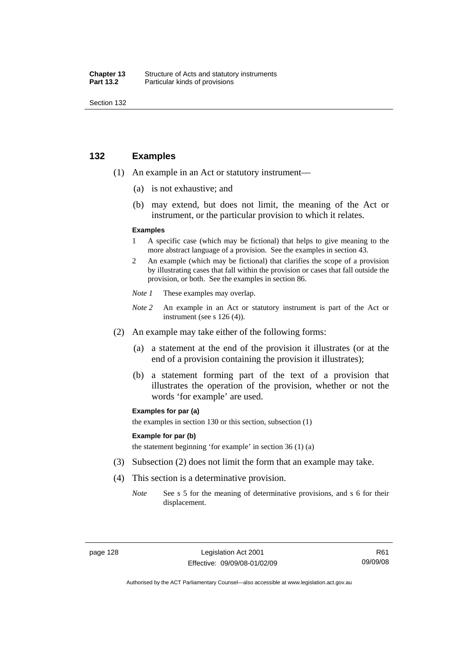| Chapter 13       | Structure of Acts and statutory instruments |
|------------------|---------------------------------------------|
| <b>Part 13.2</b> | Particular kinds of provisions              |

## **132 Examples**

- (1) An example in an Act or statutory instrument—
	- (a) is not exhaustive; and
	- (b) may extend, but does not limit, the meaning of the Act or instrument, or the particular provision to which it relates.

#### **Examples**

- 1 A specific case (which may be fictional) that helps to give meaning to the more abstract language of a provision. See the examples in section 43.
- 2 An example (which may be fictional) that clarifies the scope of a provision by illustrating cases that fall within the provision or cases that fall outside the provision, or both. See the examples in section 86.
- *Note 1* These examples may overlap.
- *Note* 2 An example in an Act or statutory instrument is part of the Act or instrument (see s 126 (4)).
- (2) An example may take either of the following forms:
	- (a) a statement at the end of the provision it illustrates (or at the end of a provision containing the provision it illustrates);
	- (b) a statement forming part of the text of a provision that illustrates the operation of the provision, whether or not the words 'for example' are used.

#### **Examples for par (a)**

the examples in section 130 or this section, subsection (1)

#### **Example for par (b)**

the statement beginning 'for example' in section 36 (1) (a)

- (3) Subsection (2) does not limit the form that an example may take.
- (4) This section is a determinative provision.
	- *Note* See s 5 for the meaning of determinative provisions, and s 6 for their displacement.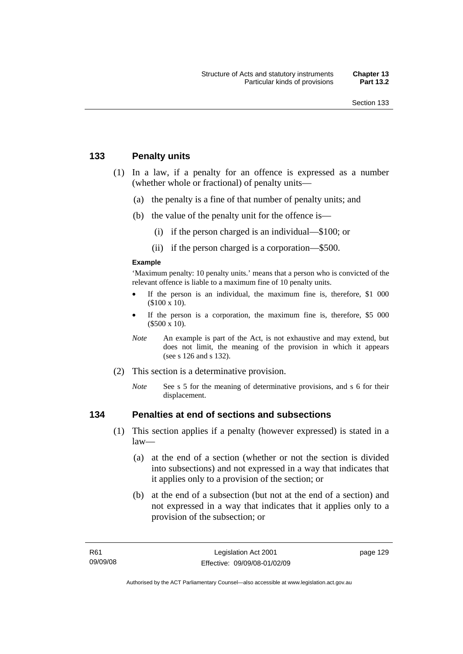## **133 Penalty units**

- (1) In a law, if a penalty for an offence is expressed as a number (whether whole or fractional) of penalty units—
	- (a) the penalty is a fine of that number of penalty units; and
	- (b) the value of the penalty unit for the offence is—
		- (i) if the person charged is an individual—\$100; or
		- (ii) if the person charged is a corporation—\$500.

#### **Example**

'Maximum penalty: 10 penalty units.' means that a person who is convicted of the relevant offence is liable to a maximum fine of 10 penalty units.

- If the person is an individual, the maximum fine is, therefore, \$1 000 (\$100 x 10).
- If the person is a corporation, the maximum fine is, therefore, \$5 000 (\$500 x 10).
- *Note* An example is part of the Act, is not exhaustive and may extend, but does not limit, the meaning of the provision in which it appears (see s 126 and s 132).
- (2) This section is a determinative provision.
	- *Note* See s 5 for the meaning of determinative provisions, and s 6 for their displacement.

## **134 Penalties at end of sections and subsections**

- (1) This section applies if a penalty (however expressed) is stated in a  $law$ —
	- (a) at the end of a section (whether or not the section is divided into subsections) and not expressed in a way that indicates that it applies only to a provision of the section; or
	- (b) at the end of a subsection (but not at the end of a section) and not expressed in a way that indicates that it applies only to a provision of the subsection; or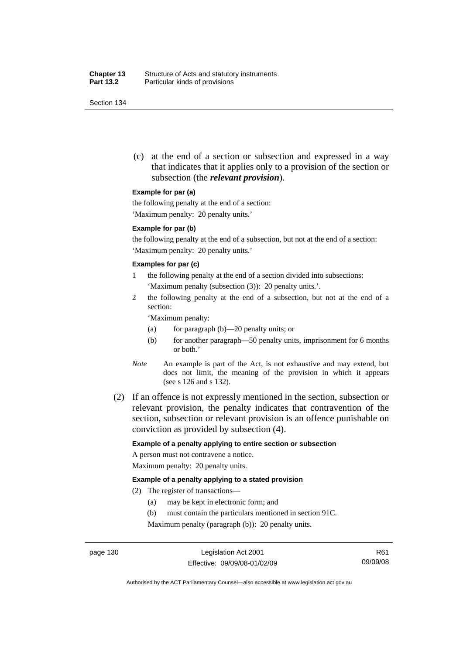(c) at the end of a section or subsection and expressed in a way that indicates that it applies only to a provision of the section or subsection (the *relevant provision*).

#### **Example for par (a)**

the following penalty at the end of a section:

'Maximum penalty: 20 penalty units.'

#### **Example for par (b)**

the following penalty at the end of a subsection, but not at the end of a section: 'Maximum penalty: 20 penalty units.'

#### **Examples for par (c)**

- 1 the following penalty at the end of a section divided into subsections: 'Maximum penalty (subsection (3)): 20 penalty units.'.
- 2 the following penalty at the end of a subsection, but not at the end of a section:

'Maximum penalty:

- (a) for paragraph (b)—20 penalty units; or
- (b) for another paragraph—50 penalty units, imprisonment for 6 months or both.'
- *Note* An example is part of the Act, is not exhaustive and may extend, but does not limit, the meaning of the provision in which it appears (see s 126 and s 132).
- (2) If an offence is not expressly mentioned in the section, subsection or relevant provision, the penalty indicates that contravention of the section, subsection or relevant provision is an offence punishable on conviction as provided by subsection (4).

#### **Example of a penalty applying to entire section or subsection**

A person must not contravene a notice. Maximum penalty: 20 penalty units.

#### **Example of a penalty applying to a stated provision**

- (2) The register of transactions—
	- (a) may be kept in electronic form; and
	- (b) must contain the particulars mentioned in section 91C.

Maximum penalty (paragraph (b)): 20 penalty units.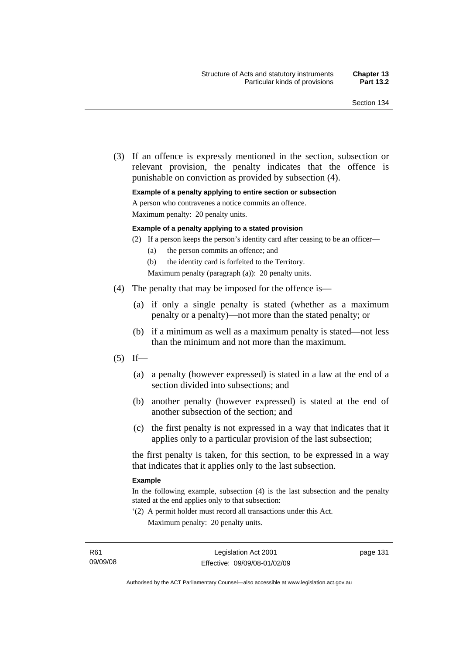(3) If an offence is expressly mentioned in the section, subsection or relevant provision, the penalty indicates that the offence is punishable on conviction as provided by subsection (4).

#### **Example of a penalty applying to entire section or subsection**

A person who contravenes a notice commits an offence.

Maximum penalty: 20 penalty units.

#### **Example of a penalty applying to a stated provision**

- (2) If a person keeps the person's identity card after ceasing to be an officer—
	- (a) the person commits an offence; and
	- (b) the identity card is forfeited to the Territory.

Maximum penalty (paragraph (a)): 20 penalty units.

- (4) The penalty that may be imposed for the offence is—
	- (a) if only a single penalty is stated (whether as a maximum penalty or a penalty)—not more than the stated penalty; or
	- (b) if a minimum as well as a maximum penalty is stated—not less than the minimum and not more than the maximum.
- $(5)$  If—
	- (a) a penalty (however expressed) is stated in a law at the end of a section divided into subsections; and
	- (b) another penalty (however expressed) is stated at the end of another subsection of the section; and
	- (c) the first penalty is not expressed in a way that indicates that it applies only to a particular provision of the last subsection;

the first penalty is taken, for this section, to be expressed in a way that indicates that it applies only to the last subsection.

#### **Example**

In the following example, subsection (4) is the last subsection and the penalty stated at the end applies only to that subsection:

'(2) A permit holder must record all transactions under this Act. Maximum penalty: 20 penalty units.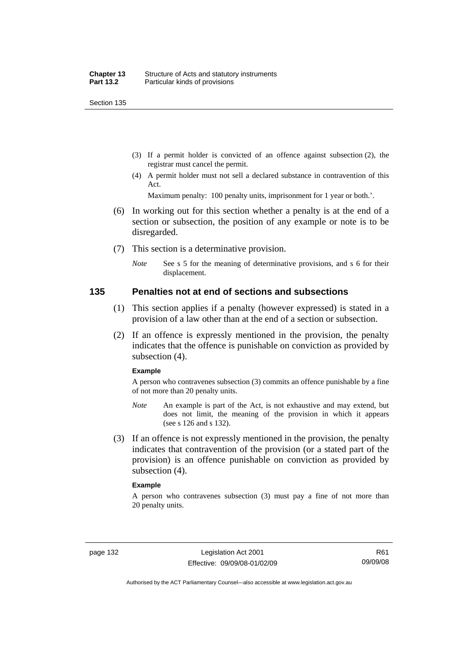- (3) If a permit holder is convicted of an offence against subsection (2), the registrar must cancel the permit.
- (4) A permit holder must not sell a declared substance in contravention of this Act.

Maximum penalty: 100 penalty units, imprisonment for 1 year or both.'.

- (6) In working out for this section whether a penalty is at the end of a section or subsection, the position of any example or note is to be disregarded.
- (7) This section is a determinative provision.
	- *Note* See s 5 for the meaning of determinative provisions, and s 6 for their displacement.

#### **135 Penalties not at end of sections and subsections**

- (1) This section applies if a penalty (however expressed) is stated in a provision of a law other than at the end of a section or subsection.
- (2) If an offence is expressly mentioned in the provision, the penalty indicates that the offence is punishable on conviction as provided by subsection (4).

#### **Example**

A person who contravenes subsection (3) commits an offence punishable by a fine of not more than 20 penalty units.

- *Note* An example is part of the Act, is not exhaustive and may extend, but does not limit, the meaning of the provision in which it appears (see s 126 and s 132).
- (3) If an offence is not expressly mentioned in the provision, the penalty indicates that contravention of the provision (or a stated part of the provision) is an offence punishable on conviction as provided by subsection (4).

#### **Example**

A person who contravenes subsection (3) must pay a fine of not more than 20 penalty units.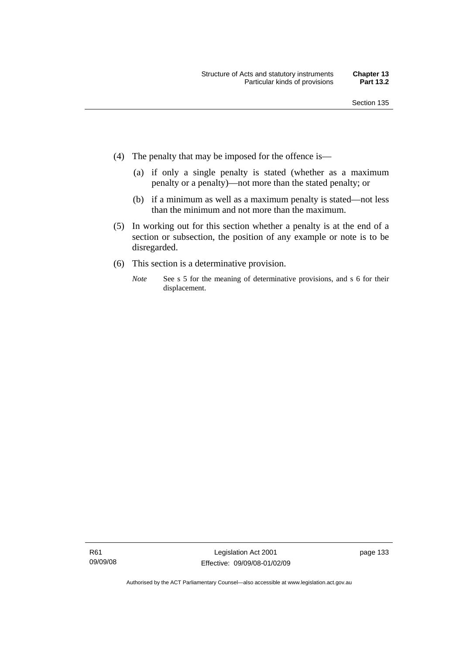- (4) The penalty that may be imposed for the offence is—
	- (a) if only a single penalty is stated (whether as a maximum penalty or a penalty)—not more than the stated penalty; or
	- (b) if a minimum as well as a maximum penalty is stated—not less than the minimum and not more than the maximum.
- (5) In working out for this section whether a penalty is at the end of a section or subsection, the position of any example or note is to be disregarded.
- (6) This section is a determinative provision.
	- *Note* See s 5 for the meaning of determinative provisions, and s 6 for their displacement.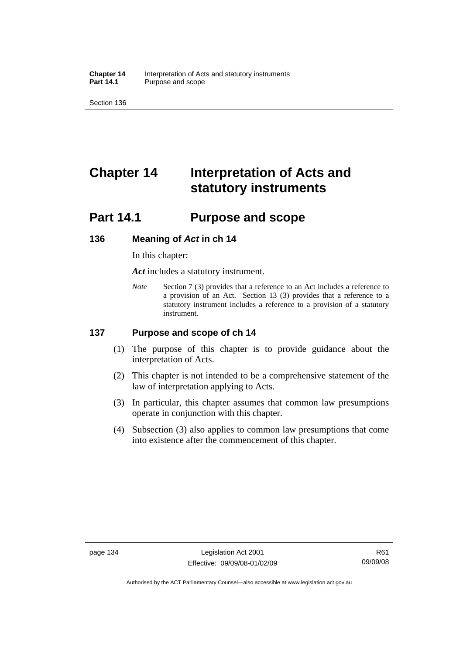**Chapter 14** Interpretation of Acts and statutory instruments<br>**Part 14.1** Purpose and scope Purpose and scope

Section 136

# **Chapter 14 Interpretation of Acts and statutory instruments**

## **Part 14.1 Purpose and scope**

#### **136 Meaning of** *Act* **in ch 14**

In this chapter:

*Act* includes a statutory instrument.

*Note* Section 7 (3) provides that a reference to an Act includes a reference to a provision of an Act. Section 13 (3) provides that a reference to a statutory instrument includes a reference to a provision of a statutory instrument.

## **137 Purpose and scope of ch 14**

- (1) The purpose of this chapter is to provide guidance about the interpretation of Acts.
- (2) This chapter is not intended to be a comprehensive statement of the law of interpretation applying to Acts.
- (3) In particular, this chapter assumes that common law presumptions operate in conjunction with this chapter.
- (4) Subsection (3) also applies to common law presumptions that come into existence after the commencement of this chapter.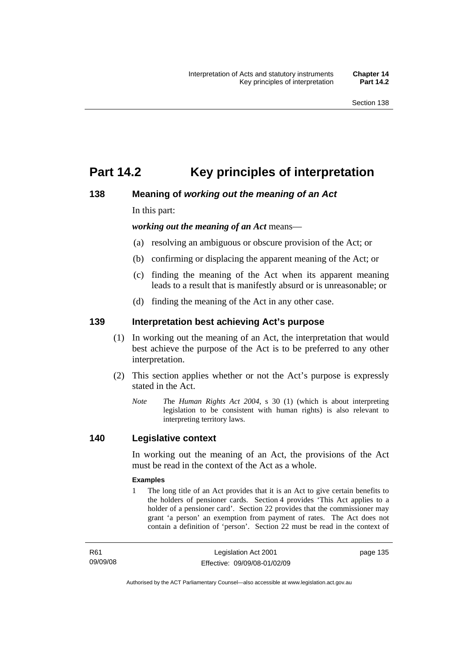## **Part 14.2 Key principles of interpretation**

## **138 Meaning of** *working out the meaning of an Act*

In this part:

*working out the meaning of an Act* means—

- (a) resolving an ambiguous or obscure provision of the Act; or
- (b) confirming or displacing the apparent meaning of the Act; or
- (c) finding the meaning of the Act when its apparent meaning leads to a result that is manifestly absurd or is unreasonable; or
- (d) finding the meaning of the Act in any other case.

## **139 Interpretation best achieving Act's purpose**

- (1) In working out the meaning of an Act, the interpretation that would best achieve the purpose of the Act is to be preferred to any other interpretation.
- (2) This section applies whether or not the Act's purpose is expressly stated in the Act.
	- *Note T*he *Human Rights Act 2004*, s 30 (1) (which is about interpreting legislation to be consistent with human rights) is also relevant to interpreting territory laws.

## **140 Legislative context**

In working out the meaning of an Act, the provisions of the Act must be read in the context of the Act as a whole.

#### **Examples**

1 The long title of an Act provides that it is an Act to give certain benefits to the holders of pensioner cards. Section 4 provides 'This Act applies to a holder of a pensioner card'. Section 22 provides that the commissioner may grant 'a person' an exemption from payment of rates. The Act does not contain a definition of 'person'. Section 22 must be read in the context of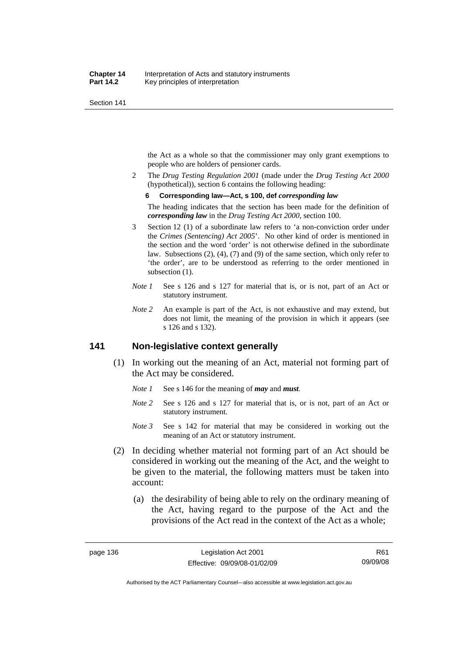the Act as a whole so that the commissioner may only grant exemptions to people who are holders of pensioner cards.

2 The *Drug Testing Regulation 2001* (made under the *Drug Testing Act 2000* (hypothetical)), section 6 contains the following heading:

#### **6 Corresponding law—Act, s 100, def** *corresponding law*

The heading indicates that the section has been made for the definition of *corresponding law* in the *Drug Testing Act 2000*, section 100.

- 3 Section 12 (1) of a subordinate law refers to 'a non-conviction order under the *Crimes (Sentencing) Act 2005*'. No other kind of order is mentioned in the section and the word 'order' is not otherwise defined in the subordinate law. Subsections (2), (4), (7) and (9) of the same section, which only refer to 'the order', are to be understood as referring to the order mentioned in subsection  $(1)$ .
- *Note 1* See s 126 and s 127 for material that is, or is not, part of an Act or statutory instrument.
- *Note 2* An example is part of the Act, is not exhaustive and may extend, but does not limit, the meaning of the provision in which it appears (see s 126 and s 132).

## **141 Non-legislative context generally**

- (1) In working out the meaning of an Act, material not forming part of the Act may be considered.
	- *Note 1* See s 146 for the meaning of *may* and *must*.
	- *Note* 2 See s 126 and s 127 for material that is, or is not, part of an Act or statutory instrument.
	- *Note 3* See s 142 for material that may be considered in working out the meaning of an Act or statutory instrument.
- (2) In deciding whether material not forming part of an Act should be considered in working out the meaning of the Act, and the weight to be given to the material, the following matters must be taken into account:
	- (a) the desirability of being able to rely on the ordinary meaning of the Act, having regard to the purpose of the Act and the provisions of the Act read in the context of the Act as a whole;

Authorised by the ACT Parliamentary Counsel—also accessible at www.legislation.act.gov.au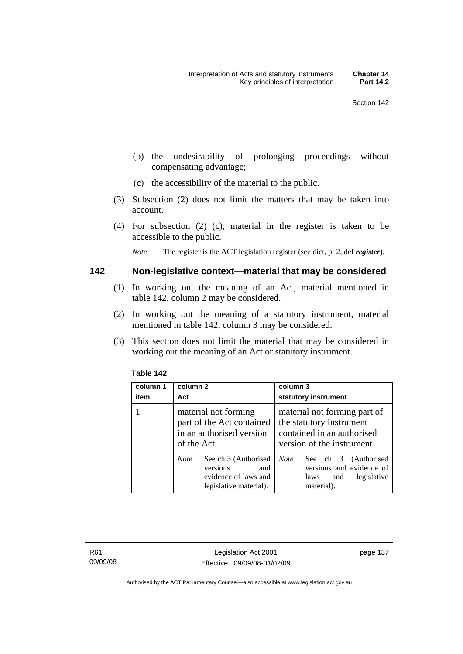- (b) the undesirability of prolonging proceedings without compensating advantage;
- (c) the accessibility of the material to the public.
- (3) Subsection (2) does not limit the matters that may be taken into account.
- (4) For subsection (2) (c), material in the register is taken to be accessible to the public.

*Note* The register is the ACT legislation register (see dict, pt 2, def *register*).

#### **142 Non-legislative context—material that may be considered**

- (1) In working out the meaning of an Act, material mentioned in table 142, column 2 may be considered.
- (2) In working out the meaning of a statutory instrument, material mentioned in table 142, column 3 may be considered.
- (3) This section does not limit the material that may be considered in working out the meaning of an Act or statutory instrument.

| column 1<br>item | column 2<br>Act                                                                                          | column 3<br>statutory instrument                                                                                    |
|------------------|----------------------------------------------------------------------------------------------------------|---------------------------------------------------------------------------------------------------------------------|
|                  | material not forming<br>part of the Act contained<br>in an authorised version<br>of the Act              | material not forming part of<br>the statutory instrument<br>contained in an authorised<br>version of the instrument |
|                  | See ch 3 (Authorised<br><b>Note</b><br>versions<br>and<br>evidence of laws and<br>legislative material). | <b>Note</b><br>See ch 3 (Authorised<br>versions and evidence of<br>legislative<br>laws<br>and<br>material).         |

#### **Table 142**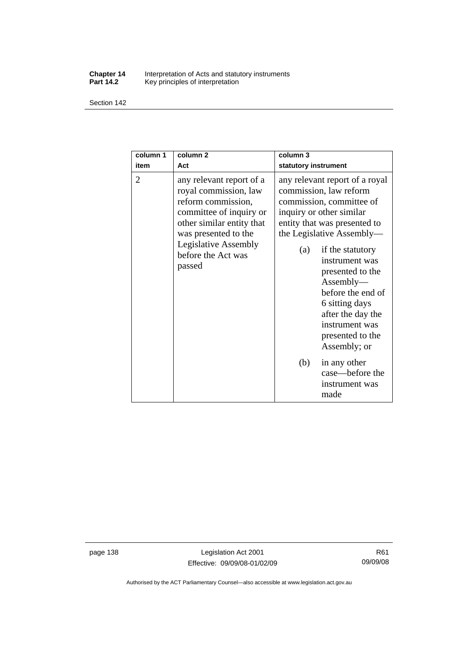#### **Chapter 14** Interpretation of Acts and statutory instruments **Part 14.2** Key principles of interpretation

Section 142

| column 1<br>item | column <sub>2</sub><br>Act                                                                                                                                                                                             | column <sub>3</sub><br>statutory instrument                                                                                                                                                                                                                                                                                                                                   |
|------------------|------------------------------------------------------------------------------------------------------------------------------------------------------------------------------------------------------------------------|-------------------------------------------------------------------------------------------------------------------------------------------------------------------------------------------------------------------------------------------------------------------------------------------------------------------------------------------------------------------------------|
| 2                | any relevant report of a<br>royal commission, law<br>reform commission,<br>committee of inquiry or<br>other similar entity that<br>was presented to the<br><b>Legislative Assembly</b><br>before the Act was<br>passed | any relevant report of a royal<br>commission, law reform<br>commission, committee of<br>inquiry or other similar<br>entity that was presented to<br>the Legislative Assembly—<br>if the statutory<br>(a)<br>instrument was<br>presented to the<br>Assently—<br>before the end of<br>6 sitting days<br>after the day the<br>instrument was<br>presented to the<br>Assembly; or |
|                  |                                                                                                                                                                                                                        | (b)<br>in any other<br>case—before the<br>instrument was<br>made                                                                                                                                                                                                                                                                                                              |

page 138 Legislation Act 2001 Effective: 09/09/08-01/02/09

Authorised by the ACT Parliamentary Counsel—also accessible at www.legislation.act.gov.au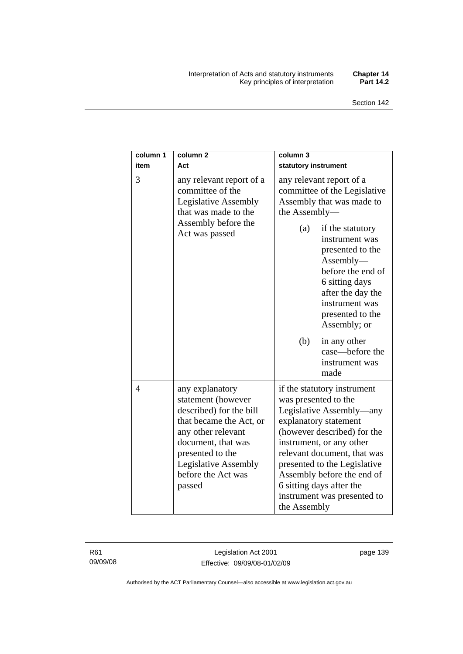#### Interpretation of Acts and statutory instruments **Chapter 14**  Key principles of interpretation **Part 14.2**

| column 1<br>item | column <sub>2</sub><br>Act                                                                                                                                                                                                 | column 3<br>statutory instrument                                                                                                                                                                                                                                                                                                            |
|------------------|----------------------------------------------------------------------------------------------------------------------------------------------------------------------------------------------------------------------------|---------------------------------------------------------------------------------------------------------------------------------------------------------------------------------------------------------------------------------------------------------------------------------------------------------------------------------------------|
| 3                | any relevant report of a<br>committee of the<br><b>Legislative Assembly</b><br>that was made to the<br>Assembly before the<br>Act was passed                                                                               | any relevant report of a<br>committee of the Legislative<br>Assembly that was made to<br>the Assembly-<br>(a)<br>if the statutory<br>instrument was<br>presented to the<br>$\text{Assembl}$<br>before the end of<br>6 sitting days<br>after the day the<br>instrument was                                                                   |
|                  |                                                                                                                                                                                                                            | presented to the<br>Assembly; or<br>(b)<br>in any other<br>case—before the<br>instrument was<br>made                                                                                                                                                                                                                                        |
| $\overline{4}$   | any explanatory<br>statement (however<br>described) for the bill<br>that became the Act, or<br>any other relevant<br>document, that was<br>presented to the<br><b>Legislative Assembly</b><br>before the Act was<br>passed | if the statutory instrument<br>was presented to the<br>Legislative Assembly—any<br>explanatory statement<br>(however described) for the<br>instrument, or any other<br>relevant document, that was<br>presented to the Legislative<br>Assembly before the end of<br>6 sitting days after the<br>instrument was presented to<br>the Assembly |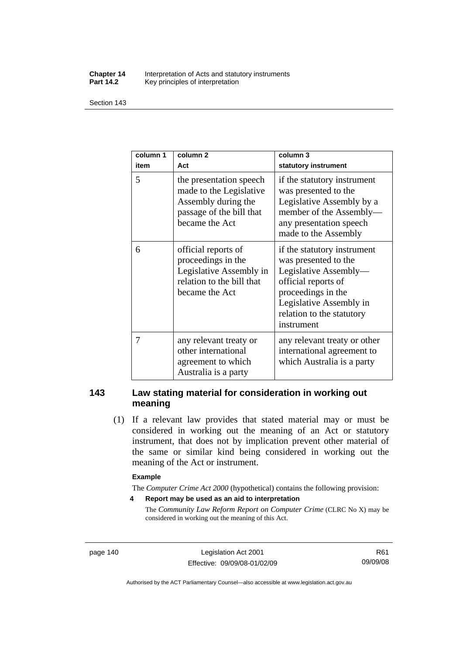#### **Chapter 14** Interpretation of Acts and statutory instruments<br>**Part 14.2** Key principles of interpretation Key principles of interpretation

Section 143

| column 1<br>item | column <sub>2</sub><br>Act                                                                                              | column 3<br>statutory instrument                                                                                                                                                                |
|------------------|-------------------------------------------------------------------------------------------------------------------------|-------------------------------------------------------------------------------------------------------------------------------------------------------------------------------------------------|
| 5                | the presentation speech<br>made to the Legislative<br>Assembly during the<br>passage of the bill that<br>became the Act | if the statutory instrument<br>was presented to the<br>Legislative Assembly by a<br>member of the Assembly-<br>any presentation speech<br>made to the Assembly                                  |
| 6                | official reports of<br>proceedings in the<br>Legislative Assembly in<br>relation to the bill that<br>became the Act     | if the statutory instrument<br>was presented to the<br>Legislative Assembly-<br>official reports of<br>proceedings in the<br>Legislative Assembly in<br>relation to the statutory<br>instrument |
| 7                | any relevant treaty or<br>other international<br>agreement to which<br>Australia is a party                             | any relevant treaty or other<br>international agreement to<br>which Australia is a party                                                                                                        |

## **143 Law stating material for consideration in working out meaning**

 (1) If a relevant law provides that stated material may or must be considered in working out the meaning of an Act or statutory instrument, that does not by implication prevent other material of the same or similar kind being considered in working out the meaning of the Act or instrument.

#### **Example**

The *Computer Crime Act 2000* (hypothetical) contains the following provision:

**4 Report may be used as an aid to interpretation** 

The *Community Law Reform Report on Computer Crime* (CLRC No X) may be considered in working out the meaning of this Act.

page 140 Legislation Act 2001 Effective: 09/09/08-01/02/09

R61 09/09/08

Authorised by the ACT Parliamentary Counsel—also accessible at www.legislation.act.gov.au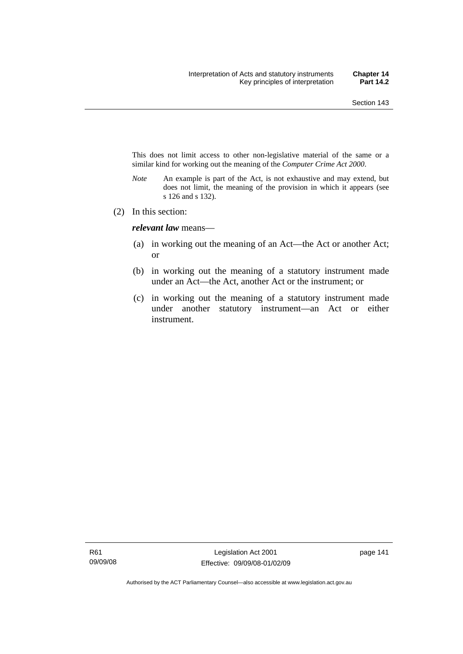This does not limit access to other non-legislative material of the same or a similar kind for working out the meaning of the *Computer Crime Act 2000*.

- *Note* An example is part of the Act, is not exhaustive and may extend, but does not limit, the meaning of the provision in which it appears (see s 126 and s 132).
- (2) In this section:

*relevant law* means—

- (a) in working out the meaning of an Act—the Act or another Act; or
- (b) in working out the meaning of a statutory instrument made under an Act—the Act, another Act or the instrument; or
- (c) in working out the meaning of a statutory instrument made under another statutory instrument—an Act or either instrument.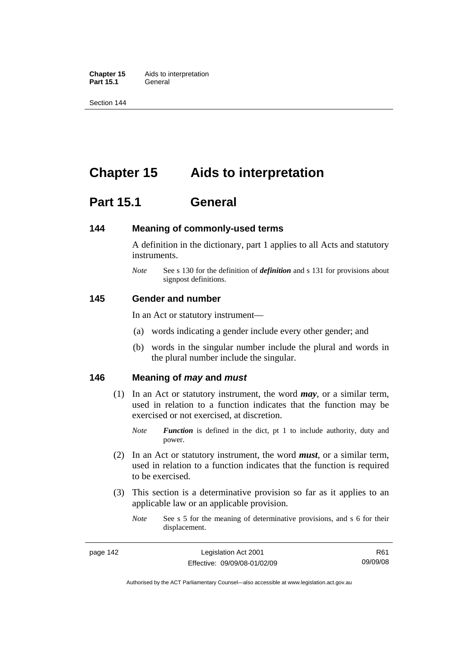**Chapter 15** Aids to interpretation Part 15.1 **General** 

Section 144

## **Chapter 15 Aids to interpretation**

## **Part 15.1 General**

#### **144 Meaning of commonly-used terms**

A definition in the dictionary, part 1 applies to all Acts and statutory instruments.

*Note* See s 130 for the definition of *definition* and s 131 for provisions about signpost definitions.

#### **145 Gender and number**

In an Act or statutory instrument—

- (a) words indicating a gender include every other gender; and
- (b) words in the singular number include the plural and words in the plural number include the singular.

## **146 Meaning of** *may* **and** *must*

- (1) In an Act or statutory instrument, the word *may*, or a similar term, used in relation to a function indicates that the function may be exercised or not exercised, at discretion.
	- *Note Function* is defined in the dict, pt 1 to include authority, duty and power.
- (2) In an Act or statutory instrument, the word *must*, or a similar term, used in relation to a function indicates that the function is required to be exercised.
- (3) This section is a determinative provision so far as it applies to an applicable law or an applicable provision.
	- *Note* See s 5 for the meaning of determinative provisions, and s 6 for their displacement.

Authorised by the ACT Parliamentary Counsel—also accessible at www.legislation.act.gov.au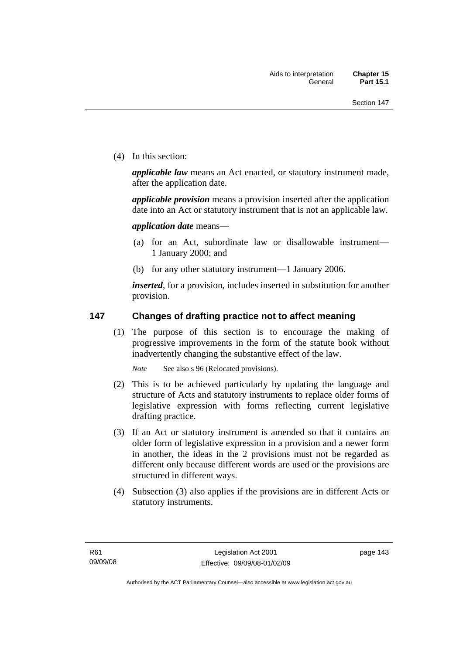(4) In this section:

*applicable law* means an Act enacted, or statutory instrument made, after the application date.

*applicable provision* means a provision inserted after the application date into an Act or statutory instrument that is not an applicable law.

*application date* means—

- (a) for an Act, subordinate law or disallowable instrument— 1 January 2000; and
- (b) for any other statutory instrument—1 January 2006.

*inserted*, for a provision, includes inserted in substitution for another provision.

## **147 Changes of drafting practice not to affect meaning**

 (1) The purpose of this section is to encourage the making of progressive improvements in the form of the statute book without inadvertently changing the substantive effect of the law.

*Note* See also s 96 (Relocated provisions).

- (2) This is to be achieved particularly by updating the language and structure of Acts and statutory instruments to replace older forms of legislative expression with forms reflecting current legislative drafting practice.
- (3) If an Act or statutory instrument is amended so that it contains an older form of legislative expression in a provision and a newer form in another, the ideas in the 2 provisions must not be regarded as different only because different words are used or the provisions are structured in different ways.
- (4) Subsection (3) also applies if the provisions are in different Acts or statutory instruments.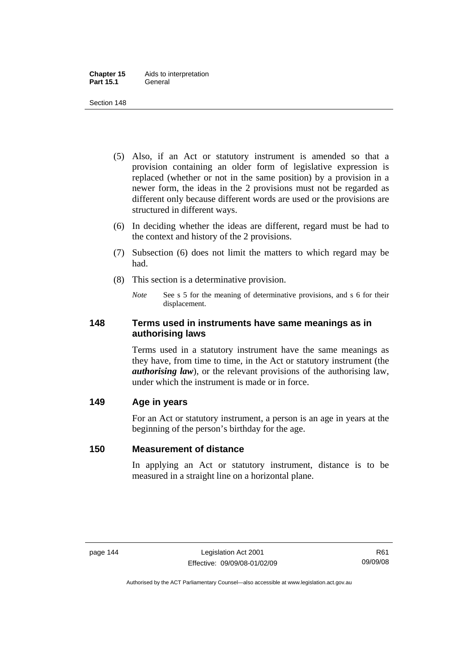- (5) Also, if an Act or statutory instrument is amended so that a provision containing an older form of legislative expression is replaced (whether or not in the same position) by a provision in a newer form, the ideas in the 2 provisions must not be regarded as different only because different words are used or the provisions are structured in different ways.
- (6) In deciding whether the ideas are different, regard must be had to the context and history of the 2 provisions.
- (7) Subsection (6) does not limit the matters to which regard may be had.
- (8) This section is a determinative provision.
	- *Note* See s 5 for the meaning of determinative provisions, and s 6 for their displacement.

## **148 Terms used in instruments have same meanings as in authorising laws**

Terms used in a statutory instrument have the same meanings as they have, from time to time, in the Act or statutory instrument (the *authorising law*), or the relevant provisions of the authorising law, under which the instrument is made or in force.

## **149 Age in years**

For an Act or statutory instrument, a person is an age in years at the beginning of the person's birthday for the age.

## **150 Measurement of distance**

In applying an Act or statutory instrument, distance is to be measured in a straight line on a horizontal plane.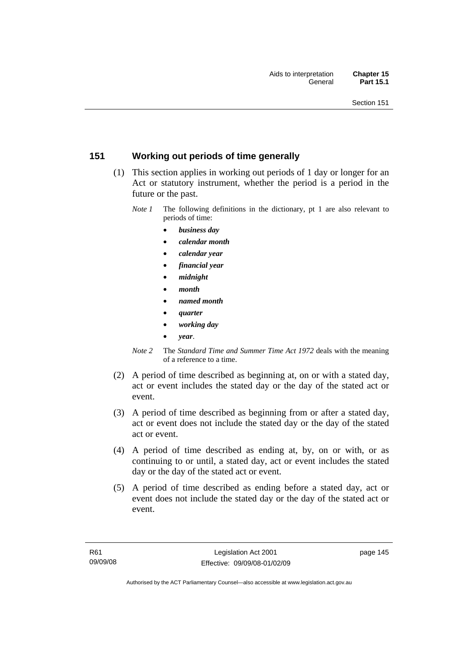## **151 Working out periods of time generally**

- (1) This section applies in working out periods of 1 day or longer for an Act or statutory instrument, whether the period is a period in the future or the past.
	- *Note 1* The following definitions in the dictionary, pt 1 are also relevant to periods of time:
		- *business day*
		- *calendar month*
		- *calendar year*
		- *financial year*
		- *midnight*
		- *month*
		- *named month*
		- *quarter*
		- *working day*
		- *year*.
	- *Note 2* The *Standard Time and Summer Time Act 1972* deals with the meaning of a reference to a time.
- (2) A period of time described as beginning at, on or with a stated day, act or event includes the stated day or the day of the stated act or event.
- (3) A period of time described as beginning from or after a stated day, act or event does not include the stated day or the day of the stated act or event.
- (4) A period of time described as ending at, by, on or with, or as continuing to or until, a stated day, act or event includes the stated day or the day of the stated act or event.
- (5) A period of time described as ending before a stated day, act or event does not include the stated day or the day of the stated act or event.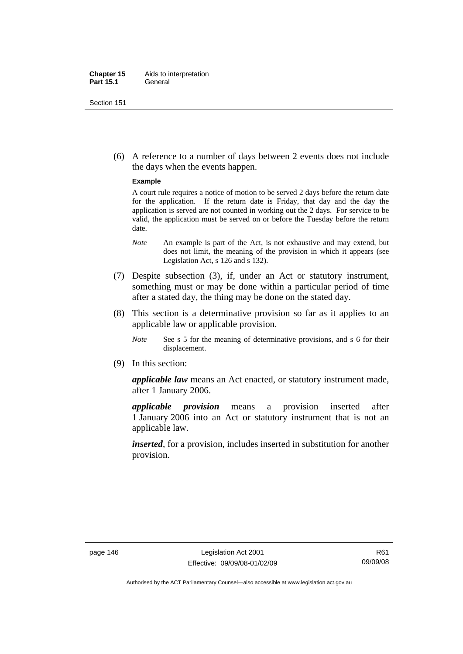#### **Chapter 15** Aids to interpretation **Part 15.1** General

Section 151

 (6) A reference to a number of days between 2 events does not include the days when the events happen.

#### **Example**

A court rule requires a notice of motion to be served 2 days before the return date for the application. If the return date is Friday, that day and the day the application is served are not counted in working out the 2 days. For service to be valid, the application must be served on or before the Tuesday before the return date.

- *Note* An example is part of the Act, is not exhaustive and may extend, but does not limit, the meaning of the provision in which it appears (see Legislation Act, s 126 and s 132).
- (7) Despite subsection (3), if, under an Act or statutory instrument, something must or may be done within a particular period of time after a stated day, the thing may be done on the stated day.
- (8) This section is a determinative provision so far as it applies to an applicable law or applicable provision.
	- *Note* See s 5 for the meaning of determinative provisions, and s 6 for their displacement.
- (9) In this section:

*applicable law* means an Act enacted, or statutory instrument made, after 1 January 2006.

*applicable provision* means a provision inserted after 1 January 2006 into an Act or statutory instrument that is not an applicable law.

*inserted*, for a provision, includes inserted in substitution for another provision.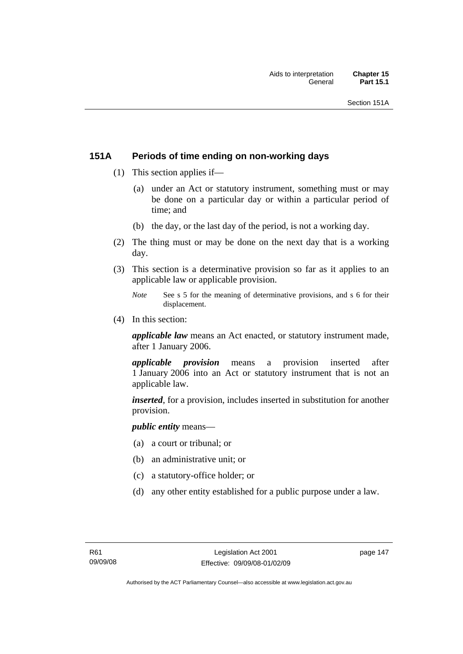## **151A Periods of time ending on non-working days**

- (1) This section applies if—
	- (a) under an Act or statutory instrument, something must or may be done on a particular day or within a particular period of time; and
	- (b) the day, or the last day of the period, is not a working day.
- (2) The thing must or may be done on the next day that is a working day.
- (3) This section is a determinative provision so far as it applies to an applicable law or applicable provision.
	- *Note* See s 5 for the meaning of determinative provisions, and s 6 for their displacement.
- (4) In this section:

*applicable law* means an Act enacted, or statutory instrument made, after 1 January 2006.

*applicable provision* means a provision inserted after 1 January 2006 into an Act or statutory instrument that is not an applicable law.

*inserted*, for a provision, includes inserted in substitution for another provision.

*public entity* means—

- (a) a court or tribunal; or
- (b) an administrative unit; or
- (c) a statutory-office holder; or
- (d) any other entity established for a public purpose under a law.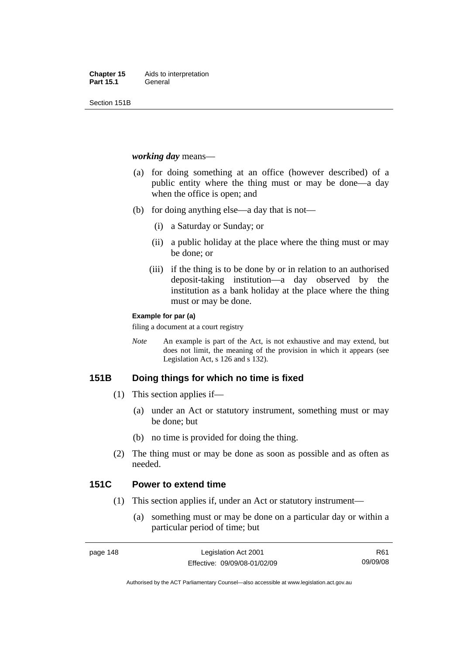Section 151B

#### *working day* means—

- (a) for doing something at an office (however described) of a public entity where the thing must or may be done—a day when the office is open; and
- (b) for doing anything else—a day that is not—
	- (i) a Saturday or Sunday; or
	- (ii) a public holiday at the place where the thing must or may be done; or
	- (iii) if the thing is to be done by or in relation to an authorised deposit-taking institution—a day observed by the institution as a bank holiday at the place where the thing must or may be done.

#### **Example for par (a)**

filing a document at a court registry

*Note* An example is part of the Act, is not exhaustive and may extend, but does not limit, the meaning of the provision in which it appears (see Legislation Act, s 126 and s 132).

## **151B Doing things for which no time is fixed**

- (1) This section applies if—
	- (a) under an Act or statutory instrument, something must or may be done; but
	- (b) no time is provided for doing the thing.
- (2) The thing must or may be done as soon as possible and as often as needed.

## **151C Power to extend time**

- (1) This section applies if, under an Act or statutory instrument—
	- (a) something must or may be done on a particular day or within a particular period of time; but

R61 09/09/08

Authorised by the ACT Parliamentary Counsel—also accessible at www.legislation.act.gov.au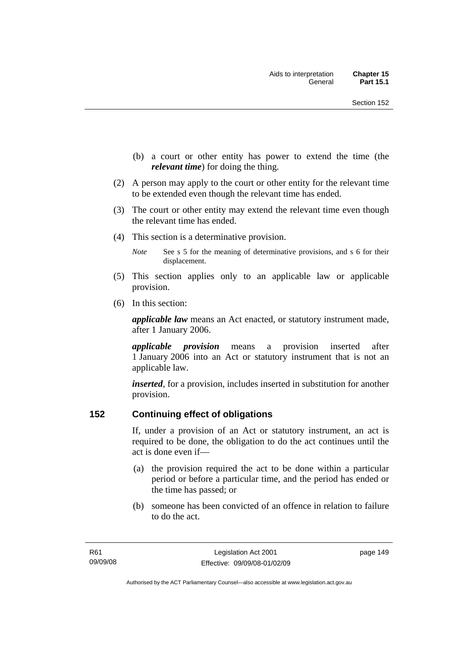- (b) a court or other entity has power to extend the time (the *relevant time*) for doing the thing.
- (2) A person may apply to the court or other entity for the relevant time to be extended even though the relevant time has ended.
- (3) The court or other entity may extend the relevant time even though the relevant time has ended.
- (4) This section is a determinative provision.
	- *Note* See s 5 for the meaning of determinative provisions, and s 6 for their displacement.
- (5) This section applies only to an applicable law or applicable provision.
- (6) In this section:

*applicable law* means an Act enacted, or statutory instrument made, after 1 January 2006.

*applicable provision* means a provision inserted after 1 January 2006 into an Act or statutory instrument that is not an applicable law.

*inserted*, for a provision, includes inserted in substitution for another provision.

## **152 Continuing effect of obligations**

If, under a provision of an Act or statutory instrument, an act is required to be done, the obligation to do the act continues until the act is done even if—

- (a) the provision required the act to be done within a particular period or before a particular time, and the period has ended or the time has passed; or
- (b) someone has been convicted of an offence in relation to failure to do the act.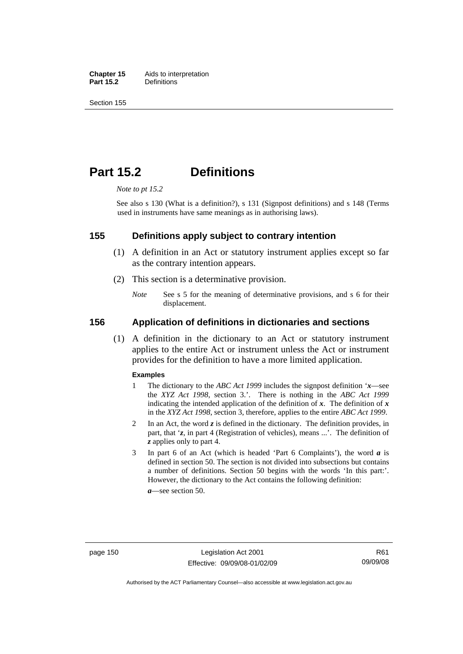**Chapter 15** Aids to interpretation<br>**Part 15.2** Definitions **Definitions** 

Section 155

## **Part 15.2 Definitions**

*Note to pt 15.2* 

See also s 130 (What is a definition?), s 131 (Signpost definitions) and s 148 (Terms used in instruments have same meanings as in authorising laws).

#### **155 Definitions apply subject to contrary intention**

- (1) A definition in an Act or statutory instrument applies except so far as the contrary intention appears.
- (2) This section is a determinative provision.
	- *Note* See s 5 for the meaning of determinative provisions, and s 6 for their displacement.

#### **156 Application of definitions in dictionaries and sections**

 (1) A definition in the dictionary to an Act or statutory instrument applies to the entire Act or instrument unless the Act or instrument provides for the definition to have a more limited application.

#### **Examples**

- 1 The dictionary to the *ABC Act 1999* includes the signpost definition '*x*—see the *XYZ Act 1998*, section 3.'. There is nothing in the *ABC Act 1999* indicating the intended application of the definition of  $x$ . The definition of  $x$ in the *XYZ Act 1998*, section 3, therefore, applies to the entire *ABC Act 1999*.
- 2 In an Act, the word *z* is defined in the dictionary. The definition provides, in part, that '*z*, in part 4 (Registration of vehicles), means ...'. The definition of *z* applies only to part 4.
- 3 In part 6 of an Act (which is headed 'Part 6 Complaints'), the word *a* is defined in section 50. The section is not divided into subsections but contains a number of definitions. Section 50 begins with the words 'In this part:'. However, the dictionary to the Act contains the following definition:

*a*—see section 50.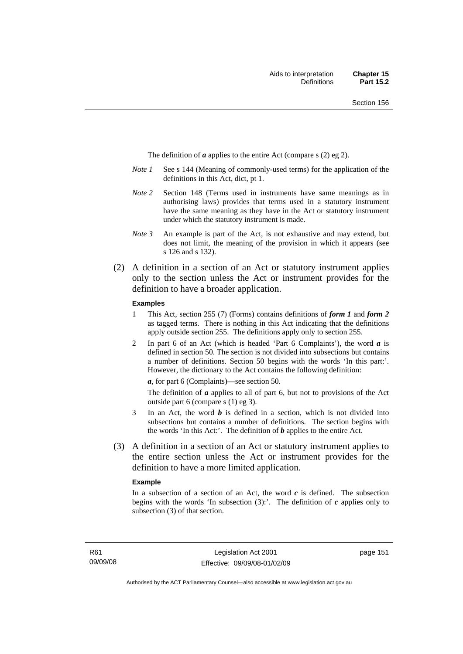The definition of *a* applies to the entire Act (compare s (2) eg 2).

- *Note 1* See s 144 (Meaning of commonly-used terms) for the application of the definitions in this Act, dict, pt 1.
- *Note 2* Section 148 (Terms used in instruments have same meanings as in authorising laws) provides that terms used in a statutory instrument have the same meaning as they have in the Act or statutory instrument under which the statutory instrument is made.
- *Note 3* An example is part of the Act, is not exhaustive and may extend, but does not limit, the meaning of the provision in which it appears (see s 126 and s 132).
- (2) A definition in a section of an Act or statutory instrument applies only to the section unless the Act or instrument provides for the definition to have a broader application.

#### **Examples**

- 1 This Act, section 255 (7) (Forms) contains definitions of *form 1* and *form 2* as tagged terms. There is nothing in this Act indicating that the definitions apply outside section 255. The definitions apply only to section 255.
- 2 In part 6 of an Act (which is headed 'Part 6 Complaints'), the word *a* is defined in section 50. The section is not divided into subsections but contains a number of definitions. Section 50 begins with the words 'In this part:'. However, the dictionary to the Act contains the following definition:

*a*, for part 6 (Complaints)—see section 50.

The definition of *a* applies to all of part 6, but not to provisions of the Act outside part 6 (compare s (1) eg 3).

- 3 In an Act, the word *b* is defined in a section, which is not divided into subsections but contains a number of definitions. The section begins with the words 'In this Act:'. The definition of *b* applies to the entire Act.
- (3) A definition in a section of an Act or statutory instrument applies to the entire section unless the Act or instrument provides for the definition to have a more limited application.

#### **Example**

In a subsection of a section of an Act, the word  $c$  is defined. The subsection begins with the words 'In subsection  $(3)$ :'. The definition of  $c$  applies only to subsection (3) of that section.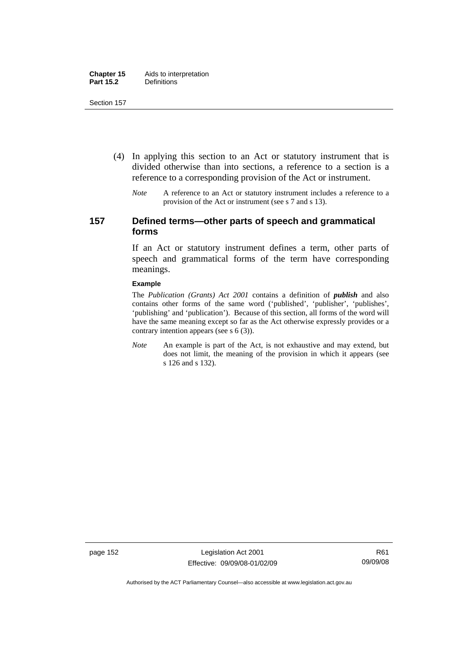- (4) In applying this section to an Act or statutory instrument that is divided otherwise than into sections, a reference to a section is a reference to a corresponding provision of the Act or instrument.
	- *Note* A reference to an Act or statutory instrument includes a reference to a provision of the Act or instrument (see s 7 and s 13).

## **157 Defined terms—other parts of speech and grammatical forms**

If an Act or statutory instrument defines a term, other parts of speech and grammatical forms of the term have corresponding meanings.

#### **Example**

The *Publication (Grants) Act 2001* contains a definition of *publish* and also contains other forms of the same word ('published', 'publisher', 'publishes', 'publishing' and 'publication'). Because of this section, all forms of the word will have the same meaning except so far as the Act otherwise expressly provides or a contrary intention appears (see s 6 (3)).

*Note* An example is part of the Act, is not exhaustive and may extend, but does not limit, the meaning of the provision in which it appears (see s 126 and s 132).

page 152 Legislation Act 2001 Effective: 09/09/08-01/02/09

Authorised by the ACT Parliamentary Counsel—also accessible at www.legislation.act.gov.au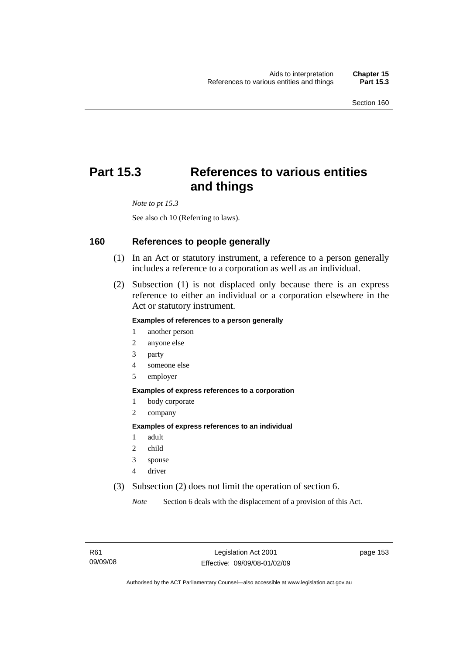# **Part 15.3 References to various entities and things**

*Note to pt 15.3* 

See also ch 10 (Referring to laws).

#### **160 References to people generally**

- (1) In an Act or statutory instrument, a reference to a person generally includes a reference to a corporation as well as an individual.
- (2) Subsection (1) is not displaced only because there is an express reference to either an individual or a corporation elsewhere in the Act or statutory instrument.

#### **Examples of references to a person generally**

- 1 another person
- 2 anyone else
- 3 party
- 4 someone else
- 5 employer

#### **Examples of express references to a corporation**

- 1 body corporate
- 2 company

#### **Examples of express references to an individual**

- 1 adult
- 2 child
- 3 spouse
- 4 driver
- (3) Subsection (2) does not limit the operation of section 6.

*Note* Section 6 deals with the displacement of a provision of this Act.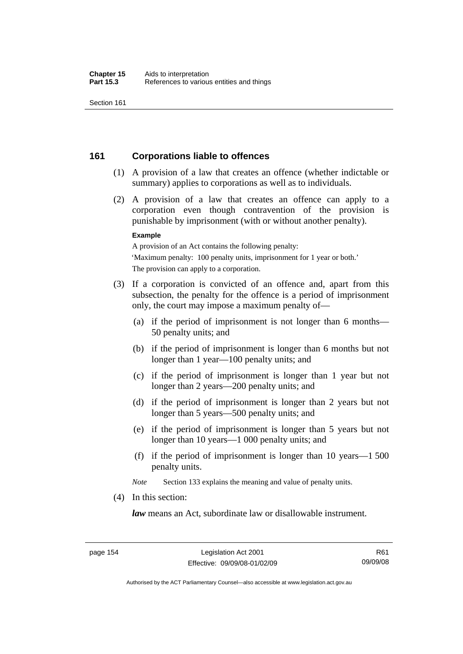## **161 Corporations liable to offences**

- (1) A provision of a law that creates an offence (whether indictable or summary) applies to corporations as well as to individuals.
- (2) A provision of a law that creates an offence can apply to a corporation even though contravention of the provision is punishable by imprisonment (with or without another penalty).

#### **Example**

A provision of an Act contains the following penalty: 'Maximum penalty: 100 penalty units, imprisonment for 1 year or both.' The provision can apply to a corporation.

- (3) If a corporation is convicted of an offence and, apart from this subsection, the penalty for the offence is a period of imprisonment only, the court may impose a maximum penalty of—
	- (a) if the period of imprisonment is not longer than 6 months— 50 penalty units; and
	- (b) if the period of imprisonment is longer than 6 months but not longer than 1 year—100 penalty units; and
	- (c) if the period of imprisonment is longer than 1 year but not longer than 2 years—200 penalty units; and
	- (d) if the period of imprisonment is longer than 2 years but not longer than 5 years—500 penalty units; and
	- (e) if the period of imprisonment is longer than 5 years but not longer than 10 years—1 000 penalty units; and
	- (f) if the period of imprisonment is longer than 10 years—1 500 penalty units.

*Note* Section 133 explains the meaning and value of penalty units.

(4) In this section:

*law* means an Act, subordinate law or disallowable instrument.

Authorised by the ACT Parliamentary Counsel—also accessible at www.legislation.act.gov.au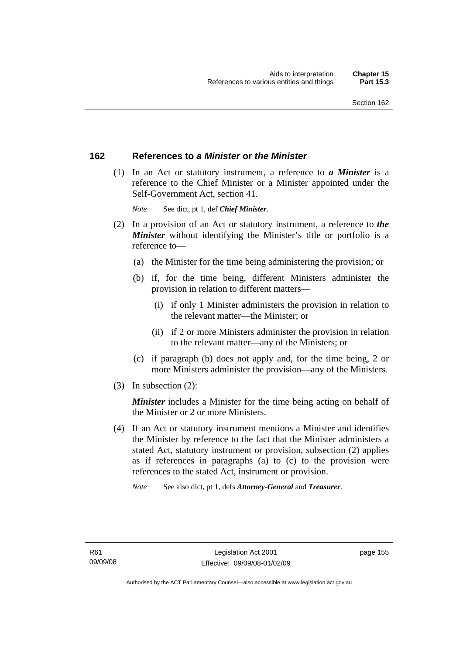## **162 References to** *a Minister* **or** *the Minister*

 (1) In an Act or statutory instrument, a reference to *a Minister* is a reference to the Chief Minister or a Minister appointed under the Self-Government Act, section 41.

*Note* See dict, pt 1, def *Chief Minister*.

- (2) In a provision of an Act or statutory instrument, a reference to *the Minister* without identifying the Minister's title or portfolio is a reference to—
	- (a) the Minister for the time being administering the provision; or
	- (b) if, for the time being, different Ministers administer the provision in relation to different matters—
		- (i) if only 1 Minister administers the provision in relation to the relevant matter—the Minister; or
		- (ii) if 2 or more Ministers administer the provision in relation to the relevant matter—any of the Ministers; or
	- (c) if paragraph (b) does not apply and, for the time being, 2 or more Ministers administer the provision—any of the Ministers.
- (3) In subsection (2):

*Minister* includes a Minister for the time being acting on behalf of the Minister or 2 or more Ministers.

 (4) If an Act or statutory instrument mentions a Minister and identifies the Minister by reference to the fact that the Minister administers a stated Act, statutory instrument or provision, subsection (2) applies as if references in paragraphs (a) to (c) to the provision were references to the stated Act, instrument or provision.

*Note* See also dict, pt 1, defs *Attorney-General* and *Treasurer*.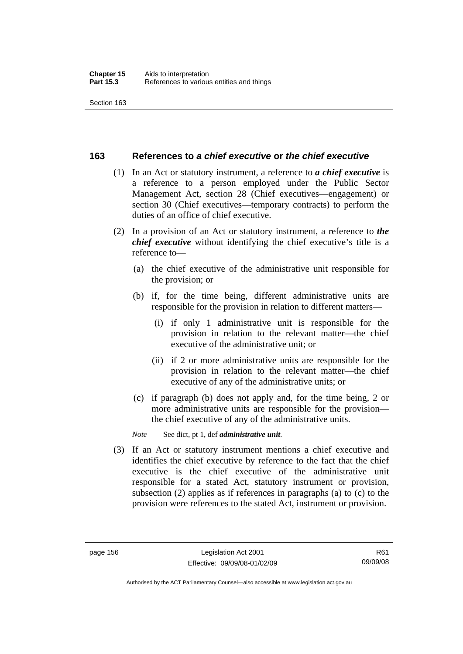## **163 References to** *a chief executive* **or** *the chief executive*

- (1) In an Act or statutory instrument, a reference to *a chief executive* is a reference to a person employed under the Public Sector Management Act, section 28 (Chief executives—engagement) or section 30 (Chief executives—temporary contracts) to perform the duties of an office of chief executive.
- (2) In a provision of an Act or statutory instrument, a reference to *the chief executive* without identifying the chief executive's title is a reference to—
	- (a) the chief executive of the administrative unit responsible for the provision; or
	- (b) if, for the time being, different administrative units are responsible for the provision in relation to different matters—
		- (i) if only 1 administrative unit is responsible for the provision in relation to the relevant matter—the chief executive of the administrative unit; or
		- (ii) if 2 or more administrative units are responsible for the provision in relation to the relevant matter—the chief executive of any of the administrative units; or
	- (c) if paragraph (b) does not apply and, for the time being, 2 or more administrative units are responsible for the provision the chief executive of any of the administrative units.

*Note* See dict, pt 1, def *administrative unit*.

 (3) If an Act or statutory instrument mentions a chief executive and identifies the chief executive by reference to the fact that the chief executive is the chief executive of the administrative unit responsible for a stated Act, statutory instrument or provision, subsection (2) applies as if references in paragraphs (a) to (c) to the provision were references to the stated Act, instrument or provision.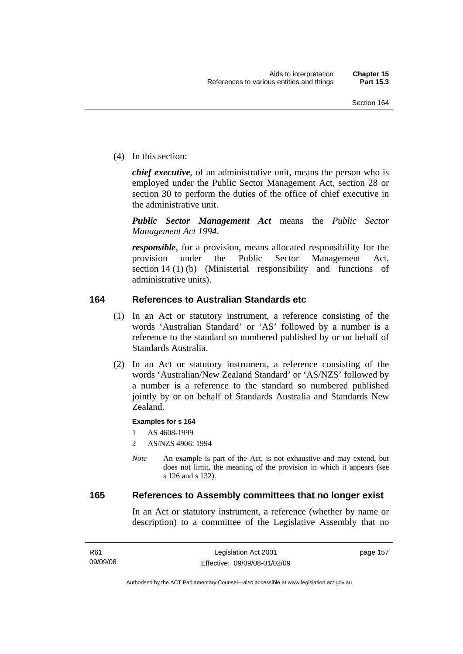(4) In this section:

*chief executive*, of an administrative unit, means the person who is employed under the Public Sector Management Act, section 28 or section 30 to perform the duties of the office of chief executive in the administrative unit.

*Public Sector Management Act* means the *Public Sector Management Act 1994*.

*responsible*, for a provision, means allocated responsibility for the provision under the Public Sector Management Act, section 14 (1) (b) (Ministerial responsibility and functions of administrative units).

## **164 References to Australian Standards etc**

- (1) In an Act or statutory instrument, a reference consisting of the words 'Australian Standard' or 'AS' followed by a number is a reference to the standard so numbered published by or on behalf of Standards Australia.
- (2) In an Act or statutory instrument, a reference consisting of the words 'Australian/New Zealand Standard' or 'AS/NZS' followed by a number is a reference to the standard so numbered published jointly by or on behalf of Standards Australia and Standards New Zealand.

#### **Examples for s 164**

1 AS 4608-1999

- 2 AS/NZS 4906: 1994
- *Note* An example is part of the Act, is not exhaustive and may extend, but does not limit, the meaning of the provision in which it appears (see s 126 and s 132).

## **165 References to Assembly committees that no longer exist**

In an Act or statutory instrument, a reference (whether by name or description) to a committee of the Legislative Assembly that no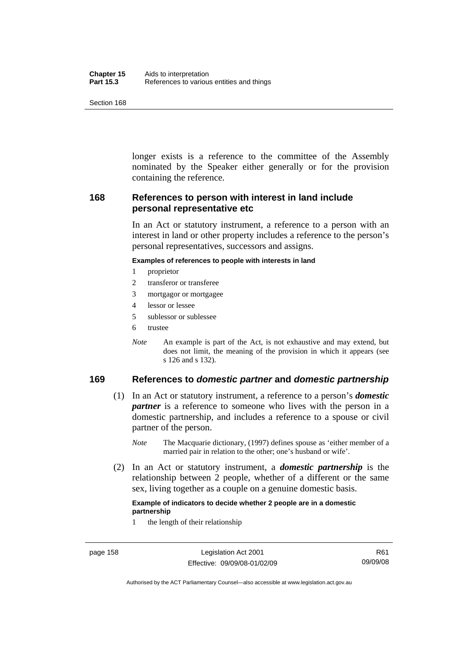| Chapter 15       | Aids to interpretation                    |
|------------------|-------------------------------------------|
| <b>Part 15.3</b> | References to various entities and things |

longer exists is a reference to the committee of the Assembly nominated by the Speaker either generally or for the provision containing the reference.

## **168 References to person with interest in land include personal representative etc**

In an Act or statutory instrument, a reference to a person with an interest in land or other property includes a reference to the person's personal representatives, successors and assigns.

#### **Examples of references to people with interests in land**

- 1 proprietor
- 2 transferor or transferee
- 3 mortgagor or mortgagee
- 4 lessor or lessee
- 5 sublessor or sublessee
- 6 trustee
- *Note* An example is part of the Act, is not exhaustive and may extend, but does not limit, the meaning of the provision in which it appears (see s 126 and s 132).

## **169 References to** *domestic partner* **and** *domestic partnership*

- (1) In an Act or statutory instrument, a reference to a person's *domestic partner* is a reference to someone who lives with the person in a domestic partnership, and includes a reference to a spouse or civil partner of the person.
	- *Note* The Macquarie dictionary, (1997) defines spouse as 'either member of a married pair in relation to the other; one's husband or wife'.
- (2) In an Act or statutory instrument, a *domestic partnership* is the relationship between 2 people, whether of a different or the same sex, living together as a couple on a genuine domestic basis.

#### **Example of indicators to decide whether 2 people are in a domestic partnership**

1 the length of their relationship

Authorised by the ACT Parliamentary Counsel—also accessible at www.legislation.act.gov.au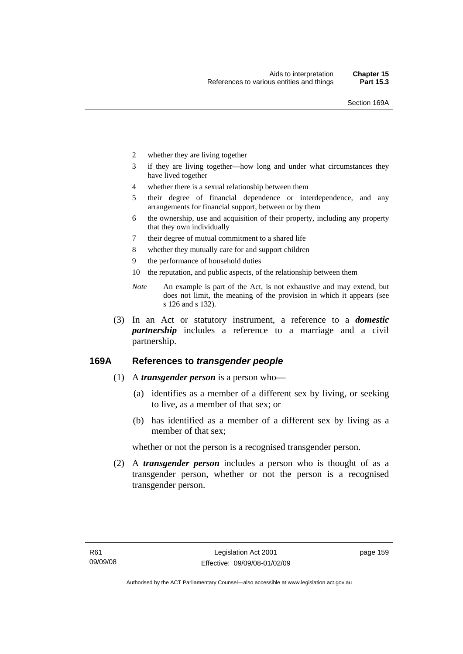- 2 whether they are living together
- 3 if they are living together—how long and under what circumstances they have lived together
- 4 whether there is a sexual relationship between them
- 5 their degree of financial dependence or interdependence, and any arrangements for financial support, between or by them
- 6 the ownership, use and acquisition of their property, including any property that they own individually
- 7 their degree of mutual commitment to a shared life
- 8 whether they mutually care for and support children
- 9 the performance of household duties
- 10 the reputation, and public aspects, of the relationship between them
- *Note* An example is part of the Act, is not exhaustive and may extend, but does not limit, the meaning of the provision in which it appears (see s 126 and s 132).
- (3) In an Act or statutory instrument, a reference to a *domestic partnership* includes a reference to a marriage and a civil partnership.

## **169A References to** *transgender people*

- (1) A *transgender person* is a person who—
	- (a) identifies as a member of a different sex by living, or seeking to live, as a member of that sex; or
	- (b) has identified as a member of a different sex by living as a member of that sex;

whether or not the person is a recognised transgender person.

 (2) A *transgender person* includes a person who is thought of as a transgender person, whether or not the person is a recognised transgender person.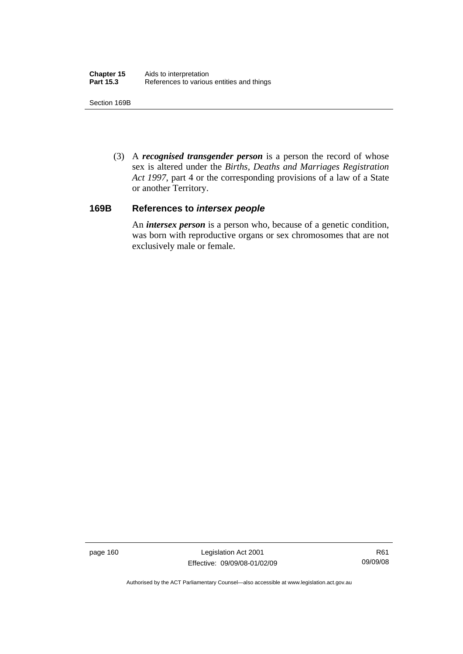Section 169B

 (3) A *recognised transgender person* is a person the record of whose sex is altered under the *Births, Deaths and Marriages Registration Act 1997*, part 4 or the corresponding provisions of a law of a State or another Territory.

## **169B References to** *intersex people*

An *intersex person* is a person who, because of a genetic condition, was born with reproductive organs or sex chromosomes that are not exclusively male or female.

page 160 Legislation Act 2001 Effective: 09/09/08-01/02/09

R61 09/09/08

Authorised by the ACT Parliamentary Counsel—also accessible at www.legislation.act.gov.au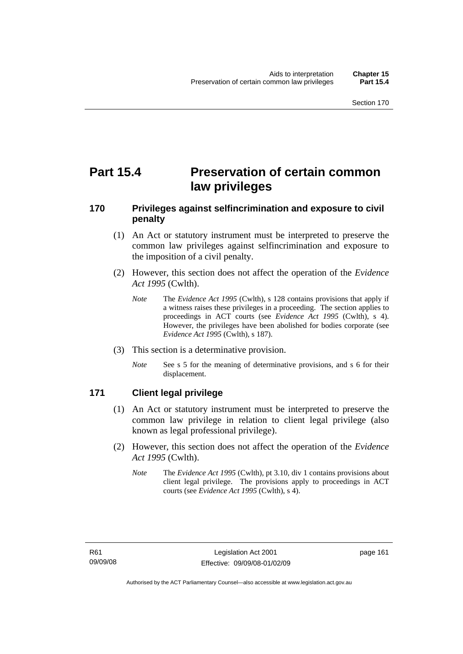# **Part 15.4 Preservation of certain common law privileges**

## **170 Privileges against selfincrimination and exposure to civil penalty**

- (1) An Act or statutory instrument must be interpreted to preserve the common law privileges against selfincrimination and exposure to the imposition of a civil penalty.
- (2) However, this section does not affect the operation of the *Evidence Act 1995* (Cwlth).
	- *Note* The *Evidence Act 1995* (Cwlth), s 128 contains provisions that apply if a witness raises these privileges in a proceeding. The section applies to proceedings in ACT courts (see *Evidence Act 1995* (Cwlth), s 4). However, the privileges have been abolished for bodies corporate (see *Evidence Act 1995* (Cwlth), s 187).
- (3) This section is a determinative provision.
	- *Note* See s 5 for the meaning of determinative provisions, and s 6 for their displacement.

## **171 Client legal privilege**

- (1) An Act or statutory instrument must be interpreted to preserve the common law privilege in relation to client legal privilege (also known as legal professional privilege).
- (2) However, this section does not affect the operation of the *Evidence Act 1995* (Cwlth).
	- *Note* The *Evidence Act 1995* (Cwlth), pt 3.10, div 1 contains provisions about client legal privilege. The provisions apply to proceedings in ACT courts (see *Evidence Act 1995* (Cwlth), s 4).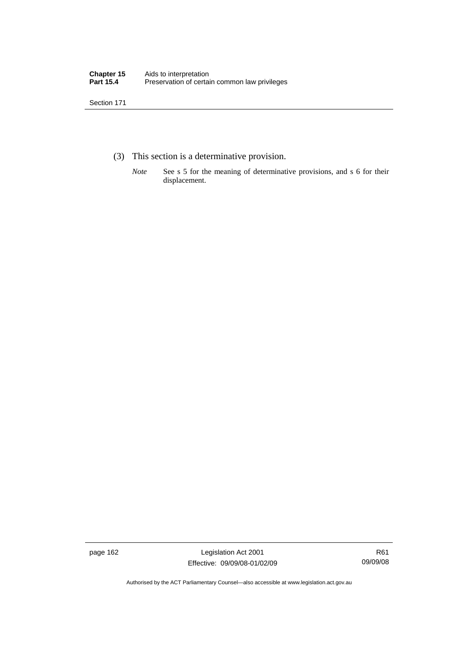- (3) This section is a determinative provision.
	- *Note* See s 5 for the meaning of determinative provisions, and s 6 for their displacement.

page 162 Legislation Act 2001 Effective: 09/09/08-01/02/09

R61 09/09/08

Authorised by the ACT Parliamentary Counsel—also accessible at www.legislation.act.gov.au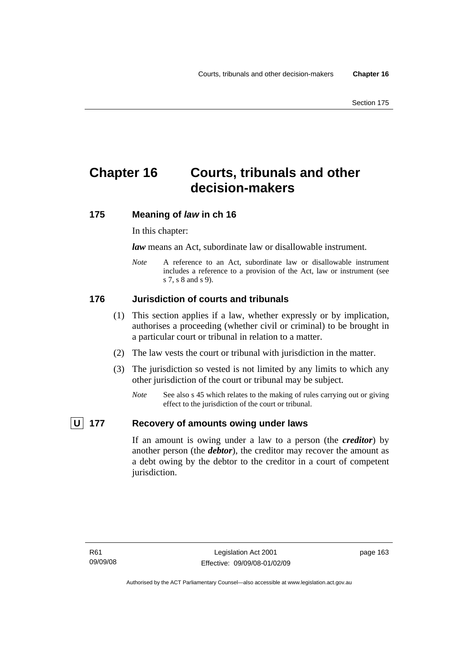# **Chapter 16 Courts, tribunals and other decision-makers**

## **175 Meaning of** *law* **in ch 16**

In this chapter:

*law* means an Act, subordinate law or disallowable instrument.

*Note* A reference to an Act, subordinate law or disallowable instrument includes a reference to a provision of the Act, law or instrument (see s 7, s 8 and s 9).

## **176 Jurisdiction of courts and tribunals**

- (1) This section applies if a law, whether expressly or by implication, authorises a proceeding (whether civil or criminal) to be brought in a particular court or tribunal in relation to a matter.
- (2) The law vests the court or tribunal with jurisdiction in the matter.
- (3) The jurisdiction so vested is not limited by any limits to which any other jurisdiction of the court or tribunal may be subject.
	- *Note* See also s 45 which relates to the making of rules carrying out or giving effect to the jurisdiction of the court or tribunal.

## **U** 177 Recovery of amounts owing under laws

If an amount is owing under a law to a person (the *creditor*) by another person (the *debtor*), the creditor may recover the amount as a debt owing by the debtor to the creditor in a court of competent jurisdiction.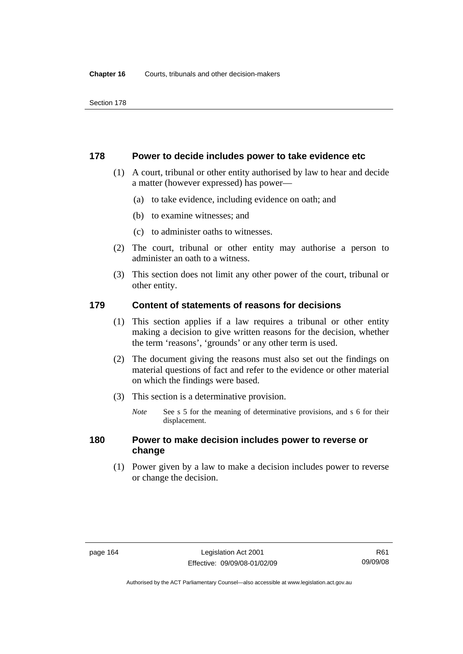#### **178 Power to decide includes power to take evidence etc**

- (1) A court, tribunal or other entity authorised by law to hear and decide a matter (however expressed) has power—
	- (a) to take evidence, including evidence on oath; and
	- (b) to examine witnesses; and
	- (c) to administer oaths to witnesses.
- (2) The court, tribunal or other entity may authorise a person to administer an oath to a witness.
- (3) This section does not limit any other power of the court, tribunal or other entity.

## **179 Content of statements of reasons for decisions**

- (1) This section applies if a law requires a tribunal or other entity making a decision to give written reasons for the decision, whether the term 'reasons', 'grounds' or any other term is used.
- (2) The document giving the reasons must also set out the findings on material questions of fact and refer to the evidence or other material on which the findings were based.
- (3) This section is a determinative provision.
	- *Note* See s 5 for the meaning of determinative provisions, and s 6 for their displacement.

## **180 Power to make decision includes power to reverse or change**

 (1) Power given by a law to make a decision includes power to reverse or change the decision.

R61 09/09/08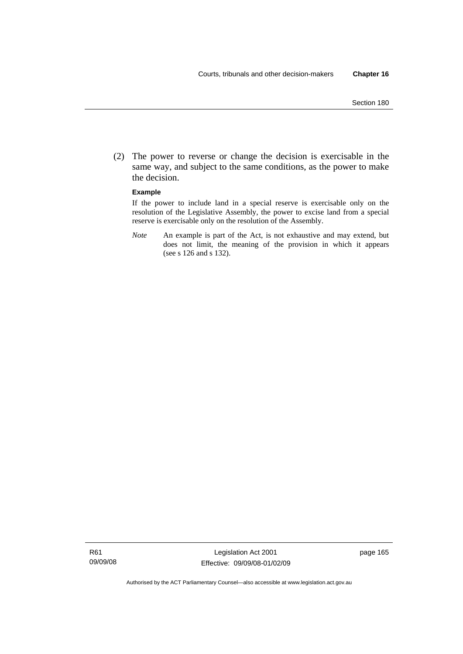(2) The power to reverse or change the decision is exercisable in the same way, and subject to the same conditions, as the power to make the decision.

#### **Example**

If the power to include land in a special reserve is exercisable only on the resolution of the Legislative Assembly, the power to excise land from a special reserve is exercisable only on the resolution of the Assembly.

*Note* An example is part of the Act, is not exhaustive and may extend, but does not limit, the meaning of the provision in which it appears (see s 126 and s 132).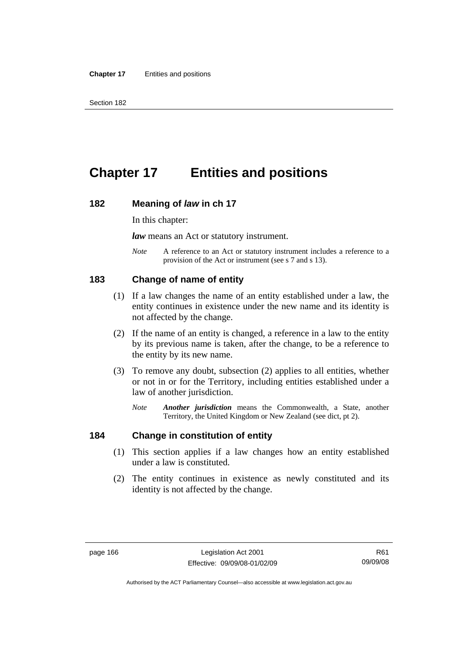# **Chapter 17 Entities and positions**

#### **182 Meaning of** *law* **in ch 17**

In this chapter:

*law* means an Act or statutory instrument.

*Note* A reference to an Act or statutory instrument includes a reference to a provision of the Act or instrument (see s 7 and s 13).

#### **183 Change of name of entity**

- (1) If a law changes the name of an entity established under a law, the entity continues in existence under the new name and its identity is not affected by the change.
- (2) If the name of an entity is changed, a reference in a law to the entity by its previous name is taken, after the change, to be a reference to the entity by its new name.
- (3) To remove any doubt, subsection (2) applies to all entities, whether or not in or for the Territory, including entities established under a law of another jurisdiction.
	- *Note Another jurisdiction* means the Commonwealth, a State, another Territory, the United Kingdom or New Zealand (see dict, pt 2).

#### **184 Change in constitution of entity**

- (1) This section applies if a law changes how an entity established under a law is constituted.
- (2) The entity continues in existence as newly constituted and its identity is not affected by the change.

Authorised by the ACT Parliamentary Counsel—also accessible at www.legislation.act.gov.au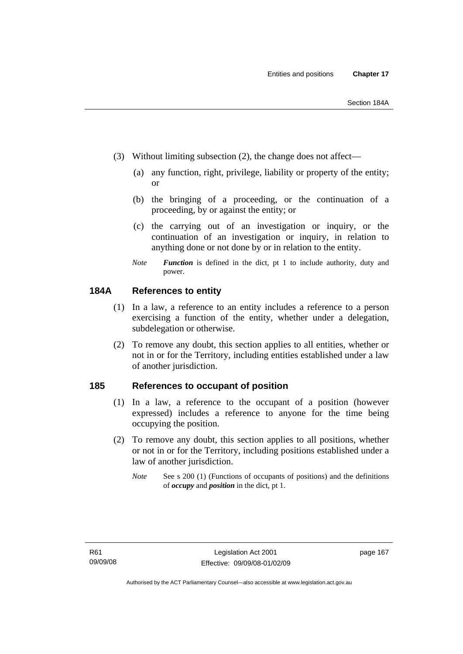- 
- (3) Without limiting subsection (2), the change does not affect—
	- (a) any function, right, privilege, liability or property of the entity; or
	- (b) the bringing of a proceeding, or the continuation of a proceeding, by or against the entity; or
	- (c) the carrying out of an investigation or inquiry, or the continuation of an investigation or inquiry, in relation to anything done or not done by or in relation to the entity.
	- *Note Function* is defined in the dict, pt 1 to include authority, duty and power.

#### **184A References to entity**

- (1) In a law, a reference to an entity includes a reference to a person exercising a function of the entity, whether under a delegation, subdelegation or otherwise.
- (2) To remove any doubt, this section applies to all entities, whether or not in or for the Territory, including entities established under a law of another jurisdiction.

#### **185 References to occupant of position**

- (1) In a law, a reference to the occupant of a position (however expressed) includes a reference to anyone for the time being occupying the position.
- (2) To remove any doubt, this section applies to all positions, whether or not in or for the Territory, including positions established under a law of another jurisdiction.
	- *Note* See s 200 (1) (Functions of occupants of positions) and the definitions of *occupy* and *position* in the dict, pt 1.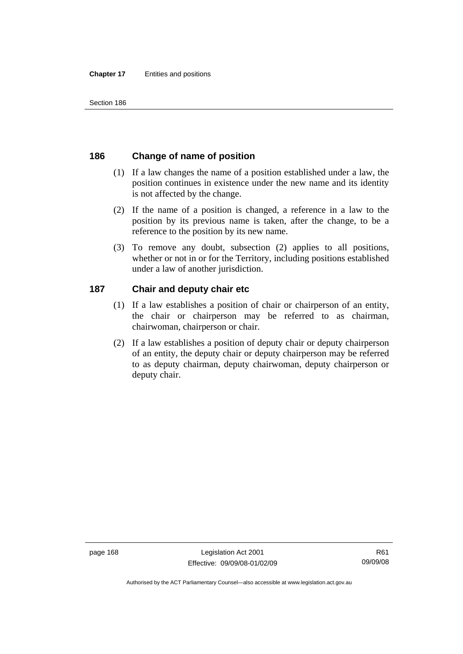# **186 Change of name of position**

- (1) If a law changes the name of a position established under a law, the position continues in existence under the new name and its identity is not affected by the change.
- (2) If the name of a position is changed, a reference in a law to the position by its previous name is taken, after the change, to be a reference to the position by its new name.
- (3) To remove any doubt, subsection (2) applies to all positions, whether or not in or for the Territory, including positions established under a law of another jurisdiction.

# **187 Chair and deputy chair etc**

- (1) If a law establishes a position of chair or chairperson of an entity, the chair or chairperson may be referred to as chairman, chairwoman, chairperson or chair.
- (2) If a law establishes a position of deputy chair or deputy chairperson of an entity, the deputy chair or deputy chairperson may be referred to as deputy chairman, deputy chairwoman, deputy chairperson or deputy chair.

page 168 Legislation Act 2001 Effective: 09/09/08-01/02/09

Authorised by the ACT Parliamentary Counsel—also accessible at www.legislation.act.gov.au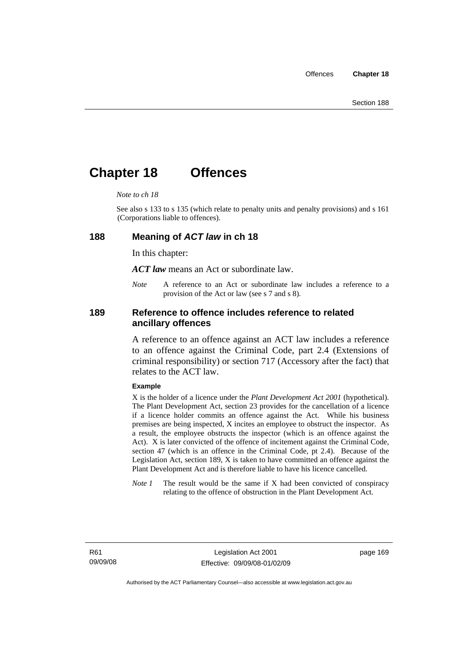# **Chapter 18 Offences**

#### *Note to ch 18*

See also s 133 to s 135 (which relate to penalty units and penalty provisions) and s 161 (Corporations liable to offences).

#### **188 Meaning of** *ACT law* **in ch 18**

In this chapter:

*ACT law* means an Act or subordinate law.

*Note* A reference to an Act or subordinate law includes a reference to a provision of the Act or law (see s 7 and s 8).

#### **189 Reference to offence includes reference to related ancillary offences**

A reference to an offence against an ACT law includes a reference to an offence against the Criminal Code, part 2.4 (Extensions of criminal responsibility) or section 717 (Accessory after the fact) that relates to the ACT law.

#### **Example**

X is the holder of a licence under the *Plant Development Act 2001* (hypothetical). The Plant Development Act, section 23 provides for the cancellation of a licence if a licence holder commits an offence against the Act. While his business premises are being inspected, X incites an employee to obstruct the inspector. As a result, the employee obstructs the inspector (which is an offence against the Act). X is later convicted of the offence of incitement against the Criminal Code, section 47 (which is an offence in the Criminal Code, pt 2.4). Because of the Legislation Act, section 189, X is taken to have committed an offence against the Plant Development Act and is therefore liable to have his licence cancelled.

*Note 1* The result would be the same if X had been convicted of conspiracy relating to the offence of obstruction in the Plant Development Act.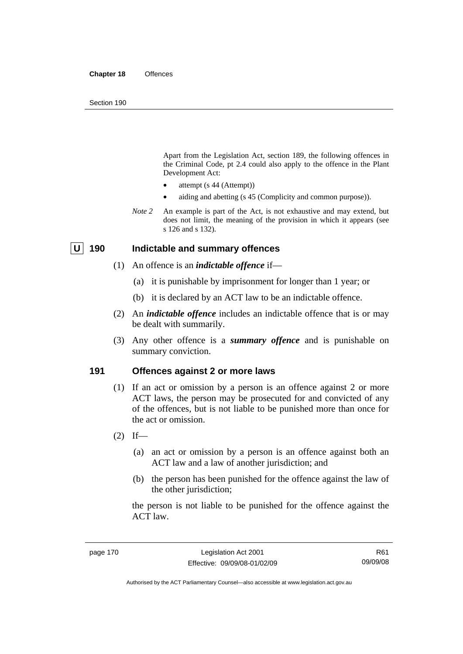Apart from the Legislation Act, section 189, the following offences in the Criminal Code*,* pt 2.4 could also apply to the offence in the Plant Development Act:

- attempt (s 44 (Attempt))
- aiding and abetting (s 45 (Complicity and common purpose)).
- *Note* 2 An example is part of the Act, is not exhaustive and may extend, but does not limit, the meaning of the provision in which it appears (see s 126 and s 132).

# **U 190 Indictable and summary offences**

- (1) An offence is an *indictable offence* if—
	- (a) it is punishable by imprisonment for longer than 1 year; or
	- (b) it is declared by an ACT law to be an indictable offence.
- (2) An *indictable offence* includes an indictable offence that is or may be dealt with summarily.
- (3) Any other offence is a *summary offence* and is punishable on summary conviction.

### **191 Offences against 2 or more laws**

- (1) If an act or omission by a person is an offence against 2 or more ACT laws, the person may be prosecuted for and convicted of any of the offences, but is not liable to be punished more than once for the act or omission.
- $(2)$  If—
	- (a) an act or omission by a person is an offence against both an ACT law and a law of another jurisdiction; and
	- (b) the person has been punished for the offence against the law of the other jurisdiction;

the person is not liable to be punished for the offence against the ACT law.

R61 09/09/08

Authorised by the ACT Parliamentary Counsel—also accessible at www.legislation.act.gov.au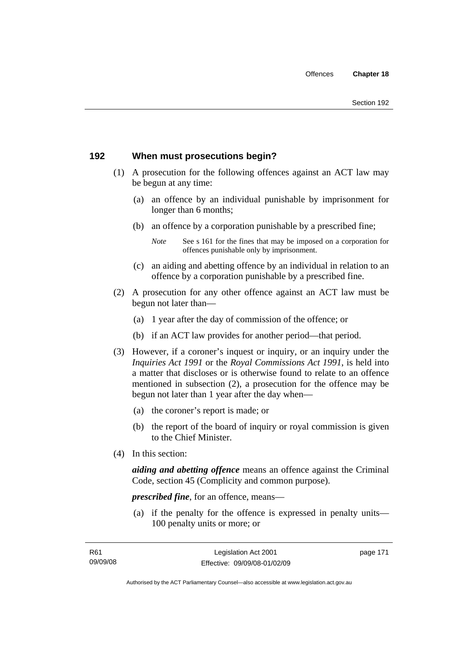# **192 When must prosecutions begin?**

- (1) A prosecution for the following offences against an ACT law may be begun at any time:
	- (a) an offence by an individual punishable by imprisonment for longer than 6 months;
	- (b) an offence by a corporation punishable by a prescribed fine;
		- *Note* See s 161 for the fines that may be imposed on a corporation for offences punishable only by imprisonment.
	- (c) an aiding and abetting offence by an individual in relation to an offence by a corporation punishable by a prescribed fine.
- (2) A prosecution for any other offence against an ACT law must be begun not later than—
	- (a) 1 year after the day of commission of the offence; or
	- (b) if an ACT law provides for another period—that period.
- (3) However, if a coroner's inquest or inquiry, or an inquiry under the *Inquiries Act 1991* or the *Royal Commissions Act 1991*, is held into a matter that discloses or is otherwise found to relate to an offence mentioned in subsection (2), a prosecution for the offence may be begun not later than 1 year after the day when—
	- (a) the coroner's report is made; or
	- (b) the report of the board of inquiry or royal commission is given to the Chief Minister.
- (4) In this section:

*aiding and abetting offence* means an offence against the Criminal Code, section 45 (Complicity and common purpose).

*prescribed fine*, for an offence, means—

 (a) if the penalty for the offence is expressed in penalty units— 100 penalty units or more; or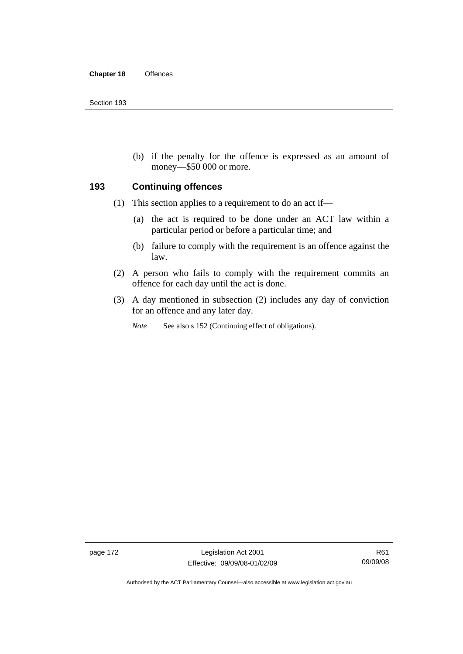(b) if the penalty for the offence is expressed as an amount of money—\$50 000 or more.

#### **193 Continuing offences**

- (1) This section applies to a requirement to do an act if—
	- (a) the act is required to be done under an ACT law within a particular period or before a particular time; and
	- (b) failure to comply with the requirement is an offence against the law.
- (2) A person who fails to comply with the requirement commits an offence for each day until the act is done.
- (3) A day mentioned in subsection (2) includes any day of conviction for an offence and any later day.

*Note* See also s 152 (Continuing effect of obligations).

page 172 Legislation Act 2001 Effective: 09/09/08-01/02/09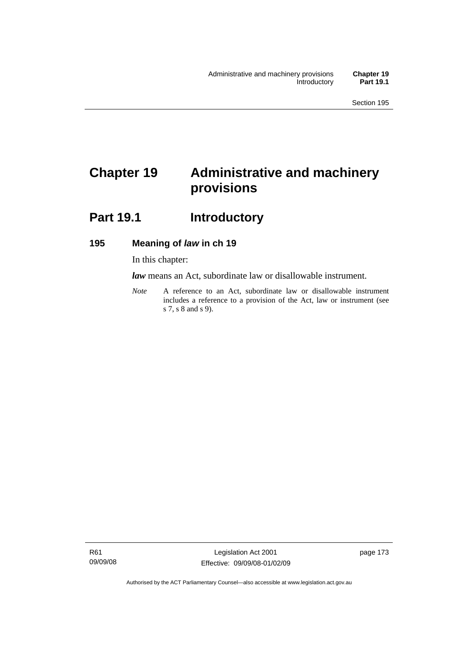# **Chapter 19 Administrative and machinery provisions**

# Part 19.1 **Introductory**

# **195 Meaning of** *law* **in ch 19**

In this chapter:

*law* means an Act, subordinate law or disallowable instrument.

*Note* A reference to an Act, subordinate law or disallowable instrument includes a reference to a provision of the Act, law or instrument (see s 7, s 8 and s 9).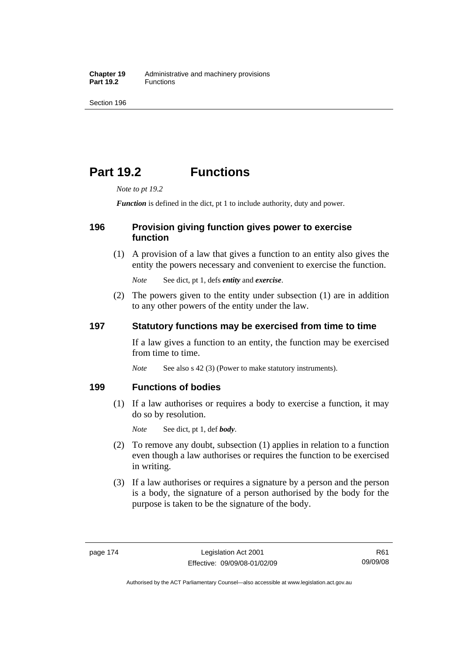# **Part 19.2 Functions**

*Note to pt 19.2* 

*Function* is defined in the dict, pt 1 to include authority, duty and power.

### **196 Provision giving function gives power to exercise function**

 (1) A provision of a law that gives a function to an entity also gives the entity the powers necessary and convenient to exercise the function.

*Note* See dict, pt 1, defs *entity* and *exercise*.

 (2) The powers given to the entity under subsection (1) are in addition to any other powers of the entity under the law.

# **197 Statutory functions may be exercised from time to time**

If a law gives a function to an entity, the function may be exercised from time to time.

*Note* See also s 42 (3) (Power to make statutory instruments).

### **199 Functions of bodies**

 (1) If a law authorises or requires a body to exercise a function, it may do so by resolution.

*Note* See dict, pt 1, def *body*.

- (2) To remove any doubt, subsection (1) applies in relation to a function even though a law authorises or requires the function to be exercised in writing.
- (3) If a law authorises or requires a signature by a person and the person is a body, the signature of a person authorised by the body for the purpose is taken to be the signature of the body.

R61 09/09/08

Authorised by the ACT Parliamentary Counsel—also accessible at www.legislation.act.gov.au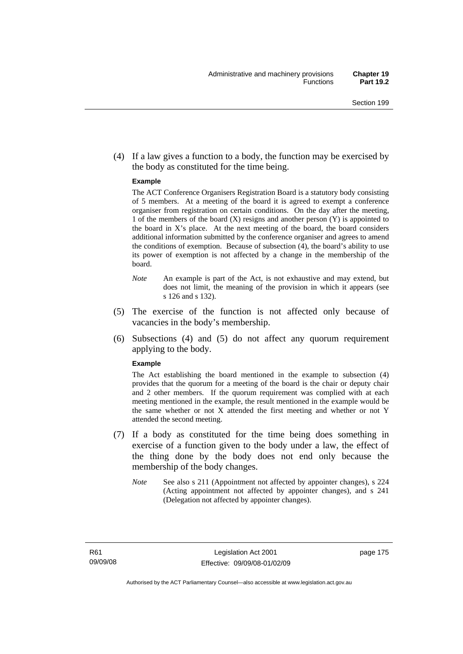(4) If a law gives a function to a body, the function may be exercised by the body as constituted for the time being.

#### **Example**

The ACT Conference Organisers Registration Board is a statutory body consisting of 5 members. At a meeting of the board it is agreed to exempt a conference organiser from registration on certain conditions. On the day after the meeting, 1 of the members of the board (X) resigns and another person (Y) is appointed to the board in  $X$ 's place. At the next meeting of the board, the board considers additional information submitted by the conference organiser and agrees to amend the conditions of exemption. Because of subsection (4), the board's ability to use its power of exemption is not affected by a change in the membership of the board.

- *Note* An example is part of the Act, is not exhaustive and may extend, but does not limit, the meaning of the provision in which it appears (see s 126 and s 132).
- (5) The exercise of the function is not affected only because of vacancies in the body's membership.
- (6) Subsections (4) and (5) do not affect any quorum requirement applying to the body.

#### **Example**

The Act establishing the board mentioned in the example to subsection (4) provides that the quorum for a meeting of the board is the chair or deputy chair and 2 other members. If the quorum requirement was complied with at each meeting mentioned in the example, the result mentioned in the example would be the same whether or not X attended the first meeting and whether or not Y attended the second meeting.

- (7) If a body as constituted for the time being does something in exercise of a function given to the body under a law, the effect of the thing done by the body does not end only because the membership of the body changes.
	- *Note* See also s 211 (Appointment not affected by appointer changes), s 224 (Acting appointment not affected by appointer changes), and s 241 (Delegation not affected by appointer changes).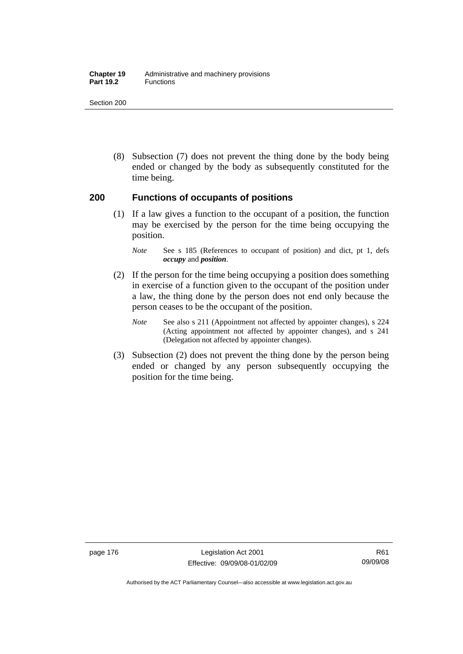#### **Chapter 19** Administrative and machinery provisions Part 19.2 **Functions**

Section 200

 (8) Subsection (7) does not prevent the thing done by the body being ended or changed by the body as subsequently constituted for the time being.

#### **200 Functions of occupants of positions**

 (1) If a law gives a function to the occupant of a position, the function may be exercised by the person for the time being occupying the position.

- (2) If the person for the time being occupying a position does something in exercise of a function given to the occupant of the position under a law, the thing done by the person does not end only because the person ceases to be the occupant of the position.
	- *Note* See also s 211 (Appointment not affected by appointer changes), s 224 (Acting appointment not affected by appointer changes), and s 241 (Delegation not affected by appointer changes).
- (3) Subsection (2) does not prevent the thing done by the person being ended or changed by any person subsequently occupying the position for the time being.

*Note* See s 185 (References to occupant of position) and dict, pt 1, defs *occupy* and *position*.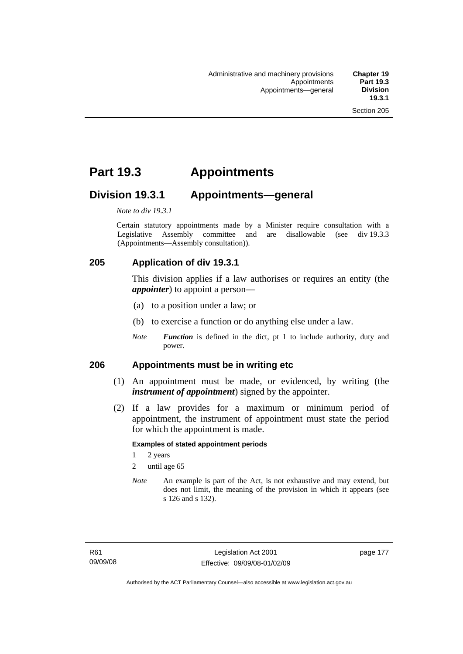# **Part 19.3 Appointments**

# **Division 19.3.1 Appointments—general**

*Note to div 19.3.1* 

Certain statutory appointments made by a Minister require consultation with a Legislative Assembly committee and are disallowable (see div 19.3.3) (Appointments—Assembly consultation)).

# **205 Application of div 19.3.1**

This division applies if a law authorises or requires an entity (the *appointer*) to appoint a person—

- (a) to a position under a law; or
- (b) to exercise a function or do anything else under a law.
- *Note Function* is defined in the dict, pt 1 to include authority, duty and power.

#### **206 Appointments must be in writing etc**

- (1) An appointment must be made, or evidenced, by writing (the *instrument of appointment*) signed by the appointer.
- (2) If a law provides for a maximum or minimum period of appointment, the instrument of appointment must state the period for which the appointment is made.

#### **Examples of stated appointment periods**

- 1 2 years
- 2 until age 65
- *Note* An example is part of the Act, is not exhaustive and may extend, but does not limit, the meaning of the provision in which it appears (see s 126 and s 132).

page 177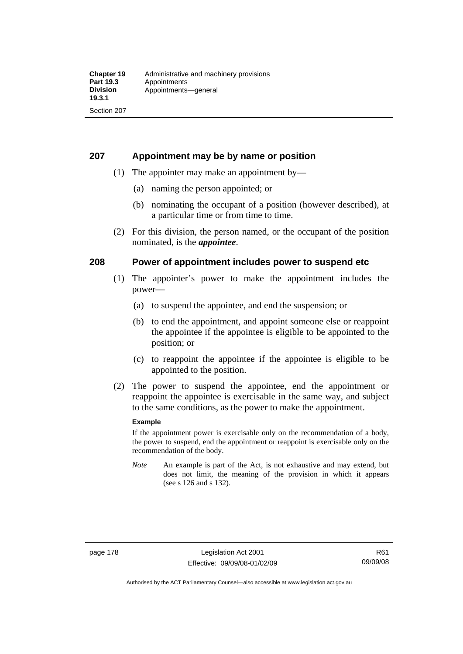### **207 Appointment may be by name or position**

- (1) The appointer may make an appointment by—
	- (a) naming the person appointed; or
	- (b) nominating the occupant of a position (however described), at a particular time or from time to time.
- (2) For this division, the person named, or the occupant of the position nominated, is the *appointee*.

### **208 Power of appointment includes power to suspend etc**

- (1) The appointer's power to make the appointment includes the power—
	- (a) to suspend the appointee, and end the suspension; or
	- (b) to end the appointment, and appoint someone else or reappoint the appointee if the appointee is eligible to be appointed to the position; or
	- (c) to reappoint the appointee if the appointee is eligible to be appointed to the position.
- (2) The power to suspend the appointee, end the appointment or reappoint the appointee is exercisable in the same way, and subject to the same conditions, as the power to make the appointment.

#### **Example**

If the appointment power is exercisable only on the recommendation of a body, the power to suspend, end the appointment or reappoint is exercisable only on the recommendation of the body.

*Note* An example is part of the Act, is not exhaustive and may extend, but does not limit, the meaning of the provision in which it appears (see s 126 and s 132).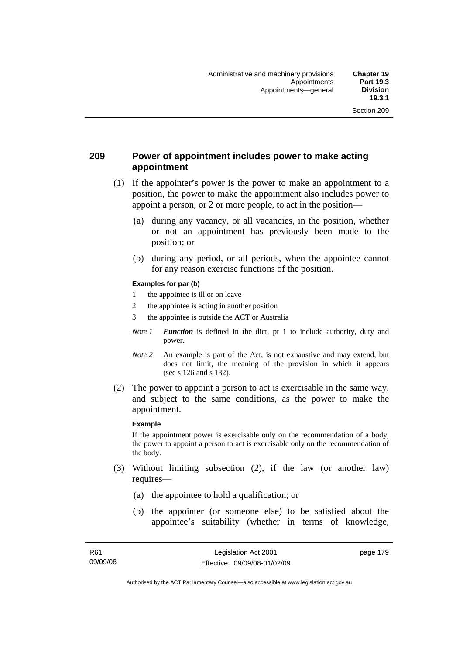## **209 Power of appointment includes power to make acting appointment**

- (1) If the appointer's power is the power to make an appointment to a position, the power to make the appointment also includes power to appoint a person, or 2 or more people, to act in the position—
	- (a) during any vacancy, or all vacancies, in the position, whether or not an appointment has previously been made to the position; or
	- (b) during any period, or all periods, when the appointee cannot for any reason exercise functions of the position.

#### **Examples for par (b)**

- 1 the appointee is ill or on leave
- 2 the appointee is acting in another position
- 3 the appointee is outside the ACT or Australia
- *Note 1 Function* is defined in the dict, pt 1 to include authority, duty and power.
- *Note* 2 An example is part of the Act, is not exhaustive and may extend, but does not limit, the meaning of the provision in which it appears (see s 126 and s 132).
- (2) The power to appoint a person to act is exercisable in the same way, and subject to the same conditions, as the power to make the appointment.

#### **Example**

If the appointment power is exercisable only on the recommendation of a body, the power to appoint a person to act is exercisable only on the recommendation of the body.

- (3) Without limiting subsection (2), if the law (or another law) requires—
	- (a) the appointee to hold a qualification; or
	- (b) the appointer (or someone else) to be satisfied about the appointee's suitability (whether in terms of knowledge,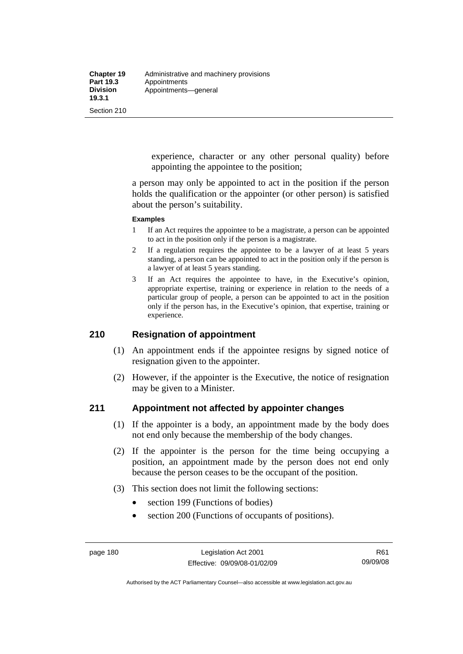experience, character or any other personal quality) before appointing the appointee to the position;

a person may only be appointed to act in the position if the person holds the qualification or the appointer (or other person) is satisfied about the person's suitability.

#### **Examples**

- 1 If an Act requires the appointee to be a magistrate, a person can be appointed to act in the position only if the person is a magistrate.
- 2 If a regulation requires the appointee to be a lawyer of at least 5 years standing, a person can be appointed to act in the position only if the person is a lawyer of at least 5 years standing.
- 3 If an Act requires the appointee to have, in the Executive's opinion, appropriate expertise, training or experience in relation to the needs of a particular group of people, a person can be appointed to act in the position only if the person has, in the Executive's opinion, that expertise, training or experience.

# **210 Resignation of appointment**

- (1) An appointment ends if the appointee resigns by signed notice of resignation given to the appointer.
- (2) However, if the appointer is the Executive, the notice of resignation may be given to a Minister.

#### **211 Appointment not affected by appointer changes**

- (1) If the appointer is a body, an appointment made by the body does not end only because the membership of the body changes.
- (2) If the appointer is the person for the time being occupying a position, an appointment made by the person does not end only because the person ceases to be the occupant of the position.
- (3) This section does not limit the following sections:
	- section 199 (Functions of bodies)
	- section 200 (Functions of occupants of positions).

Authorised by the ACT Parliamentary Counsel—also accessible at www.legislation.act.gov.au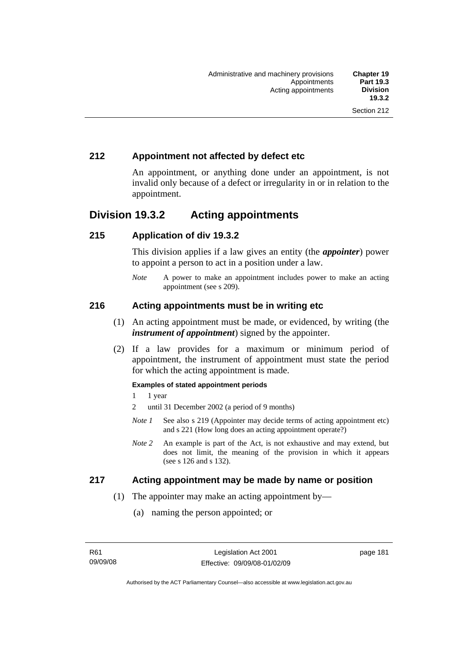# **212 Appointment not affected by defect etc**

An appointment, or anything done under an appointment, is not invalid only because of a defect or irregularity in or in relation to the appointment.

# **Division 19.3.2 Acting appointments**

### **215 Application of div 19.3.2**

This division applies if a law gives an entity (the *appointer*) power to appoint a person to act in a position under a law.

*Note* A power to make an appointment includes power to make an acting appointment (see s 209).

### **216 Acting appointments must be in writing etc**

- (1) An acting appointment must be made, or evidenced, by writing (the *instrument of appointment*) signed by the appointer.
- (2) If a law provides for a maximum or minimum period of appointment, the instrument of appointment must state the period for which the acting appointment is made.

#### **Examples of stated appointment periods**

- 1 1 year
- 2 until 31 December 2002 (a period of 9 months)
- *Note 1* See also s 219 (Appointer may decide terms of acting appointment etc) and s 221 (How long does an acting appointment operate?)
- *Note 2* An example is part of the Act, is not exhaustive and may extend, but does not limit, the meaning of the provision in which it appears (see s 126 and s 132).

#### **217 Acting appointment may be made by name or position**

- (1) The appointer may make an acting appointment by—
	- (a) naming the person appointed; or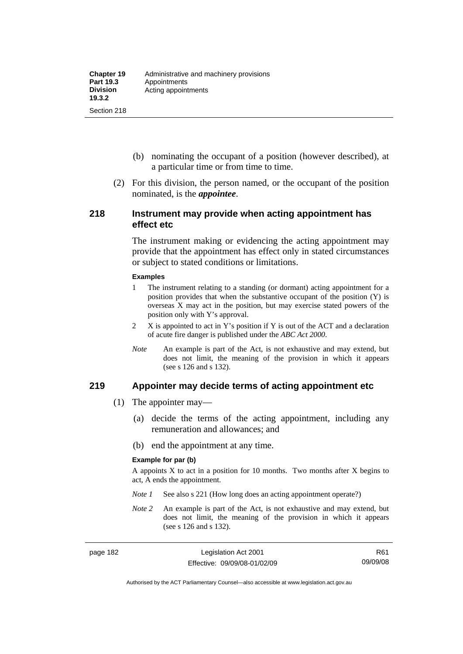- (b) nominating the occupant of a position (however described), at a particular time or from time to time.
- (2) For this division, the person named, or the occupant of the position nominated, is the *appointee*.

#### **218 Instrument may provide when acting appointment has effect etc**

The instrument making or evidencing the acting appointment may provide that the appointment has effect only in stated circumstances or subject to stated conditions or limitations.

#### **Examples**

- 1 The instrument relating to a standing (or dormant) acting appointment for a position provides that when the substantive occupant of the position (Y) is overseas X may act in the position, but may exercise stated powers of the position only with Y's approval.
- 2 X is appointed to act in Y's position if Y is out of the ACT and a declaration of acute fire danger is published under the *ABC Act 2000*.
- *Note* An example is part of the Act, is not exhaustive and may extend, but does not limit, the meaning of the provision in which it appears (see s 126 and s 132).

#### **219 Appointer may decide terms of acting appointment etc**

- (1) The appointer may—
	- (a) decide the terms of the acting appointment, including any remuneration and allowances; and
	- (b) end the appointment at any time.

#### **Example for par (b)**

A appoints  $X$  to act in a position for 10 months. Two months after  $X$  begins to act, A ends the appointment.

- *Note 1* See also s 221 (How long does an acting appointment operate?)
- *Note 2* An example is part of the Act, is not exhaustive and may extend, but does not limit, the meaning of the provision in which it appears (see s 126 and s 132).

Authorised by the ACT Parliamentary Counsel—also accessible at www.legislation.act.gov.au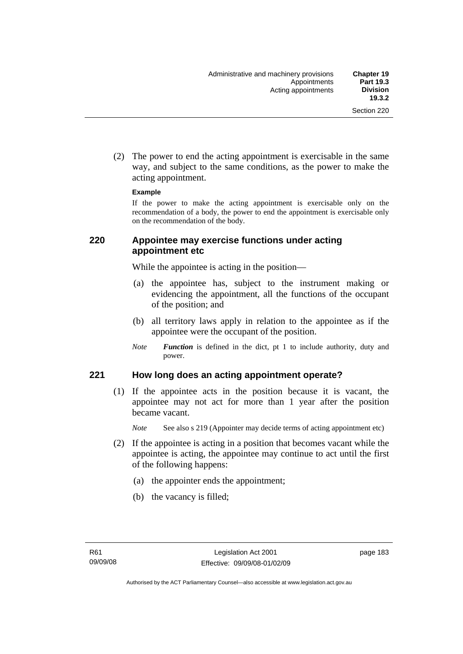(2) The power to end the acting appointment is exercisable in the same way, and subject to the same conditions, as the power to make the acting appointment.

#### **Example**

If the power to make the acting appointment is exercisable only on the recommendation of a body, the power to end the appointment is exercisable only on the recommendation of the body.

### **220 Appointee may exercise functions under acting appointment etc**

While the appointee is acting in the position—

- (a) the appointee has, subject to the instrument making or evidencing the appointment, all the functions of the occupant of the position; and
- (b) all territory laws apply in relation to the appointee as if the appointee were the occupant of the position.
- *Note Function* is defined in the dict, pt 1 to include authority, duty and power.

#### **221 How long does an acting appointment operate?**

 (1) If the appointee acts in the position because it is vacant, the appointee may not act for more than 1 year after the position became vacant.

*Note* See also s 219 (Appointer may decide terms of acting appointment etc)

- (2) If the appointee is acting in a position that becomes vacant while the appointee is acting, the appointee may continue to act until the first of the following happens:
	- (a) the appointer ends the appointment;
	- (b) the vacancy is filled;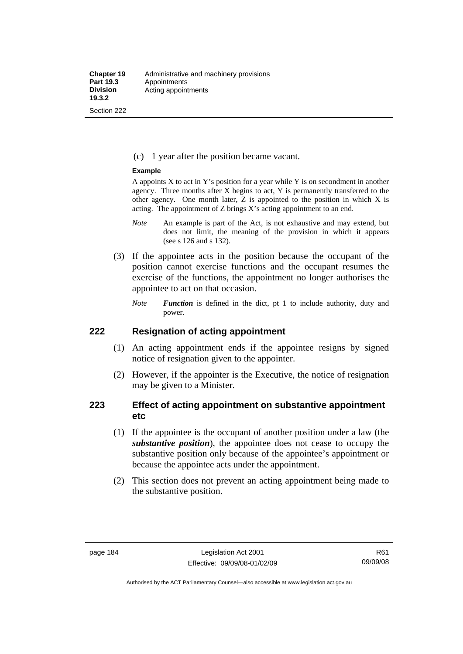#### (c) 1 year after the position became vacant.

#### **Example**

A appoints  $X$  to act in Y's position for a year while Y is on secondment in another agency. Three months after X begins to act, Y is permanently transferred to the other agency. One month later, Z is appointed to the position in which X is acting. The appointment of Z brings X's acting appointment to an end.

- *Note* An example is part of the Act, is not exhaustive and may extend, but does not limit, the meaning of the provision in which it appears (see s 126 and s 132).
- (3) If the appointee acts in the position because the occupant of the position cannot exercise functions and the occupant resumes the exercise of the functions, the appointment no longer authorises the appointee to act on that occasion.
	- *Note Function* is defined in the dict, pt 1 to include authority, duty and power.

#### **222 Resignation of acting appointment**

- (1) An acting appointment ends if the appointee resigns by signed notice of resignation given to the appointer.
- (2) However, if the appointer is the Executive, the notice of resignation may be given to a Minister.

### **223 Effect of acting appointment on substantive appointment etc**

- (1) If the appointee is the occupant of another position under a law (the *substantive position*), the appointee does not cease to occupy the substantive position only because of the appointee's appointment or because the appointee acts under the appointment.
- (2) This section does not prevent an acting appointment being made to the substantive position.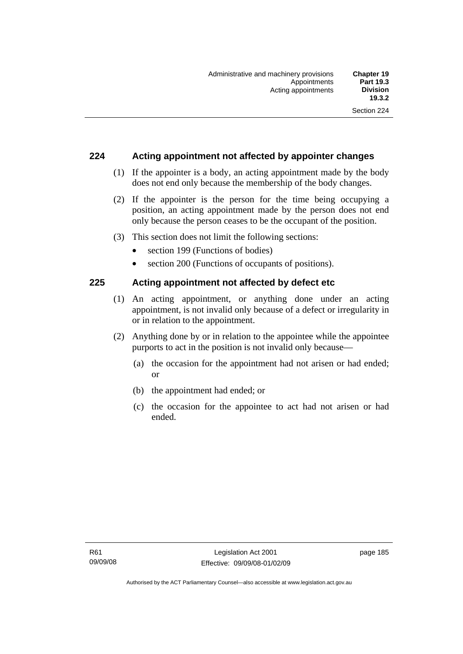### **224 Acting appointment not affected by appointer changes**

- (1) If the appointer is a body, an acting appointment made by the body does not end only because the membership of the body changes.
- (2) If the appointer is the person for the time being occupying a position, an acting appointment made by the person does not end only because the person ceases to be the occupant of the position.
- (3) This section does not limit the following sections:
	- section 199 (Functions of bodies)
	- section 200 (Functions of occupants of positions).

#### **225 Acting appointment not affected by defect etc**

- (1) An acting appointment, or anything done under an acting appointment, is not invalid only because of a defect or irregularity in or in relation to the appointment.
- (2) Anything done by or in relation to the appointee while the appointee purports to act in the position is not invalid only because—
	- (a) the occasion for the appointment had not arisen or had ended; or
	- (b) the appointment had ended; or
	- (c) the occasion for the appointee to act had not arisen or had ended.

page 185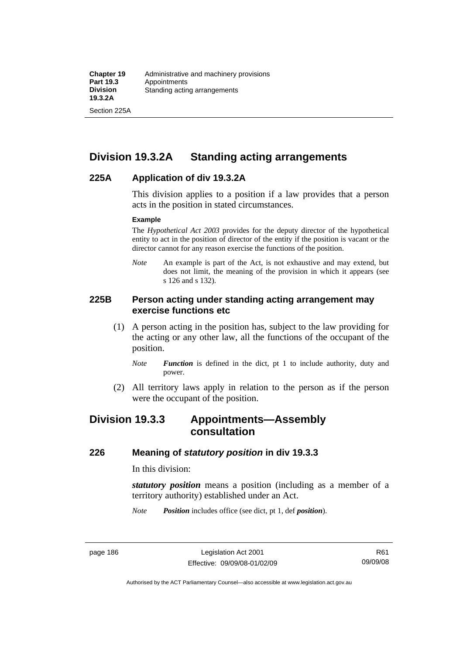Section 225A

# **Division 19.3.2A Standing acting arrangements**

#### **225A Application of div 19.3.2A**

This division applies to a position if a law provides that a person acts in the position in stated circumstances.

#### **Example**

The *Hypothetical Act 2003* provides for the deputy director of the hypothetical entity to act in the position of director of the entity if the position is vacant or the director cannot for any reason exercise the functions of the position.

*Note* An example is part of the Act, is not exhaustive and may extend, but does not limit, the meaning of the provision in which it appears (see s 126 and s 132).

#### **225B Person acting under standing acting arrangement may exercise functions etc**

- (1) A person acting in the position has, subject to the law providing for the acting or any other law, all the functions of the occupant of the position.
	- *Note Function* is defined in the dict, pt 1 to include authority, duty and power.
- (2) All territory laws apply in relation to the person as if the person were the occupant of the position.

# **Division 19.3.3 Appointments—Assembly consultation**

#### **226 Meaning of** *statutory position* **in div 19.3.3**

In this division:

*statutory position* means a position (including as a member of a territory authority) established under an Act.

*Note Position* includes office (see dict, pt 1, def *position*).

Authorised by the ACT Parliamentary Counsel—also accessible at www.legislation.act.gov.au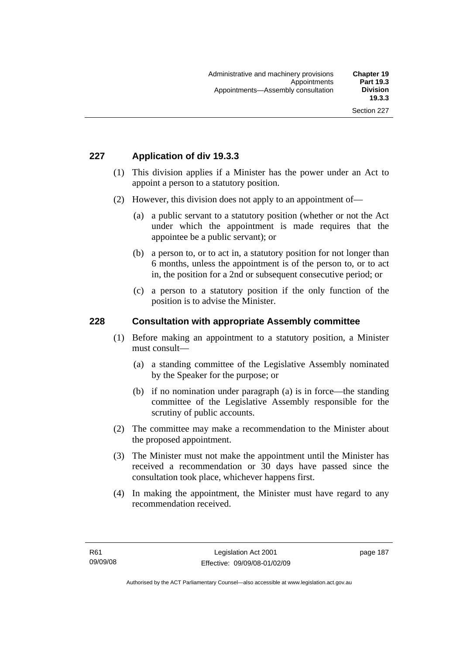# **227 Application of div 19.3.3**

- (1) This division applies if a Minister has the power under an Act to appoint a person to a statutory position.
- (2) However, this division does not apply to an appointment of—
	- (a) a public servant to a statutory position (whether or not the Act under which the appointment is made requires that the appointee be a public servant); or
	- (b) a person to, or to act in, a statutory position for not longer than 6 months, unless the appointment is of the person to, or to act in, the position for a 2nd or subsequent consecutive period; or
	- (c) a person to a statutory position if the only function of the position is to advise the Minister.

#### **228 Consultation with appropriate Assembly committee**

- (1) Before making an appointment to a statutory position, a Minister must consult—
	- (a) a standing committee of the Legislative Assembly nominated by the Speaker for the purpose; or
	- (b) if no nomination under paragraph (a) is in force—the standing committee of the Legislative Assembly responsible for the scrutiny of public accounts.
- (2) The committee may make a recommendation to the Minister about the proposed appointment.
- (3) The Minister must not make the appointment until the Minister has received a recommendation or 30 days have passed since the consultation took place, whichever happens first.
- (4) In making the appointment, the Minister must have regard to any recommendation received.

page 187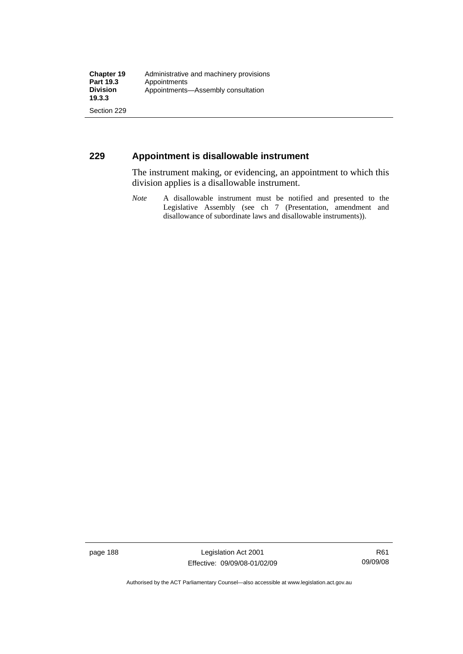## **229 Appointment is disallowable instrument**

The instrument making, or evidencing, an appointment to which this division applies is a disallowable instrument.

*Note* A disallowable instrument must be notified and presented to the Legislative Assembly (see ch 7 (Presentation, amendment and disallowance of subordinate laws and disallowable instruments)).

page 188 Legislation Act 2001 Effective: 09/09/08-01/02/09

Authorised by the ACT Parliamentary Counsel—also accessible at www.legislation.act.gov.au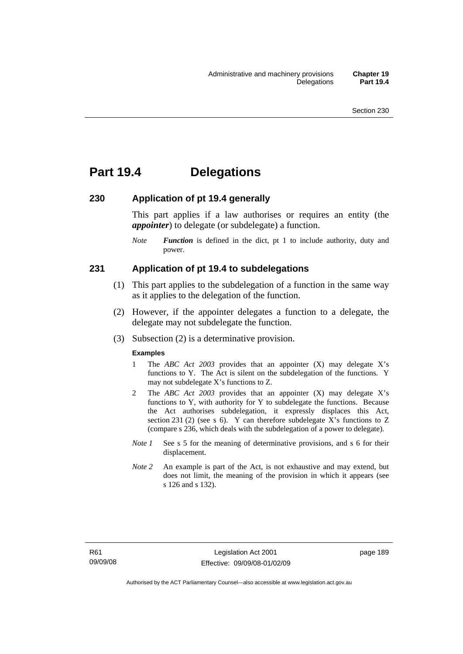# **Part 19.4 Delegations**

#### **230 Application of pt 19.4 generally**

This part applies if a law authorises or requires an entity (the *appointer*) to delegate (or subdelegate) a function.

*Note Function* is defined in the dict, pt 1 to include authority, duty and power.

#### **231 Application of pt 19.4 to subdelegations**

- (1) This part applies to the subdelegation of a function in the same way as it applies to the delegation of the function.
- (2) However, if the appointer delegates a function to a delegate, the delegate may not subdelegate the function.
- (3) Subsection (2) is a determinative provision.

#### **Examples**

- 1 The *ABC Act 2003* provides that an appointer (X) may delegate X's functions to Y. The Act is silent on the subdelegation of the functions. Y may not subdelegate X's functions to Z.
- 2 The *ABC Act 2003* provides that an appointer (X) may delegate X's functions to Y, with authority for Y to subdelegate the functions. Because the Act authorises subdelegation, it expressly displaces this Act, section 231 (2) (see s 6). Y can therefore subdelegate X's functions to  $Z$ (compare s 236, which deals with the subdelegation of a power to delegate)*.*
- *Note 1* See s 5 for the meaning of determinative provisions, and s 6 for their displacement.
- *Note* 2 An example is part of the Act, is not exhaustive and may extend, but does not limit, the meaning of the provision in which it appears (see s 126 and s 132).

page 189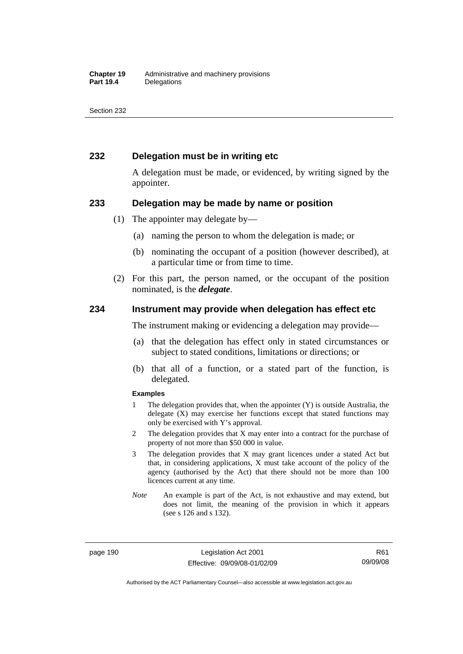### **232 Delegation must be in writing etc**

A delegation must be made, or evidenced, by writing signed by the appointer.

#### **233 Delegation may be made by name or position**

- (1) The appointer may delegate by—
	- (a) naming the person to whom the delegation is made; or
	- (b) nominating the occupant of a position (however described), at a particular time or from time to time.
- (2) For this part, the person named, or the occupant of the position nominated, is the *delegate*.

#### **234 Instrument may provide when delegation has effect etc**

The instrument making or evidencing a delegation may provide—

- (a) that the delegation has effect only in stated circumstances or subject to stated conditions, limitations or directions; or
- (b) that all of a function, or a stated part of the function, is delegated.

#### **Examples**

- 1 The delegation provides that, when the appointer (Y) is outside Australia, the delegate (X) may exercise her functions except that stated functions may only be exercised with Y's approval.
- 2 The delegation provides that X may enter into a contract for the purchase of property of not more than \$50 000 in value.
- 3 The delegation provides that X may grant licences under a stated Act but that, in considering applications, X must take account of the policy of the agency (authorised by the Act) that there should not be more than 100 licences current at any time.
- *Note* An example is part of the Act, is not exhaustive and may extend, but does not limit, the meaning of the provision in which it appears (see s 126 and s 132).

page 190 Legislation Act 2001 Effective: 09/09/08-01/02/09

R61 09/09/08

Authorised by the ACT Parliamentary Counsel—also accessible at www.legislation.act.gov.au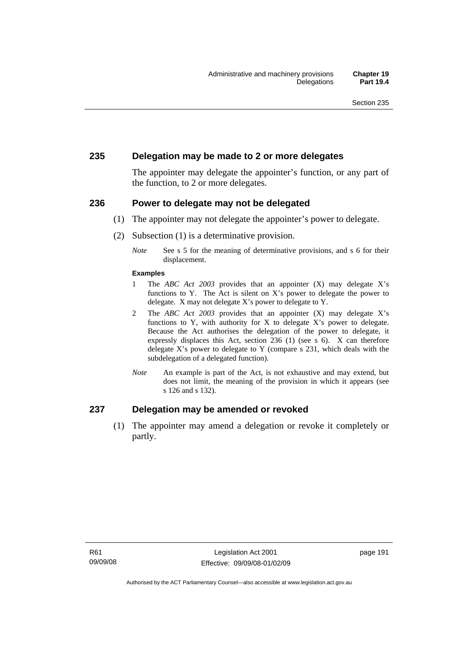#### **235 Delegation may be made to 2 or more delegates**

The appointer may delegate the appointer's function, or any part of the function, to 2 or more delegates.

#### **236 Power to delegate may not be delegated**

- (1) The appointer may not delegate the appointer's power to delegate.
- (2) Subsection (1) is a determinative provision.
	- *Note* See s 5 for the meaning of determinative provisions, and s 6 for their displacement.

#### **Examples**

- 1 The *ABC Act 2003* provides that an appointer (X) may delegate X's functions to Y. The Act is silent on X's power to delegate the power to delegate. X may not delegate X's power to delegate to Y.
- 2 The *ABC Act 2003* provides that an appointer (X) may delegate X's functions to Y, with authority for X to delegate  $X$ 's power to delegate. Because the Act authorises the delegation of the power to delegate, it expressly displaces this Act, section 236 (1) (see s 6). X can therefore delegate X's power to delegate to Y (compare s 231, which deals with the subdelegation of a delegated function)*.*
- *Note* An example is part of the Act, is not exhaustive and may extend, but does not limit, the meaning of the provision in which it appears (see s 126 and s 132).

#### **237 Delegation may be amended or revoked**

 (1) The appointer may amend a delegation or revoke it completely or partly.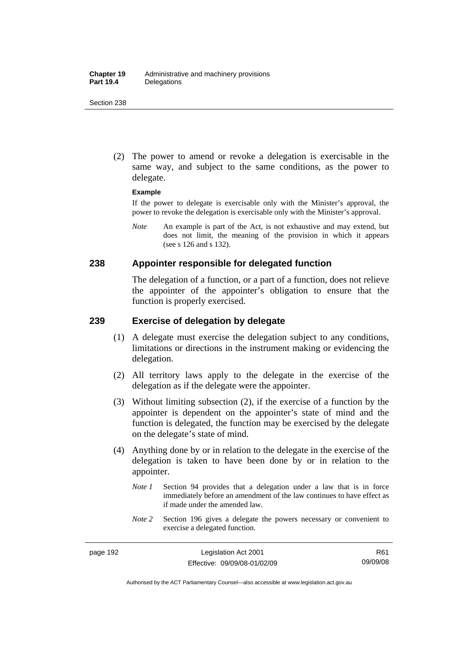(2) The power to amend or revoke a delegation is exercisable in the same way, and subject to the same conditions, as the power to delegate.

#### **Example**

If the power to delegate is exercisable only with the Minister's approval, the power to revoke the delegation is exercisable only with the Minister's approval.

*Note* An example is part of the Act, is not exhaustive and may extend, but does not limit, the meaning of the provision in which it appears (see s 126 and s 132).

#### **238 Appointer responsible for delegated function**

The delegation of a function, or a part of a function, does not relieve the appointer of the appointer's obligation to ensure that the function is properly exercised.

### **239 Exercise of delegation by delegate**

- (1) A delegate must exercise the delegation subject to any conditions, limitations or directions in the instrument making or evidencing the delegation.
- (2) All territory laws apply to the delegate in the exercise of the delegation as if the delegate were the appointer.
- (3) Without limiting subsection (2), if the exercise of a function by the appointer is dependent on the appointer's state of mind and the function is delegated, the function may be exercised by the delegate on the delegate's state of mind.
- (4) Anything done by or in relation to the delegate in the exercise of the delegation is taken to have been done by or in relation to the appointer.
	- *Note 1* Section 94 provides that a delegation under a law that is in force immediately before an amendment of the law continues to have effect as if made under the amended law.
	- *Note* 2 Section 196 gives a delegate the powers necessary or convenient to exercise a delegated function.

R61 09/09/08

Authorised by the ACT Parliamentary Counsel—also accessible at www.legislation.act.gov.au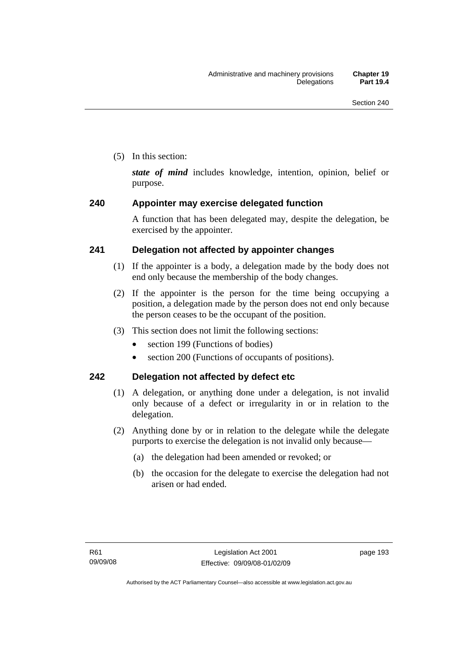(5) In this section:

*state of mind* includes knowledge, intention, opinion, belief or purpose.

# **240 Appointer may exercise delegated function**

A function that has been delegated may, despite the delegation, be exercised by the appointer.

# **241 Delegation not affected by appointer changes**

- (1) If the appointer is a body, a delegation made by the body does not end only because the membership of the body changes.
- (2) If the appointer is the person for the time being occupying a position, a delegation made by the person does not end only because the person ceases to be the occupant of the position.
- (3) This section does not limit the following sections:
	- section 199 (Functions of bodies)
	- section 200 (Functions of occupants of positions).

# **242 Delegation not affected by defect etc**

- (1) A delegation, or anything done under a delegation, is not invalid only because of a defect or irregularity in or in relation to the delegation.
- (2) Anything done by or in relation to the delegate while the delegate purports to exercise the delegation is not invalid only because—
	- (a) the delegation had been amended or revoked; or
	- (b) the occasion for the delegate to exercise the delegation had not arisen or had ended.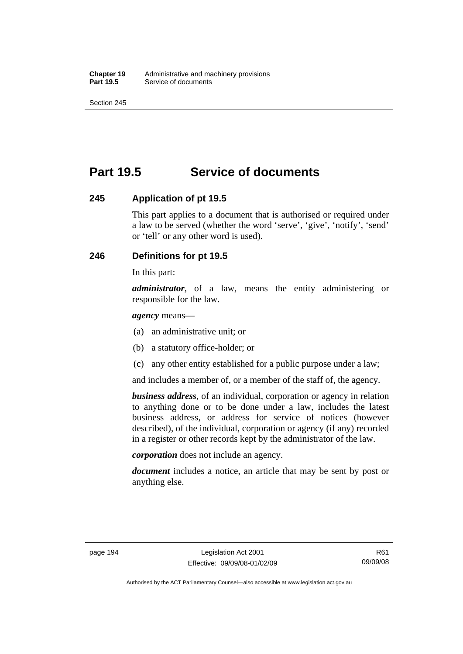# **Part 19.5 Service of documents**

#### **245 Application of pt 19.5**

This part applies to a document that is authorised or required under a law to be served (whether the word 'serve', 'give', 'notify', 'send' or 'tell' or any other word is used).

# **246 Definitions for pt 19.5**

In this part:

*administrator*, of a law, means the entity administering or responsible for the law.

*agency* means—

- (a) an administrative unit; or
- (b) a statutory office-holder; or
- (c) any other entity established for a public purpose under a law;

and includes a member of, or a member of the staff of, the agency.

*business address*, of an individual, corporation or agency in relation to anything done or to be done under a law, includes the latest business address, or address for service of notices (however described), of the individual, corporation or agency (if any) recorded in a register or other records kept by the administrator of the law.

*corporation* does not include an agency.

*document* includes a notice, an article that may be sent by post or anything else.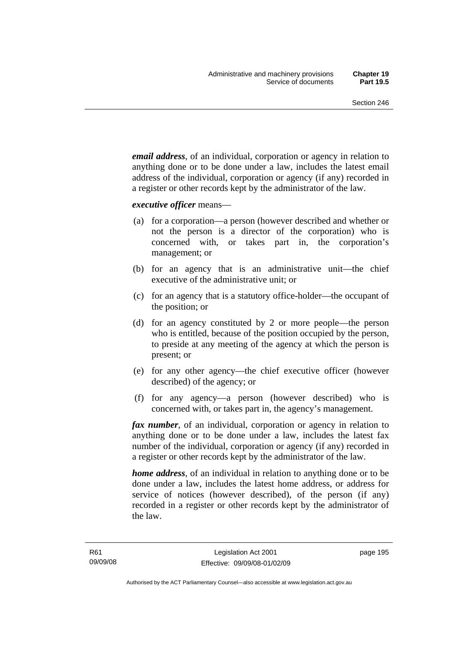*email address*, of an individual, corporation or agency in relation to anything done or to be done under a law, includes the latest email address of the individual, corporation or agency (if any) recorded in a register or other records kept by the administrator of the law.

*executive officer* means—

- (a) for a corporation—a person (however described and whether or not the person is a director of the corporation) who is concerned with, or takes part in, the corporation's management; or
- (b) for an agency that is an administrative unit—the chief executive of the administrative unit; or
- (c) for an agency that is a statutory office-holder—the occupant of the position; or
- (d) for an agency constituted by 2 or more people—the person who is entitled, because of the position occupied by the person, to preside at any meeting of the agency at which the person is present; or
- (e) for any other agency—the chief executive officer (however described) of the agency; or
- (f) for any agency—a person (however described) who is concerned with, or takes part in, the agency's management.

*fax number*, of an individual, corporation or agency in relation to anything done or to be done under a law, includes the latest fax number of the individual, corporation or agency (if any) recorded in a register or other records kept by the administrator of the law.

*home address*, of an individual in relation to anything done or to be done under a law, includes the latest home address, or address for service of notices (however described), of the person (if any) recorded in a register or other records kept by the administrator of the law.

page 195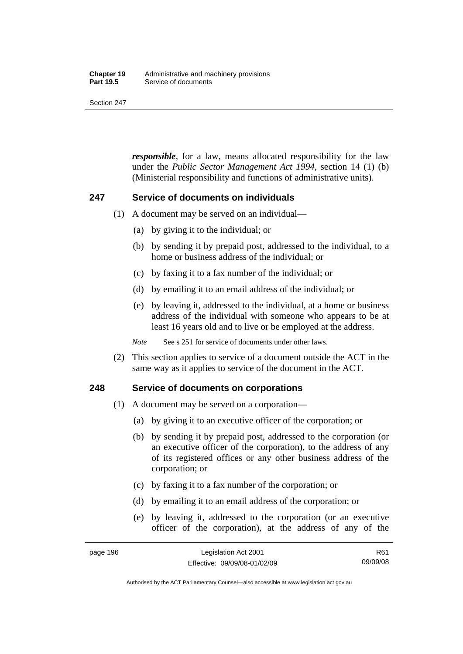#### **Chapter 19** Administrative and machinery provisions<br>**Part 19.5** Service of documents **Service of documents**

Section 247

*responsible*, for a law, means allocated responsibility for the law under the *Public Sector Management Act 1994*, section 14 (1) (b) (Ministerial responsibility and functions of administrative units).

#### **247 Service of documents on individuals**

- (1) A document may be served on an individual—
	- (a) by giving it to the individual; or
	- (b) by sending it by prepaid post, addressed to the individual, to a home or business address of the individual; or
	- (c) by faxing it to a fax number of the individual; or
	- (d) by emailing it to an email address of the individual; or
	- (e) by leaving it, addressed to the individual, at a home or business address of the individual with someone who appears to be at least 16 years old and to live or be employed at the address.

*Note* See s 251 for service of documents under other laws.

 (2) This section applies to service of a document outside the ACT in the same way as it applies to service of the document in the ACT.

#### **248 Service of documents on corporations**

- (1) A document may be served on a corporation—
	- (a) by giving it to an executive officer of the corporation; or
	- (b) by sending it by prepaid post, addressed to the corporation (or an executive officer of the corporation), to the address of any of its registered offices or any other business address of the corporation; or
	- (c) by faxing it to a fax number of the corporation; or
	- (d) by emailing it to an email address of the corporation; or
	- (e) by leaving it, addressed to the corporation (or an executive officer of the corporation), at the address of any of the

Authorised by the ACT Parliamentary Counsel—also accessible at www.legislation.act.gov.au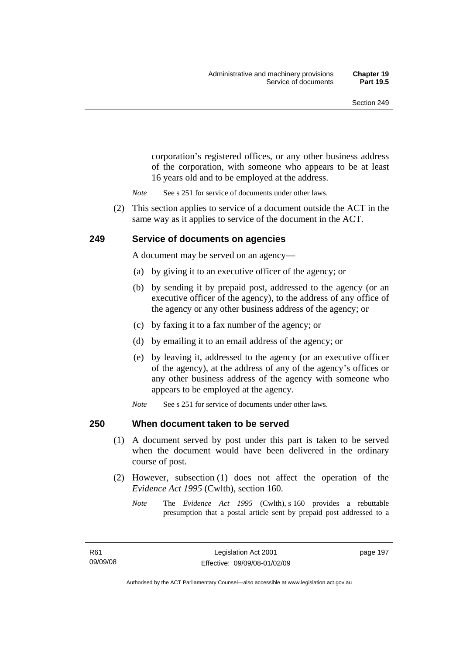corporation's registered offices, or any other business address of the corporation, with someone who appears to be at least 16 years old and to be employed at the address.

- *Note* See s 251 for service of documents under other laws.
- (2) This section applies to service of a document outside the ACT in the same way as it applies to service of the document in the ACT.

#### **249 Service of documents on agencies**

A document may be served on an agency—

- (a) by giving it to an executive officer of the agency; or
- (b) by sending it by prepaid post, addressed to the agency (or an executive officer of the agency), to the address of any office of the agency or any other business address of the agency; or
- (c) by faxing it to a fax number of the agency; or
- (d) by emailing it to an email address of the agency; or
- (e) by leaving it, addressed to the agency (or an executive officer of the agency), at the address of any of the agency's offices or any other business address of the agency with someone who appears to be employed at the agency.
- *Note* See s 251 for service of documents under other laws.

#### **250 When document taken to be served**

- (1) A document served by post under this part is taken to be served when the document would have been delivered in the ordinary course of post.
- (2) However, subsection (1) does not affect the operation of the *Evidence Act 1995* (Cwlth), section 160.
	- *Note* The *Evidence Act 1995* (Cwlth), s 160 provides a rebuttable presumption that a postal article sent by prepaid post addressed to a

page 197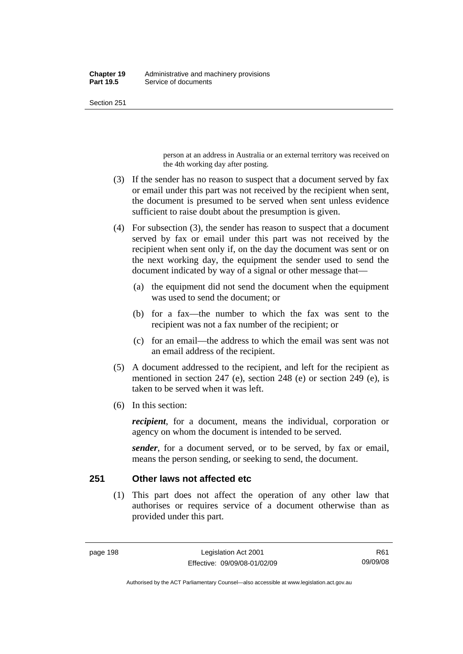person at an address in Australia or an external territory was received on the 4th working day after posting.

- (3) If the sender has no reason to suspect that a document served by fax or email under this part was not received by the recipient when sent, the document is presumed to be served when sent unless evidence sufficient to raise doubt about the presumption is given.
- (4) For subsection (3), the sender has reason to suspect that a document served by fax or email under this part was not received by the recipient when sent only if, on the day the document was sent or on the next working day, the equipment the sender used to send the document indicated by way of a signal or other message that—
	- (a) the equipment did not send the document when the equipment was used to send the document; or
	- (b) for a fax—the number to which the fax was sent to the recipient was not a fax number of the recipient; or
	- (c) for an email—the address to which the email was sent was not an email address of the recipient.
- (5) A document addressed to the recipient, and left for the recipient as mentioned in section 247 (e), section 248 (e) or section 249 (e), is taken to be served when it was left.
- (6) In this section:

*recipient*, for a document, means the individual, corporation or agency on whom the document is intended to be served.

*sender*, for a document served, or to be served, by fax or email, means the person sending, or seeking to send, the document.

# **251 Other laws not affected etc**

 (1) This part does not affect the operation of any other law that authorises or requires service of a document otherwise than as provided under this part.

Authorised by the ACT Parliamentary Counsel—also accessible at www.legislation.act.gov.au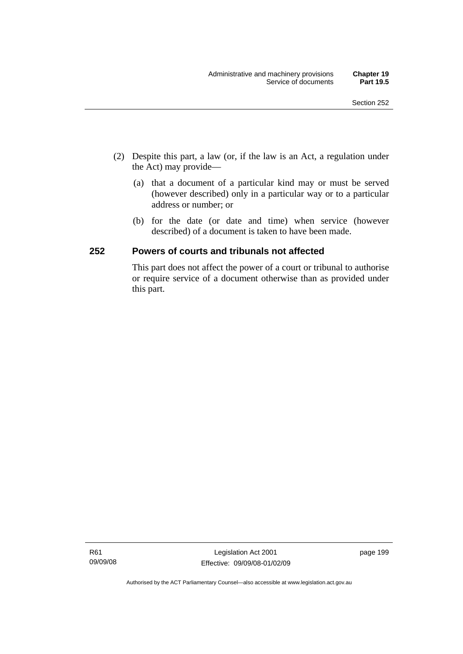- (2) Despite this part, a law (or, if the law is an Act, a regulation under the Act) may provide—
	- (a) that a document of a particular kind may or must be served (however described) only in a particular way or to a particular address or number; or
	- (b) for the date (or date and time) when service (however described) of a document is taken to have been made.

# **252 Powers of courts and tribunals not affected**

This part does not affect the power of a court or tribunal to authorise or require service of a document otherwise than as provided under this part.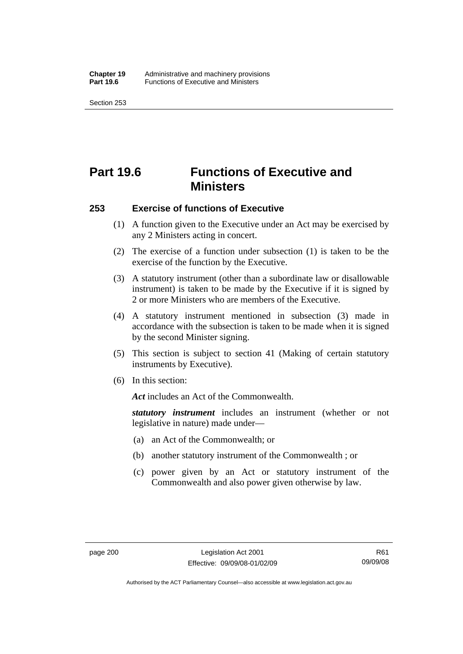# **Part 19.6 Functions of Executive and Ministers**

#### **253 Exercise of functions of Executive**

- (1) A function given to the Executive under an Act may be exercised by any 2 Ministers acting in concert.
- (2) The exercise of a function under subsection (1) is taken to be the exercise of the function by the Executive.
- (3) A statutory instrument (other than a subordinate law or disallowable instrument) is taken to be made by the Executive if it is signed by 2 or more Ministers who are members of the Executive.
- (4) A statutory instrument mentioned in subsection (3) made in accordance with the subsection is taken to be made when it is signed by the second Minister signing.
- (5) This section is subject to section 41 (Making of certain statutory instruments by Executive).
- (6) In this section:

*Act* includes an Act of the Commonwealth.

*statutory instrument* includes an instrument (whether or not legislative in nature) made under—

- (a) an Act of the Commonwealth; or
- (b) another statutory instrument of the Commonwealth ; or
- (c) power given by an Act or statutory instrument of the Commonwealth and also power given otherwise by law.

Authorised by the ACT Parliamentary Counsel—also accessible at www.legislation.act.gov.au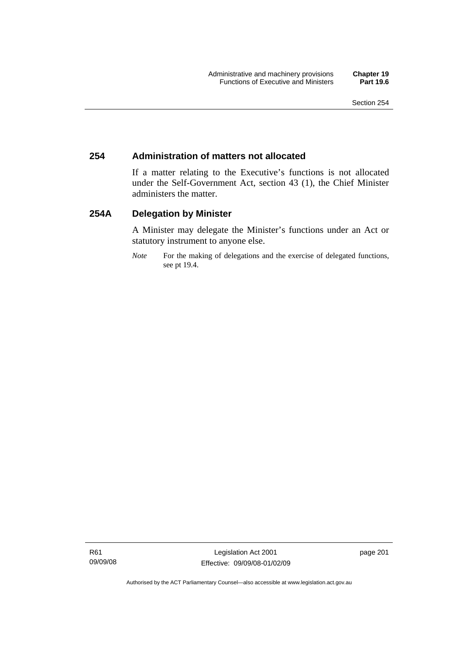## **254 Administration of matters not allocated**

If a matter relating to the Executive's functions is not allocated under the Self-Government Act, section 43 (1), the Chief Minister administers the matter.

## **254A Delegation by Minister**

A Minister may delegate the Minister's functions under an Act or statutory instrument to anyone else.

*Note* For the making of delegations and the exercise of delegated functions, see pt 19.4.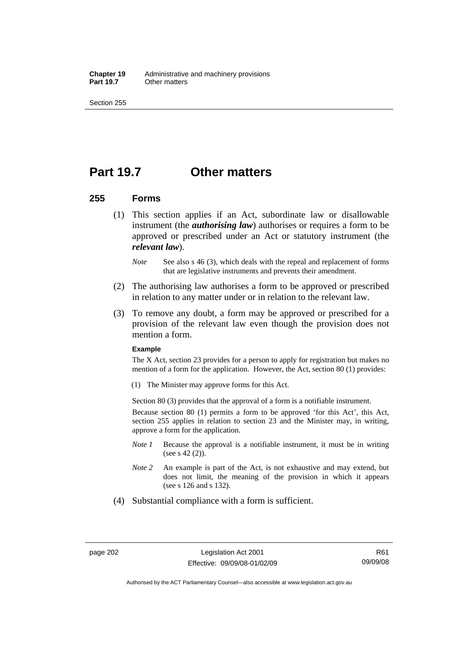**Chapter 19** Administrative and machinery provisions<br>**Part 19.7** Other matters **Other matters** 

Section 255

## **Part 19.7 Other matters**

## **255 Forms**

- (1) This section applies if an Act, subordinate law or disallowable instrument (the *authorising law*) authorises or requires a form to be approved or prescribed under an Act or statutory instrument (the *relevant law*).
	- *Note* See also s 46 (3), which deals with the repeal and replacement of forms that are legislative instruments and prevents their amendment.
- (2) The authorising law authorises a form to be approved or prescribed in relation to any matter under or in relation to the relevant law.
- (3) To remove any doubt, a form may be approved or prescribed for a provision of the relevant law even though the provision does not mention a form.

### **Example**

The X Act, section 23 provides for a person to apply for registration but makes no mention of a form for the application. However, the Act, section 80 (1) provides:

(1) The Minister may approve forms for this Act.

Section 80 (3) provides that the approval of a form is a notifiable instrument.

Because section 80 (1) permits a form to be approved 'for this Act', this Act, section 255 applies in relation to section 23 and the Minister may, in writing, approve a form for the application.

- *Note 1* Because the approval is a notifiable instrument, it must be in writing (see s 42 (2)).
- *Note 2* An example is part of the Act, is not exhaustive and may extend, but does not limit, the meaning of the provision in which it appears (see s 126 and s 132).
- (4) Substantial compliance with a form is sufficient.

Authorised by the ACT Parliamentary Counsel—also accessible at www.legislation.act.gov.au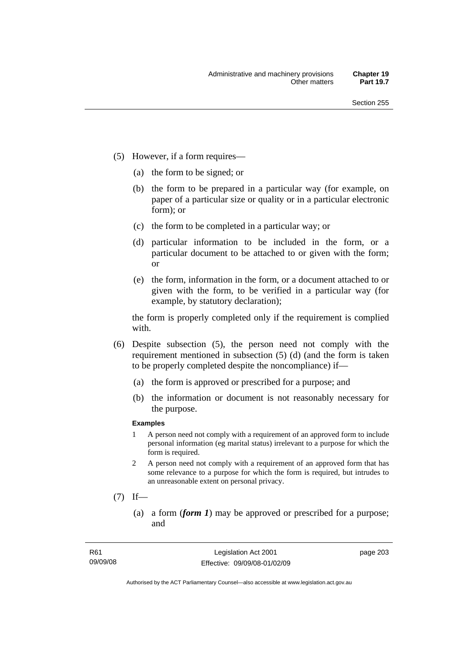- (5) However, if a form requires—
	- (a) the form to be signed; or
	- (b) the form to be prepared in a particular way (for example, on paper of a particular size or quality or in a particular electronic form); or
	- (c) the form to be completed in a particular way; or
	- (d) particular information to be included in the form, or a particular document to be attached to or given with the form; or
	- (e) the form, information in the form, or a document attached to or given with the form, to be verified in a particular way (for example, by statutory declaration);

the form is properly completed only if the requirement is complied with.

- (6) Despite subsection (5), the person need not comply with the requirement mentioned in subsection (5) (d) (and the form is taken to be properly completed despite the noncompliance) if—
	- (a) the form is approved or prescribed for a purpose; and
	- (b) the information or document is not reasonably necessary for the purpose.

### **Examples**

- 1 A person need not comply with a requirement of an approved form to include personal information (eg marital status) irrelevant to a purpose for which the form is required.
- 2 A person need not comply with a requirement of an approved form that has some relevance to a purpose for which the form is required, but intrudes to an unreasonable extent on personal privacy.
- $(7)$  If—
	- (a) a form (*form 1*) may be approved or prescribed for a purpose; and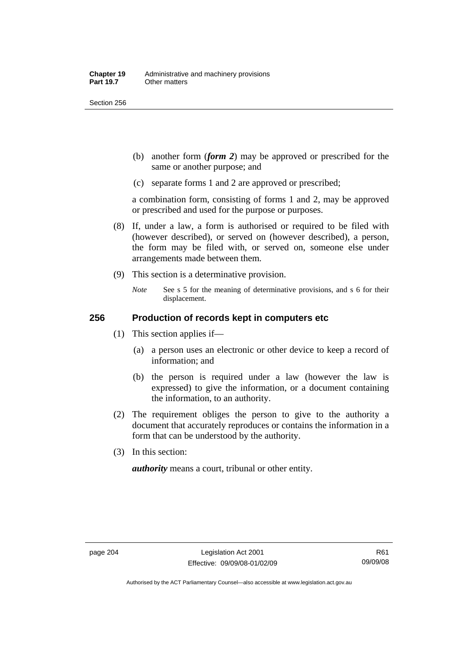Section 256

- (b) another form (*form 2*) may be approved or prescribed for the same or another purpose; and
- (c) separate forms 1 and 2 are approved or prescribed;

a combination form, consisting of forms 1 and 2, may be approved or prescribed and used for the purpose or purposes.

- (8) If, under a law, a form is authorised or required to be filed with (however described), or served on (however described), a person, the form may be filed with, or served on, someone else under arrangements made between them.
- (9) This section is a determinative provision.
	- *Note* See s 5 for the meaning of determinative provisions, and s 6 for their displacement.

## **256 Production of records kept in computers etc**

- (1) This section applies if—
	- (a) a person uses an electronic or other device to keep a record of information; and
	- (b) the person is required under a law (however the law is expressed) to give the information, or a document containing the information, to an authority.
- (2) The requirement obliges the person to give to the authority a document that accurately reproduces or contains the information in a form that can be understood by the authority.
- (3) In this section:

*authority* means a court, tribunal or other entity.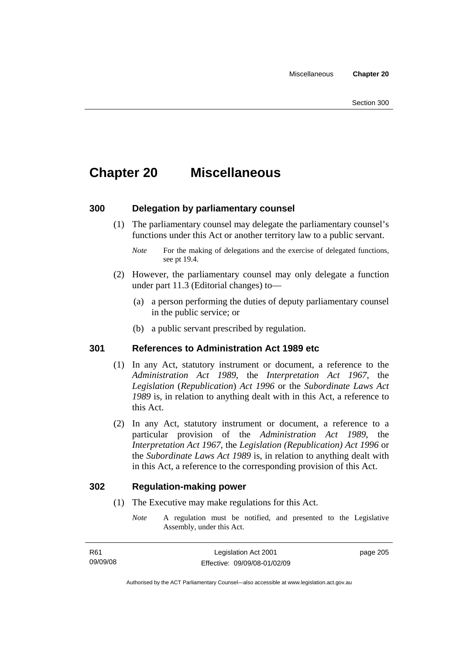# **Chapter 20 Miscellaneous**

## **300 Delegation by parliamentary counsel**

 (1) The parliamentary counsel may delegate the parliamentary counsel's functions under this Act or another territory law to a public servant.

- (2) However, the parliamentary counsel may only delegate a function under part 11.3 (Editorial changes) to—
	- (a) a person performing the duties of deputy parliamentary counsel in the public service; or
	- (b) a public servant prescribed by regulation.

## **301 References to Administration Act 1989 etc**

- (1) In any Act, statutory instrument or document, a reference to the *Administration Act 1989*, the *Interpretation Act 1967*, the *Legislation* (*Republication*) *Act 1996* or the *Subordinate Laws Act 1989* is, in relation to anything dealt with in this Act, a reference to this Act.
- (2) In any Act, statutory instrument or document, a reference to a particular provision of the *Administration Act 1989*, the *Interpretation Act 1967*, the *Legislation (Republication) Act 1996* or the *Subordinate Laws Act 1989* is, in relation to anything dealt with in this Act, a reference to the corresponding provision of this Act.

## **302 Regulation-making power**

- (1) The Executive may make regulations for this Act.
	- *Note* A regulation must be notified, and presented to the Legislative Assembly, under this Act.

page 205

*Note* For the making of delegations and the exercise of delegated functions, see pt 19.4.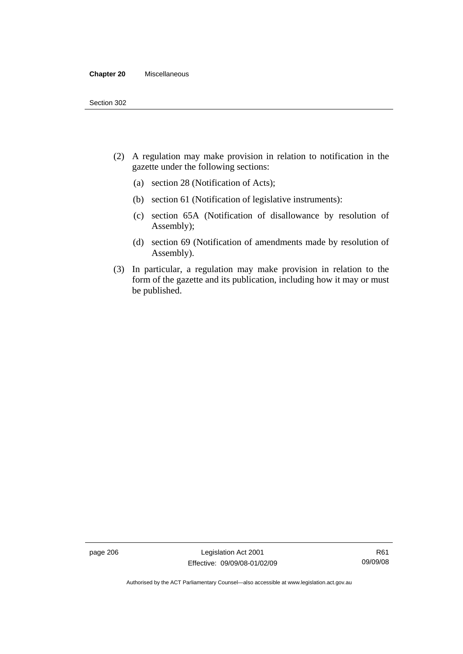#### **Chapter 20** Miscellaneous

- (2) A regulation may make provision in relation to notification in the gazette under the following sections:
	- (a) section 28 (Notification of Acts);
	- (b) section 61 (Notification of legislative instruments):
	- (c) section 65A (Notification of disallowance by resolution of Assembly);
	- (d) section 69 (Notification of amendments made by resolution of Assembly).
- (3) In particular, a regulation may make provision in relation to the form of the gazette and its publication, including how it may or must be published.

page 206 Legislation Act 2001 Effective: 09/09/08-01/02/09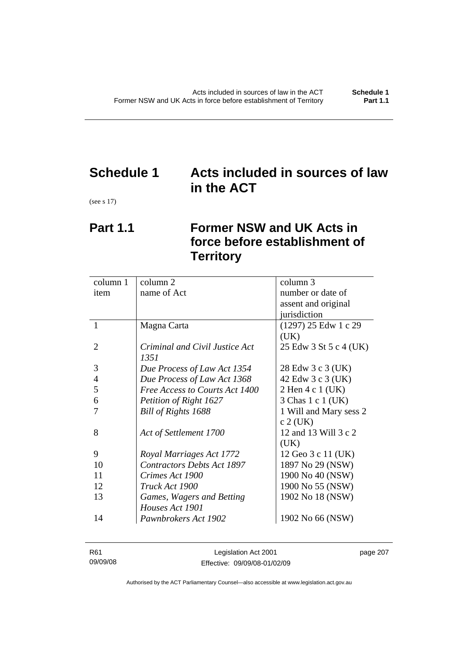# **Schedule 1 Acts included in sources of law in the ACT**

(see s 17)

# **Part 1.1 Former NSW and UK Acts in force before establishment of Territory**

| name of Act<br>number or date of<br>item<br>assent and original<br>jurisdiction<br>1<br>(1297) 25 Edw 1 c 29<br>Magna Carta<br>(UK)<br>$\overline{2}$<br>Criminal and Civil Justice Act<br>25 Edw 3 St 5 c 4 (UK)<br>1351<br>3<br>28 Edw 3 c 3 (UK)<br>Due Process of Law Act 1354<br>$\overline{4}$<br>Due Process of Law Act 1368<br>42 Edw 3 c 3 (UK)<br>5<br>Free Access to Courts Act 1400<br>2 Hen 4 c 1 (UK)<br>6<br>Petition of Right 1627<br>3 Chas 1 c 1 (UK)<br>1 Will and Mary sess 2<br>Bill of Rights 1688<br>$c$ 2 (UK)<br>12 and 13 Will 3 c 2<br>8<br>Act of Settlement 1700<br>(UK)<br>9<br>Royal Marriages Act 1772<br>12 Geo 3 c 11 (UK)<br><b>Contractors Debts Act 1897</b><br>10<br>1897 No 29 (NSW)<br>11<br>1900 No 40 (NSW)<br>Crimes Act 1900<br>12<br>1900 No 55 (NSW)<br>Truck Act 1900<br>13<br>1902 No 18 (NSW)<br>Games, Wagers and Betting<br>Houses Act 1901<br>14 | column 1 | column 2             | column 3         |
|------------------------------------------------------------------------------------------------------------------------------------------------------------------------------------------------------------------------------------------------------------------------------------------------------------------------------------------------------------------------------------------------------------------------------------------------------------------------------------------------------------------------------------------------------------------------------------------------------------------------------------------------------------------------------------------------------------------------------------------------------------------------------------------------------------------------------------------------------------------------------------------------------|----------|----------------------|------------------|
|                                                                                                                                                                                                                                                                                                                                                                                                                                                                                                                                                                                                                                                                                                                                                                                                                                                                                                      |          |                      |                  |
|                                                                                                                                                                                                                                                                                                                                                                                                                                                                                                                                                                                                                                                                                                                                                                                                                                                                                                      |          |                      |                  |
|                                                                                                                                                                                                                                                                                                                                                                                                                                                                                                                                                                                                                                                                                                                                                                                                                                                                                                      |          |                      |                  |
|                                                                                                                                                                                                                                                                                                                                                                                                                                                                                                                                                                                                                                                                                                                                                                                                                                                                                                      |          |                      |                  |
|                                                                                                                                                                                                                                                                                                                                                                                                                                                                                                                                                                                                                                                                                                                                                                                                                                                                                                      |          |                      |                  |
|                                                                                                                                                                                                                                                                                                                                                                                                                                                                                                                                                                                                                                                                                                                                                                                                                                                                                                      |          |                      |                  |
|                                                                                                                                                                                                                                                                                                                                                                                                                                                                                                                                                                                                                                                                                                                                                                                                                                                                                                      |          |                      |                  |
|                                                                                                                                                                                                                                                                                                                                                                                                                                                                                                                                                                                                                                                                                                                                                                                                                                                                                                      |          |                      |                  |
|                                                                                                                                                                                                                                                                                                                                                                                                                                                                                                                                                                                                                                                                                                                                                                                                                                                                                                      |          |                      |                  |
|                                                                                                                                                                                                                                                                                                                                                                                                                                                                                                                                                                                                                                                                                                                                                                                                                                                                                                      |          |                      |                  |
|                                                                                                                                                                                                                                                                                                                                                                                                                                                                                                                                                                                                                                                                                                                                                                                                                                                                                                      |          |                      |                  |
|                                                                                                                                                                                                                                                                                                                                                                                                                                                                                                                                                                                                                                                                                                                                                                                                                                                                                                      |          |                      |                  |
|                                                                                                                                                                                                                                                                                                                                                                                                                                                                                                                                                                                                                                                                                                                                                                                                                                                                                                      |          |                      |                  |
|                                                                                                                                                                                                                                                                                                                                                                                                                                                                                                                                                                                                                                                                                                                                                                                                                                                                                                      |          |                      |                  |
|                                                                                                                                                                                                                                                                                                                                                                                                                                                                                                                                                                                                                                                                                                                                                                                                                                                                                                      |          |                      |                  |
|                                                                                                                                                                                                                                                                                                                                                                                                                                                                                                                                                                                                                                                                                                                                                                                                                                                                                                      |          |                      |                  |
|                                                                                                                                                                                                                                                                                                                                                                                                                                                                                                                                                                                                                                                                                                                                                                                                                                                                                                      |          |                      |                  |
|                                                                                                                                                                                                                                                                                                                                                                                                                                                                                                                                                                                                                                                                                                                                                                                                                                                                                                      |          |                      |                  |
|                                                                                                                                                                                                                                                                                                                                                                                                                                                                                                                                                                                                                                                                                                                                                                                                                                                                                                      |          |                      |                  |
|                                                                                                                                                                                                                                                                                                                                                                                                                                                                                                                                                                                                                                                                                                                                                                                                                                                                                                      |          |                      |                  |
|                                                                                                                                                                                                                                                                                                                                                                                                                                                                                                                                                                                                                                                                                                                                                                                                                                                                                                      |          |                      |                  |
|                                                                                                                                                                                                                                                                                                                                                                                                                                                                                                                                                                                                                                                                                                                                                                                                                                                                                                      |          | Pawnbrokers Act 1902 | 1902 No 66 (NSW) |

| R61      | Legislation Act 2001         | page 207 |
|----------|------------------------------|----------|
| 09/09/08 | Effective: 09/09/08-01/02/09 |          |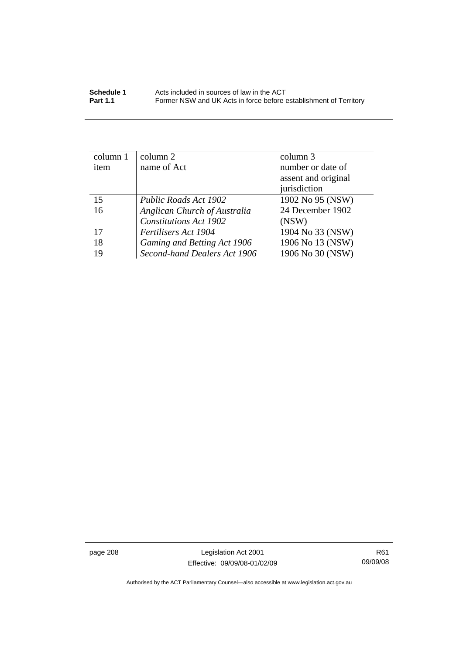| column 1 | $\text{column } 2$            | column 3            |
|----------|-------------------------------|---------------------|
| item     | name of Act                   | number or date of   |
|          |                               | assent and original |
|          |                               | jurisdiction        |
| 15       | Public Roads Act 1902         | 1902 No 95 (NSW)    |
| 16       | Anglican Church of Australia  | 24 December 1902    |
|          | <b>Constitutions Act 1902</b> | (NSW)               |
| 17       | Fertilisers Act 1904          | 1904 No 33 (NSW)    |
| 18       | Gaming and Betting Act 1906   | 1906 No 13 (NSW)    |
| 19       | Second-hand Dealers Act 1906  | 1906 No 30 (NSW)    |

page 208 Legislation Act 2001 Effective: 09/09/08-01/02/09

R61 09/09/08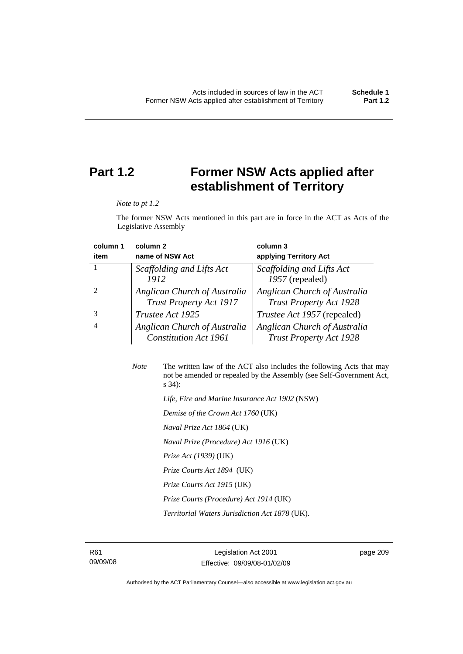# **Part 1.2 Former NSW Acts applied after establishment of Territory**

*Note to pt 1.2* 

The former NSW Acts mentioned in this part are in force in the ACT as Acts of the Legislative Assembly

| column 1 | column <sub>2</sub>                                            | column 3                                                       |
|----------|----------------------------------------------------------------|----------------------------------------------------------------|
| item     | name of NSW Act                                                | applying Territory Act                                         |
|          | Scaffolding and Lifts Act                                      | Scaffolding and Lifts Act                                      |
|          | 1912                                                           | 1957 (repealed)                                                |
|          | Anglican Church of Australia<br><b>Trust Property Act 1917</b> | Anglican Church of Australia<br><b>Trust Property Act 1928</b> |
|          | Trustee Act 1925                                               | <i>Trustee Act 1957</i> (repealed)                             |
| 4        | Anglican Church of Australia<br><b>Constitution Act 1961</b>   | Anglican Church of Australia<br><b>Trust Property Act 1928</b> |

| <b>Note</b> | The written law of the ACT also includes the following Acts that may<br>not be amended or repealed by the Assembly (see Self-Government Act,<br>$s\,34$ : |
|-------------|-----------------------------------------------------------------------------------------------------------------------------------------------------------|
|             | Life, Fire and Marine Insurance Act 1902 (NSW)                                                                                                            |
|             | Demise of the Crown Act 1760 (UK)                                                                                                                         |
|             | <i>Naval Prize Act 1864</i> (UK)                                                                                                                          |
|             | Naval Prize (Procedure) Act 1916 (UK)                                                                                                                     |
|             | <i>Prize Act (1939)</i> (UK)                                                                                                                              |

 *Prize Courts Act 1894* (UK)

 *Prize Courts Act 1915* (UK)

 *Prize Courts (Procedure) Act 1914* (UK)

 *Territorial Waters Jurisdiction Act 1878* (UK).

page 209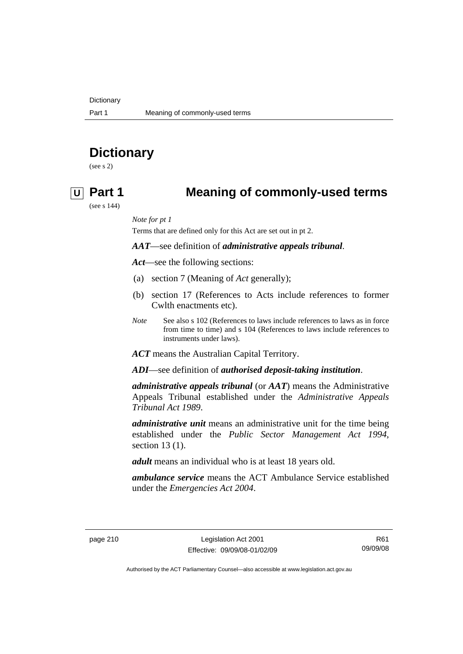**Dictionary** 

# **Dictionary**

(see s 2)

## **U Part 1 Meaning of commonly-used terms**

(see s 144)

*Note for pt 1* 

Terms that are defined only for this Act are set out in pt 2.

### *AAT*—see definition of *administrative appeals tribunal*.

*Act*—see the following sections:

- (a) section 7 (Meaning of *Act* generally);
- (b) section 17 (References to Acts include references to former Cwlth enactments etc).
- *Note* See also s 102 (References to laws include references to laws as in force from time to time) and s 104 (References to laws include references to instruments under laws).

*ACT* means the Australian Capital Territory.

*ADI*—see definition of *authorised deposit-taking institution*.

*administrative appeals tribunal* (or *AAT*) means the Administrative Appeals Tribunal established under the *Administrative Appeals Tribunal Act 1989*.

*administrative unit* means an administrative unit for the time being established under the *Public Sector Management Act 1994*, section 13 (1).

*adult* means an individual who is at least 18 years old.

*ambulance service* means the ACT Ambulance Service established under the *Emergencies Act 2004*.

R61 09/09/08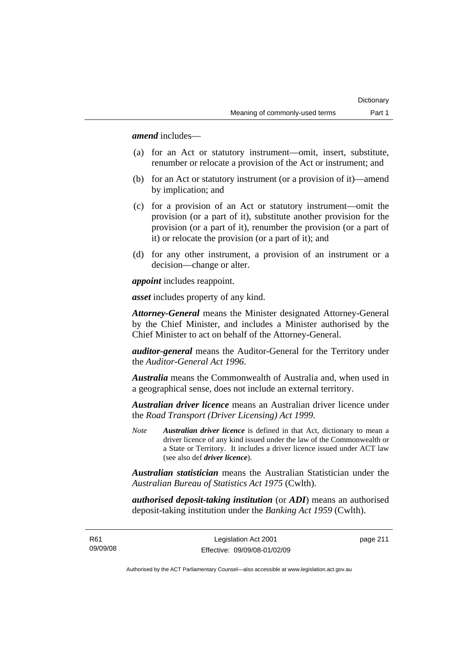*amend* includes—

- (a) for an Act or statutory instrument—omit, insert, substitute, renumber or relocate a provision of the Act or instrument; and
- (b) for an Act or statutory instrument (or a provision of it)—amend by implication; and
- (c) for a provision of an Act or statutory instrument—omit the provision (or a part of it), substitute another provision for the provision (or a part of it), renumber the provision (or a part of it) or relocate the provision (or a part of it); and
- (d) for any other instrument, a provision of an instrument or a decision—change or alter.

*appoint* includes reappoint.

*asset* includes property of any kind.

*Attorney-General* means the Minister designated Attorney-General by the Chief Minister, and includes a Minister authorised by the Chief Minister to act on behalf of the Attorney-General.

*auditor-general* means the Auditor-General for the Territory under the *Auditor-General Act 1996*.

*Australia* means the Commonwealth of Australia and, when used in a geographical sense, does not include an external territory.

*Australian driver licence* means an Australian driver licence under the *Road Transport (Driver Licensing) Act 1999*.

*Note Australian driver licence* is defined in that Act, dictionary to mean a driver licence of any kind issued under the law of the Commonwealth or a State or Territory. It includes a driver licence issued under ACT law (see also def *driver licence*).

*Australian statistician* means the Australian Statistician under the *Australian Bureau of Statistics Act 1975* (Cwlth).

*authorised deposit-taking institution* (or *ADI*) means an authorised deposit-taking institution under the *Banking Act 1959* (Cwlth).

R61 09/09/08 page 211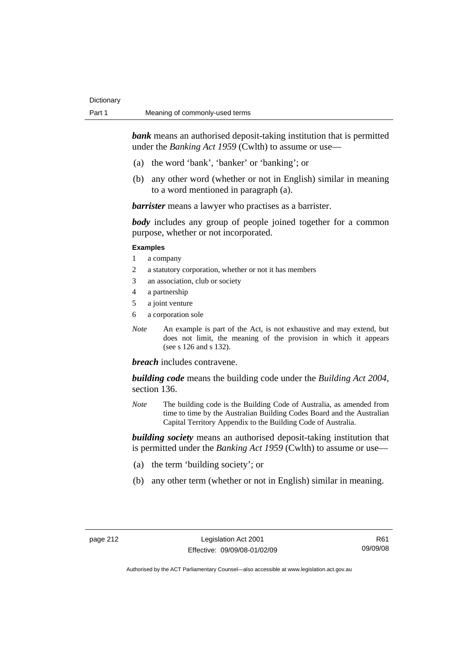*bank* means an authorised deposit-taking institution that is permitted under the *Banking Act 1959* (Cwlth) to assume or use-

- (a) the word 'bank', 'banker' or 'banking'; or
- (b) any other word (whether or not in English) similar in meaning to a word mentioned in paragraph (a).

*barrister* means a lawyer who practises as a barrister.

*body* includes any group of people joined together for a common purpose, whether or not incorporated.

### **Examples**

- 1 a company
- 2 a statutory corporation, whether or not it has members
- 3 an association, club or society
- 4 a partnership
- 5 a joint venture
- 6 a corporation sole
- *Note* An example is part of the Act, is not exhaustive and may extend, but does not limit, the meaning of the provision in which it appears (see s 126 and s 132).

### *breach* includes contravene.

*building code* means the building code under the *Building Act 2004*, section 136.

*Note* The building code is the Building Code of Australia, as amended from time to time by the Australian Building Codes Board and the Australian Capital Territory Appendix to the Building Code of Australia.

*building society* means an authorised deposit-taking institution that is permitted under the *Banking Act 1959* (Cwlth) to assume or use—

- (a) the term 'building society'; or
- (b) any other term (whether or not in English) similar in meaning.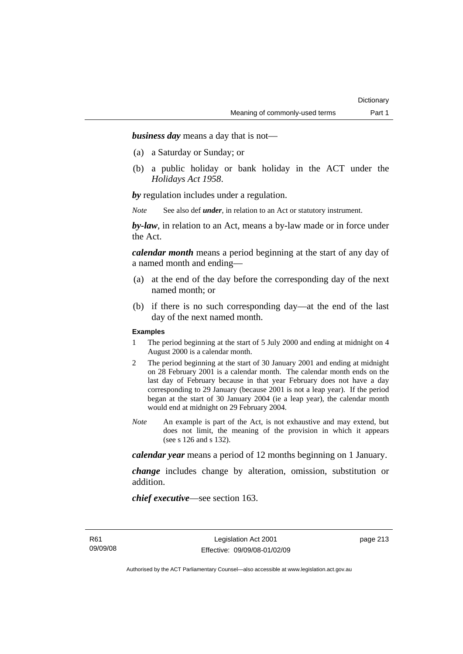*business day* means a day that is not—

- (a) a Saturday or Sunday; or
- (b) a public holiday or bank holiday in the ACT under the *Holidays Act 1958*.

*by* regulation includes under a regulation.

*Note* See also def *under*, in relation to an Act or statutory instrument.

*by-law*, in relation to an Act, means a by-law made or in force under the Act.

*calendar month* means a period beginning at the start of any day of a named month and ending—

- (a) at the end of the day before the corresponding day of the next named month; or
- (b) if there is no such corresponding day—at the end of the last day of the next named month.

### **Examples**

- 1 The period beginning at the start of 5 July 2000 and ending at midnight on 4 August 2000 is a calendar month.
- 2 The period beginning at the start of 30 January 2001 and ending at midnight on 28 February 2001 is a calendar month. The calendar month ends on the last day of February because in that year February does not have a day corresponding to 29 January (because 2001 is not a leap year). If the period began at the start of 30 January 2004 (ie a leap year), the calendar month would end at midnight on 29 February 2004.
- *Note* An example is part of the Act, is not exhaustive and may extend, but does not limit, the meaning of the provision in which it appears (see s 126 and s 132).

*calendar year* means a period of 12 months beginning on 1 January.

*change* includes change by alteration, omission, substitution or addition.

*chief executive*—see section 163.

page 213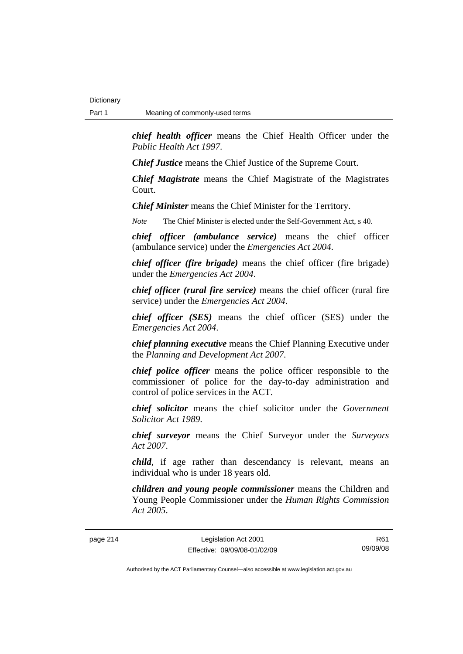*chief health officer* means the Chief Health Officer under the *Public Health Act 1997*.

*Chief Justice* means the Chief Justice of the Supreme Court.

*Chief Magistrate* means the Chief Magistrate of the Magistrates Court.

*Chief Minister* means the Chief Minister for the Territory.

*Note* The Chief Minister is elected under the Self-Government Act, s 40.

*chief officer (ambulance service)* means the chief officer (ambulance service) under the *Emergencies Act 2004*.

*chief officer (fire brigade)* means the chief officer (fire brigade) under the *Emergencies Act 2004*.

*chief officer (rural fire service)* means the chief officer (rural fire service) under the *Emergencies Act 2004*.

*chief officer (SES)* means the chief officer (SES) under the *Emergencies Act 2004*.

*chief planning executive* means the Chief Planning Executive under the *Planning and Development Act 2007*.

*chief police officer* means the police officer responsible to the commissioner of police for the day-to-day administration and control of police services in the ACT.

*chief solicitor* means the chief solicitor under the *Government Solicitor Act 1989*.

*chief surveyor* means the Chief Surveyor under the *Surveyors Act 2007*.

*child*, if age rather than descendancy is relevant, means an individual who is under 18 years old.

*children and young people commissioner* means the Children and Young People Commissioner under the *Human Rights Commission Act 2005*.

page 214 Legislation Act 2001 Effective: 09/09/08-01/02/09

R61 09/09/08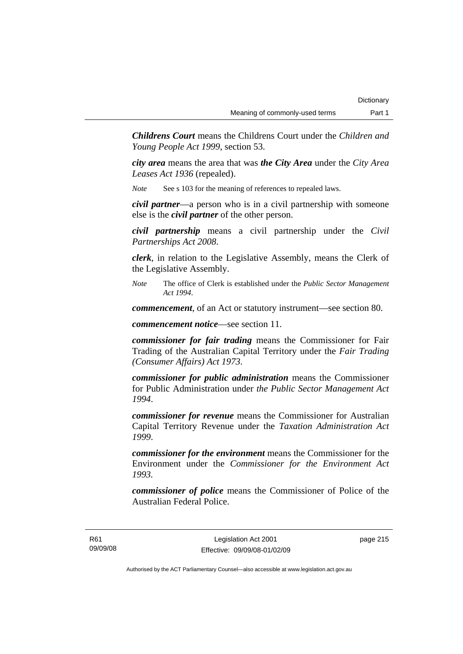*Childrens Court* means the Childrens Court under the *Children and Young People Act 1999*, section 53.

*city area* means the area that was *the City Area* under the *City Area Leases Act 1936* (repealed).

*Note* See s 103 for the meaning of references to repealed laws.

*civil partner*—a person who is in a civil partnership with someone else is the *civil partner* of the other person.

*civil partnership* means a civil partnership under the *Civil Partnerships Act 2008*.

*clerk*, in relation to the Legislative Assembly, means the Clerk of the Legislative Assembly.

*Note* The office of Clerk is established under the *Public Sector Management Act 1994*.

*commencement*, of an Act or statutory instrument—see section 80.

*commencement notice*—see section 11.

*commissioner for fair trading* means the Commissioner for Fair Trading of the Australian Capital Territory under the *Fair Trading (Consumer Affairs) Act 1973*.

*commissioner for public administration* means the Commissioner for Public Administration under *the Public Sector Management Act 1994*.

*commissioner for revenue* means the Commissioner for Australian Capital Territory Revenue under the *Taxation Administration Act 1999*.

*commissioner for the environment* means the Commissioner for the Environment under the *Commissioner for the Environment Act 1993.* 

*commissioner of police* means the Commissioner of Police of the Australian Federal Police.

R61 09/09/08

Legislation Act 2001 Effective: 09/09/08-01/02/09 page 215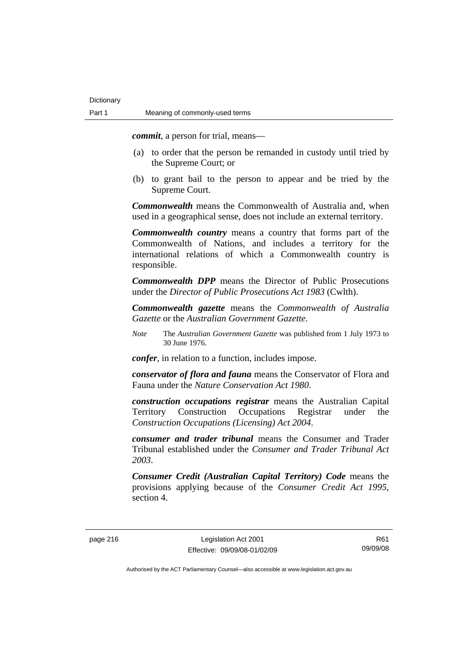*commit*, a person for trial, means—

- (a) to order that the person be remanded in custody until tried by the Supreme Court; or
- (b) to grant bail to the person to appear and be tried by the Supreme Court.

*Commonwealth* means the Commonwealth of Australia and, when used in a geographical sense, does not include an external territory.

*Commonwealth country* means a country that forms part of the Commonwealth of Nations, and includes a territory for the international relations of which a Commonwealth country is responsible.

*Commonwealth DPP* means the Director of Public Prosecutions under the *Director of Public Prosecutions Act 1983* (Cwlth).

*Commonwealth gazette* means the *Commonwealth of Australia Gazette* or the *Australian Government Gazette*.

*Note* The *Australian Government Gazette* was published from 1 July 1973 to 30 June 1976.

*confer*, in relation to a function, includes impose.

*conservator of flora and fauna* means the Conservator of Flora and Fauna under the *Nature Conservation Act 1980*.

*construction occupations registrar* means the Australian Capital Territory Construction Occupations Registrar under the *Construction Occupations (Licensing) Act 2004*.

*consumer and trader tribunal* means the Consumer and Trader Tribunal established under the *Consumer and Trader Tribunal Act 2003*.

*Consumer Credit (Australian Capital Territory) Code* means the provisions applying because of the *Consumer Credit Act 1995*, section 4.

R61 09/09/08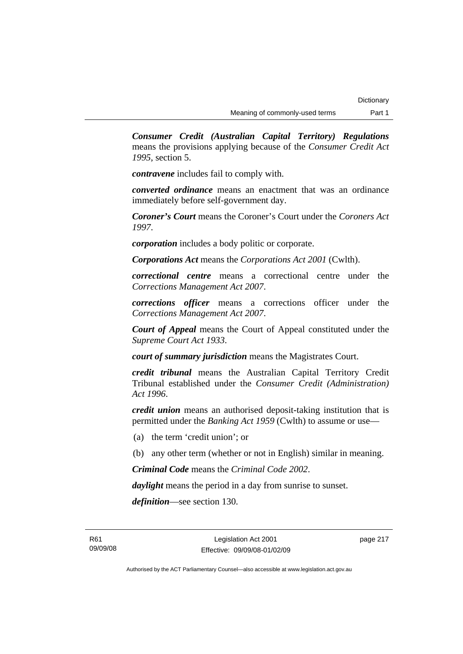*Consumer Credit (Australian Capital Territory) Regulations* means the provisions applying because of the *Consumer Credit Act 1995*, section 5.

*contravene* includes fail to comply with.

*converted ordinance* means an enactment that was an ordinance immediately before self-government day.

*Coroner's Court* means the Coroner's Court under the *Coroners Act 1997*.

*corporation* includes a body politic or corporate.

*Corporations Act* means the *Corporations Act 2001* (Cwlth).

*correctional centre* means a correctional centre under the *Corrections Management Act 2007*.

*corrections officer* means a corrections officer under the *Corrections Management Act 2007*.

*Court of Appeal* means the Court of Appeal constituted under the *Supreme Court Act 1933*.

*court of summary jurisdiction* means the Magistrates Court.

*credit tribunal* means the Australian Capital Territory Credit Tribunal established under the *Consumer Credit (Administration) Act 1996*.

*credit union* means an authorised deposit-taking institution that is permitted under the *Banking Act 1959* (Cwlth) to assume or use—

- (a) the term 'credit union'; or
- (b) any other term (whether or not in English) similar in meaning.

*Criminal Code* means the *Criminal Code 2002*.

*daylight* means the period in a day from sunrise to sunset.

*definition*—see section 130.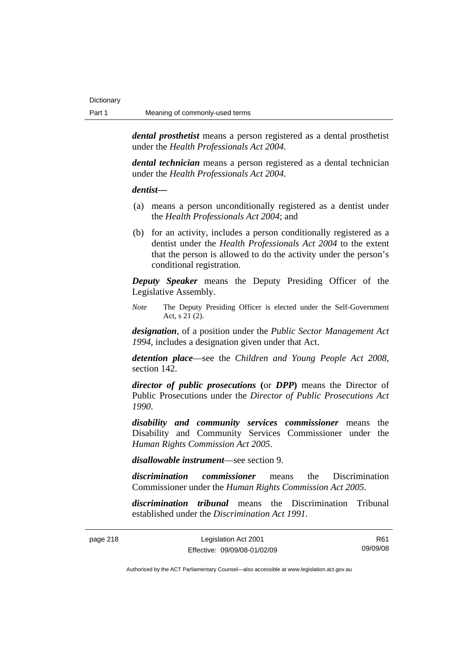*dental prosthetist* means a person registered as a dental prosthetist under the *Health Professionals Act 2004*.

*dental technician* means a person registered as a dental technician under the *Health Professionals Act 2004*.

### *dentist***—**

- (a) means a person unconditionally registered as a dentist under the *Health Professionals Act 2004*; and
- (b) for an activity, includes a person conditionally registered as a dentist under the *Health Professionals Act 2004* to the extent that the person is allowed to do the activity under the person's conditional registration.

*Deputy Speaker* means the Deputy Presiding Officer of the Legislative Assembly.

*Note* The Deputy Presiding Officer is elected under the Self-Government Act, s 21 (2).

*designation*, of a position under the *Public Sector Management Act 1994*, includes a designation given under that Act.

*detention place*—see the *Children and Young People Act 2008*, section 142.

*director of public prosecutions* **(**or *DPP***)** means the Director of Public Prosecutions under the *Director of Public Prosecutions Act 1990*.

*disability and community services commissioner* means the Disability and Community Services Commissioner under the *Human Rights Commission Act 2005*.

*disallowable instrument*—see section 9.

*discrimination commissioner* means the Discrimination Commissioner under the *Human Rights Commission Act 2005*.

*discrimination tribunal* means the Discrimination Tribunal established under the *Discrimination Act 1991*.

| page 218 i |  |
|------------|--|
|------------|--|

Legislation Act 2001 Effective: 09/09/08-01/02/09

R61 09/09/08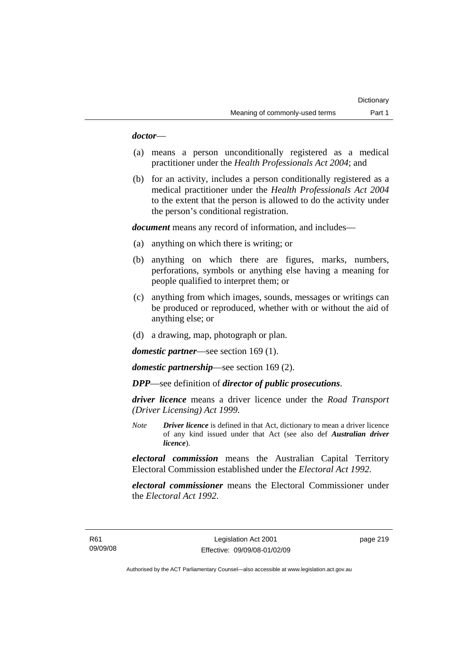## *doctor*—

- (a) means a person unconditionally registered as a medical practitioner under the *Health Professionals Act 2004*; and
- (b) for an activity, includes a person conditionally registered as a medical practitioner under the *Health Professionals Act 2004*  to the extent that the person is allowed to do the activity under the person's conditional registration.

*document* means any record of information, and includes—

- (a) anything on which there is writing; or
- (b) anything on which there are figures, marks, numbers, perforations, symbols or anything else having a meaning for people qualified to interpret them; or
- (c) anything from which images, sounds, messages or writings can be produced or reproduced, whether with or without the aid of anything else; or
- (d) a drawing, map, photograph or plan.

*domestic partner*—see section 169 (1).

*domestic partnership*—see section 169 (2).

*DPP*—see definition of *director of public prosecutions*.

*driver licence* means a driver licence under the *Road Transport (Driver Licensing) Act 1999*.

*Note Driver licence* is defined in that Act, dictionary to mean a driver licence of any kind issued under that Act (see also def *Australian driver licence*).

*electoral commission* means the Australian Capital Territory Electoral Commission established under the *Electoral Act 1992*.

*electoral commissioner* means the Electoral Commissioner under the *Electoral Act 1992*.

page 219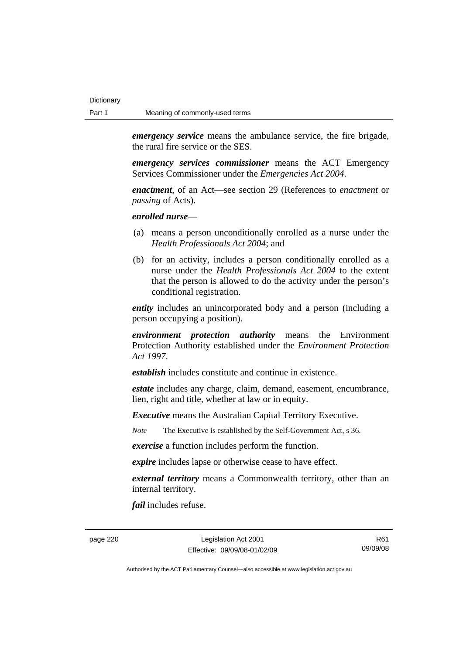*emergency service* means the ambulance service, the fire brigade, the rural fire service or the SES.

*emergency services commissioner* means the ACT Emergency Services Commissioner under the *Emergencies Act 2004*.

*enactment*, of an Act—see section 29 (References to *enactment* or *passing* of Acts).

*enrolled nurse*—

- (a) means a person unconditionally enrolled as a nurse under the *Health Professionals Act 2004*; and
- (b) for an activity, includes a person conditionally enrolled as a nurse under the *Health Professionals Act 2004* to the extent that the person is allowed to do the activity under the person's conditional registration.

*entity* includes an unincorporated body and a person (including a person occupying a position).

*environment protection authority* means the Environment Protection Authority established under the *Environment Protection Act 1997*.

*establish* includes constitute and continue in existence.

*estate* includes any charge, claim, demand, easement, encumbrance, lien, right and title, whether at law or in equity.

*Executive* means the Australian Capital Territory Executive.

*Note* The Executive is established by the Self-Government Act, s 36.

*exercise* a function includes perform the function.

*expire* includes lapse or otherwise cease to have effect.

*external territory* means a Commonwealth territory, other than an internal territory.

*fail* includes refuse.

page 220 Legislation Act 2001 Effective: 09/09/08-01/02/09

R61 09/09/08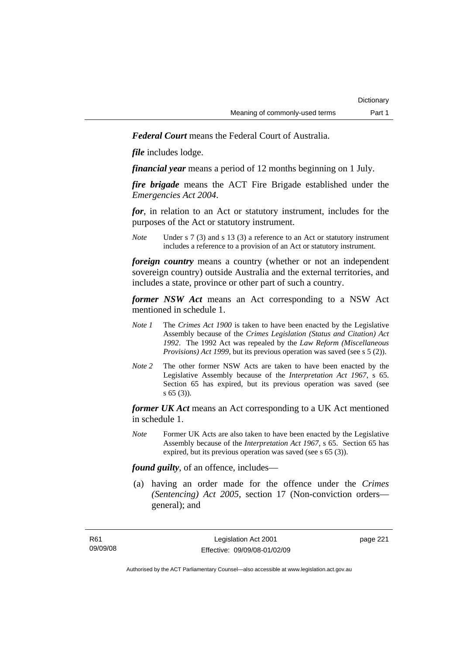*Federal Court* means the Federal Court of Australia.

*file* includes lodge.

*financial year* means a period of 12 months beginning on 1 July.

*fire brigade* means the ACT Fire Brigade established under the *Emergencies Act 2004*.

*for*, in relation to an Act or statutory instrument, includes for the purposes of the Act or statutory instrument.

*Note* Under s 7 (3) and s 13 (3) a reference to an Act or statutory instrument includes a reference to a provision of an Act or statutory instrument.

*foreign country* means a country (whether or not an independent sovereign country) outside Australia and the external territories, and includes a state, province or other part of such a country.

*former NSW Act* means an Act corresponding to a NSW Act mentioned in schedule 1.

- *Note 1* The *Crimes Act 1900* is taken to have been enacted by the Legislative Assembly because of the *Crimes Legislation (Status and Citation) Act 1992*. The 1992 Act was repealed by the *Law Reform (Miscellaneous Provisions) Act 1999*, but its previous operation was saved (see s 5 (2)).
- *Note 2* The other former NSW Acts are taken to have been enacted by the Legislative Assembly because of the *Interpretation Act 1967*, s 65. Section 65 has expired, but its previous operation was saved (see s 65 (3)).

*former UK Act* means an Act corresponding to a UK Act mentioned in schedule 1.

*Note* Former UK Acts are also taken to have been enacted by the Legislative Assembly because of the *Interpretation Act 1967*, s 65. Section 65 has expired, but its previous operation was saved (see s 65 (3)).

*found guilty*, of an offence, includes—

 (a) having an order made for the offence under the *Crimes (Sentencing) Act 2005*, section 17 (Non-conviction orders general); and

page 221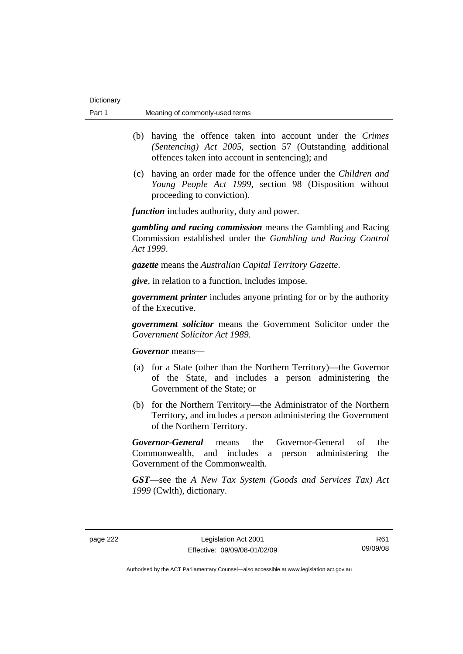- (b) having the offence taken into account under the *Crimes (Sentencing) Act 2005*, section 57 (Outstanding additional offences taken into account in sentencing); and
- (c) having an order made for the offence under the *Children and Young People Act 1999*, section 98 (Disposition without proceeding to conviction).

*function* includes authority, duty and power.

*gambling and racing commission* means the Gambling and Racing Commission established under the *Gambling and Racing Control Act 1999*.

*gazette* means the *Australian Capital Territory Gazette*.

*give*, in relation to a function, includes impose.

*government printer* includes anyone printing for or by the authority of the Executive.

*government solicitor* means the Government Solicitor under the *Government Solicitor Act 1989*.

*Governor* means—

- (a) for a State (other than the Northern Territory)—the Governor of the State, and includes a person administering the Government of the State; or
- (b) for the Northern Territory—the Administrator of the Northern Territory, and includes a person administering the Government of the Northern Territory.

*Governor-General* means the Governor-General of the Commonwealth, and includes a person administering the Government of the Commonwealth.

*GST*—see the *A New Tax System (Goods and Services Tax) Act 1999* (Cwlth), dictionary.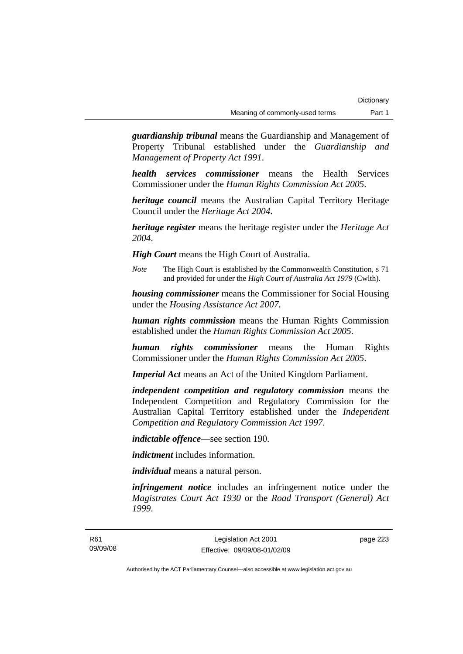*guardianship tribunal* means the Guardianship and Management of Property Tribunal established under the *Guardianship and Management of Property Act 1991*.

*health services commissioner* means the Health Services Commissioner under the *Human Rights Commission Act 2005*.

*heritage council* means the Australian Capital Territory Heritage Council under the *Heritage Act 2004*.

*heritage register* means the heritage register under the *Heritage Act 2004*.

*High Court* means the High Court of Australia.

*Note* The High Court is established by the Commonwealth Constitution, s 71 and provided for under the *High Court of Australia Act 1979* (Cwlth).

*housing commissioner* means the Commissioner for Social Housing under the *Housing Assistance Act 2007*.

*human rights commission* means the Human Rights Commission established under the *Human Rights Commission Act 2005*.

*human rights commissioner* means the Human Rights Commissioner under the *Human Rights Commission Act 2005*.

*Imperial Act* means an Act of the United Kingdom Parliament.

*independent competition and regulatory commission* means the Independent Competition and Regulatory Commission for the Australian Capital Territory established under the *Independent Competition and Regulatory Commission Act 1997*.

*indictable offence*—see section 190.

*indictment* includes information.

*individual* means a natural person.

*infringement notice* includes an infringement notice under the *Magistrates Court Act 1930* or the *Road Transport (General) Act 1999*.

page 223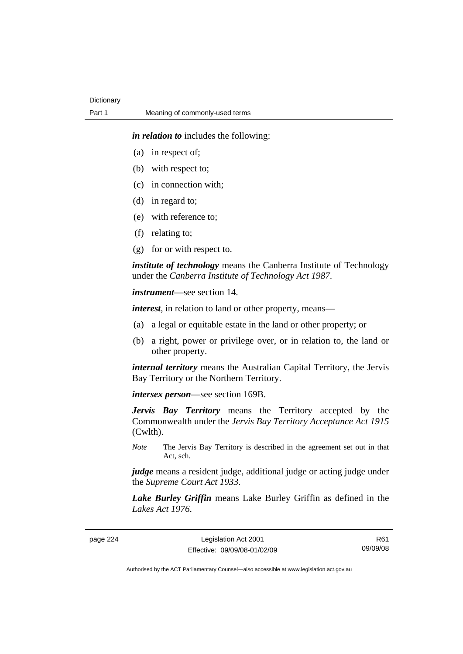*in relation to* includes the following:

- (a) in respect of;
- (b) with respect to;
- (c) in connection with;
- (d) in regard to;
- (e) with reference to;
- (f) relating to;
- (g) for or with respect to.

*institute of technology* means the Canberra Institute of Technology under the *Canberra Institute of Technology Act 1987*.

*instrument*—see section 14.

*interest*, in relation to land or other property, means—

- (a) a legal or equitable estate in the land or other property; or
- (b) a right, power or privilege over, or in relation to, the land or other property.

*internal territory* means the Australian Capital Territory, the Jervis Bay Territory or the Northern Territory.

*intersex person*—see section 169B.

*Jervis Bay Territory* means the Territory accepted by the Commonwealth under the *Jervis Bay Territory Acceptance Act 1915* (Cwlth).

*Note* The Jervis Bay Territory is described in the agreement set out in that Act, sch.

*judge* means a resident judge, additional judge or acting judge under the *Supreme Court Act 1933*.

*Lake Burley Griffin* means Lake Burley Griffin as defined in the *Lakes Act 1976*.

page 224 Legislation Act 2001 Effective: 09/09/08-01/02/09

R61 09/09/08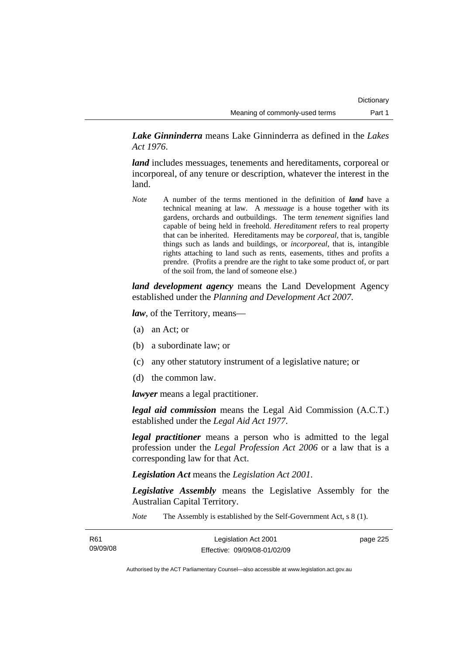*Lake Ginninderra* means Lake Ginninderra as defined in the *Lakes Act 1976*.

*land* includes messuages, tenements and hereditaments, corporeal or incorporeal, of any tenure or description, whatever the interest in the land.

*Note* A number of the terms mentioned in the definition of *land* have a technical meaning at law. A *messuage* is a house together with its gardens, orchards and outbuildings. The term *tenement* signifies land capable of being held in freehold. *Hereditament* refers to real property that can be inherited. Hereditaments may be *corporeal*, that is, tangible things such as lands and buildings, or *incorporeal*, that is, intangible rights attaching to land such as rents, easements, tithes and profits a prendre. (Profits a prendre are the right to take some product of, or part of the soil from, the land of someone else.)

*land development agency* means the Land Development Agency established under the *Planning and Development Act 2007*.

*law*, of the Territory, means—

- (a) an Act; or
- (b) a subordinate law; or
- (c) any other statutory instrument of a legislative nature; or
- (d) the common law.

*lawyer* means a legal practitioner.

*legal aid commission* means the Legal Aid Commission (A.C.T.) established under the *Legal Aid Act 1977*.

*legal practitioner* means a person who is admitted to the legal profession under the *Legal Profession Act 2006* or a law that is a corresponding law for that Act.

*Legislation Act* means the *Legislation Act 2001*.

*Legislative Assembly* means the Legislative Assembly for the Australian Capital Territory.

*Note* The Assembly is established by the Self-Government Act, s 8 (1).

| R61      | Legislation Act 2001         | page 225 |
|----------|------------------------------|----------|
| 09/09/08 | Effective: 09/09/08-01/02/09 |          |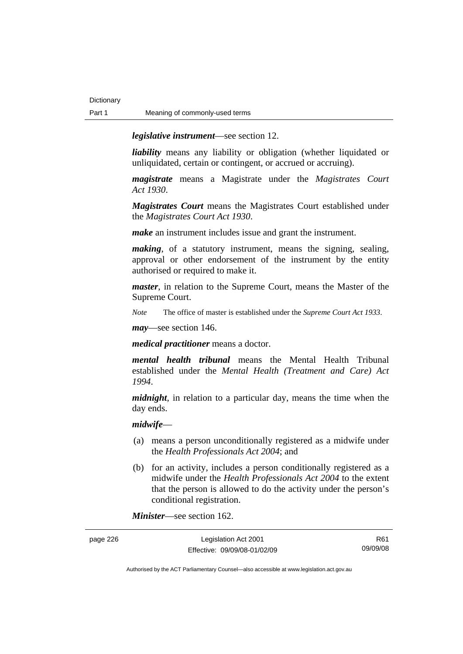*legislative instrument*—see section 12.

*liability* means any liability or obligation (whether liquidated or unliquidated, certain or contingent, or accrued or accruing).

*magistrate* means a Magistrate under the *Magistrates Court Act 1930*.

*Magistrates Court* means the Magistrates Court established under the *Magistrates Court Act 1930*.

*make* an instrument includes issue and grant the instrument.

*making*, of a statutory instrument, means the signing, sealing, approval or other endorsement of the instrument by the entity authorised or required to make it.

*master*, in relation to the Supreme Court, means the Master of the Supreme Court.

*Note* The office of master is established under the *Supreme Court Act 1933*.

*may*—see section 146.

*medical practitioner* means a doctor.

*mental health tribunal* means the Mental Health Tribunal established under the *Mental Health (Treatment and Care) Act 1994*.

*midnight*, in relation to a particular day, means the time when the day ends.

### *midwife*—

- (a) means a person unconditionally registered as a midwife under the *Health Professionals Act 2004*; and
- (b) for an activity, includes a person conditionally registered as a midwife under the *Health Professionals Act 2004* to the extent that the person is allowed to do the activity under the person's conditional registration.

*Minister*—see section 162.

| page 226 | Legislation Act 2001         | R61      |
|----------|------------------------------|----------|
|          | Effective: 09/09/08-01/02/09 | 09/09/08 |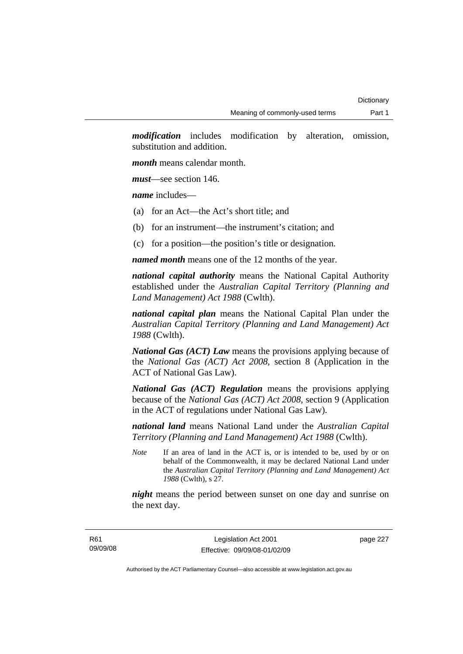*modification* includes modification by alteration, omission, substitution and addition.

*month* means calendar month.

*must*—see section 146.

*name* includes—

- (a) for an Act—the Act's short title; and
- (b) for an instrument—the instrument's citation; and
- (c) for a position—the position's title or designation.

*named month* means one of the 12 months of the year.

*national capital authority* means the National Capital Authority established under the *Australian Capital Territory (Planning and Land Management) Act 1988* (Cwlth).

*national capital plan* means the National Capital Plan under the *Australian Capital Territory (Planning and Land Management) Act 1988* (Cwlth).

*National Gas (ACT) Law* means the provisions applying because of the *National Gas (ACT) Act 2008*, section 8 (Application in the ACT of National Gas Law).

*National Gas (ACT) Regulation* means the provisions applying because of the *National Gas (ACT) Act 2008*, section 9 (Application in the ACT of regulations under National Gas Law).

*national land* means National Land under the *Australian Capital Territory (Planning and Land Management) Act 1988* (Cwlth).

*Note* If an area of land in the ACT is, or is intended to be, used by or on behalf of the Commonwealth, it may be declared National Land under the *Australian Capital Territory (Planning and Land Management) Act 1988* (Cwlth), s 27.

*night* means the period between sunset on one day and sunrise on the next day.

page 227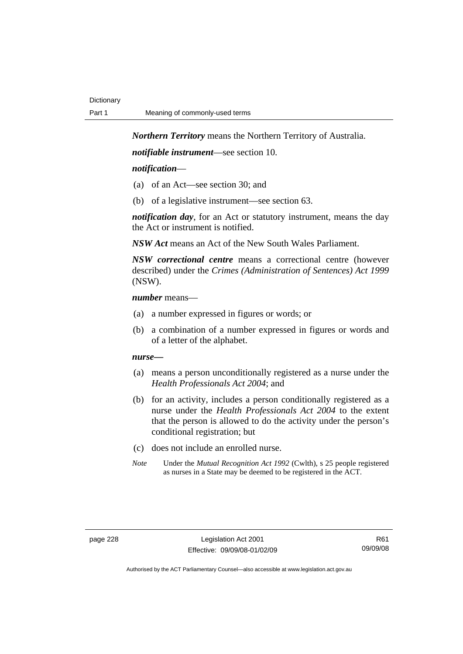*Northern Territory* means the Northern Territory of Australia.

*notifiable instrument*—see section 10.

### *notification*—

- (a) of an Act—see section 30; and
- (b) of a legislative instrument—see section 63.

*notification day*, for an Act or statutory instrument, means the day the Act or instrument is notified.

*NSW Act* means an Act of the New South Wales Parliament.

*NSW correctional centre* means a correctional centre (however described) under the *Crimes (Administration of Sentences) Act 1999* (NSW).

### *number* means—

- (a) a number expressed in figures or words; or
- (b) a combination of a number expressed in figures or words and of a letter of the alphabet.

### *nurse***—**

- (a) means a person unconditionally registered as a nurse under the *Health Professionals Act 2004*; and
- (b) for an activity, includes a person conditionally registered as a nurse under the *Health Professionals Act 2004* to the extent that the person is allowed to do the activity under the person's conditional registration; but
- (c) does not include an enrolled nurse.
- *Note* Under the *Mutual Recognition Act 1992* (Cwlth), s 25 people registered as nurses in a State may be deemed to be registered in the ACT.

R61 09/09/08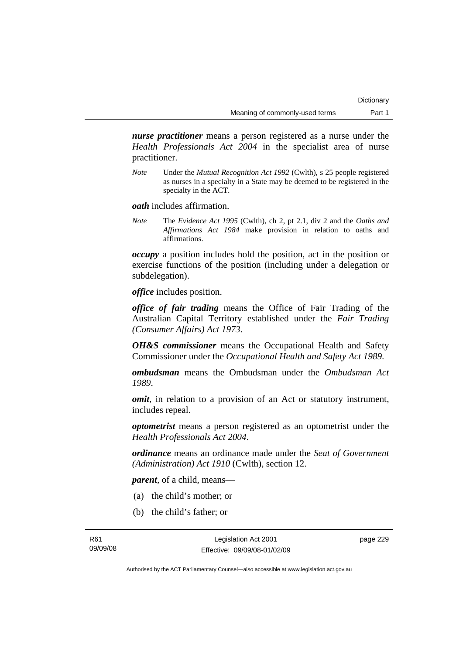*nurse practitioner* means a person registered as a nurse under the *Health Professionals Act 2004* in the specialist area of nurse practitioner.

*Note* Under the *Mutual Recognition Act 1992* (Cwlth), s 25 people registered as nurses in a specialty in a State may be deemed to be registered in the specialty in the ACT.

*oath* includes affirmation.

*Note* The *Evidence Act 1995* (Cwlth), ch 2, pt 2.1, div 2 and the *Oaths and Affirmations Act 1984* make provision in relation to oaths and affirmations.

*occupy* a position includes hold the position, act in the position or exercise functions of the position (including under a delegation or subdelegation).

*office* includes position.

*office of fair trading* means the Office of Fair Trading of the Australian Capital Territory established under the *Fair Trading (Consumer Affairs) Act 1973*.

*OH&S commissioner* means the Occupational Health and Safety Commissioner under the *Occupational Health and Safety Act 1989*.

*ombudsman* means the Ombudsman under the *Ombudsman Act 1989*.

*omit*, in relation to a provision of an Act or statutory instrument, includes repeal.

*optometrist* means a person registered as an optometrist under the *Health Professionals Act 2004*.

*ordinance* means an ordinance made under the *Seat of Government (Administration) Act 1910* (Cwlth), section 12.

*parent*, of a child, means—

- (a) the child's mother; or
- (b) the child's father; or

Legislation Act 2001 Effective: 09/09/08-01/02/09 page 229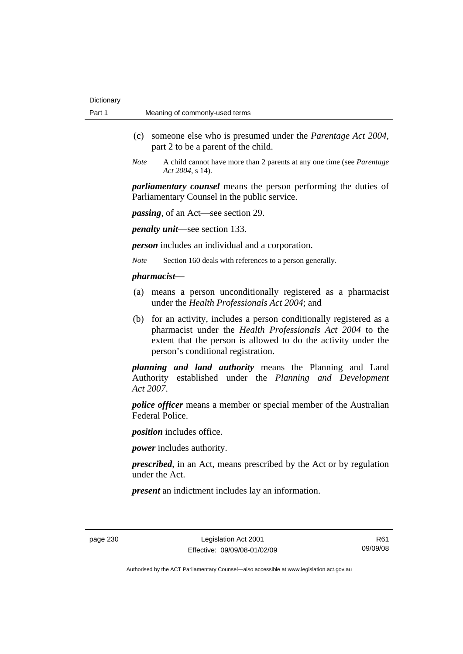- (c) someone else who is presumed under the *Parentage Act 2004*, part 2 to be a parent of the child.
- *Note* A child cannot have more than 2 parents at any one time (see *Parentage Act 2004*, s 14).

*parliamentary counsel* means the person performing the duties of Parliamentary Counsel in the public service.

*passing*, of an Act—see section 29.

*penalty unit*—see section 133.

*person* includes an individual and a corporation.

*Note* Section 160 deals with references to a person generally.

### *pharmacist***—**

- (a) means a person unconditionally registered as a pharmacist under the *Health Professionals Act 2004*; and
- (b) for an activity, includes a person conditionally registered as a pharmacist under the *Health Professionals Act 2004* to the extent that the person is allowed to do the activity under the person's conditional registration.

*planning and land authority* means the Planning and Land Authority established under the *Planning and Development Act 2007*.

*police officer* means a member or special member of the Australian Federal Police.

*position* includes office.

*power* includes authority.

*prescribed*, in an Act, means prescribed by the Act or by regulation under the Act.

*present* an indictment includes lay an information.

R61 09/09/08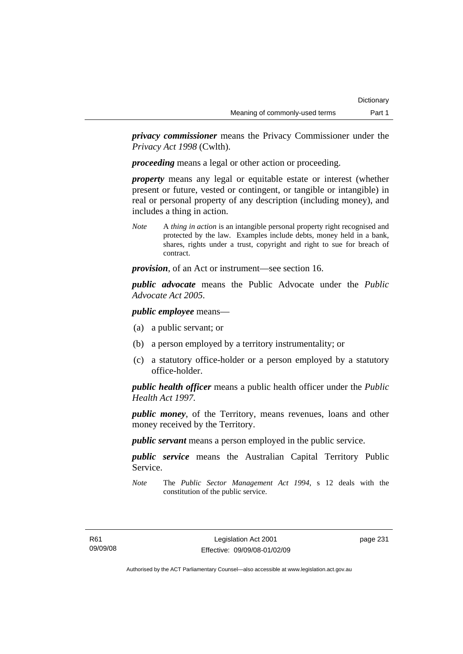*privacy commissioner* means the Privacy Commissioner under the *Privacy Act 1998* (Cwlth).

*proceeding* means a legal or other action or proceeding.

*property* means any legal or equitable estate or interest (whether present or future, vested or contingent, or tangible or intangible) in real or personal property of any description (including money), and includes a thing in action.

*Note* A *thing in action* is an intangible personal property right recognised and protected by the law. Examples include debts, money held in a bank, shares, rights under a trust, copyright and right to sue for breach of contract.

*provision*, of an Act or instrument—see section 16.

*public advocate* means the Public Advocate under the *Public Advocate Act 2005*.

*public employee* means—

- (a) a public servant; or
- (b) a person employed by a territory instrumentality; or
- (c) a statutory office-holder or a person employed by a statutory office-holder.

*public health officer* means a public health officer under the *Public Health Act 1997.*

*public money*, of the Territory, means revenues, loans and other money received by the Territory.

*public servant* means a person employed in the public service.

*public service* means the Australian Capital Territory Public Service.

*Note* The *Public Sector Management Act 1994*, s 12 deals with the constitution of the public service.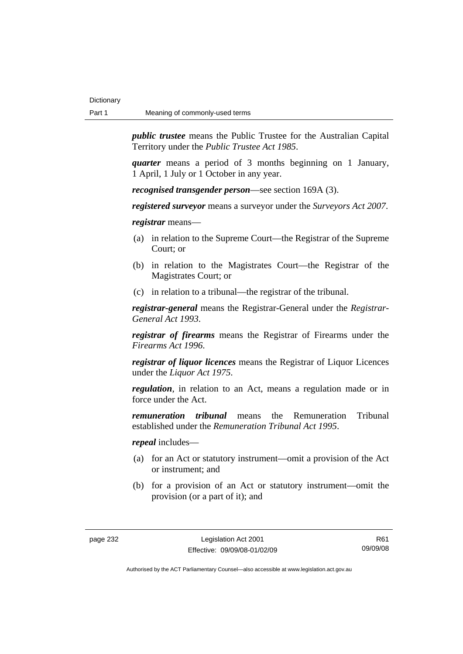*public trustee* means the Public Trustee for the Australian Capital Territory under the *Public Trustee Act 1985*.

*quarter* means a period of 3 months beginning on 1 January, 1 April, 1 July or 1 October in any year.

*recognised transgender person*—see section 169A (3).

*registered surveyor* means a surveyor under the *Surveyors Act 2007*.

*registrar* means—

- (a) in relation to the Supreme Court—the Registrar of the Supreme Court; or
- (b) in relation to the Magistrates Court—the Registrar of the Magistrates Court; or
- (c) in relation to a tribunal—the registrar of the tribunal.

*registrar-general* means the Registrar-General under the *Registrar-General Act 1993*.

*registrar of firearms* means the Registrar of Firearms under the *Firearms Act 1996*.

*registrar of liquor licences* means the Registrar of Liquor Licences under the *Liquor Act 1975*.

*regulation*, in relation to an Act, means a regulation made or in force under the Act.

*remuneration tribunal* means the Remuneration Tribunal established under the *Remuneration Tribunal Act 1995*.

*repeal* includes—

- (a) for an Act or statutory instrument—omit a provision of the Act or instrument; and
- (b) for a provision of an Act or statutory instrument—omit the provision (or a part of it); and

R61 09/09/08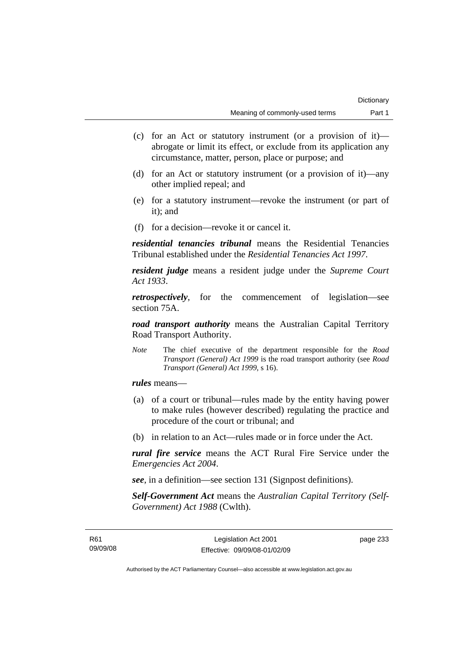- (c) for an Act or statutory instrument (or a provision of it) abrogate or limit its effect, or exclude from its application any circumstance, matter, person, place or purpose; and
- (d) for an Act or statutory instrument (or a provision of it)—any other implied repeal; and
- (e) for a statutory instrument—revoke the instrument (or part of it); and
- (f) for a decision—revoke it or cancel it.

*residential tenancies tribunal* means the Residential Tenancies Tribunal established under the *Residential Tenancies Act 1997*.

*resident judge* means a resident judge under the *Supreme Court Act 1933*.

*retrospectively*, for the commencement of legislation—see section 75A.

*road transport authority* means the Australian Capital Territory Road Transport Authority.

*Note* The chief executive of the department responsible for the *Road Transport (General) Act 1999* is the road transport authority (see *Road Transport (General) Act 1999*, s 16).

*rules* means—

- (a) of a court or tribunal—rules made by the entity having power to make rules (however described) regulating the practice and procedure of the court or tribunal; and
- (b) in relation to an Act—rules made or in force under the Act.

*rural fire service* means the ACT Rural Fire Service under the *Emergencies Act 2004*.

*see*, in a definition—see section 131 (Signpost definitions).

*Self-Government Act* means the *Australian Capital Territory (Self-Government) Act 1988* (Cwlth).

page 233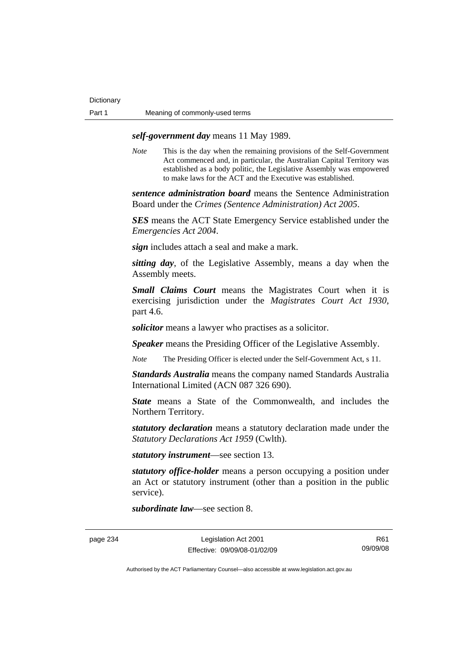## *self-government day* means 11 May 1989.

*Note* This is the day when the remaining provisions of the Self-Government Act commenced and, in particular, the Australian Capital Territory was established as a body politic, the Legislative Assembly was empowered to make laws for the ACT and the Executive was established.

*sentence administration board* means the Sentence Administration Board under the *Crimes (Sentence Administration) Act 2005*.

*SES* means the ACT State Emergency Service established under the *Emergencies Act 2004*.

*sign* includes attach a seal and make a mark.

*sitting day*, of the Legislative Assembly, means a day when the Assembly meets.

*Small Claims Court* means the Magistrates Court when it is exercising jurisdiction under the *Magistrates Court Act 1930*, part 4.6.

*solicitor* means a lawyer who practises as a solicitor.

*Speaker* means the Presiding Officer of the Legislative Assembly.

*Note* The Presiding Officer is elected under the Self-Government Act, s 11.

*Standards Australia* means the company named Standards Australia International Limited (ACN 087 326 690).

*State* means a State of the Commonwealth, and includes the Northern Territory.

*statutory declaration* means a statutory declaration made under the *Statutory Declarations Act 1959* (Cwlth).

*statutory instrument*—see section 13.

*statutory office-holder* means a person occupying a position under an Act or statutory instrument (other than a position in the public service).

*subordinate law*—see section 8.

page 234 Legislation Act 2001 Effective: 09/09/08-01/02/09

R61 09/09/08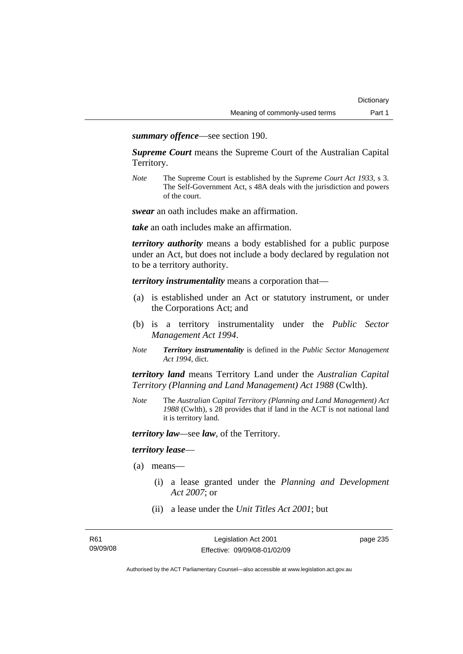*summary offence*—see section 190.

*Supreme Court* means the Supreme Court of the Australian Capital Territory.

*Note* The Supreme Court is established by the *Supreme Court Act 1933*, s 3. The Self-Government Act, s 48A deals with the jurisdiction and powers of the court.

*swear* an oath includes make an affirmation.

*take* an oath includes make an affirmation.

*territory authority* means a body established for a public purpose under an Act, but does not include a body declared by regulation not to be a territory authority.

*territory instrumentality* means a corporation that—

- (a) is established under an Act or statutory instrument, or under the Corporations Act; and
- (b) is a territory instrumentality under the *Public Sector Management Act 1994*.
- *Note Territory instrumentality* is defined in the *Public Sector Management Act 1994*, dict.

*territory land* means Territory Land under the *Australian Capital Territory (Planning and Land Management) Act 1988* (Cwlth).

*Note* The *Australian Capital Territory (Planning and Land Management) Act 1988* (Cwlth), s 28 provides that if land in the ACT is not national land it is territory land.

*territory law—*see *law*, of the Territory.

### *territory lease*—

- (a) means—
	- (i) a lease granted under the *Planning and Development Act 2007*; or
	- (ii) a lease under the *Unit Titles Act 2001*; but

Legislation Act 2001 Effective: 09/09/08-01/02/09 page 235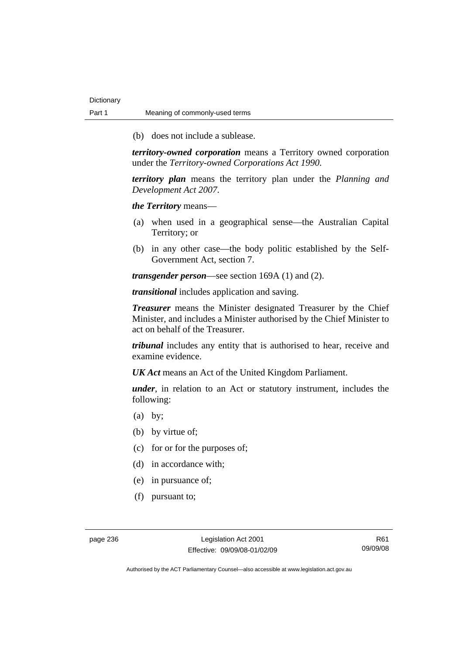(b) does not include a sublease.

*territory-owned corporation* means a Territory owned corporation under the *Territory-owned Corporations Act 1990*.

*territory plan* means the territory plan under the *Planning and Development Act 2007*.

*the Territory* means—

- (a) when used in a geographical sense—the Australian Capital Territory; or
- (b) in any other case—the body politic established by the Self-Government Act, section 7.

*transgender person*—see section 169A (1) and (2).

*transitional* includes application and saving.

*Treasurer* means the Minister designated Treasurer by the Chief Minister, and includes a Minister authorised by the Chief Minister to act on behalf of the Treasurer.

*tribunal* includes any entity that is authorised to hear, receive and examine evidence.

*UK Act* means an Act of the United Kingdom Parliament.

*under*, in relation to an Act or statutory instrument, includes the following:

- (a) by;
- (b) by virtue of;
- (c) for or for the purposes of;
- (d) in accordance with;
- (e) in pursuance of;
- (f) pursuant to;

page 236 Legislation Act 2001 Effective: 09/09/08-01/02/09

R61 09/09/08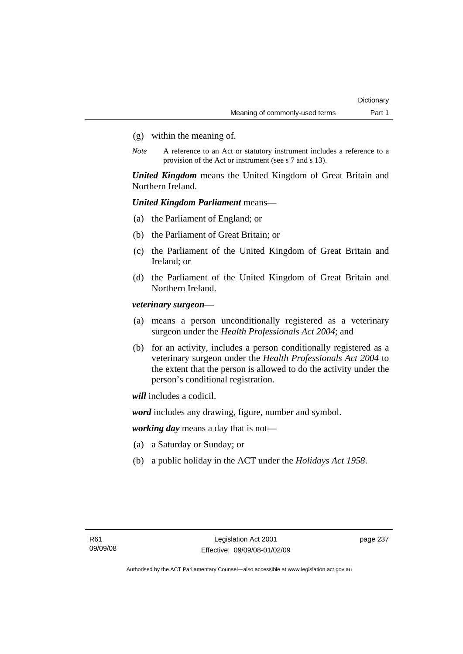- (g) within the meaning of.
- *Note* A reference to an Act or statutory instrument includes a reference to a provision of the Act or instrument (see s 7 and s 13).

*United Kingdom* means the United Kingdom of Great Britain and Northern Ireland.

## *United Kingdom Parliament* means—

- (a) the Parliament of England; or
- (b) the Parliament of Great Britain; or
- (c) the Parliament of the United Kingdom of Great Britain and Ireland; or
- (d) the Parliament of the United Kingdom of Great Britain and Northern Ireland.

*veterinary surgeon*—

- (a) means a person unconditionally registered as a veterinary surgeon under the *Health Professionals Act 2004*; and
- (b) for an activity, includes a person conditionally registered as a veterinary surgeon under the *Health Professionals Act 2004* to the extent that the person is allowed to do the activity under the person's conditional registration.

*will* includes a codicil.

*word* includes any drawing, figure, number and symbol.

*working day* means a day that is not—

- (a) a Saturday or Sunday; or
- (b) a public holiday in the ACT under the *Holidays Act 1958*.

page 237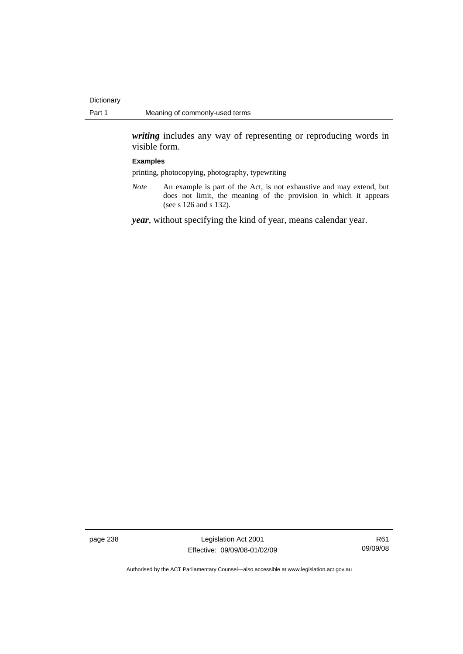*writing* includes any way of representing or reproducing words in visible form.

#### **Examples**

printing, photocopying, photography, typewriting

*Note* An example is part of the Act, is not exhaustive and may extend, but does not limit, the meaning of the provision in which it appears (see s 126 and s 132).

*year*, without specifying the kind of year, means calendar year.

page 238 Legislation Act 2001 Effective: 09/09/08-01/02/09

R61 09/09/08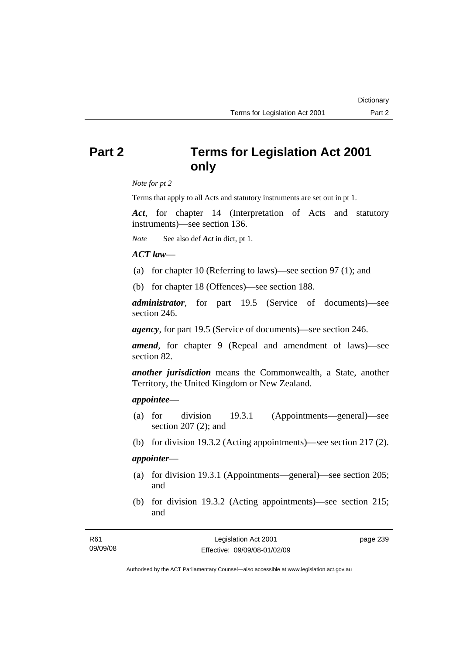# **Part 2 Terms for Legislation Act 2001 only**

*Note for pt 2* 

Terms that apply to all Acts and statutory instruments are set out in pt 1.

*Act*, for chapter 14 (Interpretation of Acts and statutory instruments)—see section 136.

*Note* See also def *Act* in dict, pt 1.

## *ACT law*—

- (a) for chapter 10 (Referring to laws)—see section 97 (1); and
- (b) for chapter 18 (Offences)—see section 188.

*administrator*, for part 19.5 (Service of documents)—see section 246.

*agency*, for part 19.5 (Service of documents)—see section 246.

*amend*, for chapter 9 (Repeal and amendment of laws)—see section 82.

*another jurisdiction* means the Commonwealth, a State, another Territory, the United Kingdom or New Zealand.

## *appointee*—

- (a) for division 19.3.1 (Appointments—general)—see section 207 (2); and
- (b) for division 19.3.2 (Acting appointments)—see section 217 (2).

## *appointer*—

- (a) for division 19.3.1 (Appointments—general)—see section 205; and
- (b) for division 19.3.2 (Acting appointments)—see section 215; and

Authorised by the ACT Parliamentary Counsel—also accessible at www.legislation.act.gov.au

**Dictionary**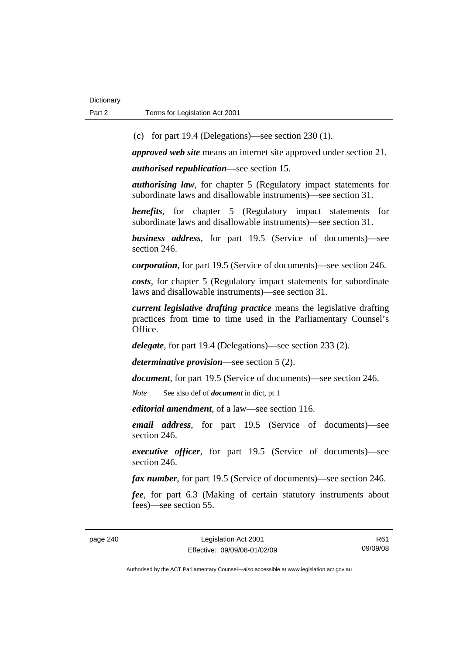(c) for part 19.4 (Delegations)—see section 230 (1).

*approved web site* means an internet site approved under section 21.

*authorised republication*—see section 15.

*authorising law*, for chapter 5 (Regulatory impact statements for subordinate laws and disallowable instruments)—see section 31.

*benefits*, for chapter 5 (Regulatory impact statements for subordinate laws and disallowable instruments)—see section 31.

*business address*, for part 19.5 (Service of documents)—see section 246.

*corporation*, for part 19.5 (Service of documents)—see section 246.

*costs*, for chapter 5 (Regulatory impact statements for subordinate laws and disallowable instruments)—see section 31.

*current legislative drafting practice* means the legislative drafting practices from time to time used in the Parliamentary Counsel's Office.

*delegate*, for part 19.4 (Delegations)—see section 233 (2).

*determinative provision*—see section 5 (2).

*document*, for part 19.5 (Service of documents)—see section 246.

*Note* See also def of *document* in dict, pt 1

*editorial amendment*, of a law—see section 116.

*email address*, for part 19.5 (Service of documents)—see section 246.

*executive officer*, for part 19.5 (Service of documents)—see section 246.

*fax number*, for part 19.5 (Service of documents)—see section 246.

*fee*, for part 6.3 (Making of certain statutory instruments about fees)—see section 55.

R61 09/09/08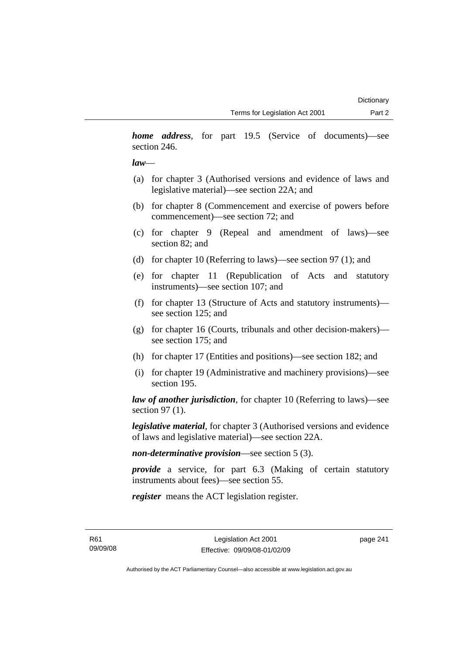*home address*, for part 19.5 (Service of documents)—see section 246.

## *law*—

- (a) for chapter 3 (Authorised versions and evidence of laws and legislative material)—see section 22A; and
- (b) for chapter 8 (Commencement and exercise of powers before commencement)—see section 72; and
- (c) for chapter 9 (Repeal and amendment of laws)—see section 82; and
- (d) for chapter 10 (Referring to laws)—see section 97 (1); and
- (e) for chapter 11 (Republication of Acts and statutory instruments)—see section 107; and
- (f) for chapter 13 (Structure of Acts and statutory instruments) see section 125; and
- (g) for chapter 16 (Courts, tribunals and other decision-makers) see section 175; and
- (h) for chapter 17 (Entities and positions)—see section 182; and
- (i) for chapter 19 (Administrative and machinery provisions)—see section 195.

*law of another jurisdiction*, for chapter 10 (Referring to laws)—see section 97 (1).

*legislative material*, for chapter 3 (Authorised versions and evidence of laws and legislative material)—see section 22A.

*non-determinative provision*—see section 5 (3).

*provide* a service, for part 6.3 (Making of certain statutory instruments about fees)—see section 55.

*register* means the ACT legislation register.

R61 09/09/08 page 241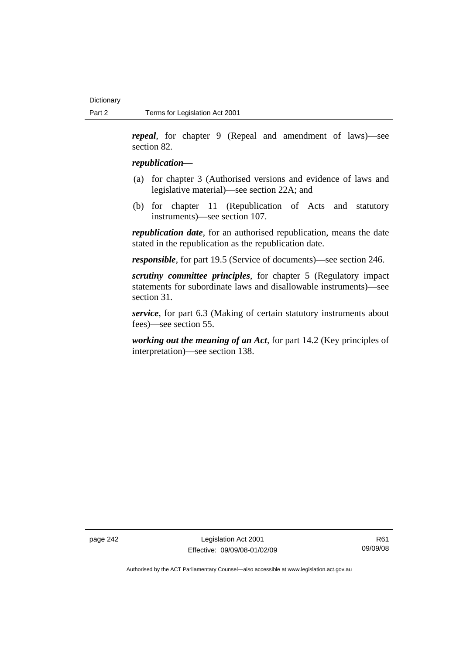*repeal*, for chapter 9 (Repeal and amendment of laws)—see section 82.

### *republication—*

- (a) for chapter 3 (Authorised versions and evidence of laws and legislative material)—see section 22A; and
- (b) for chapter 11 (Republication of Acts and statutory instruments)—see section 107.

*republication date*, for an authorised republication, means the date stated in the republication as the republication date.

*responsible*, for part 19.5 (Service of documents)—see section 246.

*scrutiny committee principles*, for chapter 5 (Regulatory impact statements for subordinate laws and disallowable instruments)—see section 31.

*service*, for part 6.3 (Making of certain statutory instruments about fees)—see section 55.

*working out the meaning of an Act*, for part 14.2 (Key principles of interpretation)—see section 138.

page 242 Legislation Act 2001 Effective: 09/09/08-01/02/09

R61 09/09/08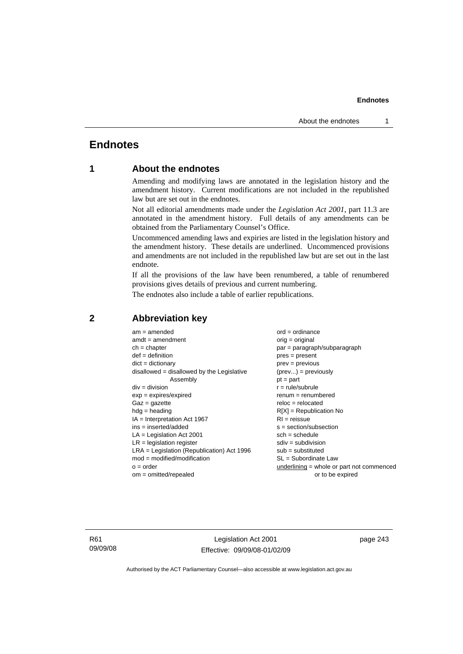# **Endnotes**

# **1 About the endnotes**

Amending and modifying laws are annotated in the legislation history and the amendment history. Current modifications are not included in the republished law but are set out in the endnotes.

Not all editorial amendments made under the *Legislation Act 2001*, part 11.3 are annotated in the amendment history. Full details of any amendments can be obtained from the Parliamentary Counsel's Office.

Uncommenced amending laws and expiries are listed in the legislation history and the amendment history. These details are underlined. Uncommenced provisions and amendments are not included in the republished law but are set out in the last endnote.

If all the provisions of the law have been renumbered, a table of renumbered provisions gives details of previous and current numbering.

The endnotes also include a table of earlier republications.

| $am = amended$                               | $ord = ordinance$                         |
|----------------------------------------------|-------------------------------------------|
| $amdt = amendment$                           | orig = original                           |
| $ch = chapter$                               | par = paragraph/subparagraph              |
| $def = definition$                           | $pres = present$                          |
| $dict = dictionary$                          | $prev = previous$                         |
| disallowed = disallowed by the Legislative   | $(\text{prev}) = \text{previously}$       |
| Assembly                                     | $pt = part$                               |
| $div = division$                             | $r = rule/subrule$                        |
| $exp = expires/expired$                      | $renum = renumbered$                      |
| $Gaz = gazette$                              | $reloc = relocated$                       |
| $hdg =$ heading                              | $R[X]$ = Republication No                 |
| $IA = Interpretation Act 1967$               | $RI = reissue$                            |
| $ins = inserted/added$                       | $s = section/subsection$                  |
| $LA =$ Legislation Act 2001                  | $sch = schedule$                          |
| $LR =$ legislation register                  | $sdiv = subdivision$                      |
| $LRA =$ Legislation (Republication) Act 1996 | $sub =$ substituted                       |
| $mod = modified/modification$                | SL = Subordinate Law                      |
| $o = order$                                  | underlining = whole or part not commenced |
| $om = omitted/repealed$                      | or to be expired                          |
|                                              |                                           |

## **2 Abbreviation key**

R61 09/09/08

Legislation Act 2001 Effective: 09/09/08-01/02/09 page 243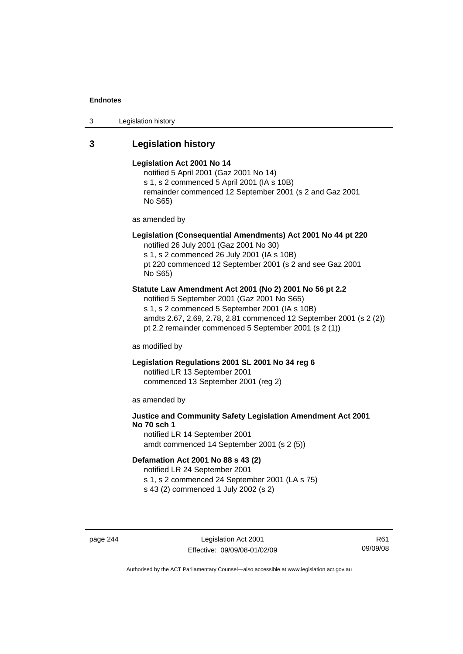3 Legislation history

# **3 Legislation history**

#### **Legislation Act 2001 No 14**

notified 5 April 2001 (Gaz 2001 No 14) s 1, s 2 commenced 5 April 2001 (IA s 10B) remainder commenced 12 September 2001 (s 2 and Gaz 2001 No S65)

as amended by

# **Legislation (Consequential Amendments) Act 2001 No 44 pt 220**

notified 26 July 2001 (Gaz 2001 No 30) s 1, s 2 commenced 26 July 2001 (IA s 10B) pt 220 commenced 12 September 2001 (s 2 and see Gaz 2001 No S65)

### **Statute Law Amendment Act 2001 (No 2) 2001 No 56 pt 2.2**

notified 5 September 2001 (Gaz 2001 No S65) s 1, s 2 commenced 5 September 2001 (IA s 10B) amdts 2.67, 2.69, 2.78, 2.81 commenced 12 September 2001 (s 2 (2)) pt 2.2 remainder commenced 5 September 2001 (s 2 (1))

as modified by

## **Legislation Regulations 2001 SL 2001 No 34 reg 6**

notified LR 13 September 2001 commenced 13 September 2001 (reg 2)

as amended by

# **Justice and Community Safety Legislation Amendment Act 2001 No 70 sch 1**

notified LR 14 September 2001 amdt commenced 14 September 2001 (s 2 (5))

# **Defamation Act 2001 No 88 s 43 (2)**

notified LR 24 September 2001

s 1, s 2 commenced 24 September 2001 (LA s 75)

s 43 (2) commenced 1 July 2002 (s 2)

page 244 Legislation Act 2001 Effective: 09/09/08-01/02/09

R61 09/09/08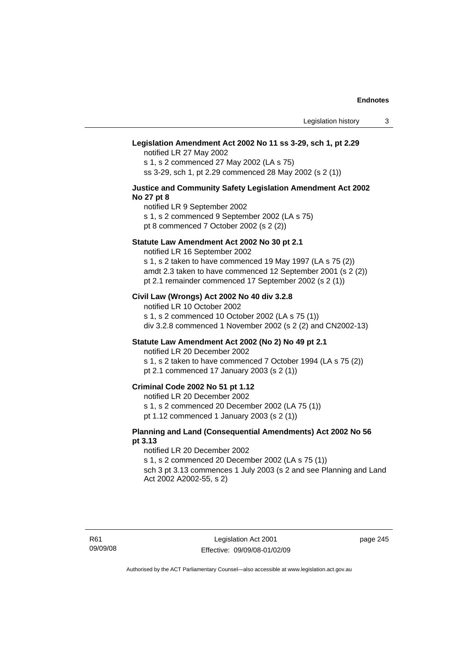#### **Legislation Amendment Act 2002 No 11 ss 3-29, sch 1, pt 2.29**

notified LR 27 May 2002 s 1, s 2 commenced 27 May 2002 (LA s 75) ss 3-29, sch 1, pt 2.29 commenced 28 May 2002 (s 2 (1))

#### **Justice and Community Safety Legislation Amendment Act 2002 No 27 pt 8**

notified LR 9 September 2002 s 1, s 2 commenced 9 September 2002 (LA s 75)

pt 8 commenced 7 October 2002 (s 2 (2))

### **Statute Law Amendment Act 2002 No 30 pt 2.1**

notified LR 16 September 2002 s 1, s 2 taken to have commenced 19 May 1997 (LA s 75 (2)) amdt 2.3 taken to have commenced 12 September 2001 (s 2 (2))

pt 2.1 remainder commenced 17 September 2002 (s 2 (1))

## **Civil Law (Wrongs) Act 2002 No 40 div 3.2.8**

notified LR 10 October 2002 s 1, s 2 commenced 10 October 2002 (LA s 75 (1)) div 3.2.8 commenced 1 November 2002 (s 2 (2) and CN2002-13)

### **Statute Law Amendment Act 2002 (No 2) No 49 pt 2.1**

notified LR 20 December 2002

s 1, s 2 taken to have commenced 7 October 1994 (LA s 75 (2)) pt 2.1 commenced 17 January 2003 (s 2 (1))

## **Criminal Code 2002 No 51 pt 1.12**

notified LR 20 December 2002

s 1, s 2 commenced 20 December 2002 (LA 75 (1))

pt 1.12 commenced 1 January 2003 (s 2 (1))

### **Planning and Land (Consequential Amendments) Act 2002 No 56 pt 3.13**

#### notified LR 20 December 2002

s 1, s 2 commenced 20 December 2002 (LA s 75 (1)) sch 3 pt 3.13 commences 1 July 2003 (s 2 and see Planning and Land

Act 2002 A2002-55, s 2)

page 245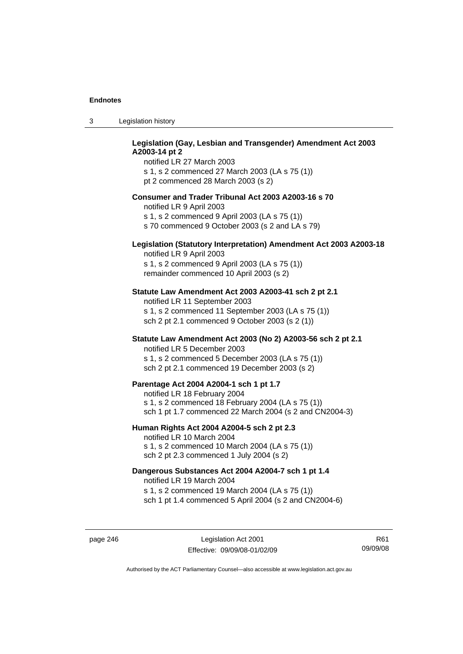| -3 | Legislation history |  |
|----|---------------------|--|
|----|---------------------|--|

## **Legislation (Gay, Lesbian and Transgender) Amendment Act 2003 A2003-14 pt 2**

notified LR 27 March 2003 s 1, s 2 commenced 27 March 2003 (LA s 75 (1)) pt 2 commenced 28 March 2003 (s 2)

#### **Consumer and Trader Tribunal Act 2003 A2003-16 s 70**

notified LR 9 April 2003

s 1, s 2 commenced 9 April 2003 (LA s 75 (1))

s 70 commenced 9 October 2003 (s 2 and LA s 79)

# **Legislation (Statutory Interpretation) Amendment Act 2003 A2003-18**

notified LR 9 April 2003 s 1, s 2 commenced 9 April 2003 (LA s 75 (1)) remainder commenced 10 April 2003 (s 2)

#### **Statute Law Amendment Act 2003 A2003-41 sch 2 pt 2.1**

notified LR 11 September 2003 s 1, s 2 commenced 11 September 2003 (LA s 75 (1)) sch 2 pt 2.1 commenced 9 October 2003 (s 2 (1))

## **Statute Law Amendment Act 2003 (No 2) A2003-56 sch 2 pt 2.1**

notified LR 5 December 2003 s 1, s 2 commenced 5 December 2003 (LA s 75 (1)) sch 2 pt 2.1 commenced 19 December 2003 (s 2)

#### **Parentage Act 2004 A2004-1 sch 1 pt 1.7**

notified LR 18 February 2004 s 1, s 2 commenced 18 February 2004 (LA s 75 (1)) sch 1 pt 1.7 commenced 22 March 2004 (s 2 and CN2004-3)

#### **Human Rights Act 2004 A2004-5 sch 2 pt 2.3**

notified LR 10 March 2004 s 1, s 2 commenced 10 March 2004 (LA s 75 (1)) sch 2 pt 2.3 commenced 1 July 2004 (s 2)

#### **Dangerous Substances Act 2004 A2004-7 sch 1 pt 1.4**

notified LR 19 March 2004 s 1, s 2 commenced 19 March 2004 (LA s 75 (1)) sch 1 pt 1.4 commenced 5 April 2004 (s 2 and CN2004-6)

page 246 Legislation Act 2001 Effective: 09/09/08-01/02/09

R61 09/09/08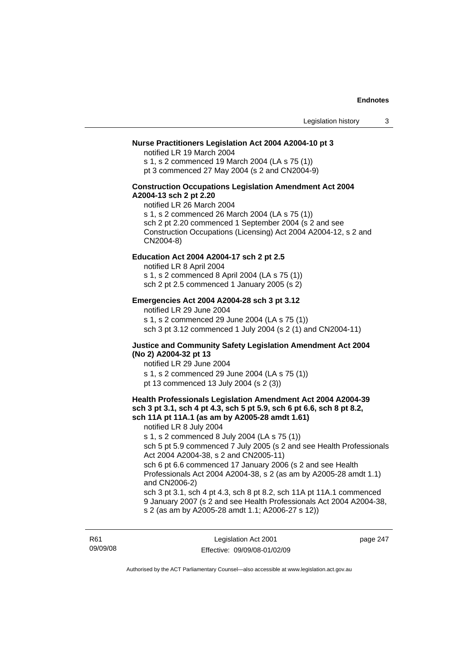## **Nurse Practitioners Legislation Act 2004 A2004-10 pt 3**

notified LR 19 March 2004 s 1, s 2 commenced 19 March 2004 (LA s 75 (1)) pt 3 commenced 27 May 2004 (s 2 and CN2004-9)

#### **Construction Occupations Legislation Amendment Act 2004 A2004-13 sch 2 pt 2.20**

notified LR 26 March 2004 s 1, s 2 commenced 26 March 2004 (LA s 75 (1)) sch 2 pt 2.20 commenced 1 September 2004 (s 2 and see Construction Occupations (Licensing) Act 2004 A2004-12, s 2 and CN2004-8)

#### **Education Act 2004 A2004-17 sch 2 pt 2.5**

notified LR 8 April 2004 s 1, s 2 commenced 8 April 2004 (LA s 75 (1)) sch 2 pt 2.5 commenced 1 January 2005 (s 2)

#### **Emergencies Act 2004 A2004-28 sch 3 pt 3.12**

notified LR 29 June 2004

s 1, s 2 commenced 29 June 2004 (LA s 75 (1)) sch 3 pt 3.12 commenced 1 July 2004 (s 2 (1) and CN2004-11)

#### **Justice and Community Safety Legislation Amendment Act 2004 (No 2) A2004-32 pt 13**

notified LR 29 June 2004 s 1, s 2 commenced 29 June 2004 (LA s 75 (1)) pt 13 commenced 13 July 2004 (s 2 (3))

#### **Health Professionals Legislation Amendment Act 2004 A2004-39 sch 3 pt 3.1, sch 4 pt 4.3, sch 5 pt 5.9, sch 6 pt 6.6, sch 8 pt 8.2, sch 11A pt 11A.1 (as am by A2005-28 amdt 1.61)**

notified LR 8 July 2004 s 1, s 2 commenced 8 July 2004 (LA s 75 (1)) sch 5 pt 5.9 commenced 7 July 2005 (s 2 and see Health Professionals Act 2004 A2004-38, s 2 and CN2005-11) sch 6 pt 6.6 commenced 17 January 2006 (s 2 and see Health Professionals Act 2004 A2004-38, s 2 (as am by A2005-28 amdt 1.1) and CN2006-2) sch 3 pt 3.1, sch 4 pt 4.3, sch 8 pt 8.2, sch 11A pt 11A.1 commenced

9 January 2007 (s 2 and see Health Professionals Act 2004 A2004-38, s 2 (as am by A2005-28 amdt 1.1; A2006-27 s 12))

R61 09/09/08

Legislation Act 2001 Effective: 09/09/08-01/02/09 page 247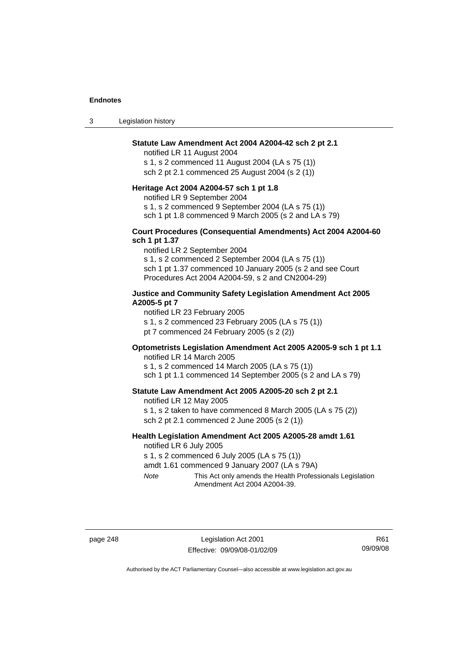3 Legislation history

### **Statute Law Amendment Act 2004 A2004-42 sch 2 pt 2.1**

notified LR 11 August 2004 s 1, s 2 commenced 11 August 2004 (LA s 75 (1)) sch 2 pt 2.1 commenced 25 August 2004 (s 2 (1))

#### **Heritage Act 2004 A2004-57 sch 1 pt 1.8**

notified LR 9 September 2004

s 1, s 2 commenced 9 September 2004 (LA s 75 (1))

sch 1 pt 1.8 commenced 9 March 2005 (s 2 and LA s 79)

#### **Court Procedures (Consequential Amendments) Act 2004 A2004-60 sch 1 pt 1.37**

notified LR 2 September 2004 s 1, s 2 commenced 2 September 2004 (LA s 75 (1)) sch 1 pt 1.37 commenced 10 January 2005 (s 2 and see Court Procedures Act 2004 A2004-59, s 2 and CN2004-29)

### **Justice and Community Safety Legislation Amendment Act 2005 A2005-5 pt 7**

notified LR 23 February 2005

s 1, s 2 commenced 23 February 2005 (LA s 75 (1))

pt 7 commenced 24 February 2005 (s 2 (2))

# **Optometrists Legislation Amendment Act 2005 A2005-9 sch 1 pt 1.1**

notified LR 14 March 2005 s 1, s 2 commenced 14 March 2005 (LA s 75 (1)) sch 1 pt 1.1 commenced 14 September 2005 (s 2 and LA s 79)

#### **Statute Law Amendment Act 2005 A2005-20 sch 2 pt 2.1**

notified LR 12 May 2005 s 1, s 2 taken to have commenced 8 March 2005 (LA s 75 (2)) sch 2 pt 2.1 commenced 2 June 2005 (s 2 (1))

#### **Health Legislation Amendment Act 2005 A2005-28 amdt 1.61**  notified LR 6 July 2005

s 1, s 2 commenced 6 July 2005 (LA s 75 (1))

amdt 1.61 commenced 9 January 2007 (LA s 79A)

*Note* This Act only amends the Health Professionals Legislation Amendment Act 2004 A2004-39.

page 248 Legislation Act 2001 Effective: 09/09/08-01/02/09

R61 09/09/08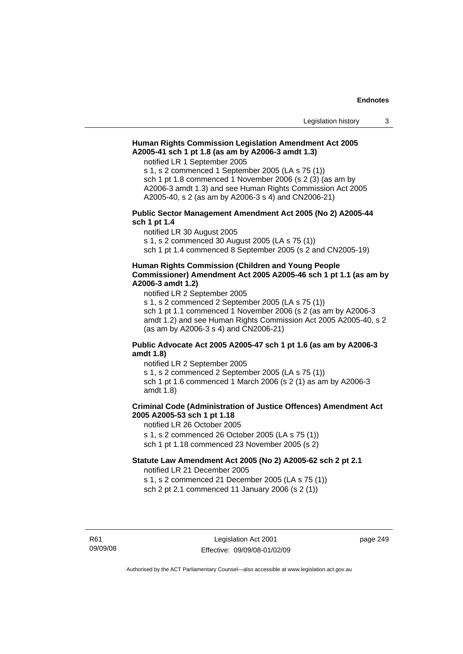## **Human Rights Commission Legislation Amendment Act 2005 A2005-41 sch 1 pt 1.8 (as am by A2006-3 amdt 1.3)**

notified LR 1 September 2005

s 1, s 2 commenced 1 September 2005 (LA s 75 (1)) sch 1 pt 1.8 commenced 1 November 2006 (s 2 (3) (as am by A2006-3 amdt 1.3) and see Human Rights Commission Act 2005 A2005-40, s 2 (as am by A2006-3 s 4) and CN2006-21)

#### **Public Sector Management Amendment Act 2005 (No 2) A2005-44 sch 1 pt 1.4**

notified LR 30 August 2005

s 1, s 2 commenced 30 August 2005 (LA s 75 (1))

sch 1 pt 1.4 commenced 8 September 2005 (s 2 and CN2005-19)

## **Human Rights Commission (Children and Young People Commissioner) Amendment Act 2005 A2005-46 sch 1 pt 1.1 (as am by A2006-3 amdt 1.2)**

notified LR 2 September 2005

s 1, s 2 commenced 2 September 2005 (LA s 75 (1)) sch 1 pt 1.1 commenced 1 November 2006 (s 2 (as am by A2006-3 amdt 1.2) and see Human Rights Commission Act 2005 A2005-40, s 2 (as am by A2006-3 s 4) and CN2006-21)

## **Public Advocate Act 2005 A2005-47 sch 1 pt 1.6 (as am by A2006-3 amdt 1.8)**

notified LR 2 September 2005 s 1, s 2 commenced 2 September 2005 (LA s 75 (1)) sch 1 pt 1.6 commenced 1 March 2006 (s 2 (1) as am by A2006-3 amdt 1.8)

# **Criminal Code (Administration of Justice Offences) Amendment Act 2005 A2005-53 sch 1 pt 1.18**

notified LR 26 October 2005 s 1, s 2 commenced 26 October 2005 (LA s 75 (1)) sch 1 pt 1.18 commenced 23 November 2005 (s 2)

# **Statute Law Amendment Act 2005 (No 2) A2005-62 sch 2 pt 2.1**

notified LR 21 December 2005 s 1, s 2 commenced 21 December 2005 (LA s 75 (1))

sch 2 pt 2.1 commenced 11 January 2006 (s 2 (1))

R61 09/09/08 page 249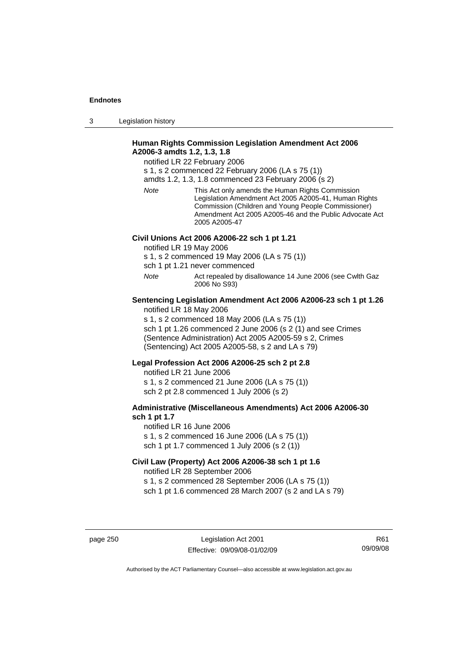3 Legislation history

## **Human Rights Commission Legislation Amendment Act 2006 A2006-3 amdts 1.2, 1.3, 1.8**

notified LR 22 February 2006

s 1, s 2 commenced 22 February 2006 (LA s 75 (1))

amdts 1.2, 1.3, 1.8 commenced 23 February 2006 (s 2)

*Note* This Act only amends the Human Rights Commission Legislation Amendment Act 2005 A2005-41, Human Rights Commission (Children and Young People Commissioner) Amendment Act 2005 A2005-46 and the Public Advocate Act 2005 A2005-47

## **Civil Unions Act 2006 A2006-22 sch 1 pt 1.21**

notified LR 19 May 2006

s 1, s 2 commenced 19 May 2006 (LA s 75 (1))

sch 1 pt 1.21 never commenced

*Note* Act repealed by disallowance 14 June 2006 (see Cwlth Gaz 2006 No S93)

#### **Sentencing Legislation Amendment Act 2006 A2006-23 sch 1 pt 1.26**  notified LR 18 May 2006

s 1, s 2 commenced 18 May 2006 (LA s 75 (1)) sch 1 pt 1.26 commenced 2 June 2006 (s 2 (1) and see Crimes (Sentence Administration) Act 2005 A2005-59 s 2, Crimes (Sentencing) Act 2005 A2005-58, s 2 and LA s 79)

## **Legal Profession Act 2006 A2006-25 sch 2 pt 2.8**

notified LR 21 June 2006 s 1, s 2 commenced 21 June 2006 (LA s 75 (1)) sch 2 pt 2.8 commenced 1 July 2006 (s 2)

## **Administrative (Miscellaneous Amendments) Act 2006 A2006-30 sch 1 pt 1.7**

notified LR 16 June 2006 s 1, s 2 commenced 16 June 2006 (LA s 75 (1)) sch 1 pt 1.7 commenced 1 July 2006 (s 2 (1))

# **Civil Law (Property) Act 2006 A2006-38 sch 1 pt 1.6**  notified LR 28 September 2006

s 1, s 2 commenced 28 September 2006 (LA s 75 (1)) sch 1 pt 1.6 commenced 28 March 2007 (s 2 and LA s 79)

page 250 Legislation Act 2001 Effective: 09/09/08-01/02/09

R61 09/09/08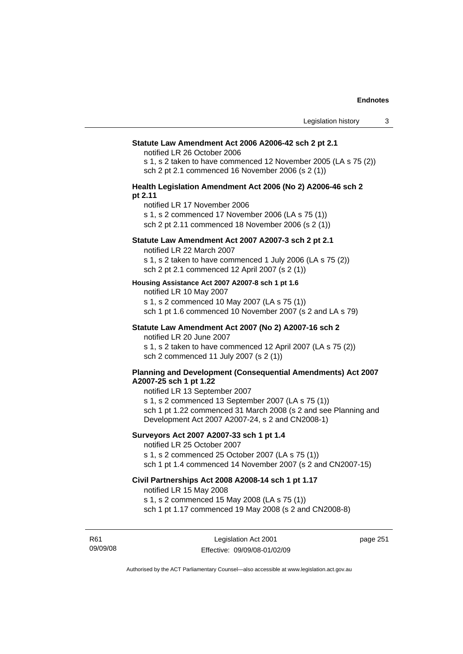#### **Statute Law Amendment Act 2006 A2006-42 sch 2 pt 2.1**

notified LR 26 October 2006

s 1, s 2 taken to have commenced 12 November 2005 (LA s 75 (2)) sch 2 pt 2.1 commenced 16 November 2006 (s 2 (1))

#### **Health Legislation Amendment Act 2006 (No 2) A2006-46 sch 2 pt 2.11**

notified LR 17 November 2006

s 1, s 2 commenced 17 November 2006 (LA s 75 (1))

sch 2 pt 2.11 commenced 18 November 2006 (s 2 (1))

## **Statute Law Amendment Act 2007 A2007-3 sch 2 pt 2.1**

notified LR 22 March 2007

s 1, s 2 taken to have commenced 1 July 2006 (LA s 75 (2)) sch 2 pt 2.1 commenced 12 April 2007 (s 2 (1))

#### **Housing Assistance Act 2007 A2007-8 sch 1 pt 1.6**

notified LR 10 May 2007

s 1, s 2 commenced 10 May 2007 (LA s 75 (1)) sch 1 pt 1.6 commenced 10 November 2007 (s 2 and LA s 79)

# **Statute Law Amendment Act 2007 (No 2) A2007-16 sch 2**

notified LR 20 June 2007

s 1, s 2 taken to have commenced 12 April 2007 (LA s 75 (2)) sch 2 commenced 11 July 2007 (s 2 (1))

#### **Planning and Development (Consequential Amendments) Act 2007 A2007-25 sch 1 pt 1.22**

notified LR 13 September 2007

s 1, s 2 commenced 13 September 2007 (LA s 75 (1)) sch 1 pt 1.22 commenced 31 March 2008 (s 2 and see Planning and Development Act 2007 A2007-24, s 2 and CN2008-1)

## **Surveyors Act 2007 A2007-33 sch 1 pt 1.4**

notified LR 25 October 2007

s 1, s 2 commenced 25 October 2007 (LA s 75 (1))

sch 1 pt 1.4 commenced 14 November 2007 (s 2 and CN2007-15)

## **Civil Partnerships Act 2008 A2008-14 sch 1 pt 1.17**

notified LR 15 May 2008

s 1, s 2 commenced 15 May 2008 (LA s 75 (1))

sch 1 pt 1.17 commenced 19 May 2008 (s 2 and CN2008-8)

R61 09/09/08

Legislation Act 2001 Effective: 09/09/08-01/02/09 page 251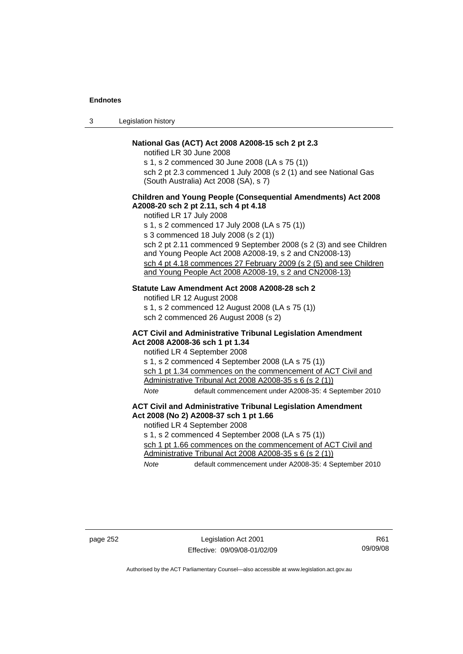| Legislation history<br>-3 |  |
|---------------------------|--|
|---------------------------|--|

## **National Gas (ACT) Act 2008 A2008-15 sch 2 pt 2.3**

notified LR 30 June 2008

s 1, s 2 commenced 30 June 2008 (LA s 75 (1)) sch 2 pt 2.3 commenced 1 July 2008 (s 2 (1) and see National Gas (South Australia) Act 2008 (SA), s 7)

## **Children and Young People (Consequential Amendments) Act 2008 A2008-20 sch 2 pt 2.11, sch 4 pt 4.18**

notified LR 17 July 2008

s 1, s 2 commenced 17 July 2008 (LA s 75 (1)) s 3 commenced 18 July 2008 (s 2 (1)) sch 2 pt 2.11 commenced 9 September 2008 (s 2 (3) and see Children and Young People Act 2008 A2008-19, s 2 and CN2008-13) sch 4 pt 4.18 commences 27 February 2009 (s 2 (5) and see Children and Young People Act 2008 A2008-19, s 2 and CN2008-13)

## **Statute Law Amendment Act 2008 A2008-28 sch 2**

notified LR 12 August 2008 s 1, s 2 commenced 12 August 2008 (LA s 75 (1)) sch 2 commenced 26 August 2008 (s 2)

### **ACT Civil and Administrative Tribunal Legislation Amendment Act 2008 A2008-36 sch 1 pt 1.34**

notified LR 4 September 2008

s 1, s 2 commenced 4 September 2008 (LA s 75 (1)) sch 1 pt 1.34 commences on the commencement of ACT Civil and Administrative Tribunal Act 2008 A2008-35 s 6 (s 2 (1)) *Note* default commencement under A2008-35: 4 September 2010

#### **ACT Civil and Administrative Tribunal Legislation Amendment Act 2008 (No 2) A2008-37 sch 1 pt 1.66**

notified LR 4 September 2008

s 1, s 2 commenced 4 September 2008 (LA s 75 (1))

sch 1 pt 1.66 commences on the commencement of ACT Civil and Administrative Tribunal Act 2008 A2008-35 s 6 (s 2 (1))

*Note* default commencement under A2008-35: 4 September 2010

page 252 Legislation Act 2001 Effective: 09/09/08-01/02/09

R61 09/09/08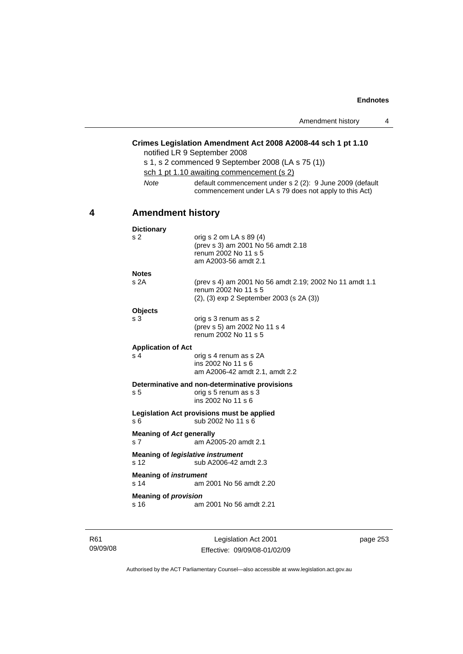# **Crimes Legislation Amendment Act 2008 A2008-44 sch 1 pt 1.10**

notified LR 9 September 2008

|             | s 1, s 2 commenced 9 September 2008 (LA s 75 (1))                                                                  |
|-------------|--------------------------------------------------------------------------------------------------------------------|
|             | sch 1 pt 1.10 awaiting commencement (s 2)                                                                          |
| <b>Note</b> | default commencement under s 2 (2): 9 June 2009 (default<br>commencement under LA s 79 does not apply to this Act) |

# **4 Amendment history**

| <b>Dictionary</b>                                 |                                                                                                                             |
|---------------------------------------------------|-----------------------------------------------------------------------------------------------------------------------------|
| s <sub>2</sub>                                    | orig s 2 om LA s 89 (4)<br>(prev s 3) am 2001 No 56 amdt 2.18<br>renum 2002 No 11 s 5<br>am A2003-56 amdt 2.1               |
| <b>Notes</b>                                      |                                                                                                                             |
| s <sub>2A</sub>                                   | (prev s 4) am 2001 No 56 amdt 2.19; 2002 No 11 amdt 1.1<br>renum 2002 No 11 s 5<br>(2), (3) exp 2 September 2003 (s 2A (3)) |
| <b>Objects</b>                                    |                                                                                                                             |
| s <sub>3</sub>                                    | orig s 3 renum as s 2<br>(prev s 5) am 2002 No 11 s 4<br>renum 2002 No 11 s 5                                               |
| <b>Application of Act</b>                         |                                                                                                                             |
| s <sub>4</sub>                                    | orig s 4 renum as s 2A<br>ins 2002 No 11 s 6<br>am A2006-42 amdt 2.1, amdt 2.2                                              |
|                                                   | Determinative and non-determinative provisions                                                                              |
| s <sub>5</sub>                                    | orig s 5 renum as s 3<br>ins 2002 No 11 s 6                                                                                 |
| s <sub>6</sub>                                    | Legislation Act provisions must be applied<br>sub 2002 No 11 s 6                                                            |
| <b>Meaning of Act generally</b><br>s <sub>7</sub> | am A2005-20 amdt 2.1                                                                                                        |
| Meaning of legislative instrument<br>s 12         | sub A2006-42 amdt 2.3                                                                                                       |
| <b>Meaning of instrument</b><br>s <sub>14</sub>   | am 2001 No 56 amdt 2.20                                                                                                     |
| <b>Meaning of provision</b>                       |                                                                                                                             |
| s 16                                              | am 2001 No 56 amdt 2.21                                                                                                     |
|                                                   |                                                                                                                             |

R61 09/09/08

Legislation Act 2001 Effective: 09/09/08-01/02/09 page 253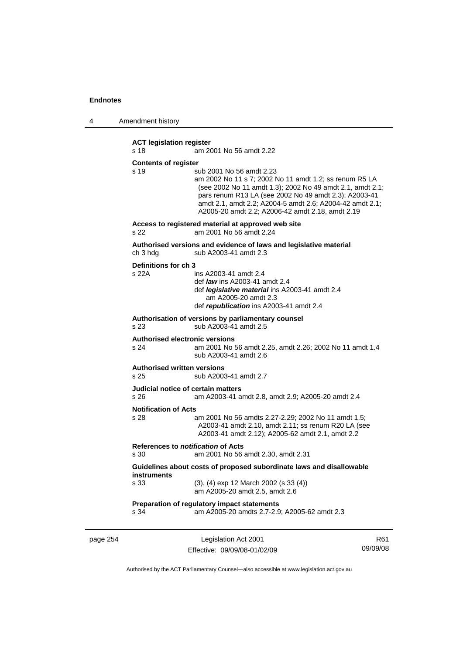4 Amendment history

**ACT legislation register**  s 18 am 2001 No 56 amdt 2.22 **Contents of register**  s 19 sub 2001 No 56 amdt 2.23 am 2002 No 11 s 7; 2002 No 11 amdt 1.2; ss renum R5 LA (see 2002 No 11 amdt 1.3); 2002 No 49 amdt 2.1, amdt 2.1; pars renum R13 LA (see 2002 No 49 amdt 2.3); A2003-41 amdt 2.1, amdt 2.2; A2004-5 amdt 2.6; A2004-42 amdt 2.1; A2005-20 amdt 2.2; A2006-42 amdt 2.18, amdt 2.19 **Access to registered material at approved web site**  s 22 am 2001 No 56 amdt 2.24 **Authorised versions and evidence of laws and legislative material**  ch 3 hdg sub A2003-41 amdt 2.3 **Definitions for ch 3**  s 22A ins A2003-41 amdt 2.4 def *law* ins A2003-41 amdt 2.4 def *legislative material* ins A2003-41 amdt 2.4 am A2005-20 amdt 2.3 def *republication* ins A2003-41 amdt 2.4 **Authorisation of versions by parliamentary counsel**  s 23 sub A2003-41 amdt 2.5 **Authorised electronic versions**  s 24 am 2001 No 56 amdt 2.25, amdt 2.26; 2002 No 11 amdt 1.4 sub A2003-41 amdt 2.6 **Authorised written versions**  s 25 sub A2003-41 amdt 2.7 **Judicial notice of certain matters**  s 26 am A2003-41 amdt 2.8, amdt 2.9; A2005-20 amdt 2.4 **Notification of Acts**  s 28 am 2001 No 56 amdts 2.27-2.29; 2002 No 11 amdt 1.5; A2003-41 amdt 2.10, amdt 2.11; ss renum R20 LA (see A2003-41 amdt 2.12); A2005-62 amdt 2.1, amdt 2.2 **References to** *notification* **of Acts**  s 30 am 2001 No 56 amdt 2.30, amdt 2.31 **Guidelines about costs of proposed subordinate laws and disallowable instruments**  s 33 (3), (4) exp 12 March 2002 (s 33 (4)) am A2005-20 amdt 2.5, amdt 2.6 **Preparation of regulatory impact statements**  s 34 am A2005-20 amdts 2.7-2.9; A2005-62 amdt 2.3

page 254 Legislation Act 2001 Effective: 09/09/08-01/02/09

R61 09/09/08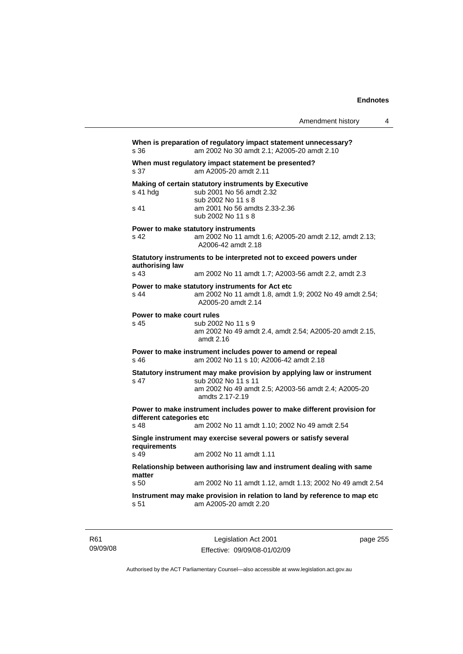|                                   |                                                                                                                                                                        | Amendment history | 4 |
|-----------------------------------|------------------------------------------------------------------------------------------------------------------------------------------------------------------------|-------------------|---|
| s 36                              | When is preparation of regulatory impact statement unnecessary?<br>am 2002 No 30 amdt 2.1; A2005-20 amdt 2.10                                                          |                   |   |
| s 37                              | When must regulatory impact statement be presented?<br>am A2005-20 amdt 2.11                                                                                           |                   |   |
| s 41 hdg<br>s 41                  | Making of certain statutory instruments by Executive<br>sub 2001 No 56 amdt 2.32<br>sub 2002 No 11 s 8<br>am 2001 No 56 amdts 2.33-2.36<br>sub 2002 No 11 s 8          |                   |   |
| s 42                              | Power to make statutory instruments<br>am 2002 No 11 amdt 1.6; A2005-20 amdt 2.12, amdt 2.13;<br>A2006-42 amdt 2.18                                                    |                   |   |
| authorising law                   | Statutory instruments to be interpreted not to exceed powers under                                                                                                     |                   |   |
| s 43                              | am 2002 No 11 amdt 1.7; A2003-56 amdt 2.2, amdt 2.3                                                                                                                    |                   |   |
| s 44                              | Power to make statutory instruments for Act etc<br>am 2002 No 11 amdt 1.8, amdt 1.9; 2002 No 49 amdt 2.54;<br>A2005-20 amdt 2.14                                       |                   |   |
| Power to make court rules<br>s 45 | sub 2002 No 11 s 9<br>am 2002 No 49 amdt 2.4, amdt 2.54; A2005-20 amdt 2.15,<br>amdt 2.16                                                                              |                   |   |
| s 46                              | Power to make instrument includes power to amend or repeal<br>am 2002 No 11 s 10; A2006-42 amdt 2.18                                                                   |                   |   |
| s 47                              | Statutory instrument may make provision by applying law or instrument<br>sub 2002 No 11 s 11<br>am 2002 No 49 amdt 2.5; A2003-56 amdt 2.4; A2005-20<br>amdts 2.17-2.19 |                   |   |
| different categories etc<br>s 48  | Power to make instrument includes power to make different provision for<br>am 2002 No 11 amdt 1.10; 2002 No 49 amdt 2.54                                               |                   |   |
|                                   | Single instrument may exercise several powers or satisfy several                                                                                                       |                   |   |
| requirements<br>s 49              | am 2002 No 11 amdt 1.11                                                                                                                                                |                   |   |
|                                   | Relationship between authorising law and instrument dealing with same                                                                                                  |                   |   |
| matter<br>s <sub>50</sub>         | am 2002 No 11 amdt 1.12, amdt 1.13; 2002 No 49 amdt 2.54                                                                                                               |                   |   |
| s 51                              | Instrument may make provision in relation to land by reference to map etc<br>am A2005-20 amdt 2.20                                                                     |                   |   |

R61 09/09/08

Legislation Act 2001 Effective: 09/09/08-01/02/09 page 255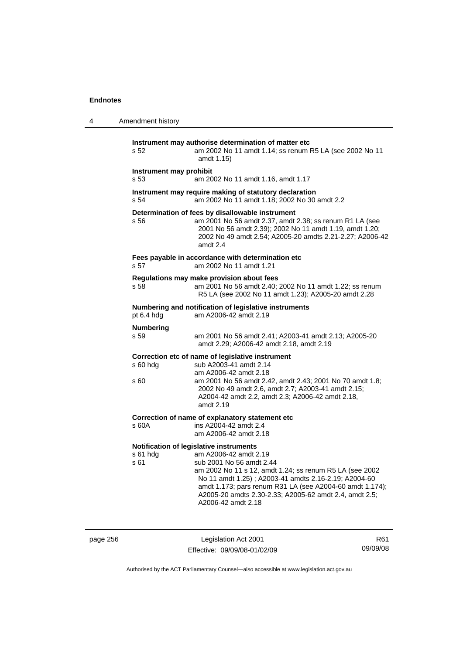| 4 | Amendment history               |                                                                                                                                                                                                                                                                                                                                                             |
|---|---------------------------------|-------------------------------------------------------------------------------------------------------------------------------------------------------------------------------------------------------------------------------------------------------------------------------------------------------------------------------------------------------------|
|   | s 52                            | Instrument may authorise determination of matter etc<br>am 2002 No 11 amdt 1.14; ss renum R5 LA (see 2002 No 11<br>amdt 1.15)                                                                                                                                                                                                                               |
|   | Instrument may prohibit<br>s 53 | am 2002 No 11 amdt 1.16, amdt 1.17                                                                                                                                                                                                                                                                                                                          |
|   | s <sub>54</sub>                 | Instrument may require making of statutory declaration<br>am 2002 No 11 amdt 1.18; 2002 No 30 amdt 2.2                                                                                                                                                                                                                                                      |
|   | s 56                            | Determination of fees by disallowable instrument<br>am 2001 No 56 amdt 2.37, amdt 2.38; ss renum R1 LA (see<br>2001 No 56 amdt 2.39); 2002 No 11 amdt 1.19, amdt 1.20;<br>2002 No 49 amdt 2.54; A2005-20 amdts 2.21-2.27; A2006-42<br>amdt 2.4                                                                                                              |
|   | s 57                            | Fees payable in accordance with determination etc<br>am 2002 No 11 amdt 1.21                                                                                                                                                                                                                                                                                |
|   | s 58                            | Regulations may make provision about fees<br>am 2001 No 56 amdt 2.40; 2002 No 11 amdt 1.22; ss renum<br>R5 LA (see 2002 No 11 amdt 1.23); A2005-20 amdt 2.28                                                                                                                                                                                                |
|   | pt 6.4 hdg                      | Numbering and notification of legislative instruments<br>am A2006-42 amdt 2.19                                                                                                                                                                                                                                                                              |
|   | <b>Numbering</b><br>s 59        | am 2001 No 56 amdt 2.41; A2003-41 amdt 2.13; A2005-20<br>amdt 2.29; A2006-42 amdt 2.18, amdt 2.19                                                                                                                                                                                                                                                           |
|   | s 60 hdg<br>s 60                | Correction etc of name of legislative instrument<br>sub A2003-41 amdt 2.14<br>am A2006-42 amdt 2.18<br>am 2001 No 56 amdt 2.42, amdt 2.43; 2001 No 70 amdt 1.8;<br>2002 No 49 amdt 2.6, amdt 2.7; A2003-41 amdt 2.15;<br>A2004-42 amdt 2.2, amdt 2.3; A2006-42 amdt 2.18,<br>amdt 2.19                                                                      |
|   | s 60A                           | Correction of name of explanatory statement etc<br>ins A2004-42 amdt 2.4<br>am A2006-42 amdt 2.18                                                                                                                                                                                                                                                           |
|   | $s61$ hdg<br>s 61               | Notification of legislative instruments<br>am A2006-42 amdt 2.19<br>sub 2001 No 56 amdt 2.44<br>am 2002 No 11 s 12, amdt 1.24; ss renum R5 LA (see 2002<br>No 11 amdt 1.25); A2003-41 amdts 2.16-2.19; A2004-60<br>amdt 1.173; pars renum R31 LA (see A2004-60 amdt 1.174);<br>A2005-20 amdts 2.30-2.33; A2005-62 amdt 2.4, amdt 2.5;<br>A2006-42 amdt 2.18 |

page 256 Legislation Act 2001 Effective: 09/09/08-01/02/09

R61 09/09/08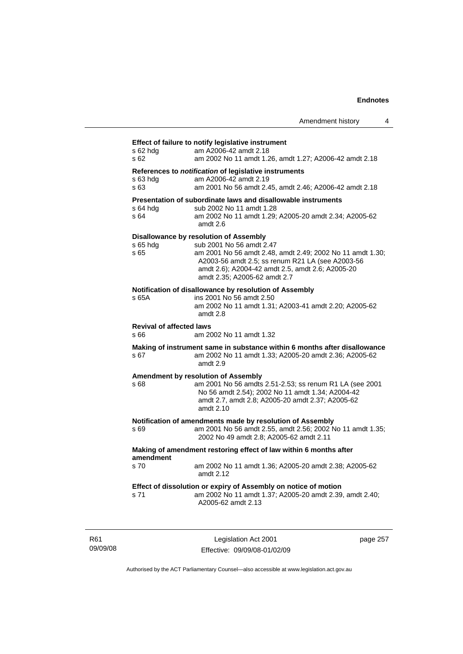# **Effect of failure to notify legislative instrument**

| s 62 hdg<br>s 62                        | am A2006-42 amdt 2.18<br>am 2002 No 11 amdt 1.26, amdt 1.27; A2006-42 amdt 2.18                                                                                                                                                                                         |
|-----------------------------------------|-------------------------------------------------------------------------------------------------------------------------------------------------------------------------------------------------------------------------------------------------------------------------|
| s 63 hda<br>s 63                        | References to notification of legislative instruments<br>am A2006-42 amdt 2.19<br>am 2001 No 56 amdt 2.45, amdt 2.46; A2006-42 amdt 2.18                                                                                                                                |
| s 64 hdg<br>s 64                        | Presentation of subordinate laws and disallowable instruments<br>sub 2002 No 11 amdt 1.28<br>am 2002 No 11 amdt 1.29; A2005-20 amdt 2.34; A2005-62<br>amdt 2.6                                                                                                          |
| s 65 hda<br>s 65                        | Disallowance by resolution of Assembly<br>sub 2001 No 56 amdt 2.47<br>am 2001 No 56 amdt 2.48, amdt 2.49; 2002 No 11 amdt 1.30;<br>A2003-56 amdt 2.5; ss renum R21 LA (see A2003-56<br>amdt 2.6); A2004-42 amdt 2.5, amdt 2.6; A2005-20<br>amdt 2.35; A2005-62 amdt 2.7 |
| s 65A                                   | Notification of disallowance by resolution of Assembly<br>ins 2001 No 56 amdt 2.50<br>am 2002 No 11 amdt 1.31; A2003-41 amdt 2.20; A2005-62<br>amdt 2.8                                                                                                                 |
| <b>Revival of affected laws</b><br>s 66 | am 2002 No 11 amdt 1.32                                                                                                                                                                                                                                                 |
| s 67                                    | Making of instrument same in substance within 6 months after disallowance<br>am 2002 No 11 amdt 1.33; A2005-20 amdt 2.36; A2005-62<br>amdt 2.9                                                                                                                          |
| s 68                                    | <b>Amendment by resolution of Assembly</b><br>am 2001 No 56 amdts 2.51-2.53; ss renum R1 LA (see 2001<br>No 56 amdt 2.54); 2002 No 11 amdt 1.34; A2004-42<br>amdt 2.7, amdt 2.8; A2005-20 amdt 2.37; A2005-62<br>amdt 2.10                                              |
| s 69                                    | Notification of amendments made by resolution of Assembly<br>am 2001 No 56 amdt 2.55, amdt 2.56; 2002 No 11 amdt 1.35;<br>2002 No 49 amdt 2.8; A2005-62 amdt 2.11                                                                                                       |
| amendment                               | Making of amendment restoring effect of law within 6 months after                                                                                                                                                                                                       |
| s 70                                    | am 2002 No 11 amdt 1.36; A2005-20 amdt 2.38; A2005-62<br>amdt 2.12                                                                                                                                                                                                      |
| s 71                                    | Effect of dissolution or expiry of Assembly on notice of motion<br>am 2002 No 11 amdt 1.37; A2005-20 amdt 2.39, amdt 2.40;<br>A2005-62 amdt 2.13                                                                                                                        |

R61 09/09/08

Legislation Act 2001 Effective: 09/09/08-01/02/09 page 257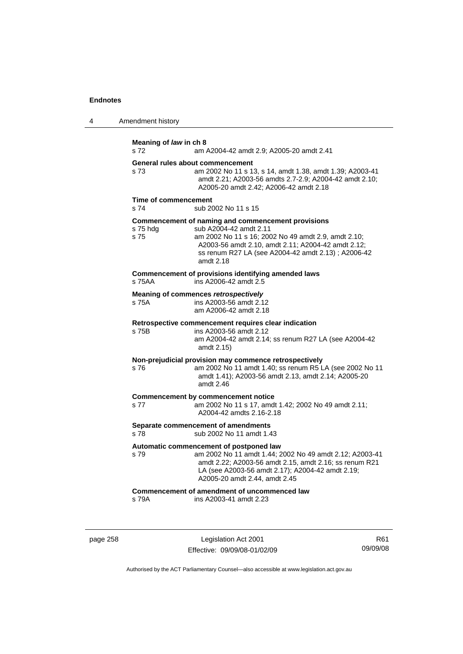| $\boldsymbol{\Lambda}$ | Amendment history |  |
|------------------------|-------------------|--|
|------------------------|-------------------|--|

| Meaning of law in ch 8<br>s 72 | am A2004-42 amdt 2.9; A2005-20 amdt 2.41                                                                                                                                                                                                                     |
|--------------------------------|--------------------------------------------------------------------------------------------------------------------------------------------------------------------------------------------------------------------------------------------------------------|
| s 73                           | General rules about commencement<br>am 2002 No 11 s 13, s 14, amdt 1.38, amdt 1.39; A2003-41<br>amdt 2.21; A2003-56 amdts 2.7-2.9; A2004-42 amdt 2.10;<br>A2005-20 amdt 2.42; A2006-42 amdt 2.18                                                             |
| Time of commencement<br>s 74   | sub 2002 No 11 s 15                                                                                                                                                                                                                                          |
| s 75 hdg<br>s 75               | Commencement of naming and commencement provisions<br>sub A2004-42 amdt 2.11<br>am 2002 No 11 s 16; 2002 No 49 amdt 2.9, amdt 2.10;<br>A2003-56 amdt 2.10, amdt 2.11; A2004-42 amdt 2.12;<br>ss renum R27 LA (see A2004-42 amdt 2.13); A2006-42<br>amdt 2.18 |
| s 75AA                         | Commencement of provisions identifying amended laws<br>ins A2006-42 amdt 2.5                                                                                                                                                                                 |
| s 75A                          | Meaning of commences retrospectively<br>ins A2003-56 amdt 2.12<br>am A2006-42 amdt 2.18                                                                                                                                                                      |
| s 75B                          | Retrospective commencement requires clear indication<br>ins A2003-56 amdt 2.12<br>am A2004-42 amdt 2.14; ss renum R27 LA (see A2004-42<br>amdt 2.15)                                                                                                         |
| s76                            | Non-prejudicial provision may commence retrospectively<br>am 2002 No 11 amdt 1.40; ss renum R5 LA (see 2002 No 11<br>amdt 1.41); A2003-56 amdt 2.13, amdt 2.14; A2005-20<br>amdt 2.46                                                                        |
| s 77                           | <b>Commencement by commencement notice</b><br>am 2002 No 11 s 17, amdt 1.42; 2002 No 49 amdt 2.11;<br>A2004-42 amdts 2.16-2.18                                                                                                                               |
| s 78                           | Separate commencement of amendments<br>sub 2002 No 11 amdt 1.43                                                                                                                                                                                              |
| s 79                           | Automatic commencement of postponed law<br>am 2002 No 11 amdt 1.44; 2002 No 49 amdt 2.12; A2003-41<br>amdt 2.22; A2003-56 amdt 2.15, amdt 2.16; ss renum R21<br>LA (see A2003-56 amdt 2.17); A2004-42 amdt 2.19;<br>A2005-20 amdt 2.44, amdt 2.45            |
| s 79A                          | Commencement of amendment of uncommenced law<br>ins A2003-41 amdt 2.23                                                                                                                                                                                       |

page 258 Legislation Act 2001 Effective: 09/09/08-01/02/09

R61 09/09/08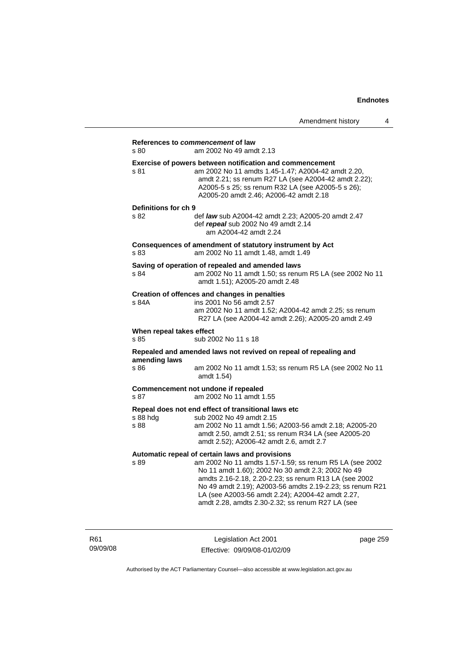|                                  |                                                                                                                                                                                                                                                                                                                                                                                              | Amendment history | 4 |
|----------------------------------|----------------------------------------------------------------------------------------------------------------------------------------------------------------------------------------------------------------------------------------------------------------------------------------------------------------------------------------------------------------------------------------------|-------------------|---|
| s 80                             | References to commencement of law<br>am 2002 No 49 amdt 2.13                                                                                                                                                                                                                                                                                                                                 |                   |   |
| s 81                             | Exercise of powers between notification and commencement<br>am 2002 No 11 amdts 1.45-1.47; A2004-42 amdt 2.20,<br>amdt 2.21; ss renum R27 LA (see A2004-42 amdt 2.22);<br>A2005-5 s 25; ss renum R32 LA (see A2005-5 s 26);<br>A2005-20 amdt 2.46; A2006-42 amdt 2.18                                                                                                                        |                   |   |
| Definitions for ch 9<br>s 82     | def law sub A2004-42 amdt 2.23; A2005-20 amdt 2.47<br>def repeal sub 2002 No 49 amdt 2.14<br>am A2004-42 amdt 2.24                                                                                                                                                                                                                                                                           |                   |   |
| s 83                             | Consequences of amendment of statutory instrument by Act<br>am 2002 No 11 amdt 1.48, amdt 1.49                                                                                                                                                                                                                                                                                               |                   |   |
| s 84                             | Saving of operation of repealed and amended laws<br>am 2002 No 11 amdt 1.50; ss renum R5 LA (see 2002 No 11<br>amdt 1.51); A2005-20 amdt 2.48                                                                                                                                                                                                                                                |                   |   |
| s 84A                            | Creation of offences and changes in penalties<br>ins 2001 No 56 amdt 2.57<br>am 2002 No 11 amdt 1.52; A2004-42 amdt 2.25; ss renum<br>R27 LA (see A2004-42 amdt 2.26); A2005-20 amdt 2.49                                                                                                                                                                                                    |                   |   |
| When repeal takes effect<br>s 85 | sub 2002 No 11 s 18                                                                                                                                                                                                                                                                                                                                                                          |                   |   |
| amending laws                    | Repealed and amended laws not revived on repeal of repealing and                                                                                                                                                                                                                                                                                                                             |                   |   |
| s 86                             | am 2002 No 11 amdt 1.53; ss renum R5 LA (see 2002 No 11<br>amdt 1.54)                                                                                                                                                                                                                                                                                                                        |                   |   |
| s 87                             | Commencement not undone if repealed<br>am 2002 No 11 amdt 1.55                                                                                                                                                                                                                                                                                                                               |                   |   |
| s 88 hdg<br>s 88                 | Repeal does not end effect of transitional laws etc<br>sub 2002 No 49 amdt 2.15<br>am 2002 No 11 amdt 1.56; A2003-56 amdt 2.18; A2005-20<br>amdt 2.50, amdt 2.51; ss renum R34 LA (see A2005-20<br>amdt 2.52); A2006-42 amdt 2.6, amdt 2.7                                                                                                                                                   |                   |   |
| s 89                             | Automatic repeal of certain laws and provisions<br>am 2002 No 11 amdts 1.57-1.59; ss renum R5 LA (see 2002<br>No 11 amdt 1.60); 2002 No 30 amdt 2.3; 2002 No 49<br>amdts 2.16-2.18, 2.20-2.23; ss renum R13 LA (see 2002<br>No 49 amdt 2.19); A2003-56 amdts 2.19-2.23; ss renum R21<br>LA (see A2003-56 amdt 2.24); A2004-42 amdt 2.27,<br>amdt 2.28, amdts 2.30-2.32; ss renum R27 LA (see |                   |   |

R61 09/09/08

Legislation Act 2001 Effective: 09/09/08-01/02/09 page 259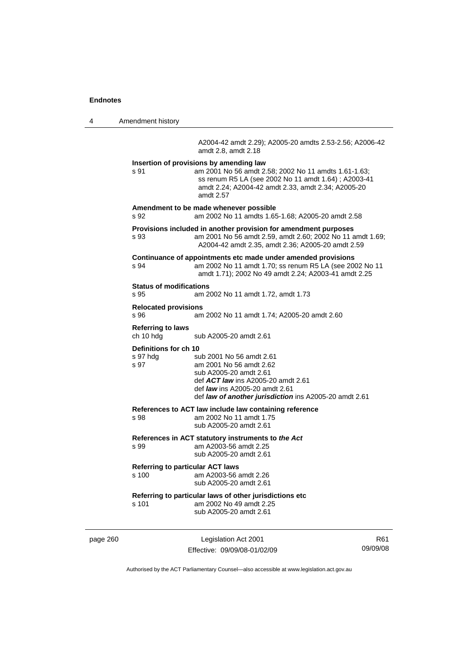4 Amendment history

A2004-42 amdt 2.29); A2005-20 amdts 2.53-2.56; A2006-42 amdt 2.8, amdt 2.18

**Insertion of provisions by amending law**  s 91 am 2001 No 56 amdt 2.58; 2002 No 11 amdts 1.61-1.63; ss renum R5 LA (see 2002 No 11 amdt 1.64) ; A2003-41 amdt 2.24; A2004-42 amdt 2.33, amdt 2.34; A2005-20 amdt 2.57 **Amendment to be made whenever possible**  s 92 am 2002 No 11 amdts 1.65-1.68; A2005-20 amdt 2.58 **Provisions included in another provision for amendment purposes**  s 93 am 2001 No 56 amdt 2.59, amdt 2.60; 2002 No 11 amdt 1.69; A2004-42 amdt 2.35, amdt 2.36; A2005-20 amdt 2.59 **Continuance of appointments etc made under amended provisions**  s 94 am 2002 No 11 amdt 1.70; ss renum R5 LA (see 2002 No 11 amdt 1.71); 2002 No 49 amdt 2.24; A2003-41 amdt 2.25 **Status of modifications**  s 95 am 2002 No 11 amdt 1.72, amdt 1.73 **Relocated provisions**  s 96 am 2002 No 11 amdt 1.74; A2005-20 amdt 2.60 **Referring to laws**  sub A2005-20 amdt 2.61 **Definitions for ch 10**  s 97 hdg sub 2001 No 56 amdt 2.61 s 97 am 2001 No 56 amdt 2.62 sub A2005-20 amdt 2.61 def *ACT law* ins A2005-20 amdt 2.61 def *law* ins A2005-20 amdt 2.61 def *law of another jurisdiction* ins A2005-20 amdt 2.61 **References to ACT law include law containing reference**  s 98 am 2002 No 11 amdt 1.75 sub A2005-20 amdt 2.61 **References in ACT statutory instruments to** *the Act* s 99 am A2003-56 amdt 2.25 sub A2005-20 amdt 2.61 **Referring to particular ACT laws** s 100 am A2003-56 amdt 2.26 sub A2005-20 amdt 2.61 **Referring to particular laws of other jurisdictions etc**  s 101 am 2002 No 49 amdt 2.25 sub A2005-20 amdt 2.61

page 260 Legislation Act 2001 Effective: 09/09/08-01/02/09

R61 09/09/08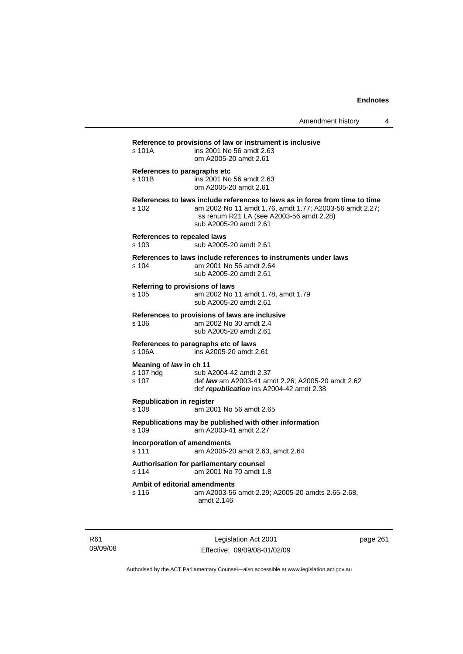| s 101A                                          | Reference to provisions of law or instrument is inclusive<br>ins 2001 No 56 amdt 2.63<br>om A2005-20 amdt 2.61                                                                                               |
|-------------------------------------------------|--------------------------------------------------------------------------------------------------------------------------------------------------------------------------------------------------------------|
| References to paragraphs etc<br>s 101B          | ins 2001 No 56 amdt 2.63<br>om A2005-20 amdt 2.61                                                                                                                                                            |
| s 102                                           | References to laws include references to laws as in force from time to time<br>am 2002 No 11 amdt 1.76, amdt 1.77; A2003-56 amdt 2.27;<br>ss renum R21 LA (see A2003-56 amdt 2.28)<br>sub A2005-20 amdt 2.61 |
| <b>References to repealed laws</b><br>s 103     | sub A2005-20 amdt 2.61                                                                                                                                                                                       |
| s 104                                           | References to laws include references to instruments under laws<br>am 2001 No 56 amdt 2.64<br>sub A2005-20 amdt 2.61                                                                                         |
| s 105                                           | Referring to provisions of laws<br>am 2002 No 11 amdt 1.78, amdt 1.79<br>sub A2005-20 amdt 2.61                                                                                                              |
| s 106                                           | References to provisions of laws are inclusive<br>am 2002 No 30 amdt 2.4<br>sub A2005-20 amdt 2.61                                                                                                           |
| s 106A                                          | References to paragraphs etc of laws<br>ins A2005-20 amdt 2.61                                                                                                                                               |
| Meaning of law in ch 11<br>s 107 hdg<br>$s$ 107 | sub A2004-42 amdt 2.37<br>def law am A2003-41 amdt 2.26; A2005-20 amdt 2.62<br>def republication ins A2004-42 amdt 2.38                                                                                      |
| <b>Republication in register</b><br>s 108       | am 2001 No 56 amdt 2.65                                                                                                                                                                                      |
| s 109                                           | Republications may be published with other information<br>am A2003-41 amdt 2.27                                                                                                                              |
| <b>Incorporation of amendments</b><br>s 111     | am A2005-20 amdt 2.63, amdt 2.64                                                                                                                                                                             |
| s 114                                           | Authorisation for parliamentary counsel<br>am 2001 No 70 amdt 1.8                                                                                                                                            |
| s 116                                           | Ambit of editorial amendments<br>am A2003-56 amdt 2.29; A2005-20 amdts 2.65-2.68,<br>amdt 2.146                                                                                                              |

R61 09/09/08

Legislation Act 2001 Effective: 09/09/08-01/02/09 page 261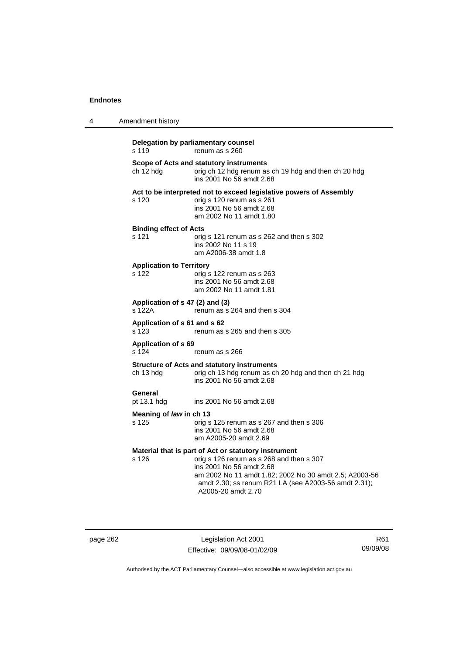| 4 | Amendment history                         |                                                                                                                                                                                                                                                                      |
|---|-------------------------------------------|----------------------------------------------------------------------------------------------------------------------------------------------------------------------------------------------------------------------------------------------------------------------|
|   | s 119                                     | Delegation by parliamentary counsel<br>renum as s 260                                                                                                                                                                                                                |
|   | ch 12 hdg                                 | Scope of Acts and statutory instruments<br>orig ch 12 hdg renum as ch 19 hdg and then ch 20 hdg<br>ins 2001 No 56 amdt 2.68                                                                                                                                          |
|   | s 120                                     | Act to be interpreted not to exceed legislative powers of Assembly<br>orig s 120 renum as s 261<br>ins 2001 No 56 amdt 2.68<br>am 2002 No 11 amdt 1.80                                                                                                               |
|   | <b>Binding effect of Acts</b><br>s 121    | orig s 121 renum as s 262 and then s 302<br>ins 2002 No 11 s 19<br>am A2006-38 amdt 1.8                                                                                                                                                                              |
|   | <b>Application to Territory</b><br>s 122  | orig s 122 renum as s 263<br>ins 2001 No 56 amdt 2.68<br>am 2002 No 11 amdt 1.81                                                                                                                                                                                     |
|   | Application of s 47 (2) and (3)<br>s 122A | renum as s 264 and then s 304                                                                                                                                                                                                                                        |
|   | Application of s 61 and s 62<br>s 123     | renum as s 265 and then s 305                                                                                                                                                                                                                                        |
|   | <b>Application of s 69</b><br>s 124       | renum as s 266                                                                                                                                                                                                                                                       |
|   | ch 13 hdg                                 | <b>Structure of Acts and statutory instruments</b><br>orig ch 13 hdg renum as ch 20 hdg and then ch 21 hdg<br>ins 2001 No 56 amdt 2.68                                                                                                                               |
|   | General<br>pt 13.1 hdg                    | ins 2001 No 56 amdt 2.68                                                                                                                                                                                                                                             |
|   | Meaning of law in ch 13<br>s 125          | orig s 125 renum as s 267 and then s 306<br>ins 2001 No 56 amdt 2.68<br>am A2005-20 amdt 2.69                                                                                                                                                                        |
|   | s 126                                     | Material that is part of Act or statutory instrument<br>orig s 126 renum as s 268 and then s 307<br>ins 2001 No 56 amdt 2.68<br>am 2002 No 11 amdt 1.82; 2002 No 30 amdt 2.5; A2003-56<br>amdt 2.30; ss renum R21 LA (see A2003-56 amdt 2.31);<br>A2005-20 amdt 2.70 |

page 262 Legislation Act 2001 Effective: 09/09/08-01/02/09

R61 09/09/08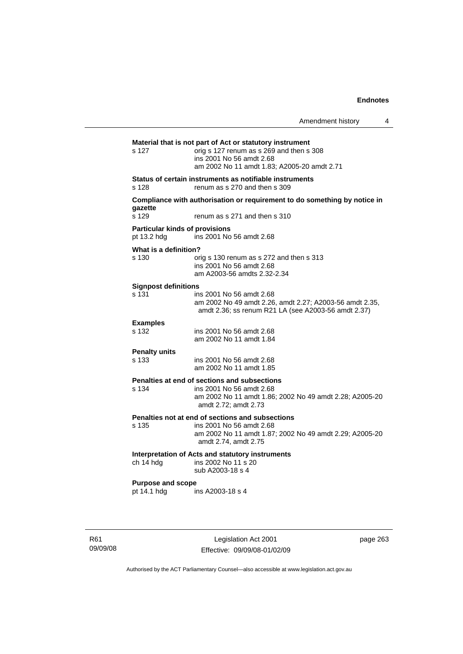|                                                      |                                                                                                                                                                                 | Amendment history | 4 |
|------------------------------------------------------|---------------------------------------------------------------------------------------------------------------------------------------------------------------------------------|-------------------|---|
| s 127                                                | Material that is not part of Act or statutory instrument<br>orig s 127 renum as s 269 and then s 308<br>ins 2001 No 56 amdt 2.68<br>am 2002 No 11 amdt 1.83; A2005-20 amdt 2.71 |                   |   |
| s 128                                                | Status of certain instruments as notifiable instruments<br>renum as s 270 and then s 309                                                                                        |                   |   |
| qazette<br>s 129                                     | Compliance with authorisation or requirement to do something by notice in<br>renum as s 271 and then s 310                                                                      |                   |   |
| <b>Particular kinds of provisions</b><br>pt 13.2 hdg | ins 2001 No 56 amdt 2.68                                                                                                                                                        |                   |   |
| What is a definition?<br>s 130                       | orig s 130 renum as s 272 and then s 313<br>ins 2001 No 56 amdt 2.68<br>am A2003-56 amdts 2.32-2.34                                                                             |                   |   |
| <b>Signpost definitions</b><br>s 131                 | ins 2001 No 56 amdt 2.68<br>am 2002 No 49 amdt 2.26, amdt 2.27; A2003-56 amdt 2.35,<br>amdt 2.36; ss renum R21 LA (see A2003-56 amdt 2.37)                                      |                   |   |
| <b>Examples</b><br>s 132                             | ins 2001 No 56 amdt 2.68<br>am 2002 No 11 amdt 1.84                                                                                                                             |                   |   |
| <b>Penalty units</b><br>s 133                        | ins 2001 No 56 amdt 2.68<br>am 2002 No 11 amdt 1.85                                                                                                                             |                   |   |
| s 134                                                | Penalties at end of sections and subsections<br>ins 2001 No 56 amdt 2.68<br>am 2002 No 11 amdt 1.86; 2002 No 49 amdt 2.28; A2005-20<br>amdt 2.72; amdt 2.73                     |                   |   |
| s 135                                                | Penalties not at end of sections and subsections<br>ins 2001 No 56 amdt 2.68<br>am 2002 No 11 amdt 1.87; 2002 No 49 amdt 2.29; A2005-20<br>amdt 2.74, amdt 2.75                 |                   |   |
| ch 14 hdg                                            | Interpretation of Acts and statutory instruments<br>ins 2002 No 11 s 20<br>sub A2003-18 s 4                                                                                     |                   |   |
| <b>Purpose and scope</b><br>pt 14.1 hdg              | ins A2003-18 s 4                                                                                                                                                                |                   |   |

R61 09/09/08

Legislation Act 2001 Effective: 09/09/08-01/02/09 page 263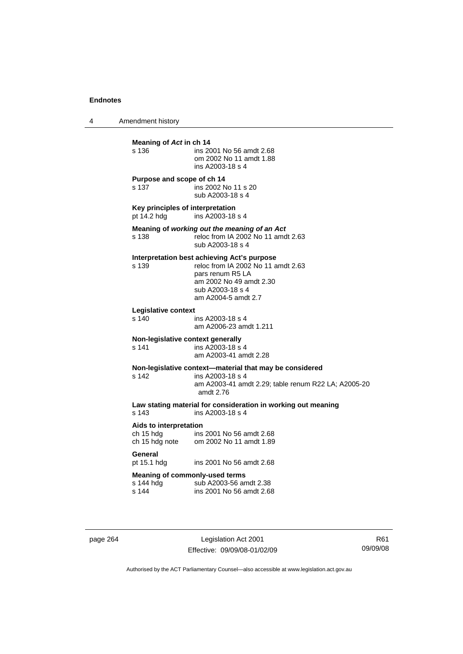4 Amendment history

| Meaning of Act in ch 14<br>s 136                            | ins 2001 No 56 amdt 2.68<br>om 2002 No 11 amdt 1.88<br>ins A2003-18 s 4                                                                                                     |
|-------------------------------------------------------------|-----------------------------------------------------------------------------------------------------------------------------------------------------------------------------|
| Purpose and scope of ch 14<br>s 137                         | ins 2002 No 11 s 20<br>sub A2003-18 s 4                                                                                                                                     |
| Key principles of interpretation<br>pt 14.2 hdg             | ins A2003-18 s 4                                                                                                                                                            |
| s 138                                                       | Meaning of working out the meaning of an Act<br>reloc from IA 2002 No 11 amdt 2.63<br>sub A2003-18 s 4                                                                      |
| s 139                                                       | Interpretation best achieving Act's purpose<br>reloc from IA 2002 No 11 amdt 2.63<br>pars renum R5 LA<br>am 2002 No 49 amdt 2.30<br>sub A2003-18 s 4<br>am A2004-5 amdt 2.7 |
| Legislative context<br>s 140                                | ins A2003-18 s 4<br>am A2006-23 amdt 1.211                                                                                                                                  |
| Non-legislative context generally<br>s 141                  | ins A2003-18 s 4<br>am A2003-41 amdt 2.28                                                                                                                                   |
| s <sub>142</sub>                                            | Non-legislative context-material that may be considered<br>ins A2003-18 s 4<br>am A2003-41 amdt 2.29; table renum R22 LA; A2005-20<br>amdt 2.76                             |
| s <sub>143</sub>                                            | Law stating material for consideration in working out meaning<br>ins A2003-18 s 4                                                                                           |
| Aids to interpretation<br>ch 15 hdg<br>ch 15 hdg note       | ins 2001 No 56 amdt 2.68<br>om 2002 No 11 amdt 1.89                                                                                                                         |
| General<br>pt 15.1 hdg                                      | ins 2001 No 56 amdt 2.68                                                                                                                                                    |
| <b>Meaning of commonly-used terms</b><br>s 144 hdg<br>s 144 | sub A2003-56 amdt 2.38<br>ins 2001 No 56 amdt 2.68                                                                                                                          |

page 264 Legislation Act 2001 Effective: 09/09/08-01/02/09

R61 09/09/08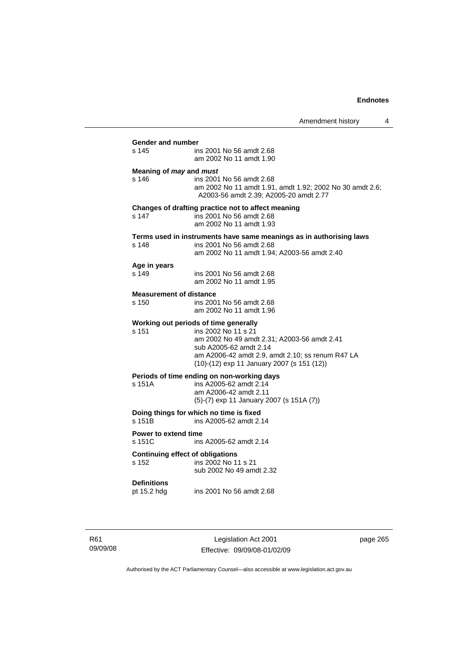Amendment history 4 **Gender and number**  ins 2001 No 56 amdt 2.68 am 2002 No 11 amdt 1.90 **Meaning of** *may* **and** *must* s 146 ins 2001 No 56 amdt 2.68 am 2002 No 11 amdt 1.91, amdt 1.92; 2002 No 30 amdt 2.6; A2003-56 amdt 2.39; A2005-20 amdt 2.77 **Changes of drafting practice not to affect meaning**  s 147 ins 2001 No 56 amdt 2.68 am 2002 No 11 amdt 1.93 **Terms used in instruments have same meanings as in authorising laws**  s 148 ins 2001 No 56 amdt 2.68 am 2002 No 11 amdt 1.94; A2003-56 amdt 2.40 **Age in years**  ins 2001 No 56 amdt 2.68 am 2002 No 11 amdt 1.95 **Measurement of distance**  s 150 ins 2001 No 56 amdt 2.68 am 2002 No 11 amdt 1.96 **Working out periods of time generally**  s 151 ins 2002 No 11 s 21 am 2002 No 49 amdt 2.31; A2003-56 amdt 2.41 sub A2005-62 amdt 2.14 am A2006-42 amdt 2.9, amdt 2.10; ss renum R47 LA (10)-(12) exp 11 January 2007 (s 151 (12)) **Periods of time ending on non-working days**  s 151A ins A2005-62 amdt 2.14 am A2006-42 amdt 2.11 (5)-(7) exp 11 January 2007 (s 151A (7)) **Doing things for which no time is fixed**<br>s 151B ins A2005-62 amdt 2. ins A2005-62 amdt 2.14 **Power to extend time**  s 151C ins A2005-62 amdt 2.14 **Continuing effect of obligations**<br> **s** 152 **ins 2002 No 11** ins 2002 No 11 s 21 sub 2002 No 49 amdt 2.32 **Definitions**  ins 2001 No 56 amdt 2.68

R61 09/09/08

Legislation Act 2001 Effective: 09/09/08-01/02/09 page 265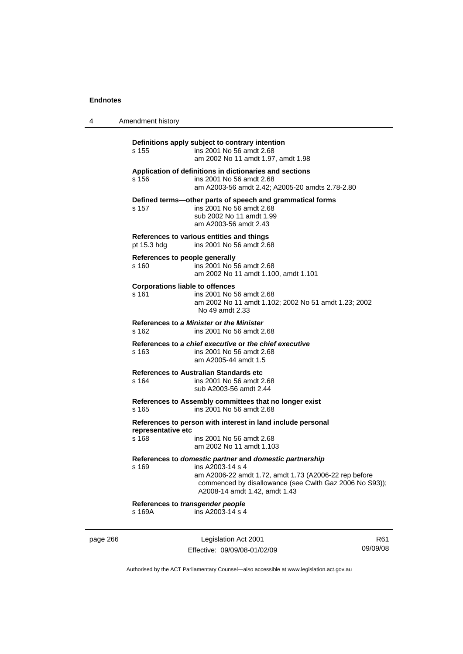| 4 | Amendment history                                                                                                                                                                                                                         |
|---|-------------------------------------------------------------------------------------------------------------------------------------------------------------------------------------------------------------------------------------------|
|   | Definitions apply subject to contrary intention<br>s 155<br>ins 2001 No 56 amdt 2.68<br>am 2002 No 11 amdt 1.97, amdt 1.98                                                                                                                |
|   | Application of definitions in dictionaries and sections<br>ins 2001 No 56 amdt 2.68<br>s 156<br>am A2003-56 amdt 2.42; A2005-20 amdts 2.78-2.80                                                                                           |
|   | Defined terms-other parts of speech and grammatical forms<br>ins 2001 No 56 amdt 2.68<br>s 157<br>sub 2002 No 11 amdt 1.99<br>am A2003-56 amdt 2.43                                                                                       |
|   | References to various entities and things<br>ins 2001 No 56 amdt 2.68<br>pt 15.3 hdg                                                                                                                                                      |
|   | References to people generally<br>s 160<br>ins 2001 No 56 amdt 2.68<br>am 2002 No 11 amdt 1.100, amdt 1.101                                                                                                                               |
|   | <b>Corporations liable to offences</b><br>$s$ 161<br>ins 2001 No 56 amdt 2.68<br>am 2002 No 11 amdt 1.102; 2002 No 51 amdt 1.23; 2002<br>No 49 amdt 2.33                                                                                  |
|   | References to a Minister or the Minister<br>s 162<br>ins 2001 No 56 amdt 2.68                                                                                                                                                             |
|   | References to a chief executive or the chief executive<br>s 163<br>ins 2001 No 56 amdt 2.68<br>am A2005-44 amdt 1.5                                                                                                                       |
|   | <b>References to Australian Standards etc.</b><br>s 164<br>ins 2001 No 56 amdt 2.68<br>sub A2003-56 amdt 2.44                                                                                                                             |
|   | References to Assembly committees that no longer exist<br>ins 2001 No 56 amdt 2.68<br>s 165                                                                                                                                               |
|   | References to person with interest in land include personal<br>representative etc<br>s 168<br>ins 2001 No 56 amdt 2.68<br>am 2002 No 11 amdt 1.103                                                                                        |
|   | References to domestic partner and domestic partnership<br>s 169<br>ins A2003-14 s 4<br>am A2006-22 amdt 1.72, amdt 1.73 (A2006-22 rep before<br>commenced by disallowance (see Cwlth Gaz 2006 No S93));<br>A2008-14 amdt 1.42, amdt 1.43 |
|   | References to transgender people<br>s 169A<br>ins A2003-14 s 4                                                                                                                                                                            |
|   |                                                                                                                                                                                                                                           |

page 266 Legislation Act 2001 Effective: 09/09/08-01/02/09

R61 09/09/08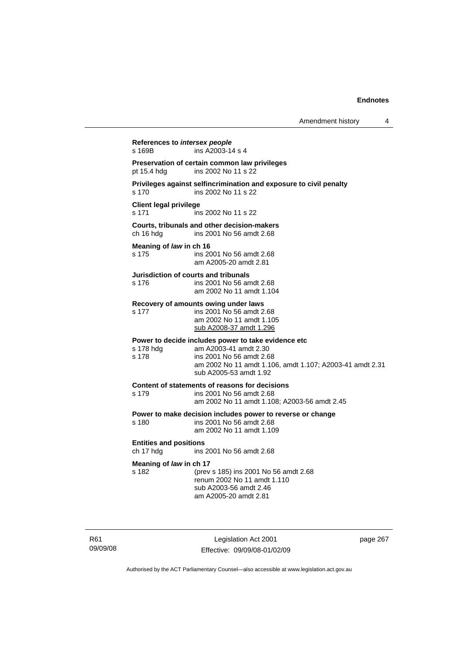**References to** *intersex people*  s 169B ins A2003-14 s 4 **Preservation of certain common law privileges**  pt 15.4 hdg ins 2002 No 11 s 22 **Privileges against selfincrimination and exposure to civil penalty**  s 170 ins 2002 No 11 s 22 **Client legal privilege**  s 171 ins 2002 No 11 s 22 **Courts, tribunals and other decision-makers**  ins 2001 No 56 amdt 2.68 **Meaning of** *law* **in ch 16**  s 175 ins 2001 No 56 amdt 2.68 am A2005-20 amdt 2.81 **Jurisdiction of courts and tribunals**  s 176 ins 2001 No 56 amdt 2.68 am 2002 No 11 amdt 1.104 **Recovery of amounts owing under laws**  s 177 ins 2001 No 56 amdt 2.68 am 2002 No 11 amdt 1.105 sub A2008-37 amdt 1.296 **Power to decide includes power to take evidence etc**  s 178 hdg am A2003-41 amdt 2.30 s 178 ins 2001 No 56 amdt 2.68 am 2002 No 11 amdt 1.106, amdt 1.107; A2003-41 amdt 2.31 sub A2005-53 amdt 1.92 **Content of statements of reasons for decisions**  s 179 ins 2001 No 56 amdt 2.68 am 2002 No 11 amdt 1.108; A2003-56 amdt 2.45 **Power to make decision includes power to reverse or change**  s 180 ins 2001 No 56 amdt 2.68 am 2002 No 11 amdt 1.109 **Entities and positions**  ch 17 hdg ins 2001 No 56 amdt 2.68 **Meaning of** *law* **in ch 17**<br>s 182 (prev s 182 (prev s 185) ins 2001 No 56 amdt 2.68 renum 2002 No 11 amdt 1.110 sub A2003-56 amdt 2.46 am A2005-20 amdt 2.81

R61 09/09/08

Legislation Act 2001 Effective: 09/09/08-01/02/09 page 267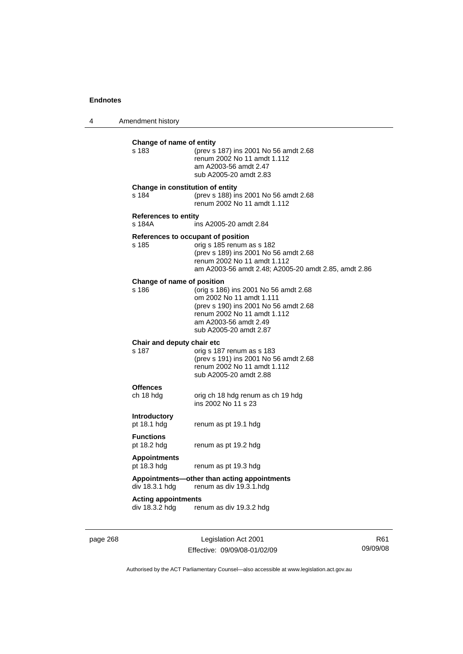4 Amendment history

| s 183                                 | Change of name of entity<br>(prev s 187) ins 2001 No 56 amdt 2.68<br>renum 2002 No 11 amdt 1.112<br>am A2003-56 amdt 2.47<br>sub A2005-20 amdt 2.83                                             |
|---------------------------------------|-------------------------------------------------------------------------------------------------------------------------------------------------------------------------------------------------|
| s 184                                 | Change in constitution of entity<br>(prev s 188) ins 2001 No 56 amdt 2.68<br>renum 2002 No 11 amdt 1.112                                                                                        |
| <b>References to entity</b><br>s 184A | ins A2005-20 amdt 2.84                                                                                                                                                                          |
| s 185                                 | References to occupant of position<br>orig s 185 renum as s 182<br>(prev s 189) ins 2001 No 56 amdt 2.68<br>renum 2002 No 11 amdt 1.112<br>am A2003-56 amdt 2.48; A2005-20 amdt 2.85, amdt 2.86 |
| Change of name of position<br>s 186   | (orig s 186) ins 2001 No 56 amdt 2.68<br>om 2002 No 11 amdt 1.111<br>(prev s 190) ins 2001 No 56 amdt 2.68<br>renum 2002 No 11 amdt 1.112<br>am A2003-56 amdt 2.49<br>sub A2005-20 amdt 2.87    |
| Chair and deputy chair etc<br>s 187   | orig s 187 renum as s 183<br>(prev s 191) ins 2001 No 56 amdt 2.68<br>renum 2002 No 11 amdt 1.112<br>sub A2005-20 amdt 2.88                                                                     |
| <b>Offences</b><br>ch 18 hdg          | orig ch 18 hdg renum as ch 19 hdg<br>ins 2002 No 11 s 23                                                                                                                                        |
| <b>Introductory</b><br>pt 18.1 hdg    | renum as pt 19.1 hdg                                                                                                                                                                            |
| <b>Functions</b><br>pt 18.2 hdg       | renum as pt 19.2 hdg                                                                                                                                                                            |
| <b>Appointments</b><br>pt 18.3 hdg    | renum as pt 19.3 hdg                                                                                                                                                                            |
| div 18.3.1 hdg                        | Appointments—other than acting appointments<br>renum as div 19.3.1.hdg                                                                                                                          |
|                                       | <b>Acting appointments</b>                                                                                                                                                                      |

page 268 Legislation Act 2001 Effective: 09/09/08-01/02/09

R61 09/09/08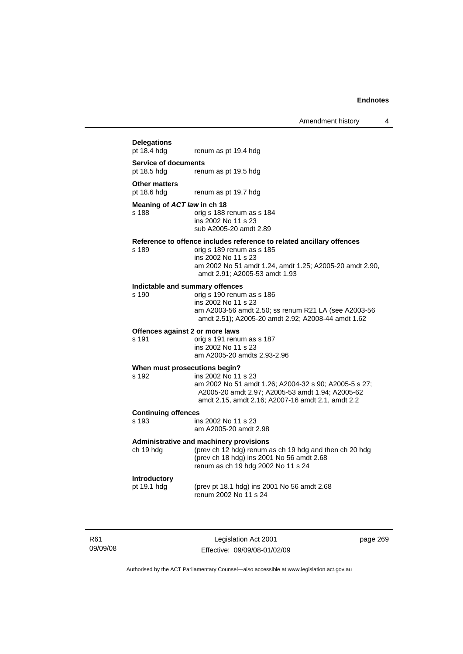# **Delegations**

renum as pt 19.4 hdg

#### **Service of documents**

pt 18.5 hdg renum as pt 19.5 hdg

#### **Other matters**

pt 18.6 hdg renum as pt 19.7 hdg

#### **Meaning of** *ACT law* **in ch 18**

s 188 orig s 188 renum as s 184 ins 2002 No 11 s 23 sub A2005-20 amdt 2.89

# **Reference to offence includes reference to related ancillary offences**

orig s 189 renum as s 185 ins 2002 No 11 s 23 am 2002 No 51 amdt 1.24, amdt 1.25; A2005-20 amdt 2.90, amdt 2.91; A2005-53 amdt 1.93

# **Indictable and summary offences**

orig s 190 renum as s 186 ins 2002 No 11 s 23 am A2003-56 amdt 2.50; ss renum R21 LA (see A2003-56 amdt 2.51); A2005-20 amdt 2.92; A2008-44 amdt 1.62

#### **Offences against 2 or more laws**

s 191 orig s 191 renum as s 187 ins 2002 No 11 s 23 am A2005-20 amdts 2.93-2.96

#### **When must prosecutions begin?**

s 192 ins 2002 No 11 s 23 am 2002 No 51 amdt 1.26; A2004-32 s 90; A2005-5 s 27; A2005-20 amdt 2.97; A2005-53 amdt 1.94; A2005-62 amdt 2.15, amdt 2.16; A2007-16 amdt 2.1, amdt 2.2

# **Continuing offences**

ins 2002 No 11 s 23 am A2005-20 amdt 2.98

#### **Administrative and machinery provisions**

ch 19 hdg (prev ch 12 hdg) renum as ch 19 hdg and then ch 20 hdg (prev ch 18 hdg) ins 2001 No 56 amdt 2.68 renum as ch 19 hdg 2002 No 11 s 24

### **Introductory**

pt 19.1 hdg (prev pt 18.1 hdg) ins 2001 No 56 amdt 2.68 renum 2002 No 11 s 24

R61 09/09/08

Legislation Act 2001 Effective: 09/09/08-01/02/09 page 269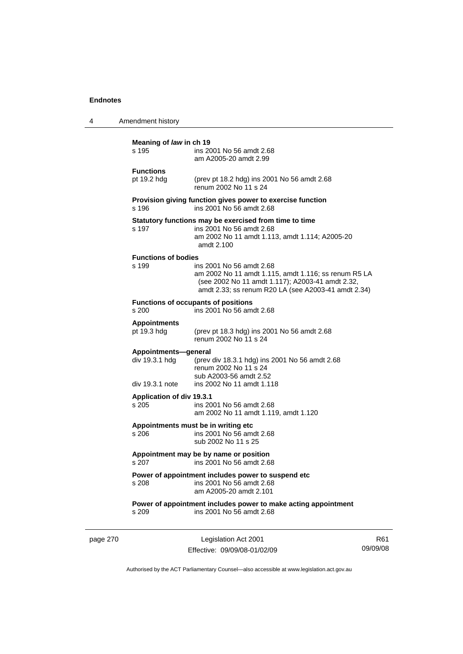| 4 | Amendment history                                         |                                                                                                                                                                                             |
|---|-----------------------------------------------------------|---------------------------------------------------------------------------------------------------------------------------------------------------------------------------------------------|
|   | Meaning of law in ch 19<br>s 195                          | ins 2001 No 56 amdt 2.68<br>am A2005-20 amdt 2.99                                                                                                                                           |
|   | <b>Functions</b><br>pt 19.2 hdg                           | (prev pt 18.2 hdg) ins 2001 No 56 amdt 2.68<br>renum 2002 No 11 s 24                                                                                                                        |
|   | s 196                                                     | Provision giving function gives power to exercise function<br>ins 2001 No 56 amdt 2.68                                                                                                      |
|   | s 197                                                     | Statutory functions may be exercised from time to time<br>ins 2001 No 56 amdt 2.68<br>am 2002 No 11 amdt 1.113, amdt 1.114; A2005-20<br>amdt 2.100                                          |
|   | <b>Functions of bodies</b><br>s 199                       | ins 2001 No 56 amdt 2.68<br>am 2002 No 11 amdt 1.115, amdt 1.116; ss renum R5 LA<br>(see 2002 No 11 amdt 1.117); A2003-41 amdt 2.32,<br>amdt 2.33; ss renum R20 LA (see A2003-41 amdt 2.34) |
|   | s 200                                                     | <b>Functions of occupants of positions</b><br>ins 2001 No 56 amdt 2.68                                                                                                                      |
|   | <b>Appointments</b><br>pt 19.3 hdg                        | (prev pt 18.3 hdg) ins 2001 No 56 amdt 2.68<br>renum 2002 No 11 s 24                                                                                                                        |
|   | Appointments-general<br>div 19.3.1 hdg<br>div 19.3.1 note | (prev div 18.3.1 hdg) ins 2001 No 56 amdt 2.68<br>renum 2002 No 11 s 24<br>sub A2003-56 amdt 2.52<br>ins 2002 No 11 amdt 1.118                                                              |
|   | <b>Application of div 19.3.1</b><br>s 205                 | ins 2001 No 56 amdt 2.68<br>am 2002 No 11 amdt 1.119, amdt 1.120                                                                                                                            |
|   | s 206                                                     | Appointments must be in writing etc<br>ins 2001 No 56 amdt 2.68<br>sub 2002 No 11 s 25                                                                                                      |
|   | s 207                                                     | Appointment may be by name or position<br>ins 2001 No 56 amdt 2.68                                                                                                                          |
|   | s 208                                                     | Power of appointment includes power to suspend etc<br>ins 2001 No 56 amdt 2.68<br>am A2005-20 amdt 2.101                                                                                    |
|   | s 209                                                     | Power of appointment includes power to make acting appointment<br>ins 2001 No 56 amdt 2.68                                                                                                  |
|   |                                                           |                                                                                                                                                                                             |

page 270 Legislation Act 2001 Effective: 09/09/08-01/02/09

R61 09/09/08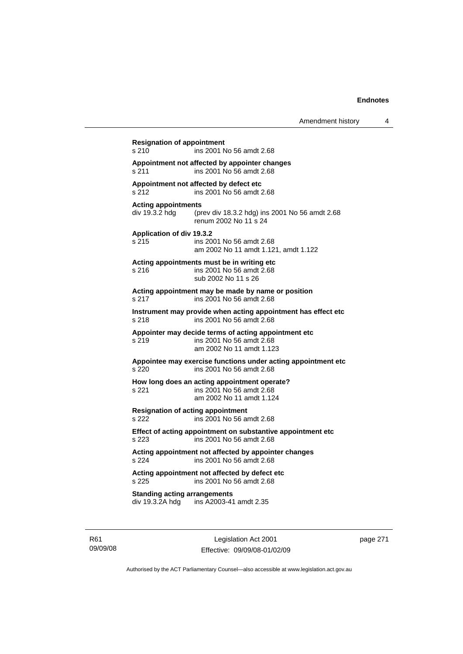**Resignation of appointment**  s 210 ins 2001 No 56 amdt 2.68 **Appointment not affected by appointer changes**  s 211 ins 2001 No 56 amdt 2.68 **Appointment not affected by defect etc**  s 212 ins 2001 No 56 amdt 2.68 **Acting appointments**  div 19.3.2 hdg (prev div 18.3.2 hdg) ins 2001 No 56 amdt 2.68 renum 2002 No 11 s 24 **Application of div 19.3.2**  s 215 ins 2001 No 56 amdt 2.68 am 2002 No 11 amdt 1.121, amdt 1.122 **Acting appointments must be in writing etc**  s 216 ins 2001 No 56 amdt 2.68 sub 2002 No 11 s 26 **Acting appointment may be made by name or position**  s 217 ins 2001 No 56 amdt 2.68 **Instrument may provide when acting appointment has effect etc**  s 218 ins 2001 No 56 amdt 2.68 **Appointer may decide terms of acting appointment etc**  s 219 ins 2001 No 56 amdt 2.68 am 2002 No 11 amdt 1.123 **Appointee may exercise functions under acting appointment etc**  s 220 ins 2001 No 56 amdt 2.68 **How long does an acting appointment operate?**  s 221 ins 2001 No 56 amdt 2.68 am 2002 No 11 amdt 1.124 **Resignation of acting appointment**  s 222 ins 2001 No 56 amdt 2.68 **Effect of acting appointment on substantive appointment etc**  s 223 ins 2001 No 56 amdt 2.68 **Acting appointment not affected by appointer changes**  s 224 ins 2001 No 56 amdt 2.68 **Acting appointment not affected by defect etc**  s 225 ins 2001 No 56 amdt 2.68 **Standing acting arrangements**  div 19.3.2A hdg ins A2003-41 amdt 2.35

R61 09/09/08

Legislation Act 2001 Effective: 09/09/08-01/02/09 page 271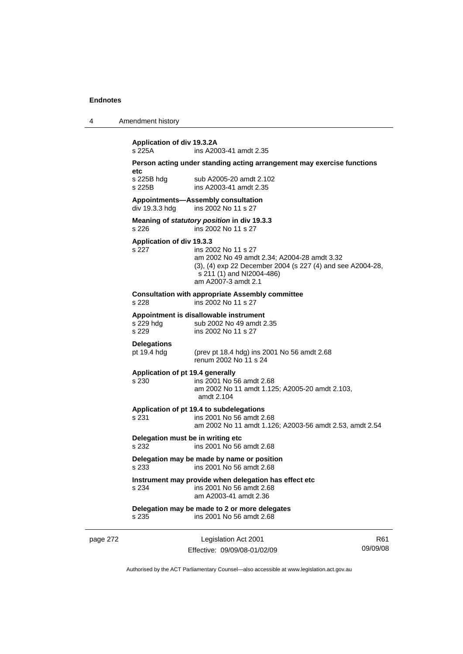| 4 | Amendment history |
|---|-------------------|
|---|-------------------|

|                                  | ins A2003-41 amdt 2.35                                                                                    |
|----------------------------------|-----------------------------------------------------------------------------------------------------------|
| etc                              | Person acting under standing acting arrangement may exercise functions                                    |
| s 225B hdg                       | sub A2005-20 amdt 2.102                                                                                   |
| s 225B                           | ins A2003-41 amdt 2.35                                                                                    |
|                                  | Appointments-Assembly consultation                                                                        |
| div 19.3.3 hdg                   | ins 2002 No 11 s 27                                                                                       |
|                                  | Meaning of statutory position in div 19.3.3                                                               |
| s 226                            | ins 2002 No 11 s 27                                                                                       |
| Application of div 19.3.3        |                                                                                                           |
| s 227                            | ins 2002 No 11 s 27                                                                                       |
|                                  | am 2002 No 49 amdt 2.34; A2004-28 amdt 3.32<br>(3), (4) exp 22 December 2004 (s 227 (4) and see A2004-28, |
|                                  | s 211 (1) and NI2004-486)                                                                                 |
|                                  | am A2007-3 amdt 2.1                                                                                       |
|                                  | <b>Consultation with appropriate Assembly committee</b>                                                   |
| s 228                            | ins 2002 No 11 s 27                                                                                       |
|                                  | Appointment is disallowable instrument                                                                    |
| s 229 hda                        | sub 2002 No 49 amdt 2.35                                                                                  |
| s 229                            | ins 2002 No 11 s 27                                                                                       |
| <b>Delegations</b>               |                                                                                                           |
| pt 19.4 hdg                      | (prev pt 18.4 hdg) ins 2001 No 56 amdt 2.68<br>renum 2002 No 11 s 24                                      |
| Application of pt 19.4 generally |                                                                                                           |
| s 230                            | ins 2001 No 56 amdt 2.68                                                                                  |
|                                  | am 2002 No 11 amdt 1.125; A2005-20 amdt 2.103,                                                            |
|                                  | amdt 2.104                                                                                                |
|                                  | Application of pt 19.4 to subdelegations                                                                  |
| s 231                            | ins 2001 No 56 amdt 2.68                                                                                  |
|                                  | am 2002 No 11 amdt 1.126; A2003-56 amdt 2.53, amdt 2.54                                                   |
|                                  | Delegation must be in writing etc                                                                         |
| s 232                            | ins 2001 No 56 amdt 2.68                                                                                  |
|                                  | Delegation may be made by name or position                                                                |
| s 233                            | ins 2001 No 56 amdt 2.68                                                                                  |
|                                  | Instrument may provide when delegation has effect etc                                                     |
| s 234                            | ins 2001 No 56 amdt 2.68<br>am A2003-41 amdt 2.36                                                         |
|                                  |                                                                                                           |
| s 235                            | Delegation may be made to 2 or more delegates<br>ins 2001 No 56 amdt 2.68                                 |

page 272 Legislation Act 2001 Effective: 09/09/08-01/02/09

R61 09/09/08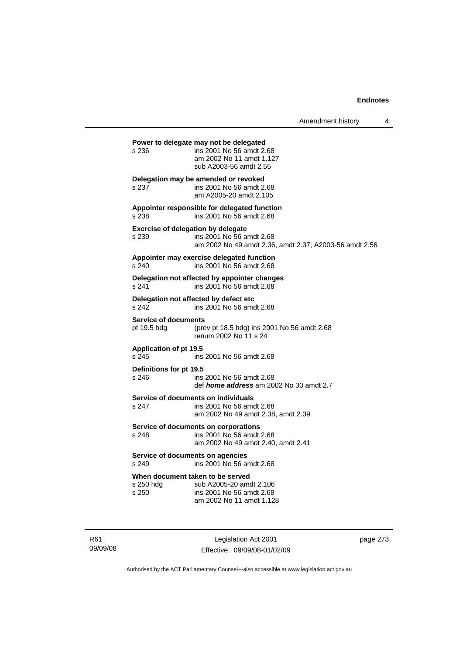Amendment history 4 **Power to delegate may not be delegated**  s 236 ins 2001 No 56 amdt 2.68 am 2002 No 11 amdt 1.127 sub A2003-56 amdt 2.55 **Delegation may be amended or revoked**  s 237 ins 2001 No 56 amdt 2.68 am A2005-20 amdt 2.105 **Appointer responsible for delegated function**  s 238 ins 2001 No 56 amdt 2.68 **Exercise of delegation by delegate**  s 239 ins 2001 No 56 amdt 2.68 am 2002 No 49 amdt 2.36, amdt 2.37; A2003-56 amdt 2.56 **Appointer may exercise delegated function**  s 240 ins 2001 No 56 amdt 2.68 **Delegation not affected by appointer changes**  s 241 ins 2001 No 56 amdt 2.68 **Delegation not affected by defect etc**  s 242 ins 2001 No 56 amdt 2.68 **Service of documents**<br>pt 19.5 hdg (pre (prev pt 18.5 hdg) ins 2001 No 56 amdt  $2.68$ renum 2002 No 11 s 24 **Application of pt 19.5**  s 245 ins 2001 No 56 amdt 2.68 **Definitions for pt 19.5**  ins 2001 No 56 amdt 2.68 def *home address* am 2002 No 30 amdt 2.7 **Service of documents on individuals**<br>s 247 **ins 2001** No 56 among ins 2001 No 56 amdt 2.68 am 2002 No 49 amdt 2.38, amdt 2.39 **Service of documents on corporations**  s 248 ins 2001 No 56 amdt 2.68 am 2002 No 49 amdt 2.40, amdt 2.41 **Service of documents on agencies**  s 249 ins 2001 No 56 amdt 2.68 **When document taken to be served**  s 250 hdg sub A2005-20 amdt 2.106 s 250 ins 2001 No 56 amdt 2.68 am 2002 No 11 amdt 1.128

R61 09/09/08

Legislation Act 2001 Effective: 09/09/08-01/02/09 page 273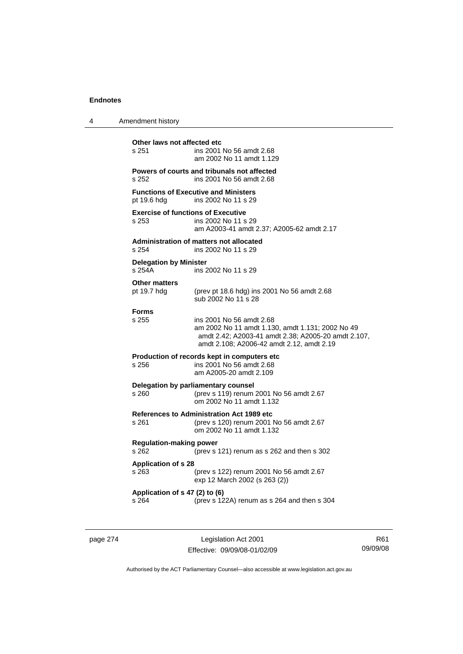| 4 | Amendment history                                  |                                                                                                                                                                                  |
|---|----------------------------------------------------|----------------------------------------------------------------------------------------------------------------------------------------------------------------------------------|
|   | Other laws not affected etc<br>s 251               | ins 2001 No 56 amdt 2.68<br>am 2002 No 11 amdt 1.129                                                                                                                             |
|   | s 252                                              | Powers of courts and tribunals not affected<br>ins 2001 No 56 amdt 2.68                                                                                                          |
|   | pt 19.6 hdg                                        | <b>Functions of Executive and Ministers</b><br>ins 2002 No 11 s 29                                                                                                               |
|   | <b>Exercise of functions of Executive</b><br>s 253 | ins 2002 No 11 s 29<br>am A2003-41 amdt 2.37; A2005-62 amdt 2.17                                                                                                                 |
|   | s 254                                              | <b>Administration of matters not allocated</b><br>ins 2002 No 11 s 29                                                                                                            |
|   | <b>Delegation by Minister</b><br>s 254A            | ins 2002 No 11 s 29                                                                                                                                                              |
|   | <b>Other matters</b><br>pt 19.7 hdg                | (prev pt 18.6 hdg) ins 2001 No 56 amdt 2.68<br>sub 2002 No 11 s 28                                                                                                               |
|   | <b>Forms</b><br>s 255                              | ins 2001 No 56 amdt 2.68<br>am 2002 No 11 amdt 1.130, amdt 1.131; 2002 No 49<br>amdt 2.42; A2003-41 amdt 2.38; A2005-20 amdt 2.107,<br>amdt 2.108; A2006-42 amdt 2.12, amdt 2.19 |
|   | s 256                                              | Production of records kept in computers etc<br>ins 2001 No 56 amdt 2.68<br>am A2005-20 amdt 2.109                                                                                |
|   | s 260                                              | Delegation by parliamentary counsel<br>(prev s 119) renum 2001 No 56 amdt 2.67<br>om 2002 No 11 amdt 1.132                                                                       |
|   | s 261                                              | <b>References to Administration Act 1989 etc</b><br>(prev s 120) renum 2001 No 56 amdt 2.67<br>om 2002 No 11 amdt 1.132                                                          |
|   | <b>Regulation-making power</b><br>s 262            | (prev s 121) renum as s 262 and then s 302                                                                                                                                       |
|   | <b>Application of s 28</b><br>s 263                | (prev s 122) renum 2001 No 56 amdt 2.67<br>exp 12 March 2002 (s 263 (2))                                                                                                         |
|   | Application of s 47 (2) to (6)<br>s 264            | (prev s 122A) renum as s 264 and then s 304                                                                                                                                      |
|   |                                                    |                                                                                                                                                                                  |

page 274 Legislation Act 2001 Effective: 09/09/08-01/02/09

R61 09/09/08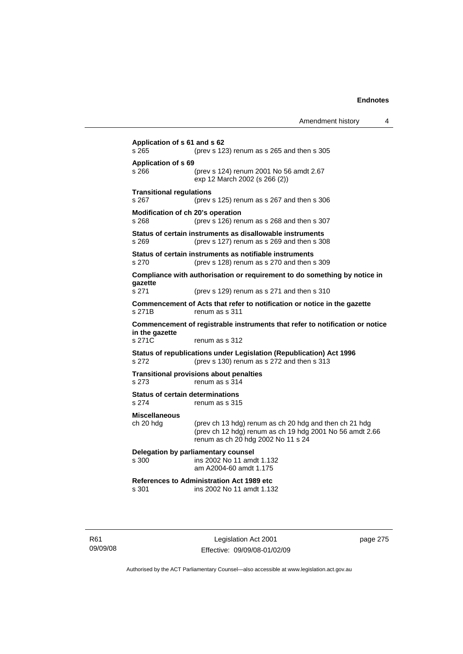**Application of s 61 and s 62**  s 265 (prev s 123) renum as s 265 and then s 305 **Application of s 69**  s 266 (prev s 124) renum 2001 No 56 amdt 2.67 exp 12 March 2002 (s 266 (2)) **Transitional regulations**  s 267 (prev s 125) renum as s 267 and then s 306 **Modification of ch 20's operation**  s 268 (prev s 126) renum as s 268 and then s 307 **Status of certain instruments as disallowable instruments**  s 269 (prev s 127) renum as s 269 and then s 308 **Status of certain instruments as notifiable instruments**  s 270 (prev s 128) renum as s 270 and then s 309 **Compliance with authorisation or requirement to do something by notice in gazette**  s 271 (prev s 129) renum as s 271 and then s 310 **Commencement of Acts that refer to notification or notice in the gazette**  s 271B renum as s 311 **Commencement of registrable instruments that refer to notification or notice in the gazette**  s 271C renum as s 312 **Status of republications under Legislation (Republication) Act 1996**  s 272 (prev s 130) renum as s 272 and then s 313 **Transitional provisions about penalties** s 273 renum as s 314 **Status of certain determinations**  s 274 renum as s 315 **Miscellaneous**  ch 20 hdg (prev ch 13 hdg) renum as ch 20 hdg and then ch 21 hdg (prev ch 12 hdg) renum as ch 19 hdg 2001 No 56 amdt 2.66 renum as ch 20 hdg 2002 No 11 s 24 **Delegation by parliamentary counsel**  s 300 ins 2002 No 11 amdt 1.132 am A2004-60 amdt 1.175 **References to Administration Act 1989 etc**  ins 2002 No 11 amdt 1.132

R61 09/09/08

Legislation Act 2001 Effective: 09/09/08-01/02/09 page 275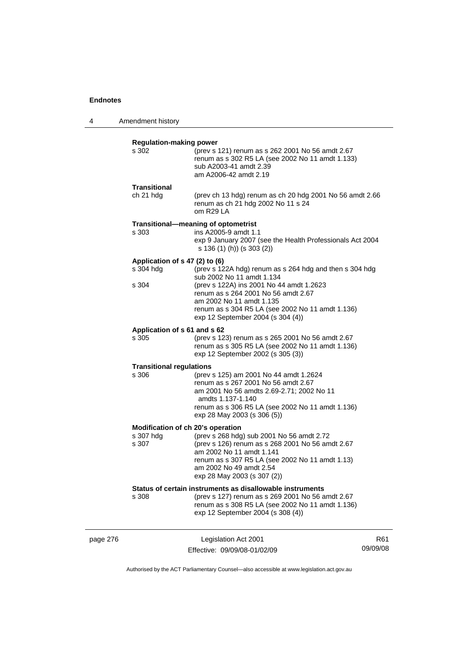4 Amendment history

|          | <b>Regulation-making power</b>                          |                                                                                                                                                                                                                                                                                              |     |
|----------|---------------------------------------------------------|----------------------------------------------------------------------------------------------------------------------------------------------------------------------------------------------------------------------------------------------------------------------------------------------|-----|
|          | s 302                                                   | (prev s 121) renum as s 262 2001 No 56 amdt 2.67<br>renum as s 302 R5 LA (see 2002 No 11 amdt 1.133)<br>sub A2003-41 amdt 2.39<br>am A2006-42 amdt 2.19                                                                                                                                      |     |
|          | <b>Transitional</b><br>ch 21 hdg                        | (prev ch 13 hdg) renum as ch 20 hdg 2001 No 56 amdt 2.66<br>renum as ch 21 hdg 2002 No 11 s 24<br>om R29 LA                                                                                                                                                                                  |     |
|          | s 303                                                   | Transitional-meaning of optometrist<br>ins A2005-9 amdt 1.1<br>exp 9 January 2007 (see the Health Professionals Act 2004<br>s 136 (1) (h)) (s 303 (2))                                                                                                                                       |     |
|          | Application of s 47 (2) to (6)<br>s 304 hdg<br>s 304    | (prev s 122A hdg) renum as s 264 hdg and then s 304 hdg<br>sub 2002 No 11 amdt 1.134<br>(prev s 122A) ins 2001 No 44 amdt 1.2623<br>renum as s 264 2001 No 56 amdt 2.67<br>am 2002 No 11 amdt 1.135<br>renum as s 304 R5 LA (see 2002 No 11 amdt 1.136)<br>exp 12 September 2004 (s 304 (4)) |     |
|          | Application of s 61 and s 62<br>s 305                   | (prev s 123) renum as s 265 2001 No 56 amdt 2.67<br>renum as s 305 R5 LA (see 2002 No 11 amdt 1.136)<br>exp 12 September 2002 (s 305 (3))                                                                                                                                                    |     |
|          | <b>Transitional regulations</b><br>s 306                | (prev s 125) am 2001 No 44 amdt 1.2624<br>renum as s 267 2001 No 56 amdt 2.67<br>am 2001 No 56 amdts 2.69-2.71; 2002 No 11<br>amdts 1.137-1.140<br>renum as s 306 R5 LA (see 2002 No 11 amdt 1.136)<br>exp 28 May 2003 (s 306 (5))                                                           |     |
|          | Modification of ch 20's operation<br>s 307 hdg<br>s 307 | (prev s 268 hdg) sub 2001 No 56 amdt 2.72<br>(prev s 126) renum as s 268 2001 No 56 amdt 2.67<br>am 2002 No 11 amdt 1.141<br>renum as s 307 R5 LA (see 2002 No 11 amdt 1.13)<br>am 2002 No 49 amdt 2.54<br>exp 28 May 2003 (s 307 (2))                                                       |     |
|          | s 308                                                   | Status of certain instruments as disallowable instruments<br>(prev s 127) renum as s 269 2001 No 56 amdt 2.67<br>renum as s 308 R5 LA (see 2002 No 11 amdt 1.136)<br>exp 12 September 2004 (s 308 (4))                                                                                       |     |
| page 276 |                                                         | Legislation Act 2001                                                                                                                                                                                                                                                                         | R61 |

Authorised by the ACT Parliamentary Counsel—also accessible at www.legislation.act.gov.au

09/09/08

Effective: 09/09/08-01/02/09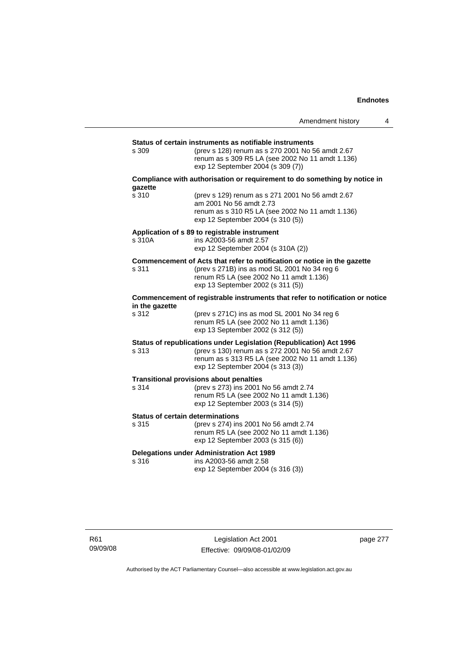|                                                  |                                                                                                                                                                                                                  | Amendment history | 4 |
|--------------------------------------------------|------------------------------------------------------------------------------------------------------------------------------------------------------------------------------------------------------------------|-------------------|---|
|                                                  |                                                                                                                                                                                                                  |                   |   |
| s 309                                            | Status of certain instruments as notifiable instruments<br>(prev s 128) renum as s 270 2001 No 56 amdt 2.67<br>renum as s 309 R5 LA (see 2002 No 11 amdt 1.136)<br>exp 12 September 2004 (s 309 (7))             |                   |   |
| gazette                                          | Compliance with authorisation or requirement to do something by notice in                                                                                                                                        |                   |   |
| s 310                                            | (prev s 129) renum as s 271 2001 No 56 amdt 2.67<br>am 2001 No 56 amdt 2.73<br>renum as s 310 R5 LA (see 2002 No 11 amdt 1.136)<br>exp 12 September 2004 (s 310 (5))                                             |                   |   |
| s 310A                                           | Application of s 89 to registrable instrument<br>ins A2003-56 amdt 2.57<br>exp 12 September 2004 (s 310A (2))                                                                                                    |                   |   |
| s 311                                            | Commencement of Acts that refer to notification or notice in the gazette<br>(prev s 271B) ins as mod SL 2001 No 34 reg 6<br>renum R5 LA (see 2002 No 11 amdt 1.136)<br>exp 13 September 2002 (s 311 (5))         |                   |   |
| in the gazette                                   | Commencement of registrable instruments that refer to notification or notice                                                                                                                                     |                   |   |
| s 312                                            | (prev s 271C) ins as mod SL 2001 No 34 reg 6<br>renum R5 LA (see 2002 No 11 amdt 1.136)<br>exp 13 September 2002 (s 312 (5))                                                                                     |                   |   |
| s 313                                            | Status of republications under Legislation (Republication) Act 1996<br>(prev s 130) renum as s 272 2001 No 56 amdt 2.67<br>renum as s 313 R5 LA (see 2002 No 11 amdt 1.136)<br>exp 12 September 2004 (s 313 (3)) |                   |   |
| s 314                                            | <b>Transitional provisions about penalties</b><br>(prev s 273) ins 2001 No 56 amdt 2.74<br>renum R5 LA (see 2002 No 11 amdt 1.136)<br>exp 12 September 2003 (s 314 (5))                                          |                   |   |
| <b>Status of certain determinations</b><br>s 315 | (prev s 274) ins 2001 No 56 amdt 2.74<br>renum R5 LA (see 2002 No 11 amdt 1.136)<br>exp 12 September 2003 (s 315 (6))                                                                                            |                   |   |
| s 316                                            | <b>Delegations under Administration Act 1989</b><br>ins A2003-56 amdt 2.58<br>exp 12 September 2004 (s 316 (3))                                                                                                  |                   |   |

page 277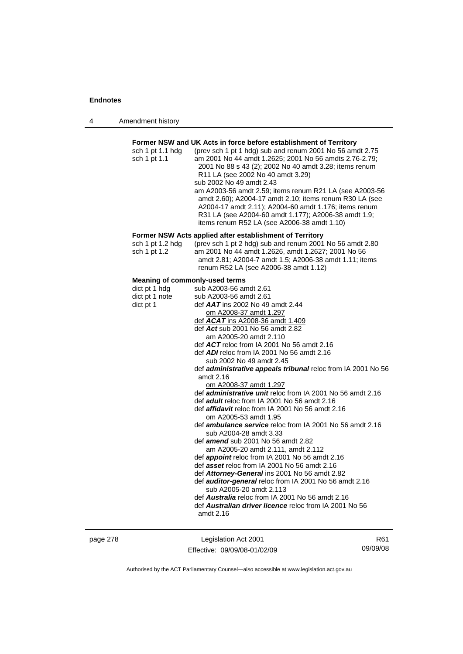| Amendment history<br>4 |  |
|------------------------|--|
|------------------------|--|

### **Former NSW and UK Acts in force before establishment of Territory**

| sch 1 pt 1.1 hdg | (prev sch 1 pt 1 hdg) sub and renum 2001 No 56 amdt 2.75 |
|------------------|----------------------------------------------------------|
| sch 1 pt 1.1     | am 2001 No 44 amdt 1.2625; 2001 No 56 amdts 2.76-2.79;   |
|                  | 2001 No 88 s 43 (2); 2002 No 40 amdt 3.28; items renum   |
|                  | R11 LA (see 2002 No 40 amdt 3.29)                        |
|                  | sub 2002 No 49 amdt 2.43                                 |
|                  | am A2003-56 amdt 2.59; items renum R21 LA (see A2003-56  |
|                  | amdt 2.60); A2004-17 amdt 2.10; items renum R30 LA (see  |
|                  | A2004-17 amdt 2.11); A2004-60 amdt 1.176; items renum    |
|                  | R31 LA (see A2004-60 amdt 1.177); A2006-38 amdt 1.9;     |
|                  | items renum R52 LA (see A2006-38 amdt 1.10)              |

### **Former NSW Acts applied after establishment of Territory**

| sch 1 pt 1.2 hda | (prev sch 1 pt 2 hdg) sub and renum 2001 No 56 amdt 2.80 |
|------------------|----------------------------------------------------------|
| sch 1 pt 1.2     | am 2001 No 44 amdt 1.2626, amdt 1.2627; 2001 No 56       |
|                  | amdt 2.81: A2004-7 amdt 1.5: A2006-38 amdt 1.11: items   |
|                  | renum R52 LA (see A2006-38 amdt 1.12)                    |

### **Meaning of commonly-used terms**

| dict pt 1 hdg  | sub A2003-56 amdt 2.61                                              |
|----------------|---------------------------------------------------------------------|
| dict pt 1 note | sub A2003-56 amdt 2.61                                              |
| dict pt 1      | def $AAT$ ins 2002 No 49 amdt 2.44                                  |
|                | om A2008-37 amdt 1.297                                              |
|                | def $ACAT$ ins A2008-36 amdt 1.409                                  |
|                | def Act sub 2001 No 56 amdt 2.82                                    |
|                | am A2005-20 amdt 2.110                                              |
|                | def $ACT$ reloc from IA 2001 No 56 amdt 2.16                        |
|                | def <b>ADI</b> reloc from IA 2001 No 56 amdt 2.16                   |
|                | sub 2002 No 49 amdt 2.45                                            |
|                | def <i>administrative appeals tribunal</i> reloc from IA 2001 No 56 |
|                | amdt 2.16                                                           |
|                | om A2008-37 amdt 1.297                                              |
|                | def <i>administrative unit</i> reloc from IA 2001 No 56 amdt 2.16   |
|                | def <b>adult</b> reloc from IA 2001 No 56 amdt 2.16                 |
|                | def <b>affidavit</b> reloc from IA 2001 No 56 amdt 2.16             |
|                | om A2005-53 amdt 1.95                                               |
|                | def <b>ambulance service</b> reloc from IA 2001 No 56 amdt 2.16     |
|                | sub A2004-28 amdt 3.33                                              |
|                | def <b>amend</b> sub 2001 No 56 amdt 2.82                           |
|                | am A2005-20 amdt 2.111, amdt 2.112                                  |
|                | def <b>appoint</b> reloc from IA 2001 No 56 amdt 2.16               |
|                | def asset reloc from IA 2001 No 56 amdt 2.16                        |
|                | def Attorney-General ins 2001 No 56 amdt 2.82                       |
|                | def <b>auditor-general</b> reloc from IA 2001 No 56 amdt 2.16       |
|                | sub A2005-20 amdt 2.113                                             |
|                | def <b>Australia</b> reloc from IA 2001 No 56 amdt 2.16             |
|                | def Australian driver licence reloc from IA 2001 No 56              |
|                | amdt 2.16                                                           |
|                |                                                                     |

page 278 Legislation Act 2001 Effective: 09/09/08-01/02/09

R61 09/09/08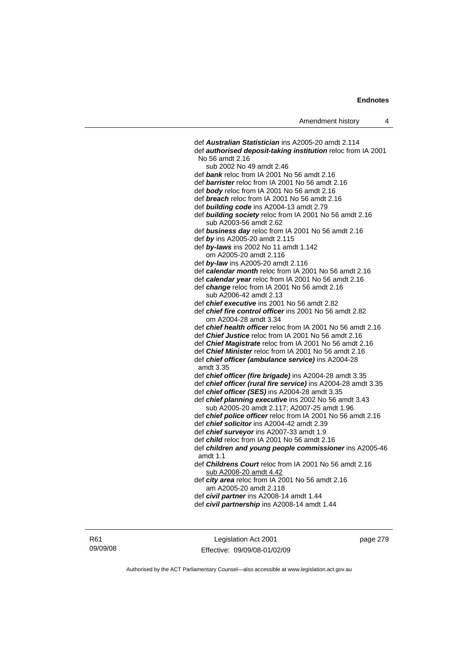def *Australian Statistician* ins A2005-20 amdt 2.114 def *authorised deposit-taking institution* reloc from IA 2001 No 56 amdt 2.16 sub 2002 No 49 amdt 2.46 def *bank* reloc from IA 2001 No 56 amdt 2.16 def *barrister* reloc from IA 2001 No 56 amdt 2.16 def *body* reloc from IA 2001 No 56 amdt 2.16 def *breach* reloc from IA 2001 No 56 amdt 2.16 def *building code* ins A2004-13 amdt 2.79 def *building society* reloc from IA 2001 No 56 amdt 2.16 sub A2003-56 amdt 2.62 def *business day* reloc from IA 2001 No 56 amdt 2.16 def *by* ins A2005-20 amdt 2.115 def *by-laws* ins 2002 No 11 amdt 1.142 om A2005-20 amdt 2.116 def *by-law* ins A2005-20 amdt 2.116 def *calendar month* reloc from IA 2001 No 56 amdt 2.16 def *calendar year* reloc from IA 2001 No 56 amdt 2.16 def *change* reloc from IA 2001 No 56 amdt 2.16 sub A2006-42 amdt 2.13 def *chief executive* ins 2001 No 56 amdt 2.82 def *chief fire control officer* ins 2001 No 56 amdt 2.82 om A2004-28 amdt 3.34 def *chief health officer* reloc from IA 2001 No 56 amdt 2.16 def *Chief Justice* reloc from IA 2001 No 56 amdt 2.16 def *Chief Magistrate* reloc from IA 2001 No 56 amdt 2.16 def *Chief Minister* reloc from IA 2001 No 56 amdt 2.16 def *chief officer (ambulance service)* ins A2004-28 amdt 3.35 def *chief officer (fire brigade)* ins A2004-28 amdt 3.35 def *chief officer (rural fire service)* ins A2004-28 amdt 3.35 def *chief officer (SES)* ins A2004-28 amdt 3.35 def *chief planning executive* ins 2002 No 56 amdt 3.43 sub A2005-20 amdt 2.117; A2007-25 amdt 1.96 def *chief police officer* reloc from IA 2001 No 56 amdt 2.16 def *chief solicitor* ins A2004-42 amdt 2.39 def *chief surveyor* ins A2007-33 amdt 1.9 def *child* reloc from IA 2001 No 56 amdt 2.16 def *children and young people commissioner* ins A2005-46 amdt 1.1 def *Childrens Court* reloc from IA 2001 No 56 amdt 2.16 sub A2008-20 amdt 4.42 def *city area* reloc from IA 2001 No 56 amdt 2.16 am A2005-20 amdt 2.118 def *civil partner* ins A2008-14 amdt 1.44 def *civil partnership* ins A2008-14 amdt 1.44

Legislation Act 2001 Effective: 09/09/08-01/02/09 page 279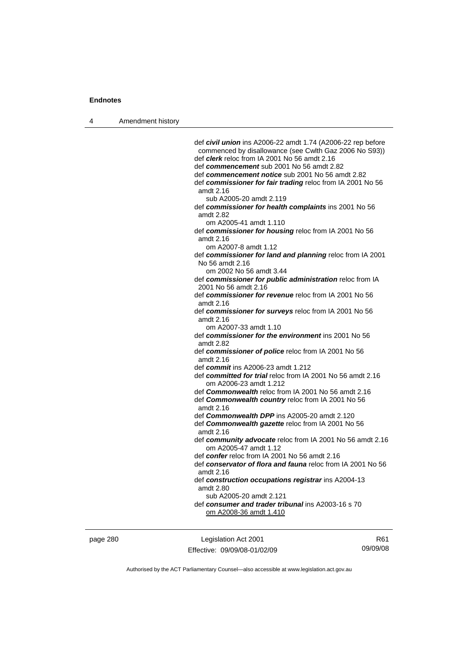4 Amendment history

 def *civil union* ins A2006-22 amdt 1.74 (A2006-22 rep before commenced by disallowance (see Cwlth Gaz 2006 No S93)) def *clerk* reloc from IA 2001 No 56 amdt 2.16 def *commencement* sub 2001 No 56 amdt 2.82 def *commencement notice* sub 2001 No 56 amdt 2.82 def *commissioner for fair trading* reloc from IA 2001 No 56 amdt 2.16 sub A2005-20 amdt 2.119 def *commissioner for health complaints* ins 2001 No 56 amdt 2.82 om A2005-41 amdt 1.110 def *commissioner for housing* reloc from IA 2001 No 56 amdt 2.16 om A2007-8 amdt 1.12 def *commissioner for land and planning* reloc from IA 2001 No 56 amdt 2.16 om 2002 No 56 amdt 3.44 def *commissioner for public administration* reloc from IA 2001 No 56 amdt 2.16 def *commissioner for revenue* reloc from IA 2001 No 56 amdt 2.16 def *commissioner for surveys* reloc from IA 2001 No 56 amdt 2.16 om A2007-33 amdt 1.10 def *commissioner for the environment* ins 2001 No 56 amdt 2.82 def *commissioner of police* reloc from IA 2001 No 56 amdt 2.16 def *commit* ins A2006-23 amdt 1.212 def *committed for trial* reloc from IA 2001 No 56 amdt 2.16 om A2006-23 amdt 1.212 def *Commonwealth* reloc from IA 2001 No 56 amdt 2.16 def *Commonwealth country* reloc from IA 2001 No 56 amdt 2.16 def *Commonwealth DPP* ins A2005-20 amdt 2.120 def *Commonwealth gazette* reloc from IA 2001 No 56 amdt 2.16 def *community advocate* reloc from IA 2001 No 56 amdt 2.16 om A2005-47 amdt 1.12 def *confer* reloc from IA 2001 No 56 amdt 2.16 def *conservator of flora and fauna* reloc from IA 2001 No 56 amdt 2.16 def *construction occupations registrar* ins A2004-13 amdt 2.80 sub A2005-20 amdt 2.121 def *consumer and trader tribunal* ins A2003-16 s 70 om A2008-36 amdt 1.410

page 280 Legislation Act 2001 Effective: 09/09/08-01/02/09

R61 09/09/08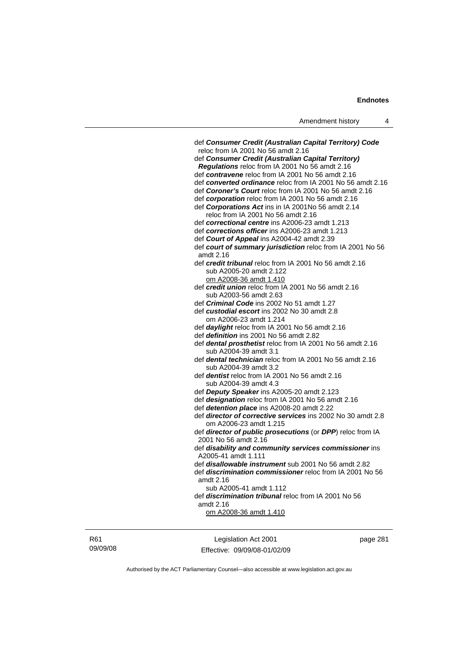| Amendment history |  |
|-------------------|--|
|-------------------|--|

| def Consumer Credit (Australian Capital Territory) Code<br>reloc from IA 2001 No 56 amdt 2.16 |
|-----------------------------------------------------------------------------------------------|
| def Consumer Credit (Australian Capital Territory)                                            |
| Regulations reloc from IA 2001 No 56 amdt 2.16                                                |
| def contravene reloc from IA 2001 No 56 amdt 2.16                                             |
| def converted ordinance reloc from IA 2001 No 56 amdt 2.16                                    |
| def Coroner's Court reloc from IA 2001 No 56 amdt 2.16                                        |
|                                                                                               |
| def corporation reloc from IA 2001 No 56 amdt 2.16                                            |
| def Corporations Act ins in IA 2001No 56 amdt 2.14                                            |
| reloc from IA 2001 No 56 amdt 2.16                                                            |
| def correctional centre ins A2006-23 amdt 1.213                                               |
| def corrections officer ins A2006-23 amdt 1.213                                               |
| def Court of Appeal ins A2004-42 amdt 2.39                                                    |
| def court of summary jurisdiction reloc from IA 2001 No 56                                    |
| amdt 2.16                                                                                     |
| def credit tribunal reloc from IA 2001 No 56 amdt 2.16                                        |
| sub A2005-20 amdt 2.122                                                                       |
| om A2008-36 amdt 1.410                                                                        |
| def credit union reloc from IA 2001 No 56 amdt 2.16                                           |
| sub A2003-56 amdt 2.63                                                                        |
| def Criminal Code ins 2002 No 51 amdt 1.27                                                    |
| def custodial escort ins 2002 No 30 amdt 2.8                                                  |
| om A2006-23 amdt 1.214                                                                        |
| def daylight reloc from IA 2001 No 56 amdt 2.16                                               |
| def <i>definition</i> ins 2001 No 56 amdt 2.82                                                |
| def dental prosthetist reloc from IA 2001 No 56 amdt 2.16                                     |
| sub A2004-39 amdt 3.1                                                                         |
| def dental technician reloc from IA 2001 No 56 amdt 2.16                                      |
| sub A2004-39 amdt 3.2                                                                         |
| def <i>dentist</i> reloc from IA 2001 No 56 amdt 2.16                                         |
| sub A2004-39 amdt 4.3                                                                         |
| def Deputy Speaker ins A2005-20 amdt 2.123                                                    |
| def designation reloc from IA 2001 No 56 amdt 2.16                                            |
| def detention place ins A2008-20 amdt 2.22                                                    |
| def director of corrective services ins 2002 No 30 amdt 2.8                                   |
| om A2006-23 amdt 1.215                                                                        |
| def director of public prosecutions (or DPP) reloc from IA                                    |
| 2001 No 56 amdt 2.16                                                                          |
| def disability and community services commissioner ins                                        |
| A2005-41 amdt 1.111                                                                           |
| def disallowable instrument sub 2001 No 56 amdt 2.82                                          |
| def <i>discrimination commissioner</i> reloc from IA 2001 No 56                               |
| amdt 2.16                                                                                     |
| sub A2005-41 amdt 1.112                                                                       |
| def discrimination tribunal reloc from IA 2001 No 56                                          |
| amdt 2.16                                                                                     |
| <u>om A2008-36 amdt 1.410</u>                                                                 |
|                                                                                               |
|                                                                                               |

R61 09/09/08

Legislation Act 2001 Effective: 09/09/08-01/02/09 page 281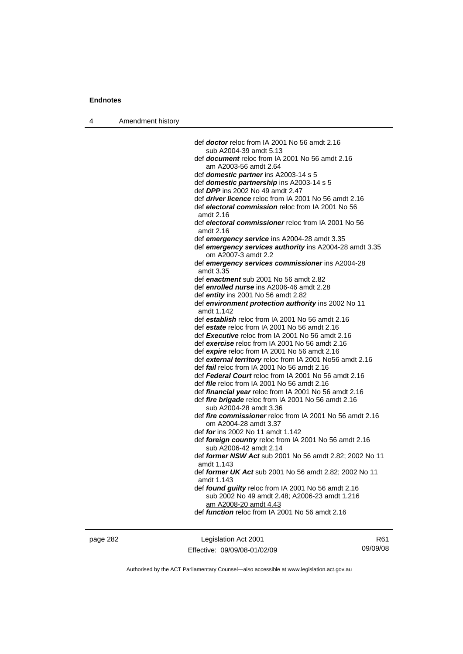4 Amendment history

| def <b>doctor</b> reloc from IA 2001 No 56 amdt 2.16                              |
|-----------------------------------------------------------------------------------|
| sub A2004-39 amdt 5.13                                                            |
| def <b>document</b> reloc from IA 2001 No 56 amdt 2.16                            |
| am A2003-56 amdt 2.64                                                             |
| def domestic partner ins A2003-14 s 5                                             |
| def domestic partnership ins A2003-14 s 5                                         |
| def <b>DPP</b> ins 2002 No 49 amdt 2.47                                           |
| def <i>driver licence</i> reloc from IA 2001 No 56 amdt 2.16                      |
| def electoral commission reloc from IA 2001 No 56<br>amdt 2.16                    |
| def electoral commissioner reloc from IA 2001 No 56<br>amdt 2.16                  |
| def emergency service ins A2004-28 amdt 3.35                                      |
| def emergency services authority ins A2004-28 amdt 3.35<br>om A2007-3 amdt 2.2    |
| def emergency services commissioner ins A2004-28<br>amdt 3.35                     |
| def enactment sub 2001 No 56 amdt 2.82                                            |
| def enrolled nurse ins A2006-46 amdt 2.28                                         |
| def entity ins 2001 No 56 amdt 2.82                                               |
| def environment protection authority ins 2002 No 11                               |
| amdt 1.142                                                                        |
| def establish reloc from IA 2001 No 56 amdt 2.16                                  |
| def estate reloc from IA 2001 No 56 amdt 2.16                                     |
| def Executive reloc from IA 2001 No 56 amdt 2.16                                  |
| def exercise reloc from IA 2001 No 56 amdt 2.16                                   |
| def expire reloc from IA 2001 No 56 amdt 2.16                                     |
| def external territory reloc from IA 2001 No56 amdt 2.16                          |
| def fail reloc from IA 2001 No 56 amdt 2.16                                       |
| def Federal Court reloc from IA 2001 No 56 amdt 2.16                              |
| def file reloc from IA 2001 No 56 amdt 2.16                                       |
| def financial year reloc from IA 2001 No 56 amdt 2.16                             |
| def fire brigade reloc from IA 2001 No 56 amdt 2.16                               |
| sub A2004-28 amdt 3.36                                                            |
| def fire commissioner reloc from IA 2001 No 56 amdt 2.16<br>om A2004-28 amdt 3.37 |
| def for ins 2002 No 11 amdt 1.142                                                 |
| def foreign country reloc from IA 2001 No 56 amdt 2.16<br>sub A2006-42 amdt 2.14  |
| def former NSW Act sub 2001 No 56 amdt 2.82; 2002 No 11<br>amdt 1.143             |
| def former UK Act sub 2001 No 56 amdt 2.82; 2002 No 11<br>amdt 1.143              |
| def found guilty reloc from IA 2001 No 56 amdt 2.16                               |
| sub 2002 No 49 amdt 2.48; A2006-23 amdt 1.216                                     |
| am A2008-20 amdt 4.43                                                             |
| def <i>function</i> reloc from IA 2001 No 56 amdt 2.16                            |
|                                                                                   |
|                                                                                   |

page 282 Legislation Act 2001 Effective: 09/09/08-01/02/09

R61 09/09/08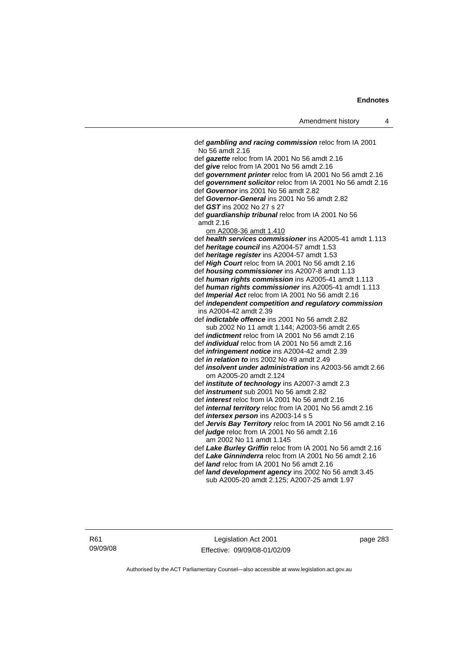def *gambling and racing commission* reloc from IA 2001 No 56 amdt 2.16 def *gazette* reloc from IA 2001 No 56 amdt 2.16 def *give* reloc from IA 2001 No 56 amdt 2.16 def *government printer* reloc from IA 2001 No 56 amdt 2.16 def *government solicitor* reloc from IA 2001 No 56 amdt 2.16 def *Governor* ins 2001 No 56 amdt 2.82 def *Governor-General* ins 2001 No 56 amdt 2.82 def *GST* ins 2002 No 27 s 27 def *guardianship tribunal* reloc from IA 2001 No 56 amdt 2.16 om A2008-36 amdt 1.410 def *health services commissioner* ins A2005-41 amdt 1.113 def *heritage council* ins A2004-57 amdt 1.53 def *heritage register* ins A2004-57 amdt 1.53 def *High Court* reloc from IA 2001 No 56 amdt 2.16 def *housing commissioner* ins A2007-8 amdt 1.13 def *human rights commission* ins A2005-41 amdt 1.113 def *human rights commissioner* ins A2005-41 amdt 1.113 def *Imperial Act* reloc from IA 2001 No 56 amdt 2.16 def *independent competition and regulatory commission*  ins A2004-42 amdt 2.39 def *indictable offence* ins 2001 No 56 amdt 2.82 sub 2002 No 11 amdt 1.144; A2003-56 amdt 2.65 def *indictment* reloc from IA 2001 No 56 amdt 2.16 def *individual* reloc from IA 2001 No 56 amdt 2.16 def *infringement notice* ins A2004-42 amdt 2.39 def *in relation to* ins 2002 No 49 amdt 2.49 def *insolvent under administration* ins A2003-56 amdt 2.66 om A2005-20 amdt 2.124 def *institute of technology* ins A2007-3 amdt 2.3 def *instrument* sub 2001 No 56 amdt 2.82 def *interest* reloc from IA 2001 No 56 amdt 2.16 def *internal territory* reloc from IA 2001 No 56 amdt 2.16 def *intersex person* ins A2003-14 s 5 def *Jervis Bay Territory* reloc from IA 2001 No 56 amdt 2.16 def *judge* reloc from IA 2001 No 56 amdt 2.16 am 2002 No 11 amdt 1.145 def *Lake Burley Griffin* reloc from IA 2001 No 56 amdt 2.16 def *Lake Ginninderra* reloc from IA 2001 No 56 amdt 2.16 def *land* reloc from IA 2001 No 56 amdt 2.16 def *land development agency* ins 2002 No 56 amdt 3.45 sub A2005-20 amdt 2.125; A2007-25 amdt 1.97

R61 09/09/08

Legislation Act 2001 Effective: 09/09/08-01/02/09 page 283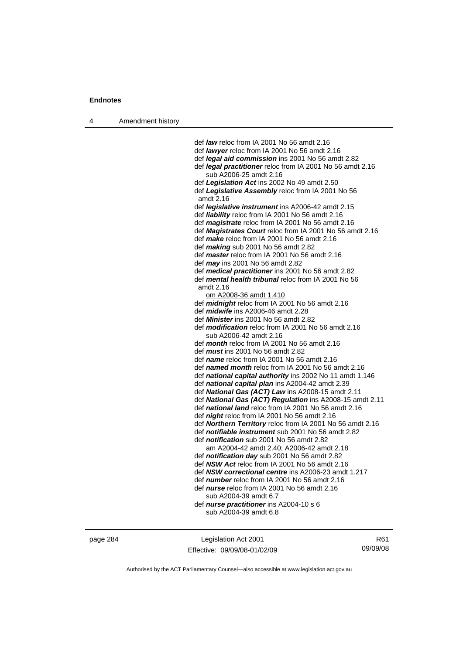| 4 | Amendment history |                                                                                                                  |
|---|-------------------|------------------------------------------------------------------------------------------------------------------|
|   |                   |                                                                                                                  |
|   |                   | def <i>law</i> reloc from IA 2001 No 56 amdt 2.16                                                                |
|   |                   | def lawyer reloc from IA 2001 No 56 amdt 2.16                                                                    |
|   |                   | def <i>legal aid commission</i> ins 2001 No 56 amdt 2.82                                                         |
|   |                   | def legal practitioner reloc from IA 2001 No 56 amdt 2.16                                                        |
|   |                   | sub A2006-25 amdt 2.16                                                                                           |
|   |                   | def Legislation Act ins 2002 No 49 amdt 2.50                                                                     |
|   |                   | def Legislative Assembly reloc from IA 2001 No 56<br>amdt 2.16                                                   |
|   |                   | def <i>legislative instrument</i> ins A2006-42 amdt 2.15                                                         |
|   |                   | def liability reloc from IA 2001 No 56 amdt 2.16                                                                 |
|   |                   | def <i>magistrate</i> reloc from IA 2001 No 56 amdt 2.16                                                         |
|   |                   | def Magistrates Court reloc from IA 2001 No 56 amdt 2.16                                                         |
|   |                   | def make reloc from IA 2001 No 56 amdt 2.16                                                                      |
|   |                   | def <i>making</i> sub 2001 No 56 amdt 2.82                                                                       |
|   |                   | def <i>master</i> reloc from IA 2001 No 56 amdt 2.16                                                             |
|   |                   | def <i>may</i> ins 2001 No 56 amdt 2.82                                                                          |
|   |                   | def medical practitioner ins 2001 No 56 amdt 2.82                                                                |
|   |                   | def mental health tribunal reloc from IA 2001 No 56                                                              |
|   |                   | amdt 2.16                                                                                                        |
|   |                   | om A2008-36 amdt 1.410                                                                                           |
|   |                   | def midnight reloc from IA 2001 No 56 amdt 2.16                                                                  |
|   |                   | def <i>midwife</i> ins A2006-46 amdt 2.28                                                                        |
|   |                   | def <i>Minister</i> ins 2001 No 56 amdt 2.82                                                                     |
|   |                   | def modification reloc from IA 2001 No 56 amdt 2.16                                                              |
|   |                   | sub A2006-42 amdt 2.16                                                                                           |
|   |                   | def month reloc from IA 2001 No 56 amdt 2.16                                                                     |
|   |                   | def <i>must</i> ins 2001 No 56 amdt 2.82                                                                         |
|   |                   | def name reloc from IA 2001 No 56 amdt 2.16                                                                      |
|   |                   | def named month reloc from IA 2001 No 56 amdt 2.16                                                               |
|   |                   | def national capital authority ins 2002 No 11 amdt 1.146                                                         |
|   |                   | def national capital plan ins A2004-42 amdt 2.39                                                                 |
|   |                   | def National Gas (ACT) Law ins A2008-15 amdt 2.11                                                                |
|   |                   | def National Gas (ACT) Regulation ins A2008-15 amdt 2.11<br>def national land reloc from IA 2001 No 56 amdt 2.16 |
|   |                   | def <i>night</i> reloc from IA 2001 No 56 amdt 2.16                                                              |
|   |                   | def <b>Northern Territory</b> reloc from IA 2001 No 56 amdt 2.16                                                 |
|   |                   | def notifiable instrument sub 2001 No 56 amdt 2.82                                                               |
|   |                   | def <i>notification</i> sub 2001 No 56 amdt 2.82                                                                 |
|   |                   | am A2004-42 amdt 2.40; A2006-42 amdt 2.18                                                                        |
|   |                   | def <i>notification day</i> sub 2001 No 56 amdt 2.82                                                             |
|   |                   | def NSW Act reloc from IA 2001 No 56 amdt 2.16                                                                   |
|   |                   | def NSW correctional centre ins A2006-23 amdt 1.217                                                              |
|   |                   | def <i>number</i> reloc from IA 2001 No 56 amdt 2.16                                                             |
|   |                   | def <i>nurse</i> reloc from IA 2001 No 56 amdt 2.16                                                              |
|   |                   | sub A2004-39 amdt 6.7                                                                                            |
|   |                   | def nurse practitioner ins A2004-10 s 6                                                                          |
|   |                   | sub A2004-39 amdt 6.8                                                                                            |
|   |                   |                                                                                                                  |

page 284 Legislation Act 2001 Effective: 09/09/08-01/02/09

R61 09/09/08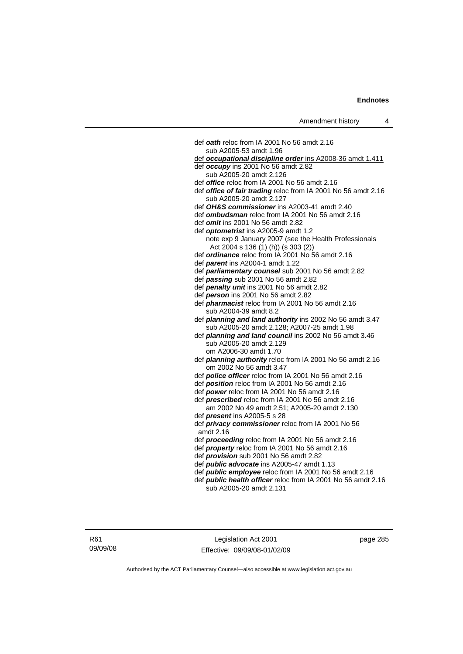def *oath* reloc from IA 2001 No 56 amdt 2.16 sub A2005-53 amdt 1.96 def *occupational discipline order* ins A2008-36 amdt 1.411 def *occupy* ins 2001 No 56 amdt 2.82 sub A2005-20 amdt 2.126 def *office* reloc from IA 2001 No 56 amdt 2.16 def *office of fair trading* reloc from IA 2001 No 56 amdt 2.16 sub A2005-20 amdt 2.127 def *OH&S commissioner* ins A2003-41 amdt 2.40 def *ombudsman* reloc from IA 2001 No 56 amdt 2.16 def *omit* ins 2001 No 56 amdt 2.82 def *optometrist* ins A2005-9 amdt 1.2 note exp 9 January 2007 (see the Health Professionals Act 2004 s 136 (1) (h)) (s 303 (2)) def *ordinance* reloc from IA 2001 No 56 amdt 2.16 def *parent* ins A2004-1 amdt 1.22 def *parliamentary counsel* sub 2001 No 56 amdt 2.82 def *passing* sub 2001 No 56 amdt 2.82 def *penalty unit* ins 2001 No 56 amdt 2.82 def *person* ins 2001 No 56 amdt 2.82 def *pharmacist* reloc from IA 2001 No 56 amdt 2.16 sub A2004-39 amdt 8.2 def *planning and land authority* ins 2002 No 56 amdt 3.47 sub A2005-20 amdt 2.128; A2007-25 amdt 1.98 def *planning and land council* ins 2002 No 56 amdt 3.46 sub A2005-20 amdt 2.129 om A2006-30 amdt 1.70 def *planning authority* reloc from IA 2001 No 56 amdt 2.16 om 2002 No 56 amdt 3.47 def *police officer* reloc from IA 2001 No 56 amdt 2.16 def *position* reloc from IA 2001 No 56 amdt 2.16 def *power* reloc from IA 2001 No 56 amdt 2.16 def *prescribed* reloc from IA 2001 No 56 amdt 2.16 am 2002 No 49 amdt 2.51; A2005-20 amdt 2.130 def *present* ins A2005-5 s 28 def *privacy commissioner* reloc from IA 2001 No 56 amdt 2.16 def *proceeding* reloc from IA 2001 No 56 amdt 2.16 def *property* reloc from IA 2001 No 56 amdt 2.16 def *provision* sub 2001 No 56 amdt 2.82 def *public advocate* ins A2005-47 amdt 1.13 def *public employee* reloc from IA 2001 No 56 amdt 2.16 def *public health officer* reloc from IA 2001 No 56 amdt 2.16 sub A2005-20 amdt 2.131

Legislation Act 2001 Effective: 09/09/08-01/02/09 page 285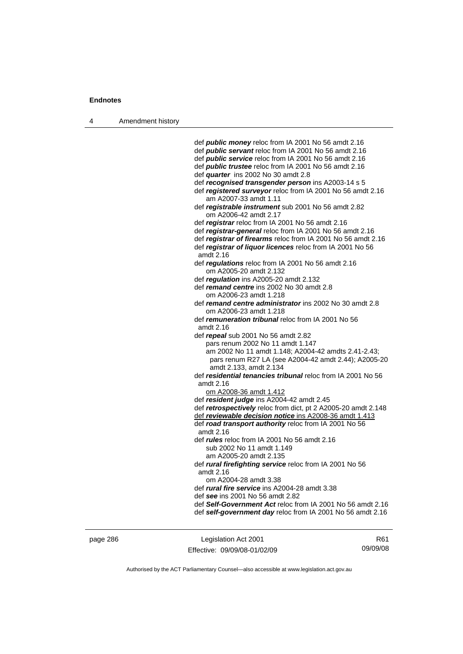4 Amendment history

 def *public money* reloc from IA 2001 No 56 amdt 2.16 def *public servant* reloc from IA 2001 No 56 amdt 2.16 def *public service* reloc from IA 2001 No 56 amdt 2.16 def *public trustee* reloc from IA 2001 No 56 amdt 2.16 def *quarter* ins 2002 No 30 amdt 2.8 def *recognised transgender person* ins A2003-14 s 5 def *registered surveyor* reloc from IA 2001 No 56 amdt 2.16 am A2007-33 amdt 1.11 def *registrable instrument* sub 2001 No 56 amdt 2.82 om A2006-42 amdt 2.17 def *registrar* reloc from IA 2001 No 56 amdt 2.16 def *registrar-general* reloc from IA 2001 No 56 amdt 2.16 def *registrar of firearms* reloc from IA 2001 No 56 amdt 2.16 def *registrar of liquor licences* reloc from IA 2001 No 56 amdt 2.16 def *regulations* reloc from IA 2001 No 56 amdt 2.16 om A2005-20 amdt 2.132 def *regulation* ins A2005-20 amdt 2.132 def *remand centre* ins 2002 No 30 amdt 2.8 om A2006-23 amdt 1.218 def *remand centre administrator* ins 2002 No 30 amdt 2.8 om A2006-23 amdt 1.218 def *remuneration tribunal* reloc from IA 2001 No 56 amdt 2.16 def *repeal* sub 2001 No 56 amdt 2.82 pars renum 2002 No 11 amdt 1.147 am 2002 No 11 amdt 1.148; A2004-42 amdts 2.41-2.43; pars renum R27 LA (see A2004-42 amdt 2.44); A2005-20 amdt 2.133, amdt 2.134 def *residential tenancies tribunal* reloc from IA 2001 No 56 amdt 2.16 om A2008-36 amdt 1.412 def *resident judge* ins A2004-42 amdt 2.45 def *retrospectively* reloc from dict, pt 2 A2005-20 amdt 2.148 def *reviewable decision notice* ins A2008-36 amdt 1.413 def *road transport authority* reloc from IA 2001 No 56 amdt 2.16 def *rules* reloc from IA 2001 No 56 amdt 2.16 sub 2002 No 11 amdt 1.149 am A2005-20 amdt 2.135 def *rural firefighting service* reloc from IA 2001 No 56 amdt 2.16 om A2004-28 amdt 3.38 def *rural fire service* ins A2004-28 amdt 3.38 def *see* ins 2001 No 56 amdt 2.82 def *Self-Government Act* reloc from IA 2001 No 56 amdt 2.16 def *self-government day* reloc from IA 2001 No 56 amdt 2.16

page 286 Legislation Act 2001 Effective: 09/09/08-01/02/09

R61 09/09/08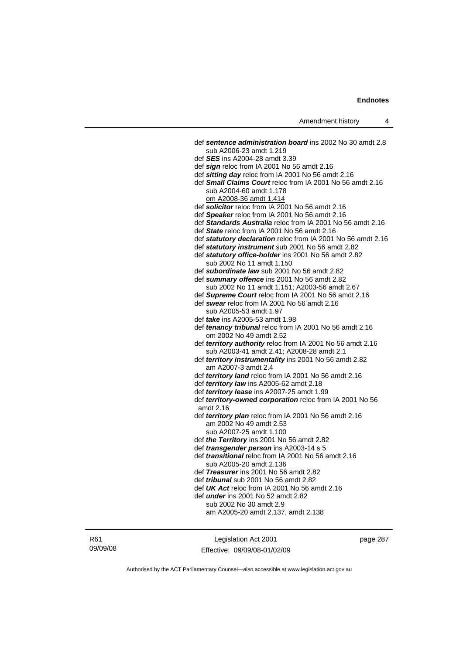def *sentence administration board* ins 2002 No 30 amdt 2.8 sub A2006-23 amdt 1.219 def *SES* ins A2004-28 amdt 3.39 def *sign* reloc from IA 2001 No 56 amdt 2.16 def *sitting day* reloc from IA 2001 No 56 amdt 2.16 def *Small Claims Court* reloc from IA 2001 No 56 amdt 2.16 sub A2004-60 amdt 1.178 om A2008-36 amdt 1.414 def *solicitor* reloc from IA 2001 No 56 amdt 2.16 def *Speaker* reloc from IA 2001 No 56 amdt 2.16 def *Standards Australia* reloc from IA 2001 No 56 amdt 2.16 def *State* reloc from IA 2001 No 56 amdt 2.16 def *statutory declaration* reloc from IA 2001 No 56 amdt 2.16 def *statutory instrument* sub 2001 No 56 amdt 2.82 def *statutory office-holder* ins 2001 No 56 amdt 2.82 sub 2002 No 11 amdt 1.150 def *subordinate law* sub 2001 No 56 amdt 2.82 def *summary offence* ins 2001 No 56 amdt 2.82 sub 2002 No 11 amdt 1.151; A2003-56 amdt 2.67 def *Supreme Court* reloc from IA 2001 No 56 amdt 2.16 def *swear* reloc from IA 2001 No 56 amdt 2.16 sub A2005-53 amdt 1.97 def *take* ins A2005-53 amdt 1.98 def *tenancy tribunal* reloc from IA 2001 No 56 amdt 2.16 om 2002 No 49 amdt 2.52 def *territory authority* reloc from IA 2001 No 56 amdt 2.16 sub A2003-41 amdt 2.41; A2008-28 amdt 2.1 def *territory instrumentality* ins 2001 No 56 amdt 2.82 am A2007-3 amdt 2.4 def *territory land* reloc from IA 2001 No 56 amdt 2.16 def *territory law* ins A2005-62 amdt 2.18 def *territory lease* ins A2007-25 amdt 1.99 def *territory-owned corporation* reloc from IA 2001 No 56 amdt 2.16 def *territory plan* reloc from IA 2001 No 56 amdt 2.16 am 2002 No 49 amdt 2.53 sub A2007-25 amdt 1.100 def *the Territory* ins 2001 No 56 amdt 2.82 def *transgender person* ins A2003-14 s 5 def *transitional* reloc from IA 2001 No 56 amdt 2.16 sub A2005-20 amdt 2.136 def *Treasurer* ins 2001 No 56 amdt 2.82 def *tribunal* sub 2001 No 56 amdt 2.82 def *UK Act* reloc from IA 2001 No 56 amdt 2.16 def *under* ins 2001 No 52 amdt 2.82 sub 2002 No 30 amdt 2.9 am A2005-20 amdt 2.137, amdt 2.138

R61 09/09/08

Legislation Act 2001 Effective: 09/09/08-01/02/09 page 287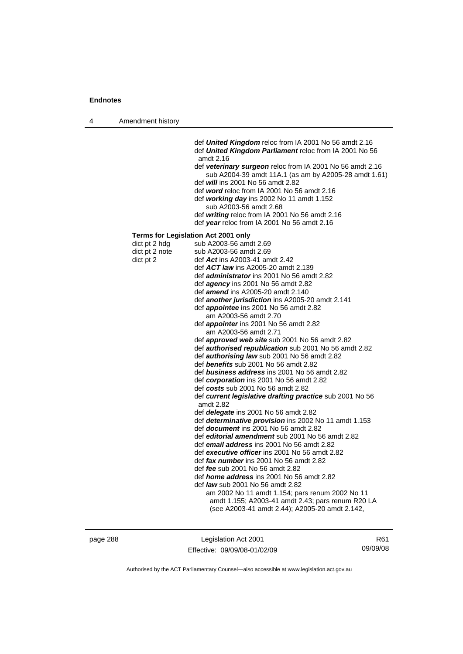| Amendment history<br>4 |  |
|------------------------|--|
|------------------------|--|

 def *United Kingdom* reloc from IA 2001 No 56 amdt 2.16 def *United Kingdom Parliament* reloc from IA 2001 No 56 amdt 2.16

 def *veterinary surgeon* reloc from IA 2001 No 56 amdt 2.16 sub A2004-39 amdt 11A.1 (as am by A2005-28 amdt 1.61) def *will* ins 2001 No 56 amdt 2.82

- 
- def *word* reloc from IA 2001 No 56 amdt 2.16 def *working day* ins 2002 No 11 amdt 1.152
- sub A2003-56 amdt 2.68
- def *writing* reloc from IA 2001 No 56 amdt 2.16 def *year* reloc from IA 2001 No 56 amdt 2.16

#### **Terms for Legislation Act 2001 only**

| dict pt 2 hdg  | sub A2003-56 amdt 2.69                                                |
|----------------|-----------------------------------------------------------------------|
| dict pt 2 note | sub A2003-56 amdt 2.69                                                |
| dict pt 2      | def Act ins A2003-41 amdt 2.42                                        |
|                | def <b>ACT law</b> ins A2005-20 amdt 2.139                            |
|                | def <i>administrator</i> ins 2001 No 56 amdt 2.82                     |
|                | def $agency$ ins 2001 No 56 amdt 2.82                                 |
|                | def <i>amend</i> ins A2005-20 amdt 2.140                              |
|                | def another jurisdiction ins A2005-20 amdt 2.141                      |
|                | def <i>appointee</i> ins 2001 No 56 amdt 2.82                         |
|                | am A2003-56 amdt 2.70                                                 |
|                | def <i>appointer</i> ins 2001 No 56 amdt 2.82                         |
|                | am A2003-56 amdt 2.71                                                 |
|                | def <b>approved web site</b> sub 2001 No 56 amdt 2.82                 |
|                | def <b>authorised republication</b> sub 2001 No 56 amdt 2.82          |
|                | def <b>authorising law</b> sub 2001 No 56 amdt 2.82                   |
|                | def benefits sub 2001 No 56 amdt 2.82                                 |
|                | def business address ins 2001 No 56 amdt 2.82                         |
|                | def corporation ins 2001 No 56 amdt 2.82                              |
|                | def costs sub 2001 No 56 amdt 2.82                                    |
|                | def current legislative drafting practice sub 2001 No 56<br>amdt 2.82 |
|                | def <i>delegate</i> ins 2001 No 56 amdt 2.82                          |
|                | def <i>determinative provision</i> ins 2002 No 11 amdt 1.153          |
|                | def <i>document</i> ins 2001 No 56 amdt 2.82                          |
|                | def <i>editorial amendment</i> sub 2001 No 56 amdt 2.82               |
|                | def email address ins 2001 No 56 amdt 2.82                            |
|                | def executive officer ins 2001 No 56 amdt 2.82                        |
|                | def fax number ins 2001 No 56 amdt 2.82                               |
|                | def fee sub 2001 No 56 amdt 2.82                                      |
|                | def <i>home address</i> ins 2001 No 56 amdt 2.82                      |
|                | def <i>law</i> sub 2001 No 56 amdt 2.82                               |
|                | am 2002 No 11 amdt 1.154; pars renum 2002 No 11                       |
|                | amdt 1.155; A2003-41 amdt 2.43; pars renum R20 LA                     |
|                | (see A2003-41 amdt 2.44); A2005-20 amdt 2.142,                        |

page 288 Legislation Act 2001 Effective: 09/09/08-01/02/09

R61 09/09/08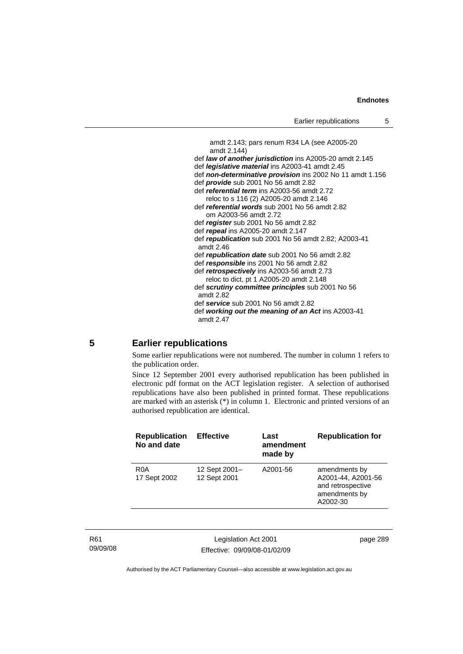```
amdt 2.143; pars renum R34 LA (see A2005-20 
   amdt 2.144) 
def law of another jurisdiction ins A2005-20 amdt 2.145
def legislative material ins A2003-41 amdt 2.45 
def non-determinative provision ins 2002 No 11 amdt 1.156 
def provide sub 2001 No 56 amdt 2.82 
def referential term ins A2003-56 amdt 2.72 
   reloc to s 116 (2) A2005-20 amdt 2.146 
def referential words sub 2001 No 56 amdt 2.82 
   om A2003-56 amdt 2.72
def register sub 2001 No 56 amdt 2.82 
def repeal ins A2005-20 amdt 2.147
def republication sub 2001 No 56 amdt 2.82; A2003-41 
amdt 2.46
def republication date sub 2001 No 56 amdt 2.82
def responsible ins 2001 No 56 amdt 2.82 
def retrospectively ins A2003-56 amdt 2.73 
   reloc to dict, pt 1 A2005-20 amdt 2.148 
def scrutiny committee principles sub 2001 No 56 
amdt 2.82
def service sub 2001 No 56 amdt 2.82 
def working out the meaning of an Act ins A2003-41 
amdt 2.47
```
### **5 Earlier republications**

Some earlier republications were not numbered. The number in column 1 refers to the publication order.

Since 12 September 2001 every authorised republication has been published in electronic pdf format on the ACT legislation register. A selection of authorised republications have also been published in printed format. These republications are marked with an asterisk (\*) in column 1. Electronic and printed versions of an authorised republication are identical.

| <b>Republication</b><br>No and date | <b>Effective</b>              | Last<br>amendment<br>made by | <b>Republication for</b>                                                              |
|-------------------------------------|-------------------------------|------------------------------|---------------------------------------------------------------------------------------|
| R <sub>0</sub> A<br>17 Sept 2002    | 12 Sept 2001-<br>12 Sept 2001 | A2001-56                     | amendments by<br>A2001-44, A2001-56<br>and retrospective<br>amendments by<br>A2002-30 |

R61 09/09/08

Legislation Act 2001 Effective: 09/09/08-01/02/09 page 289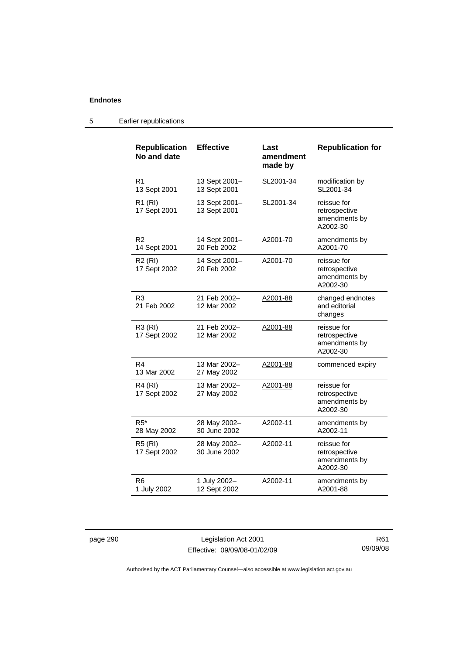| <b>Republication</b><br>No and date | <b>Effective</b>              | Last<br>amendment<br>made by | <b>Republication for</b>                                  |
|-------------------------------------|-------------------------------|------------------------------|-----------------------------------------------------------|
| R1<br>13 Sept 2001                  | 13 Sept 2001-<br>13 Sept 2001 | SL2001-34                    | modification by<br>SL2001-34                              |
| R1 (RI)<br>17 Sept 2001             | 13 Sept 2001-<br>13 Sept 2001 | SL2001-34                    | reissue for<br>retrospective<br>amendments by<br>A2002-30 |
| R <sub>2</sub><br>14 Sept 2001      | 14 Sept 2001-<br>20 Feb 2002  | A2001-70                     | amendments by<br>A2001-70                                 |
| R2(RI)<br>17 Sept 2002              | 14 Sept 2001-<br>20 Feb 2002  | A2001-70                     | reissue for<br>retrospective<br>amendments by<br>A2002-30 |
| R <sub>3</sub><br>21 Feb 2002       | 21 Feb 2002-<br>12 Mar 2002   | A2001-88                     | changed endnotes<br>and editorial<br>changes              |
| R3 (RI)<br>17 Sept 2002             | 21 Feb 2002-<br>12 Mar 2002   | A2001-88                     | reissue for<br>retrospective<br>amendments by<br>A2002-30 |
| R <sub>4</sub><br>13 Mar 2002       | 13 Mar 2002-<br>27 May 2002   | A2001-88                     | commenced expiry                                          |
| $R4$ (RI)<br>17 Sept 2002           | 13 Mar 2002-<br>27 May 2002   | A2001-88                     | reissue for<br>retrospective<br>amendments by<br>A2002-30 |
| $R5*$<br>28 May 2002                | 28 May 2002-<br>30 June 2002  | A2002-11                     | amendments by<br>A2002-11                                 |
| <b>R5 (RI)</b><br>17 Sept 2002      | 28 May 2002-<br>30 June 2002  | A2002-11                     | reissue for<br>retrospective<br>amendments by<br>A2002-30 |
| R <sub>6</sub><br>1 July 2002       | 1 July 2002-<br>12 Sept 2002  | A2002-11                     | amendments by<br>A2001-88                                 |

### 5 Earlier republications

page 290 Legislation Act 2001 Effective: 09/09/08-01/02/09

R61 09/09/08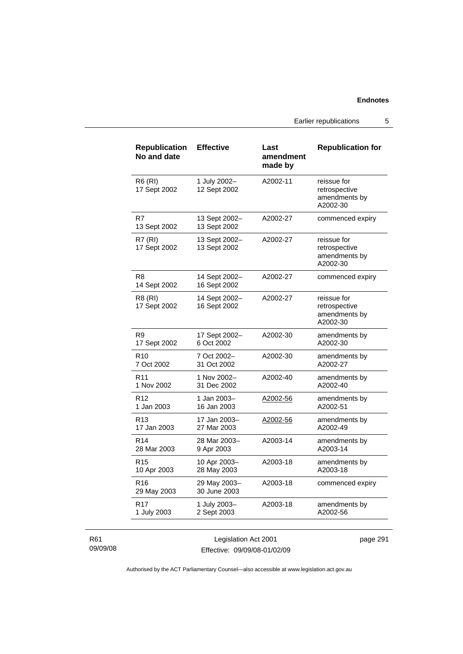Earlier republications 5

| <b>Republication</b><br>No and date | <b>Effective</b>              | Last<br>amendment<br>made by | <b>Republication for</b>                                  |
|-------------------------------------|-------------------------------|------------------------------|-----------------------------------------------------------|
| <b>R6 (RI)</b><br>17 Sept 2002      | 1 July 2002-<br>12 Sept 2002  | A2002-11                     | reissue for<br>retrospective<br>amendments by<br>A2002-30 |
| R7<br>13 Sept 2002                  | 13 Sept 2002-<br>13 Sept 2002 | A2002-27                     | commenced expiry                                          |
| <b>R7 (RI)</b><br>17 Sept 2002      | 13 Sept 2002-<br>13 Sept 2002 | A2002-27                     | reissue for<br>retrospective<br>amendments by<br>A2002-30 |
| R <sub>8</sub><br>14 Sept 2002      | 14 Sept 2002-<br>16 Sept 2002 | A2002-27                     | commenced expiry                                          |
| R8 (RI)<br>17 Sept 2002             | 14 Sept 2002-<br>16 Sept 2002 | A2002-27                     | reissue for<br>retrospective<br>amendments by<br>A2002-30 |
| R <sub>9</sub>                      | 17 Sept 2002-                 | A2002-30                     | amendments by                                             |
| 17 Sept 2002                        | 6 Oct 2002                    |                              | A2002-30                                                  |
| R <sub>10</sub>                     | 7 Oct 2002-                   | A2002-30                     | amendments by                                             |
| 7 Oct 2002                          | 31 Oct 2002                   |                              | A2002-27                                                  |
| R <sub>11</sub>                     | 1 Nov 2002-                   | A2002-40                     | amendments by                                             |
| 1 Nov 2002                          | 31 Dec 2002                   |                              | A2002-40                                                  |
| R <sub>12</sub>                     | 1 Jan 2003-                   | A2002-56                     | amendments by                                             |
| 1 Jan 2003                          | 16 Jan 2003                   |                              | A2002-51                                                  |
| R <sub>13</sub>                     | 17 Jan 2003-                  | A2002-56                     | amendments by                                             |
| 17 Jan 2003                         | 27 Mar 2003                   |                              | A2002-49                                                  |
| R <sub>14</sub>                     | 28 Mar 2003-                  | A2003-14                     | amendments by                                             |
| 28 Mar 2003                         | 9 Apr 2003                    |                              | A2003-14                                                  |
| R <sub>15</sub>                     | 10 Apr 2003-                  | A2003-18                     | amendments by                                             |
| 10 Apr 2003                         | 28 May 2003                   |                              | A2003-18                                                  |
| R16<br>29 May 2003                  | 29 May 2003-<br>30 June 2003  | A2003-18                     | commenced expiry                                          |
| R <sub>17</sub>                     | 1 July 2003-                  | A2003-18                     | amendments by                                             |
| 1 July 2003                         | 2 Sept 2003                   |                              | A2002-56                                                  |

R61 09/09/08

Legislation Act 2001 Effective: 09/09/08-01/02/09 page 291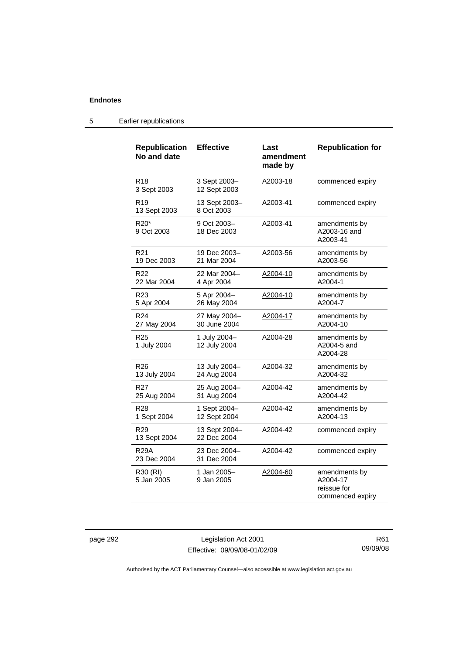| <b>Republication</b><br>No and date | <b>Effective</b>             | Last<br>amendment<br>made by | <b>Republication for</b>                                     |
|-------------------------------------|------------------------------|------------------------------|--------------------------------------------------------------|
| R <sub>18</sub><br>3 Sept 2003      | 3 Sept 2003-<br>12 Sept 2003 | A2003-18                     | commenced expiry                                             |
| R <sub>19</sub><br>13 Sept 2003     | 13 Sept 2003-<br>8 Oct 2003  | A2003-41                     | commenced expiry                                             |
| R <sub>20</sub> *<br>9 Oct 2003     | 9 Oct 2003-<br>18 Dec 2003   | A2003-41                     | amendments by<br>A2003-16 and<br>A2003-41                    |
| R <sub>21</sub><br>19 Dec 2003      | 19 Dec 2003-<br>21 Mar 2004  | A2003-56                     | amendments by<br>A2003-56                                    |
| R22<br>22 Mar 2004                  | 22 Mar 2004-<br>4 Apr 2004   | A2004-10                     | amendments by<br>A2004-1                                     |
| R <sub>23</sub><br>5 Apr 2004       | 5 Apr 2004-<br>26 May 2004   | A2004-10                     | amendments by<br>A2004-7                                     |
| R <sub>24</sub><br>27 May 2004      | 27 May 2004-<br>30 June 2004 | A2004-17                     | amendments by<br>A2004-10                                    |
| R <sub>25</sub><br>1 July 2004      | 1 July 2004-<br>12 July 2004 | A2004-28                     | amendments by<br>A2004-5 and<br>A2004-28                     |
| R <sub>26</sub><br>13 July 2004     | 13 July 2004-<br>24 Aug 2004 | A2004-32                     | amendments by<br>A2004-32                                    |
| R27<br>25 Aug 2004                  | 25 Aug 2004-<br>31 Aug 2004  | A2004-42                     | amendments by<br>A2004-42                                    |
| R28<br>1 Sept 2004                  | 1 Sept 2004-<br>12 Sept 2004 | A2004-42                     | amendments by<br>A2004-13                                    |
| R <sub>29</sub><br>13 Sept 2004     | 13 Sept 2004-<br>22 Dec 2004 | A2004-42                     | commenced expiry                                             |
| <b>R29A</b><br>23 Dec 2004          | 23 Dec 2004-<br>31 Dec 2004  | A2004-42                     | commenced expiry                                             |
| R30 (RI)<br>5 Jan 2005              | 1 Jan 2005-<br>9 Jan 2005    | A2004-60                     | amendments by<br>A2004-17<br>reissue for<br>commenced expiry |

### 5 Earlier republications

page 292 Legislation Act 2001 Effective: 09/09/08-01/02/09

R61 09/09/08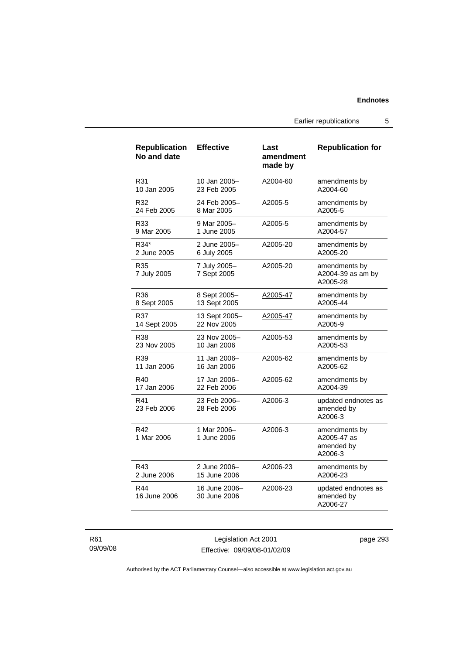Earlier republications 5

| <b>Republication</b><br>No and date | <b>Effective</b>              | Last<br>amendment<br>made by | <b>Republication for</b>                              |
|-------------------------------------|-------------------------------|------------------------------|-------------------------------------------------------|
| R31                                 | 10 Jan 2005-                  | A2004-60                     | amendments by                                         |
| 10 Jan 2005                         | 23 Feb 2005                   |                              | A2004-60                                              |
| R32                                 | 24 Feb 2005–                  | A2005-5                      | amendments by                                         |
| 24 Feb 2005                         | 8 Mar 2005                    |                              | A2005-5                                               |
| R33                                 | 9 Mar 2005-                   | A2005-5                      | amendments by                                         |
| 9 Mar 2005                          | 1 June 2005                   |                              | A2004-57                                              |
| R34*                                | 2 June 2005-                  | A2005-20                     | amendments by                                         |
| 2 June 2005                         | 6 July 2005                   |                              | A2005-20                                              |
| R35<br>7 July 2005                  | 7 July 2005-<br>7 Sept 2005   | A2005-20                     | amendments by<br>A2004-39 as am by<br>A2005-28        |
| R36                                 | 8 Sept 2005-                  | A2005-47                     | amendments by                                         |
| 8 Sept 2005                         | 13 Sept 2005                  |                              | A2005-44                                              |
| R37                                 | 13 Sept 2005-                 | A2005-47                     | amendments by                                         |
| 14 Sept 2005                        | 22 Nov 2005                   |                              | A2005-9                                               |
| R38                                 | 23 Nov 2005-                  | A2005-53                     | amendments by                                         |
| 23 Nov 2005                         | 10 Jan 2006                   |                              | A2005-53                                              |
| R39                                 | 11 Jan 2006-                  | A2005-62                     | amendments by                                         |
| 11 Jan 2006                         | 16 Jan 2006                   |                              | A2005-62                                              |
| R40                                 | 17 Jan 2006-                  | A2005-62                     | amendments by                                         |
| 17 Jan 2006                         | 22 Feb 2006                   |                              | A2004-39                                              |
| R41<br>23 Feb 2006                  | 23 Feb 2006–<br>28 Feb 2006   | A2006-3                      | updated endnotes as<br>amended by<br>A2006-3          |
| R42<br>1 Mar 2006                   | 1 Mar 2006-<br>1 June 2006    | A2006-3                      | amendments by<br>A2005-47 as<br>amended by<br>A2006-3 |
| R43                                 | 2 June 2006-                  | A2006-23                     | amendments by                                         |
| 2 June 2006                         | 15 June 2006                  |                              | A2006-23                                              |
| R44<br>16 June 2006                 | 16 June 2006-<br>30 June 2006 | A2006-23                     | updated endnotes as<br>amended by<br>A2006-27         |

R61 09/09/08

Legislation Act 2001 Effective: 09/09/08-01/02/09 page 293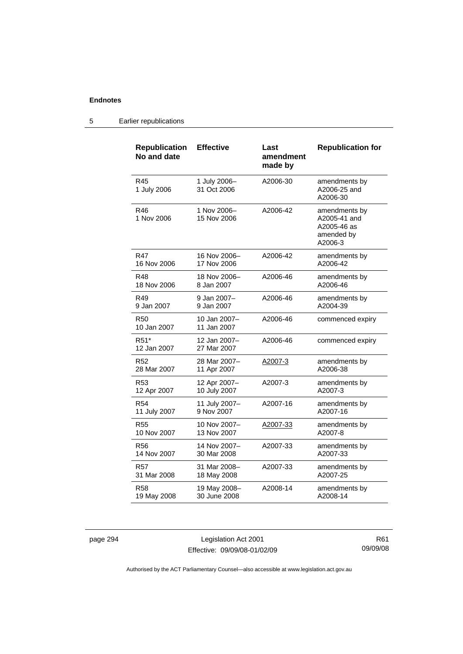#### **Republication No and date Effective Last amendment made by Republication for**  R45 1 July 2006 1 July 2006– 31 Oct 2006 A2006-30 amendments by A2006-25 and A2006-30 R46 1 Nov 2006 1 Nov 2006– 15 Nov 2006 A2006-42 amendments by A2005-41 and A2005-46 as amended by A2006-3 R47 16 Nov 2006 16 Nov 2006– 17 Nov 2006 A2006-42 amendments by A2006-42 R48 18 Nov 2006 18 Nov 2006– 8 Jan 2007 A2006-46 amendments by A2006-46 R49 9 Jan 2007 9 Jan 2007– 9 Jan 2007 A2006-46 amendments by A2004-39 R50 10 Jan 2007 10 Jan 2007– 11 Jan 2007 A2006-46 commenced expiry R51\* 12 Jan 2007 12 Jan 2007– 27 Mar 2007 A2006-46 commenced expiry R52 28 Mar 2007 28 Mar 2007– 11 Apr 2007 A2007-3 amendments by A2006-38 R53 12 Apr 2007 12 Apr 2007– 10 July 2007 A2007-3 amendments by A2007-3 R54 11 July 2007 11 July 2007– 9 Nov 2007 A2007-16 amendments by A2007-16 R55 10 Nov 2007 10 Nov 2007– 13 Nov 2007 A2007-33 amendments by A2007-8 R56 14 Nov 2007 14 Nov 2007– 30 Mar 2008 A2007-33 amendments by A2007-33 R57 31 Mar 2008 31 Mar 2008– 18 May 2008 A2007-33 amendments by A2007-25 R58 19 May 2008 19 May 2008– 30 June 2008 A2008-14 amendments by A2008-14

#### 5 Earlier republications

page 294 Legislation Act 2001 Effective: 09/09/08-01/02/09

R61 09/09/08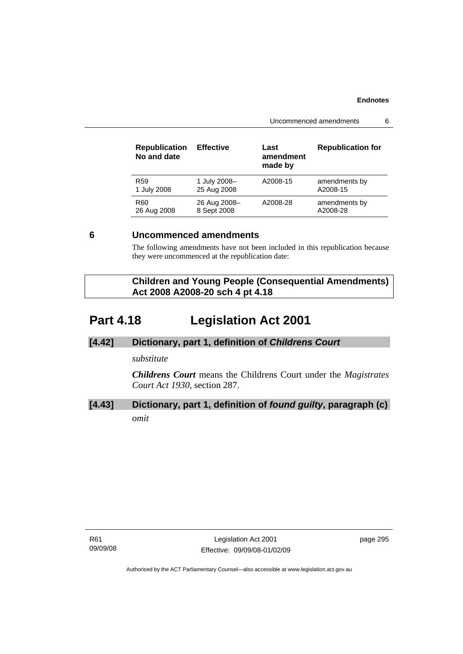Uncommenced amendments 6

| <b>Republication</b><br>No and date | <b>Effective</b> | Last<br>amendment<br>made by | <b>Republication for</b> |
|-------------------------------------|------------------|------------------------------|--------------------------|
| R <sub>59</sub>                     | 1 July 2008-     | A2008-15                     | amendments by            |
| 1 July 2008                         | 25 Aug 2008      |                              | A2008-15                 |
| R <sub>60</sub>                     | 26 Aug 2008-     | A2008-28                     | amendments by            |
| 26 Aug 2008                         | 8 Sept 2008      |                              | A2008-28                 |

### **6 Uncommenced amendments**

The following amendments have not been included in this republication because they were uncommenced at the republication date:

| <b>Children and Young People (Consequential Amendments)</b> |
|-------------------------------------------------------------|
| Act 2008 A2008-20 sch 4 pt 4.18                             |

# **Part 4.18 Legislation Act 2001**

### **[4.42] Dictionary, part 1, definition of** *Childrens Court*

### *substitute*

*Childrens Court* means the Childrens Court under the *Magistrates Court Act 1930*, section 287.

## **[4.43] Dictionary, part 1, definition of** *found guilty***, paragraph (c)** *omit*

R61 09/09/08 page 295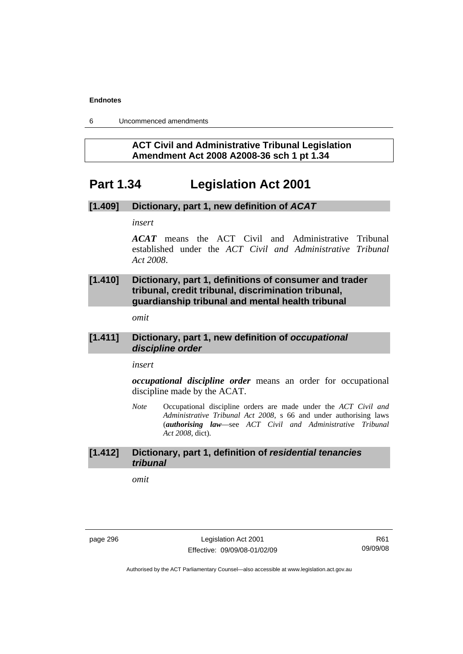6 Uncommenced amendments

### **ACT Civil and Administrative Tribunal Legislation Amendment Act 2008 A2008-36 sch 1 pt 1.34**

# **Part 1.34 Legislation Act 2001**

### **[1.409] Dictionary, part 1, new definition of** *ACAT*

### *insert*

*ACAT* means the ACT Civil and Administrative Tribunal established under the *ACT Civil and Administrative Tribunal Act 2008*.

### **[1.410] Dictionary, part 1, definitions of consumer and trader tribunal, credit tribunal, discrimination tribunal, guardianship tribunal and mental health tribunal**

*omit* 

### **[1.411] Dictionary, part 1, new definition of** *occupational discipline order*

### *insert*

*occupational discipline order* means an order for occupational discipline made by the ACAT.

*Note* Occupational discipline orders are made under the *ACT Civil and Administrative Tribunal Act 2008*, s 66 and under authorising laws (*authorising law*—see *ACT Civil and Administrative Tribunal Act 2008*, dict).

### **[1.412] Dictionary, part 1, definition of** *residential tenancies tribunal*

*omit* 

page 296 Legislation Act 2001 Effective: 09/09/08-01/02/09

R61 09/09/08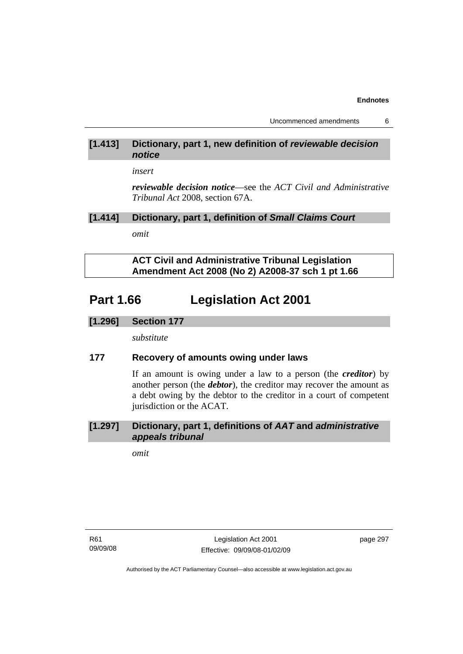Uncommenced amendments 6

### **[1.413] Dictionary, part 1, new definition of** *reviewable decision notice*

*insert* 

*reviewable decision notice*—see the *ACT Civil and Administrative Tribunal Act* 2008, section 67A.

### **[1.414] Dictionary, part 1, definition of** *Small Claims Court*

*omit* 

 **ACT Civil and Administrative Tribunal Legislation Amendment Act 2008 (No 2) A2008-37 sch 1 pt 1.66** 

# **Part 1.66 Legislation Act 2001**

### **[1.296] Section 177**

*substitute* 

### **177 Recovery of amounts owing under laws**

If an amount is owing under a law to a person (the *creditor*) by another person (the *debtor*), the creditor may recover the amount as a debt owing by the debtor to the creditor in a court of competent jurisdiction or the ACAT.

### **[1.297] Dictionary, part 1, definitions of** *AAT* **and** *administrative appeals tribunal*

*omit* 

R61 09/09/08 page 297